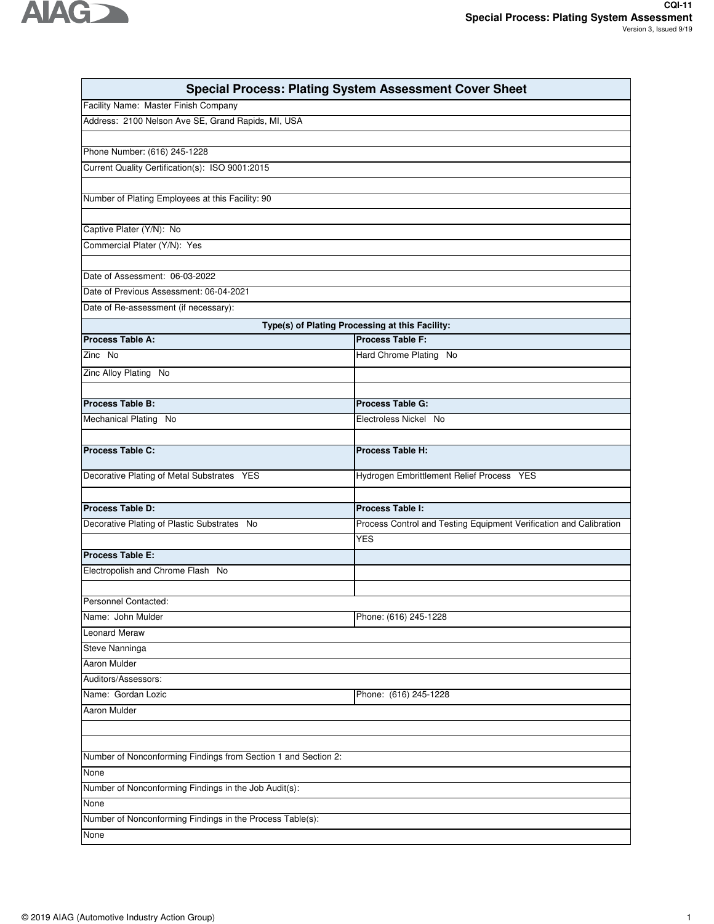

| <b>Special Process: Plating System Assessment Cover Sheet</b>             |                                                                     |  |  |
|---------------------------------------------------------------------------|---------------------------------------------------------------------|--|--|
| Facility Name: Master Finish Company                                      |                                                                     |  |  |
| Address: 2100 Nelson Ave SE, Grand Rapids, MI, USA                        |                                                                     |  |  |
|                                                                           |                                                                     |  |  |
| Phone Number: (616) 245-1228                                              |                                                                     |  |  |
| Current Quality Certification(s): ISO 9001:2015                           |                                                                     |  |  |
|                                                                           |                                                                     |  |  |
| Number of Plating Employees at this Facility: 90                          |                                                                     |  |  |
|                                                                           |                                                                     |  |  |
| Captive Plater (Y/N): No                                                  |                                                                     |  |  |
| Commercial Plater (Y/N): Yes                                              |                                                                     |  |  |
|                                                                           |                                                                     |  |  |
| Date of Assessment: 06-03-2022<br>Date of Previous Assessment: 06-04-2021 |                                                                     |  |  |
| Date of Re-assessment (if necessary):                                     |                                                                     |  |  |
|                                                                           |                                                                     |  |  |
| Process Table A:                                                          | Type(s) of Plating Processing at this Facility:<br>Process Table F: |  |  |
| Zinc No                                                                   | Hard Chrome Plating No                                              |  |  |
|                                                                           |                                                                     |  |  |
| Zinc Alloy Plating No                                                     |                                                                     |  |  |
| Process Table B:                                                          | <b>Process Table G:</b>                                             |  |  |
|                                                                           | Electroless Nickel No                                               |  |  |
| Mechanical Plating No                                                     |                                                                     |  |  |
| Process Table C:                                                          | <b>Process Table H:</b>                                             |  |  |
|                                                                           |                                                                     |  |  |
| Decorative Plating of Metal Substrates YES                                | Hydrogen Embrittlement Relief Process YES                           |  |  |
|                                                                           |                                                                     |  |  |
| <b>Process Table D:</b>                                                   | <b>Process Table I:</b>                                             |  |  |
| Decorative Plating of Plastic Substrates No                               | Process Control and Testing Equipment Verification and Calibration  |  |  |
|                                                                           | <b>YES</b>                                                          |  |  |
| Process Table E:                                                          |                                                                     |  |  |
| Electropolish and Chrome Flash No                                         |                                                                     |  |  |
|                                                                           |                                                                     |  |  |
| Personnel Contacted:                                                      |                                                                     |  |  |
| Name: John Mulder                                                         | Phone: (616) 245-1228                                               |  |  |
| <b>Leonard Meraw</b>                                                      |                                                                     |  |  |
| Steve Nanninga                                                            |                                                                     |  |  |
| Aaron Mulder                                                              |                                                                     |  |  |
| Auditors/Assessors:                                                       |                                                                     |  |  |
| Name: Gordan Lozic                                                        | Phone: (616) 245-1228                                               |  |  |
| Aaron Mulder                                                              |                                                                     |  |  |
|                                                                           |                                                                     |  |  |
|                                                                           |                                                                     |  |  |
| Number of Nonconforming Findings from Section 1 and Section 2:            |                                                                     |  |  |
| None<br>Number of Nonconforming Findings in the Job Audit(s):             |                                                                     |  |  |
| None                                                                      |                                                                     |  |  |
| Number of Nonconforming Findings in the Process Table(s):                 |                                                                     |  |  |
| None                                                                      |                                                                     |  |  |
|                                                                           |                                                                     |  |  |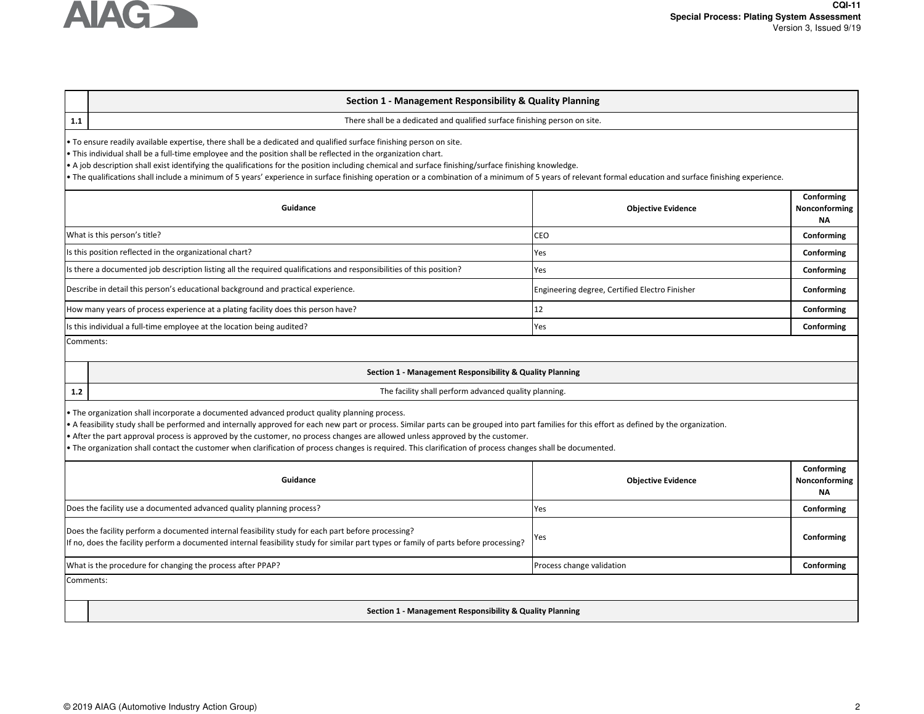

# **Section 1 - Management Responsibility & Quality Planning**

**1.1**

There shall be a dedicated and qualified surface finishing person on site.

• To ensure readily available expertise, there shall be a dedicated and qualified surface finishing person on site.

• This individual shall be a full-time employee and the position shall be reflected in the organization chart.

• A job description shall exist identifying the qualifications for the position including chemical and surface finishing/surface finishing knowledge.

• The qualifications shall include a minimum of 5 years' experience in surface finishing operation or a combination of a minimum of 5 years of relevant formal education and surface finishing experience.

| <b>Objective Evidence</b>                      | Conforming<br>Nonconforming<br><b>NA</b> |
|------------------------------------------------|------------------------------------------|
| <b>CEO</b>                                     | Conforming                               |
| Yes                                            | Conforming                               |
| Yes                                            | Conforming                               |
| Engineering degree, Certified Electro Finisher | Conforming                               |
|                                                | Conforming                               |
| Yes                                            | Conforming                               |
|                                                |                                          |

Comments:

### **Section 1 - Management Responsibility & Quality Planning**

**1.2**

The facility shall perform advanced quality planning.

• The organization shall incorporate a documented advanced product quality planning process.

• A feasibility study shall be performed and internally approved for each new part or process. Similar parts can be grouped into part families for this effort as defined by the organization.

• After the part approval process is approved by the customer, no process changes are allowed unless approved by the customer.

• The organization shall contact the customer when clarification of process changes is required. This clarification of process changes shall be documented.

| Guidance                                                                                                                                                                                                                                    | <b>Objective Evidence</b> | Conforming<br>Nonconforming<br><b>NA</b> |  |
|---------------------------------------------------------------------------------------------------------------------------------------------------------------------------------------------------------------------------------------------|---------------------------|------------------------------------------|--|
| Does the facility use a documented advanced quality planning process?                                                                                                                                                                       | <b>Yes</b>                | Conforming                               |  |
| Does the facility perform a documented internal feasibility study for each part before processing?<br>If no, does the facility perform a documented internal feasibility study for similar part types or family of parts before processing? | - Yes                     | Conforming                               |  |
| What is the procedure for changing the process after PPAP?                                                                                                                                                                                  | Process change validation | Conforming                               |  |
| Comments:                                                                                                                                                                                                                                   |                           |                                          |  |
| $\sim$ $\sim$ $\sim$ $\sim$ $\sim$ $\sim$                                                                                                                                                                                                   |                           |                                          |  |

**Section 1 - Management Responsibility & Quality Planning**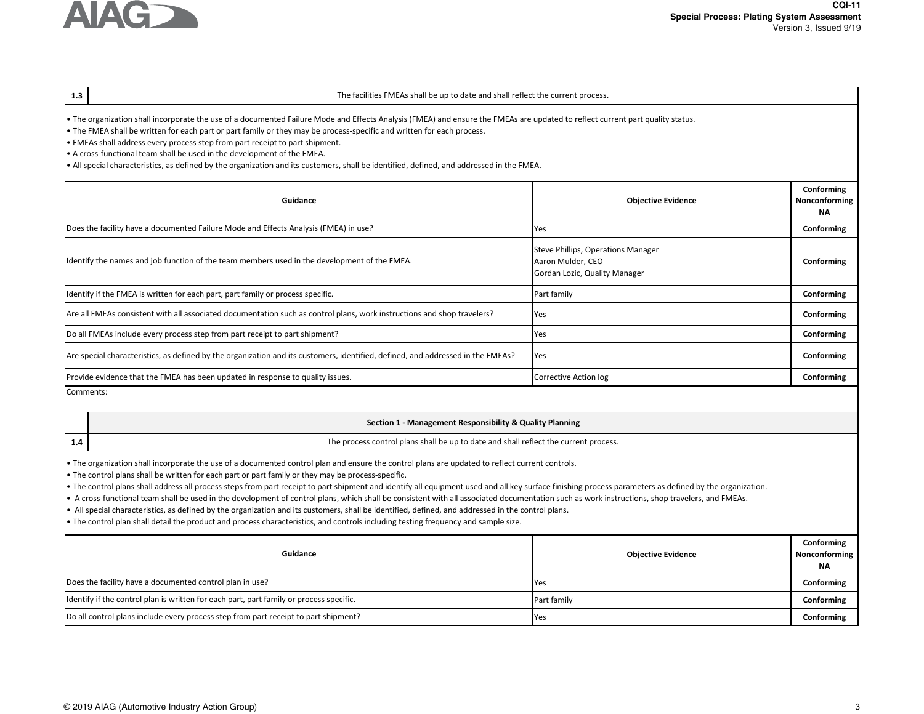

# **1.3Conforming**The facilities FMEAs shall be up to date and shall reflect the current process.• The organization shall incorporate the use of a documented Failure Mode and Effects Analysis (FMEA) and ensure the FMEAs are updated to reflect current part quality status.• The FMEA shall be written for each part or part family or they may be process-specific and written for each process. • FMEAs shall address every process step from part receipt to part shipment. • A cross-functional team shall be used in the development of the FMEA.• All special characteristics, as defined by the organization and its customers, shall be identified, defined, and addressed in the FMEA.

| Guidance                                                                                                                        | <b>Objective Evidence</b>                                                                | <b>CONTOUR</b><br>Nonconforming<br><b>NA</b> |
|---------------------------------------------------------------------------------------------------------------------------------|------------------------------------------------------------------------------------------|----------------------------------------------|
| Does the facility have a documented Failure Mode and Effects Analysis (FMEA) in use?                                            | Yes                                                                                      | Conforming                                   |
| Identify the names and job function of the team members used in the development of the FMEA.                                    | Steve Phillips, Operations Manager<br>Aaron Mulder, CEO<br>Gordan Lozic, Quality Manager | Conforming                                   |
| Identify if the FMEA is written for each part, part family or process specific.                                                 | Part family                                                                              | Conforming                                   |
| Are all FMEAs consistent with all associated documentation such as control plans, work instructions and shop travelers?         | Yes                                                                                      | Conforming                                   |
| Do all FMEAs include every process step from part receipt to part shipment?                                                     | Yes                                                                                      | Conforming                                   |
| Are special characteristics, as defined by the organization and its customers, identified, defined, and addressed in the FMEAs? | Yes                                                                                      | Conforming                                   |
| Provide evidence that the FMEA has been updated in response to quality issues.                                                  | Corrective Action log                                                                    | Conforming                                   |
| Comments:                                                                                                                       |                                                                                          |                                              |

# **Section 1 - Management Responsibility & Quality Planning**

- The process control plans shall be up to date and shall reflect the current process.
- The organization shall incorporate the use of a documented control plan and ensure the control plans are updated to reflect current controls.
- The control plans shall be written for each part or part family or they may be process-specific.
- The control plans shall address all process steps from part receipt to part shipment and identify all equipment used and all key surface finishing process parameters as defined by the organization.
- A cross-functional team shall be used in the development of control plans, which shall be consistent with all associated documentation such as work instructions, shop travelers, and FMEAs.
- All special characteristics, as defined by the organization and its customers, shall be identified, defined, and addressed in the control plans.
- The control plan shall detail the product and process characteristics, and controls including testing frequency and sample size.

| Guidance                                                                                | <b>Objective Evidence</b> | Conforming<br>Nonconforming<br>NA |
|-----------------------------------------------------------------------------------------|---------------------------|-----------------------------------|
| Does the facility have a documented control plan in use?                                | <b>IYes</b>               | Conforming                        |
| Identify if the control plan is written for each part, part family or process specific. | Part family               | Conforming                        |
| [Do all control plans include every process step from part receipt to part shipment?    | <b>Yes</b>                | Conforming                        |

**1.4**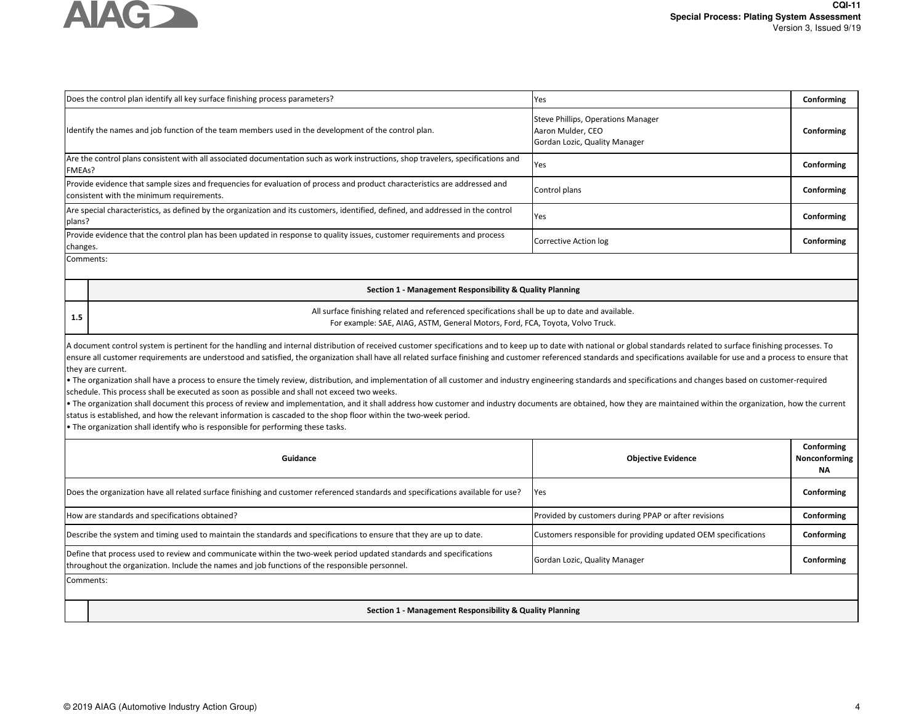

|           | Does the control plan identify all key surface finishing process parameters?                                                                                                                                                                                                                                                                                                                                                                                                                                                                                                                                                                                                                                                                                                                                                                                                                                                                                                                                                                                                                                                                                                                                                          | Yes                                                                                      | Conforming                               |
|-----------|---------------------------------------------------------------------------------------------------------------------------------------------------------------------------------------------------------------------------------------------------------------------------------------------------------------------------------------------------------------------------------------------------------------------------------------------------------------------------------------------------------------------------------------------------------------------------------------------------------------------------------------------------------------------------------------------------------------------------------------------------------------------------------------------------------------------------------------------------------------------------------------------------------------------------------------------------------------------------------------------------------------------------------------------------------------------------------------------------------------------------------------------------------------------------------------------------------------------------------------|------------------------------------------------------------------------------------------|------------------------------------------|
|           | ldentify the names and job function of the team members used in the development of the control plan.                                                                                                                                                                                                                                                                                                                                                                                                                                                                                                                                                                                                                                                                                                                                                                                                                                                                                                                                                                                                                                                                                                                                  | Steve Phillips, Operations Manager<br>Aaron Mulder, CEO<br>Gordan Lozic, Quality Manager | Conforming                               |
| FMEAs?    | Are the control plans consistent with all associated documentation such as work instructions, shop travelers, specifications and                                                                                                                                                                                                                                                                                                                                                                                                                                                                                                                                                                                                                                                                                                                                                                                                                                                                                                                                                                                                                                                                                                      | Yes                                                                                      | Conforming                               |
|           | Provide evidence that sample sizes and frequencies for evaluation of process and product characteristics are addressed and<br>consistent with the minimum requirements.                                                                                                                                                                                                                                                                                                                                                                                                                                                                                                                                                                                                                                                                                                                                                                                                                                                                                                                                                                                                                                                               | Control plans                                                                            | Conforming                               |
| plans?    | Are special characteristics, as defined by the organization and its customers, identified, defined, and addressed in the control                                                                                                                                                                                                                                                                                                                                                                                                                                                                                                                                                                                                                                                                                                                                                                                                                                                                                                                                                                                                                                                                                                      | Yes                                                                                      | Conforming                               |
| changes.  | Provide evidence that the control plan has been updated in response to quality issues, customer requirements and process                                                                                                                                                                                                                                                                                                                                                                                                                                                                                                                                                                                                                                                                                                                                                                                                                                                                                                                                                                                                                                                                                                              | Corrective Action log                                                                    | Conforming                               |
| Comments: |                                                                                                                                                                                                                                                                                                                                                                                                                                                                                                                                                                                                                                                                                                                                                                                                                                                                                                                                                                                                                                                                                                                                                                                                                                       |                                                                                          |                                          |
|           | Section 1 - Management Responsibility & Quality Planning                                                                                                                                                                                                                                                                                                                                                                                                                                                                                                                                                                                                                                                                                                                                                                                                                                                                                                                                                                                                                                                                                                                                                                              |                                                                                          |                                          |
| 1.5       | All surface finishing related and referenced specifications shall be up to date and available.<br>For example: SAE, AIAG, ASTM, General Motors, Ford, FCA, Toyota, Volvo Truck.                                                                                                                                                                                                                                                                                                                                                                                                                                                                                                                                                                                                                                                                                                                                                                                                                                                                                                                                                                                                                                                       |                                                                                          |                                          |
|           | A document control system is pertinent for the handling and internal distribution of received customer specifications and to keep up to date with national or global standards related to surface finishing processes. To<br>ensure all customer requirements are understood and satisfied, the organization shall have all related surface finishing and customer referenced standards and specifications available for use and a process to ensure that<br>they are current.<br>. The organization shall have a process to ensure the timely review, distribution, and implementation of all customer and industry engineering standards and specifications and changes based on customer-required<br>schedule. This process shall be executed as soon as possible and shall not exceed two weeks.<br>. The organization shall document this process of review and implementation, and it shall address how customer and industry documents are obtained, how they are maintained within the organization, how the current<br>status is established, and how the relevant information is cascaded to the shop floor within the two-week period.<br>• The organization shall identify who is responsible for performing these tasks. |                                                                                          |                                          |
|           | Guidance                                                                                                                                                                                                                                                                                                                                                                                                                                                                                                                                                                                                                                                                                                                                                                                                                                                                                                                                                                                                                                                                                                                                                                                                                              | <b>Objective Evidence</b>                                                                | Conforming<br>Nonconforming<br><b>NA</b> |
|           | Does the organization have all related surface finishing and customer referenced standards and specifications available for use?                                                                                                                                                                                                                                                                                                                                                                                                                                                                                                                                                                                                                                                                                                                                                                                                                                                                                                                                                                                                                                                                                                      | Yes                                                                                      | Conforming                               |
|           | How are standards and specifications obtained?                                                                                                                                                                                                                                                                                                                                                                                                                                                                                                                                                                                                                                                                                                                                                                                                                                                                                                                                                                                                                                                                                                                                                                                        | Provided by customers during PPAP or after revisions                                     | Conforming                               |
|           | Describe the system and timing used to maintain the standards and specifications to ensure that they are up to date.                                                                                                                                                                                                                                                                                                                                                                                                                                                                                                                                                                                                                                                                                                                                                                                                                                                                                                                                                                                                                                                                                                                  | Customers responsible for providing updated OEM specifications                           | Conforming                               |
|           | Define that process used to review and communicate within the two-week period updated standards and specifications<br>throughout the organization. Include the names and job functions of the responsible personnel.                                                                                                                                                                                                                                                                                                                                                                                                                                                                                                                                                                                                                                                                                                                                                                                                                                                                                                                                                                                                                  | Gordan Lozic, Quality Manager                                                            | Conforming                               |
| Comments: |                                                                                                                                                                                                                                                                                                                                                                                                                                                                                                                                                                                                                                                                                                                                                                                                                                                                                                                                                                                                                                                                                                                                                                                                                                       |                                                                                          |                                          |

**Section 1 - Management Responsibility & Quality Planning**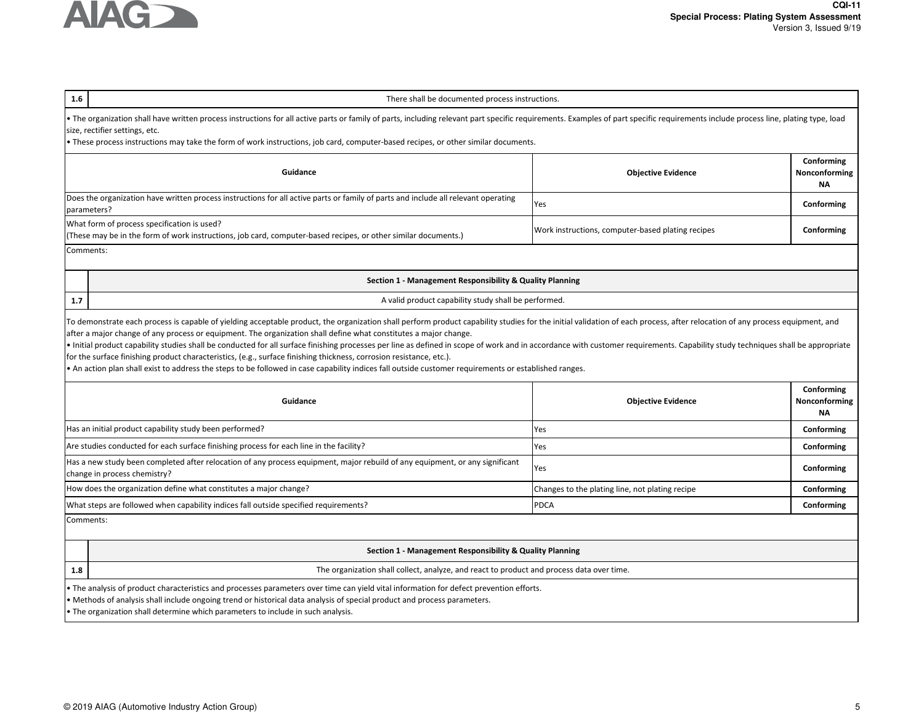

| 1.6<br>There shall be documented process instructions.                                                                                                                                                                                                                                                                                                                                                                                                                                                                                                                                                                                                                                                     |                                                   |                                          |  |  |
|------------------------------------------------------------------------------------------------------------------------------------------------------------------------------------------------------------------------------------------------------------------------------------------------------------------------------------------------------------------------------------------------------------------------------------------------------------------------------------------------------------------------------------------------------------------------------------------------------------------------------------------------------------------------------------------------------------|---------------------------------------------------|------------------------------------------|--|--|
| • The organization shall have written process instructions for all active parts or family of parts, including relevant part specific requirements. Examples of part specific requirements include process line, plating type,<br>size, rectifier settings, etc.<br>• These process instructions may take the form of work instructions, job card, computer-based recipes, or other similar documents.                                                                                                                                                                                                                                                                                                      |                                                   |                                          |  |  |
| Guidance                                                                                                                                                                                                                                                                                                                                                                                                                                                                                                                                                                                                                                                                                                   | <b>Objective Evidence</b>                         | Conforming<br>Nonconforming<br><b>NA</b> |  |  |
| Does the organization have written process instructions for all active parts or family of parts and include all relevant operating<br>parameters?                                                                                                                                                                                                                                                                                                                                                                                                                                                                                                                                                          | Yes                                               | Conforming                               |  |  |
| What form of process specification is used?<br>(These may be in the form of work instructions, job card, computer-based recipes, or other similar documents.)                                                                                                                                                                                                                                                                                                                                                                                                                                                                                                                                              | Work instructions, computer-based plating recipes | Conforming                               |  |  |
| Comments:                                                                                                                                                                                                                                                                                                                                                                                                                                                                                                                                                                                                                                                                                                  |                                                   |                                          |  |  |
| Section 1 - Management Responsibility & Quality Planning                                                                                                                                                                                                                                                                                                                                                                                                                                                                                                                                                                                                                                                   |                                                   |                                          |  |  |
| A valid product capability study shall be performed.<br>1.7                                                                                                                                                                                                                                                                                                                                                                                                                                                                                                                                                                                                                                                |                                                   |                                          |  |  |
| after a major change of any process or equipment. The organization shall define what constitutes a major change.<br>. Initial product capability studies shall be conducted for all surface finishing processes per line as defined in scope of work and in accordance with customer requirements. Capability study techniques shall be appropriat<br>for the surface finishing product characteristics, (e.g., surface finishing thickness, corrosion resistance, etc.).<br>• An action plan shall exist to address the steps to be followed in case capability indices fall outside customer requirements or established ranges.<br>Conforming<br>Guidance<br><b>Objective Evidence</b><br>Nonconforming |                                                   |                                          |  |  |
| Has an initial product capability study been performed?                                                                                                                                                                                                                                                                                                                                                                                                                                                                                                                                                                                                                                                    | Yes                                               | <b>NA</b><br>Conforming                  |  |  |
| Are studies conducted for each surface finishing process for each line in the facility?                                                                                                                                                                                                                                                                                                                                                                                                                                                                                                                                                                                                                    | Yes                                               | Conforming                               |  |  |
| Has a new study been completed after relocation of any process equipment, major rebuild of any equipment, or any significant<br>change in process chemistry?                                                                                                                                                                                                                                                                                                                                                                                                                                                                                                                                               | Yes                                               | Conforming                               |  |  |
| How does the organization define what constitutes a major change?                                                                                                                                                                                                                                                                                                                                                                                                                                                                                                                                                                                                                                          | Changes to the plating line, not plating recipe   | Conforming                               |  |  |
| What steps are followed when capability indices fall outside specified requirements?                                                                                                                                                                                                                                                                                                                                                                                                                                                                                                                                                                                                                       | <b>PDCA</b>                                       | Conforming                               |  |  |
| Comments:                                                                                                                                                                                                                                                                                                                                                                                                                                                                                                                                                                                                                                                                                                  |                                                   |                                          |  |  |
| Section 1 - Management Responsibility & Quality Planning                                                                                                                                                                                                                                                                                                                                                                                                                                                                                                                                                                                                                                                   |                                                   |                                          |  |  |
| The organization shall collect, analyze, and react to product and process data over time.<br>1.8                                                                                                                                                                                                                                                                                                                                                                                                                                                                                                                                                                                                           |                                                   |                                          |  |  |
| . The analysis of product characteristics and processes parameters over time can yield vital information for defect prevention efforts.<br>• Methods of analysis shall include ongoing trend or historical data analysis of special product and process parameters.<br>• The organization shall determine which parameters to include in such analysis.                                                                                                                                                                                                                                                                                                                                                    |                                                   |                                          |  |  |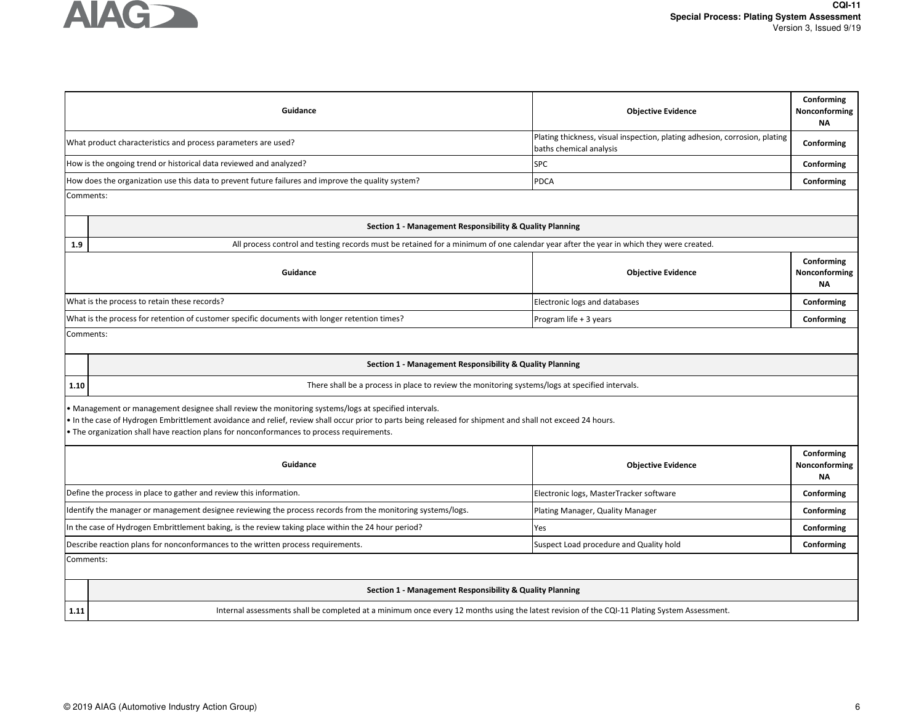

|                                                                                                               |                                                                                                                                                                                                                                                                                                                                                                 | <b>Objective Evidence</b>                                                                             | Nonconforming<br><b>NA</b>        |  |  |
|---------------------------------------------------------------------------------------------------------------|-----------------------------------------------------------------------------------------------------------------------------------------------------------------------------------------------------------------------------------------------------------------------------------------------------------------------------------------------------------------|-------------------------------------------------------------------------------------------------------|-----------------------------------|--|--|
|                                                                                                               | What product characteristics and process parameters are used?                                                                                                                                                                                                                                                                                                   | Plating thickness, visual inspection, plating adhesion, corrosion, plating<br>baths chemical analysis | Conforming                        |  |  |
|                                                                                                               | How is the ongoing trend or historical data reviewed and analyzed?                                                                                                                                                                                                                                                                                              | SPC                                                                                                   | Conforming                        |  |  |
|                                                                                                               | How does the organization use this data to prevent future failures and improve the quality system?                                                                                                                                                                                                                                                              | <b>PDCA</b>                                                                                           | Conforming                        |  |  |
| Comments:                                                                                                     |                                                                                                                                                                                                                                                                                                                                                                 |                                                                                                       |                                   |  |  |
|                                                                                                               | Section 1 - Management Responsibility & Quality Planning                                                                                                                                                                                                                                                                                                        |                                                                                                       |                                   |  |  |
| 1.9                                                                                                           | All process control and testing records must be retained for a minimum of one calendar year after the year in which they were created.                                                                                                                                                                                                                          |                                                                                                       |                                   |  |  |
|                                                                                                               | Guidance                                                                                                                                                                                                                                                                                                                                                        | <b>Objective Evidence</b>                                                                             | Conforming<br>Nonconforming<br>ΝA |  |  |
|                                                                                                               | What is the process to retain these records?                                                                                                                                                                                                                                                                                                                    | Electronic logs and databases                                                                         | Conforming                        |  |  |
|                                                                                                               | What is the process for retention of customer specific documents with longer retention times?                                                                                                                                                                                                                                                                   | Program life + 3 years                                                                                | Conforming                        |  |  |
| Comments:                                                                                                     |                                                                                                                                                                                                                                                                                                                                                                 |                                                                                                       |                                   |  |  |
|                                                                                                               | Section 1 - Management Responsibility & Quality Planning                                                                                                                                                                                                                                                                                                        |                                                                                                       |                                   |  |  |
| 1.10                                                                                                          | There shall be a process in place to review the monitoring systems/logs at specified intervals.                                                                                                                                                                                                                                                                 |                                                                                                       |                                   |  |  |
|                                                                                                               | • Management or management designee shall review the monitoring systems/logs at specified intervals.<br>• In the case of Hydrogen Embrittlement avoidance and relief, review shall occur prior to parts being released for shipment and shall not exceed 24 hours.<br>. The organization shall have reaction plans for nonconformances to process requirements. |                                                                                                       |                                   |  |  |
|                                                                                                               | Conforming<br>Guidance<br><b>Objective Evidence</b><br>Nonconforming<br><b>NA</b>                                                                                                                                                                                                                                                                               |                                                                                                       |                                   |  |  |
| Define the process in place to gather and review this information.<br>Electronic logs, MasterTracker software |                                                                                                                                                                                                                                                                                                                                                                 |                                                                                                       | Conforming                        |  |  |
|                                                                                                               | Identify the manager or management designee reviewing the process records from the monitoring systems/logs.                                                                                                                                                                                                                                                     | Plating Manager, Quality Manager                                                                      | Conforming                        |  |  |
|                                                                                                               | In the case of Hydrogen Embrittlement baking, is the review taking place within the 24 hour period?<br>Yes<br>Conforming                                                                                                                                                                                                                                        |                                                                                                       |                                   |  |  |
|                                                                                                               | Describe reaction plans for nonconformances to the written process requirements.<br>Suspect Load procedure and Quality hold<br>Conforming                                                                                                                                                                                                                       |                                                                                                       |                                   |  |  |
| Comments:                                                                                                     |                                                                                                                                                                                                                                                                                                                                                                 |                                                                                                       |                                   |  |  |
|                                                                                                               | Section 1 - Management Responsibility & Quality Planning                                                                                                                                                                                                                                                                                                        |                                                                                                       |                                   |  |  |
| 1.11                                                                                                          | Internal assessments shall be completed at a minimum once every 12 months using the latest revision of the CQI-11 Plating System Assessment.                                                                                                                                                                                                                    |                                                                                                       |                                   |  |  |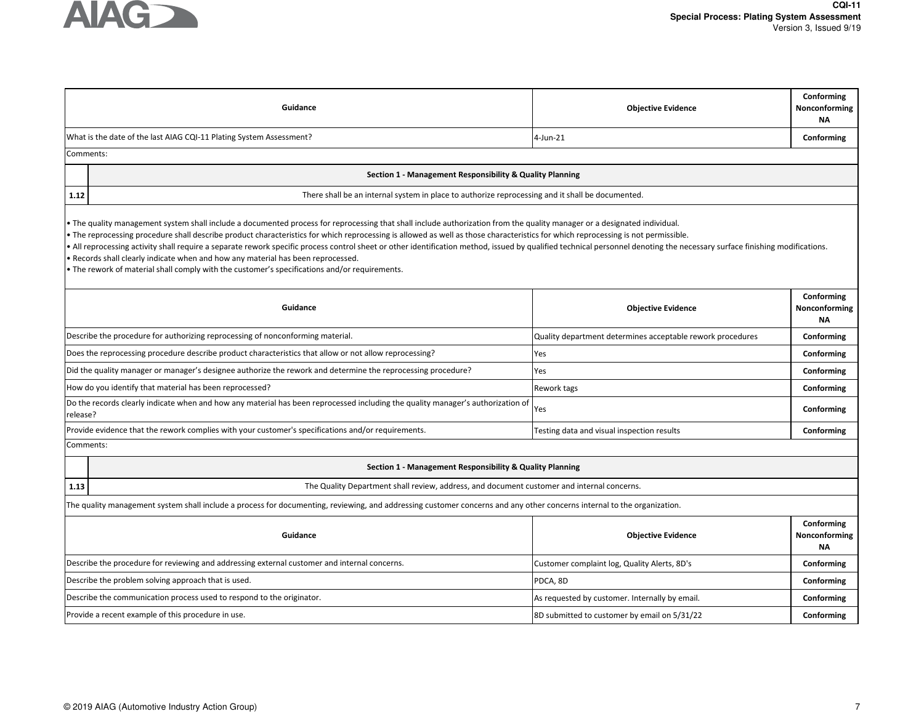

|                                                                        | Guidance                                                                                                                                                                                                                                                                                                                                                                                                                                                                                                                                                                                                                                                                                                                                                                          | <b>Objective Evidence</b>                                  | Conforming<br>Nonconforming<br><b>NA</b> |  |  |
|------------------------------------------------------------------------|-----------------------------------------------------------------------------------------------------------------------------------------------------------------------------------------------------------------------------------------------------------------------------------------------------------------------------------------------------------------------------------------------------------------------------------------------------------------------------------------------------------------------------------------------------------------------------------------------------------------------------------------------------------------------------------------------------------------------------------------------------------------------------------|------------------------------------------------------------|------------------------------------------|--|--|
|                                                                        | What is the date of the last AIAG CQI-11 Plating System Assessment?                                                                                                                                                                                                                                                                                                                                                                                                                                                                                                                                                                                                                                                                                                               | 4-Jun-21                                                   | Conforming                               |  |  |
| Comments:                                                              |                                                                                                                                                                                                                                                                                                                                                                                                                                                                                                                                                                                                                                                                                                                                                                                   |                                                            |                                          |  |  |
|                                                                        | Section 1 - Management Responsibility & Quality Planning                                                                                                                                                                                                                                                                                                                                                                                                                                                                                                                                                                                                                                                                                                                          |                                                            |                                          |  |  |
| 1.12                                                                   | There shall be an internal system in place to authorize reprocessing and it shall be documented.                                                                                                                                                                                                                                                                                                                                                                                                                                                                                                                                                                                                                                                                                  |                                                            |                                          |  |  |
|                                                                        | • The quality management system shall include a documented process for reprocessing that shall include authorization from the quality manager or a designated individual.<br>. The reprocessing procedure shall describe product characteristics for which reprocessing is allowed as well as those characteristics for which reprocessing is not permissible.<br>• All reprocessing activity shall require a separate rework specific process control sheet or other identification method, issued by qualified technical personnel denoting the necessary surface finishing modifications.<br>. Records shall clearly indicate when and how any material has been reprocessed.<br>• The rework of material shall comply with the customer's specifications and/or requirements. |                                                            |                                          |  |  |
|                                                                        | Guidance                                                                                                                                                                                                                                                                                                                                                                                                                                                                                                                                                                                                                                                                                                                                                                          | <b>Objective Evidence</b>                                  | Conforming<br>Nonconforming<br>ΝA        |  |  |
|                                                                        | Describe the procedure for authorizing reprocessing of nonconforming material.                                                                                                                                                                                                                                                                                                                                                                                                                                                                                                                                                                                                                                                                                                    | Quality department determines acceptable rework procedures | Conforming                               |  |  |
|                                                                        | Does the reprocessing procedure describe product characteristics that allow or not allow reprocessing?                                                                                                                                                                                                                                                                                                                                                                                                                                                                                                                                                                                                                                                                            | Yes                                                        | Conforming                               |  |  |
|                                                                        | Did the quality manager or manager's designee authorize the rework and determine the reprocessing procedure?                                                                                                                                                                                                                                                                                                                                                                                                                                                                                                                                                                                                                                                                      | Yes                                                        | Conforming                               |  |  |
| How do you identify that material has been reprocessed?<br>Rework tags |                                                                                                                                                                                                                                                                                                                                                                                                                                                                                                                                                                                                                                                                                                                                                                                   | Conforming                                                 |                                          |  |  |
| release?                                                               | Do the records clearly indicate when and how any material has been reprocessed including the quality manager's authorization of                                                                                                                                                                                                                                                                                                                                                                                                                                                                                                                                                                                                                                                   | Yes                                                        | Conforming                               |  |  |
|                                                                        | Provide evidence that the rework complies with your customer's specifications and/or requirements.                                                                                                                                                                                                                                                                                                                                                                                                                                                                                                                                                                                                                                                                                | Testing data and visual inspection results                 | Conforming                               |  |  |
| Comments:                                                              |                                                                                                                                                                                                                                                                                                                                                                                                                                                                                                                                                                                                                                                                                                                                                                                   |                                                            |                                          |  |  |
|                                                                        | Section 1 - Management Responsibility & Quality Planning                                                                                                                                                                                                                                                                                                                                                                                                                                                                                                                                                                                                                                                                                                                          |                                                            |                                          |  |  |
| 1.13                                                                   | The Quality Department shall review, address, and document customer and internal concerns.                                                                                                                                                                                                                                                                                                                                                                                                                                                                                                                                                                                                                                                                                        |                                                            |                                          |  |  |
|                                                                        | The quality management system shall include a process for documenting, reviewing, and addressing customer concerns and any other concerns internal to the organization.                                                                                                                                                                                                                                                                                                                                                                                                                                                                                                                                                                                                           |                                                            |                                          |  |  |
|                                                                        | Conforming<br>Guidance<br><b>Objective Evidence</b><br>Nonconforming<br>ΝA                                                                                                                                                                                                                                                                                                                                                                                                                                                                                                                                                                                                                                                                                                        |                                                            |                                          |  |  |
|                                                                        | Describe the procedure for reviewing and addressing external customer and internal concerns.                                                                                                                                                                                                                                                                                                                                                                                                                                                                                                                                                                                                                                                                                      | Customer complaint log, Quality Alerts, 8D's               | Conforming                               |  |  |
|                                                                        | Describe the problem solving approach that is used.                                                                                                                                                                                                                                                                                                                                                                                                                                                                                                                                                                                                                                                                                                                               | PDCA, 8D                                                   | Conforming                               |  |  |
|                                                                        | Describe the communication process used to respond to the originator.                                                                                                                                                                                                                                                                                                                                                                                                                                                                                                                                                                                                                                                                                                             | As requested by customer. Internally by email.             | Conforming                               |  |  |
|                                                                        | Provide a recent example of this procedure in use.                                                                                                                                                                                                                                                                                                                                                                                                                                                                                                                                                                                                                                                                                                                                | 8D submitted to customer by email on 5/31/22               | Conforming                               |  |  |
|                                                                        |                                                                                                                                                                                                                                                                                                                                                                                                                                                                                                                                                                                                                                                                                                                                                                                   |                                                            |                                          |  |  |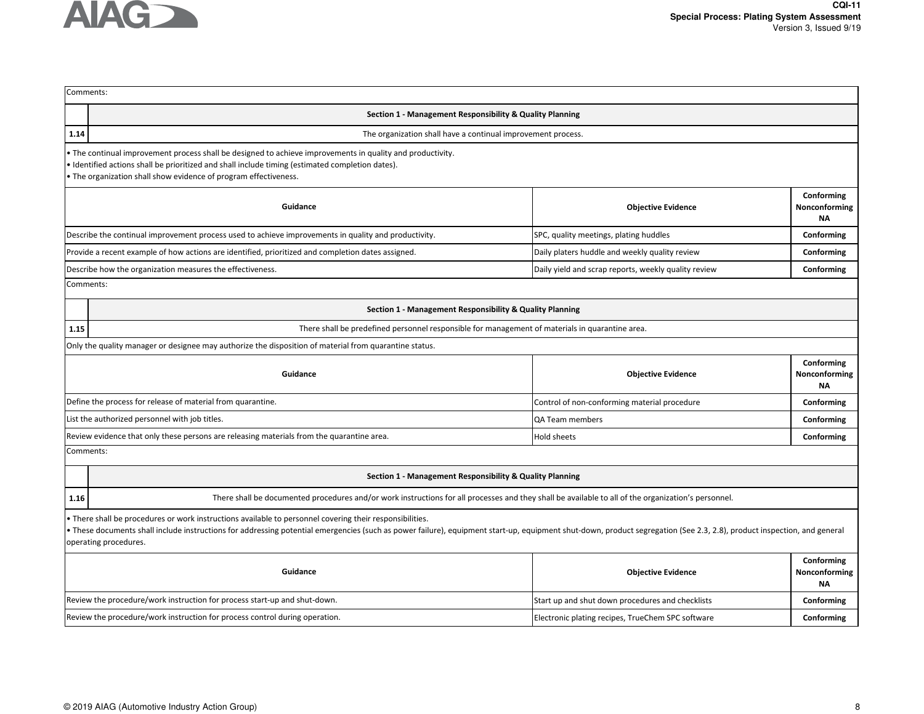

|           | Comments:                                                                                                                                                                                                                                                                                                                                                    |                                                      |                                          |  |
|-----------|--------------------------------------------------------------------------------------------------------------------------------------------------------------------------------------------------------------------------------------------------------------------------------------------------------------------------------------------------------------|------------------------------------------------------|------------------------------------------|--|
|           | Section 1 - Management Responsibility & Quality Planning                                                                                                                                                                                                                                                                                                     |                                                      |                                          |  |
| 1.14      | The organization shall have a continual improvement process.                                                                                                                                                                                                                                                                                                 |                                                      |                                          |  |
|           | • The continual improvement process shall be designed to achieve improvements in quality and productivity.<br>• Identified actions shall be prioritized and shall include timing (estimated completion dates).<br>. The organization shall show evidence of program effectiveness.                                                                           |                                                      |                                          |  |
|           | Guidance                                                                                                                                                                                                                                                                                                                                                     | <b>Objective Evidence</b>                            | Conforming<br>Nonconforming<br><b>NA</b> |  |
|           | Describe the continual improvement process used to achieve improvements in quality and productivity.                                                                                                                                                                                                                                                         | SPC, quality meetings, plating huddles               | Conforming                               |  |
|           | Provide a recent example of how actions are identified, prioritized and completion dates assigned.                                                                                                                                                                                                                                                           | Daily platers huddle and weekly quality review       | Conforming                               |  |
|           | Describe how the organization measures the effectiveness.                                                                                                                                                                                                                                                                                                    | Daily yield and scrap reports, weekly quality review | Conforming                               |  |
|           | Comments:                                                                                                                                                                                                                                                                                                                                                    |                                                      |                                          |  |
|           | Section 1 - Management Responsibility & Quality Planning                                                                                                                                                                                                                                                                                                     |                                                      |                                          |  |
| 1.15      | There shall be predefined personnel responsible for management of materials in quarantine area.                                                                                                                                                                                                                                                              |                                                      |                                          |  |
|           | Only the quality manager or designee may authorize the disposition of material from quarantine status.                                                                                                                                                                                                                                                       |                                                      |                                          |  |
|           | Guidance                                                                                                                                                                                                                                                                                                                                                     | <b>Objective Evidence</b>                            | Conforming<br>Nonconforming<br><b>NA</b> |  |
|           | Define the process for release of material from quarantine.                                                                                                                                                                                                                                                                                                  | Control of non-conforming material procedure         | Conforming                               |  |
|           | List the authorized personnel with job titles.                                                                                                                                                                                                                                                                                                               | QA Team members                                      | Conforming                               |  |
|           | Review evidence that only these persons are releasing materials from the quarantine area.                                                                                                                                                                                                                                                                    | Hold sheets                                          | Conforming                               |  |
| Comments: |                                                                                                                                                                                                                                                                                                                                                              |                                                      |                                          |  |
|           | Section 1 - Management Responsibility & Quality Planning                                                                                                                                                                                                                                                                                                     |                                                      |                                          |  |
| 1.16      | There shall be documented procedures and/or work instructions for all processes and they shall be available to all of the organization's personnel.                                                                                                                                                                                                          |                                                      |                                          |  |
|           | • There shall be procedures or work instructions available to personnel covering their responsibilities.<br>· These documents shall include instructions for addressing potential emergencies (such as power failure), equipment start-up, equipment shut-down, product segregation (See 2.3, 2.8), product inspection, and general<br>operating procedures. |                                                      |                                          |  |
|           | Guidance                                                                                                                                                                                                                                                                                                                                                     | <b>Objective Evidence</b>                            | Conforming<br>Nonconforming<br><b>NA</b> |  |
|           | Review the procedure/work instruction for process start-up and shut-down.                                                                                                                                                                                                                                                                                    | Start up and shut down procedures and checklists     | Conforming                               |  |
|           | Review the procedure/work instruction for process control during operation.                                                                                                                                                                                                                                                                                  | Electronic plating recipes, TrueChem SPC software    | Conforming                               |  |
|           |                                                                                                                                                                                                                                                                                                                                                              |                                                      |                                          |  |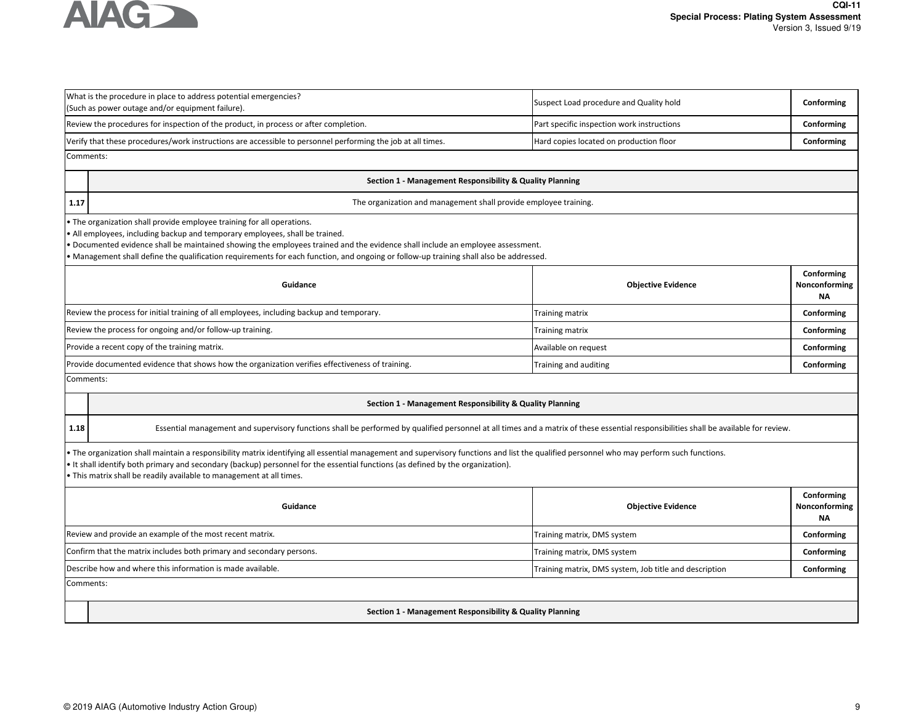

|           | What is the procedure in place to address potential emergencies?<br>(Such as power outage and/or equipment failure).                                                                                                                                                                                                                                                                                                             | Suspect Load procedure and Quality hold                | Conforming                               |  |  |
|-----------|----------------------------------------------------------------------------------------------------------------------------------------------------------------------------------------------------------------------------------------------------------------------------------------------------------------------------------------------------------------------------------------------------------------------------------|--------------------------------------------------------|------------------------------------------|--|--|
|           | Review the procedures for inspection of the product, in process or after completion.                                                                                                                                                                                                                                                                                                                                             | Part specific inspection work instructions             | Conforming                               |  |  |
|           | Verify that these procedures/work instructions are accessible to personnel performing the job at all times.                                                                                                                                                                                                                                                                                                                      | Hard copies located on production floor                | Conforming                               |  |  |
| Comments: |                                                                                                                                                                                                                                                                                                                                                                                                                                  |                                                        |                                          |  |  |
|           | Section 1 - Management Responsibility & Quality Planning                                                                                                                                                                                                                                                                                                                                                                         |                                                        |                                          |  |  |
| 1.17      | The organization and management shall provide employee training.                                                                                                                                                                                                                                                                                                                                                                 |                                                        |                                          |  |  |
|           | . The organization shall provide employee training for all operations.<br>• All employees, including backup and temporary employees, shall be trained.<br>Documented evidence shall be maintained showing the employees trained and the evidence shall include an employee assessment.<br>• Management shall define the qualification requirements for each function, and ongoing or follow-up training shall also be addressed. |                                                        |                                          |  |  |
|           | Guidance                                                                                                                                                                                                                                                                                                                                                                                                                         | <b>Objective Evidence</b>                              | Conforming<br>Nonconforming<br><b>NA</b> |  |  |
|           | Review the process for initial training of all employees, including backup and temporary.                                                                                                                                                                                                                                                                                                                                        | Training matrix                                        | Conforming                               |  |  |
|           | Review the process for ongoing and/or follow-up training.                                                                                                                                                                                                                                                                                                                                                                        | <b>Training matrix</b>                                 | Conforming                               |  |  |
|           | Provide a recent copy of the training matrix.<br>Available on request<br>Conforming                                                                                                                                                                                                                                                                                                                                              |                                                        |                                          |  |  |
|           | Provide documented evidence that shows how the organization verifies effectiveness of training.<br>Training and auditing<br>Conforming                                                                                                                                                                                                                                                                                           |                                                        |                                          |  |  |
| Comments: |                                                                                                                                                                                                                                                                                                                                                                                                                                  |                                                        |                                          |  |  |
|           | Section 1 - Management Responsibility & Quality Planning                                                                                                                                                                                                                                                                                                                                                                         |                                                        |                                          |  |  |
| 1.18      | Essential management and supervisory functions shall be performed by qualified personnel at all times and a matrix of these essential responsibilities shall be available for review.                                                                                                                                                                                                                                            |                                                        |                                          |  |  |
|           | • The organization shall maintain a responsibility matrix identifying all essential management and supervisory functions and list the qualified personnel who may perform such functions.<br>• It shall identify both primary and secondary (backup) personnel for the essential functions (as defined by the organization).<br>. This matrix shall be readily available to management at all times.                             |                                                        |                                          |  |  |
|           | Conforming<br>Guidance<br><b>Objective Evidence</b><br>Nonconforming<br>ΝA                                                                                                                                                                                                                                                                                                                                                       |                                                        |                                          |  |  |
|           | Review and provide an example of the most recent matrix.                                                                                                                                                                                                                                                                                                                                                                         | Training matrix, DMS system                            | Conforming                               |  |  |
|           | Confirm that the matrix includes both primary and secondary persons.                                                                                                                                                                                                                                                                                                                                                             | Training matrix, DMS system                            | Conforming                               |  |  |
|           | Describe how and where this information is made available.                                                                                                                                                                                                                                                                                                                                                                       | Training matrix, DMS system, Job title and description | Conforming                               |  |  |
|           | Comments:                                                                                                                                                                                                                                                                                                                                                                                                                        |                                                        |                                          |  |  |
|           | Section 1 - Management Responsibility & Quality Planning                                                                                                                                                                                                                                                                                                                                                                         |                                                        |                                          |  |  |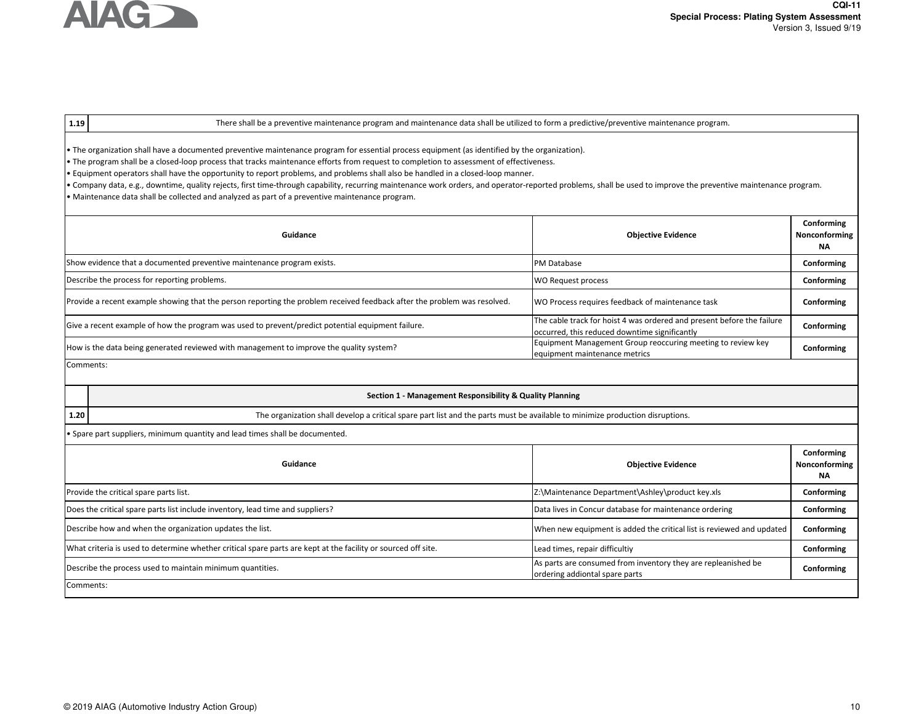

### **1.19**

**1.20**

There shall be a preventive maintenance program and maintenance data shall be utilized to form a predictive/preventive maintenance program.

• The organization shall have a documented preventive maintenance program for essential process equipment (as identified by the organization).

• The program shall be a closed-loop process that tracks maintenance efforts from request to completion to assessment of effectiveness.

• Equipment operators shall have the opportunity to report problems, and problems shall also be handled in a closed-loop manner.

• Company data, e.g., downtime, quality rejects, first time-through capability, recurring maintenance work orders, and operator-reported problems, shall be used to improve the preventive maintenance program. • Maintenance data shall be collected and analyzed as part of a preventive maintenance program.

| Guidance                                                                                                                 | <b>Objective Evidence</b>                                                                                               | Conforming<br>Nonconforming<br><b>NA</b> |
|--------------------------------------------------------------------------------------------------------------------------|-------------------------------------------------------------------------------------------------------------------------|------------------------------------------|
| Show evidence that a documented preventive maintenance program exists.                                                   | <b>PM Database</b>                                                                                                      | Conforming                               |
| Describe the process for reporting problems.                                                                             | WO Request process                                                                                                      | Conforming                               |
| Provide a recent example showing that the person reporting the problem received feedback after the problem was resolved. | WO Process requires feedback of maintenance task                                                                        | Conforming                               |
| Give a recent example of how the program was used to prevent/predict potential equipment failure.                        | The cable track for hoist 4 was ordered and present before the failure<br>occurred, this reduced downtime significantly | Conforming                               |
| How is the data being generated reviewed with management to improve the quality system?                                  | Equipment Management Group reoccuring meeting to review key<br>equipment maintenance metrics                            | Conforming                               |
| Comments:                                                                                                                |                                                                                                                         |                                          |

### **Section 1 - Management Responsibility & Quality Planning**

The organization shall develop a critical spare part list and the parts must be available to minimize production disruptions.

• Spare part suppliers, minimum quantity and lead times shall be documented.

| Guidance                                                                                                      | <b>Objective Evidence</b>                                                                       | Conforming<br>Nonconforming<br><b>NA</b> |
|---------------------------------------------------------------------------------------------------------------|-------------------------------------------------------------------------------------------------|------------------------------------------|
| Provide the critical spare parts list.                                                                        | Z:\Maintenance Department\Ashley\product key.xls                                                | Conforming                               |
| Does the critical spare parts list include inventory, lead time and suppliers?                                | Data lives in Concur database for maintenance ordering                                          | Conforming                               |
| Describe how and when the organization updates the list.                                                      | When new equipment is added the critical list is reviewed and updated                           | Conforming                               |
| What criteria is used to determine whether critical spare parts are kept at the facility or sourced off site. | Lead times, repair difficultiy                                                                  | Conforming                               |
| Describe the process used to maintain minimum quantities.                                                     | As parts are consumed from inventory they are repleanished be<br>ordering addiontal spare parts | Conforming                               |
| Comments:                                                                                                     |                                                                                                 |                                          |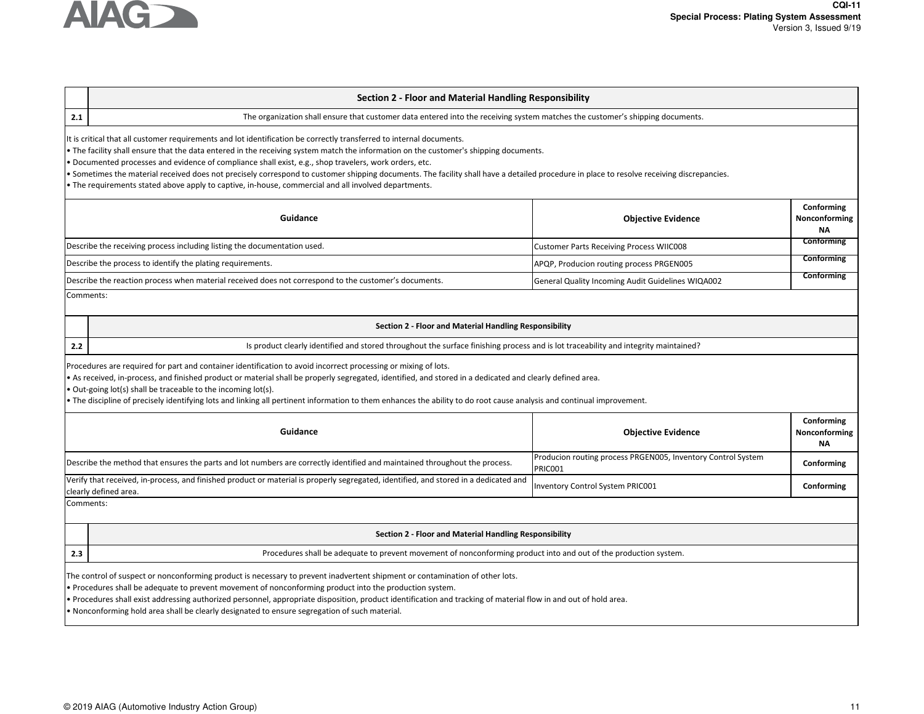

# **Section 2 - Floor and Material Handling Responsibility**

**2.1**

The organization shall ensure that customer data entered into the receiving system matches the customer's shipping documents.

It is critical that all customer requirements and lot identification be correctly transferred to internal documents.

• The facility shall ensure that the data entered in the receiving system match the information on the customer's shipping documents.

• Documented processes and evidence of compliance shall exist, e.g., shop travelers, work orders, etc.

• Sometimes the material received does not precisely correspond to customer shipping documents. The facility shall have a detailed procedure in place to resolve receiving discrepancies.

• The requirements stated above apply to captive, in-house, commercial and all involved departments.

| Guidance                                                                                              | <b>Objective Evidence</b>                         | Conforming<br>Nonconforming<br>ΝA |
|-------------------------------------------------------------------------------------------------------|---------------------------------------------------|-----------------------------------|
| Describe the receiving process including listing the documentation used.                              | <b>Customer Parts Receiving Process WIIC008</b>   | Conforming                        |
| Describe the process to identify the plating requirements.                                            | APQP, Producion routing process PRGEN005          | Conforming                        |
| Describe the reaction process when material received does not correspond to the customer's documents. | General Quality Incoming Audit Guidelines WIQA002 | Conforming                        |

Comments:

**2.2**

**2.3**

# **Section 2 - Floor and Material Handling Responsibility**

Is product clearly identified and stored throughout the surface finishing process and is lot traceability and integrity maintained?

Procedures are required for part and container identification to avoid incorrect processing or mixing of lots.

• As received, in-process, and finished product or material shall be properly segregated, identified, and stored in a dedicated and clearly defined area.

• Out-going lot(s) shall be traceable to the incoming lot(s).

• The discipline of precisely identifying lots and linking all pertinent information to them enhances the ability to do root cause analysis and continual improvement.

| Guidance                                                                                                                                                      | <b>Objective Evidence</b>                                               | Conforming<br>Nonconforming<br>ΝA |
|---------------------------------------------------------------------------------------------------------------------------------------------------------------|-------------------------------------------------------------------------|-----------------------------------|
| Describe the method that ensures the parts and lot numbers are correctly identified and maintained throughout the process.                                    | Producion routing process PRGEN005, Inventory Control System<br>PRICO01 | Conforming                        |
| Verify that received, in-process, and finished product or material is properly segregated, identified, and stored in a dedicated and<br>clearly defined area. | Inventory Control System PRIC001                                        | Conforming                        |
| Comments:                                                                                                                                                     |                                                                         |                                   |

### **Section 2 - Floor and Material Handling Responsibility**

Procedures shall be adequate to prevent movement of nonconforming product into and out of the production system.

The control of suspect or nonconforming product is necessary to prevent inadvertent shipment or contamination of other lots.

• Procedures shall be adequate to prevent movement of nonconforming product into the production system.

• Procedures shall exist addressing authorized personnel, appropriate disposition, product identification and tracking of material flow in and out of hold area.

• Nonconforming hold area shall be clearly designated to ensure segregation of such material.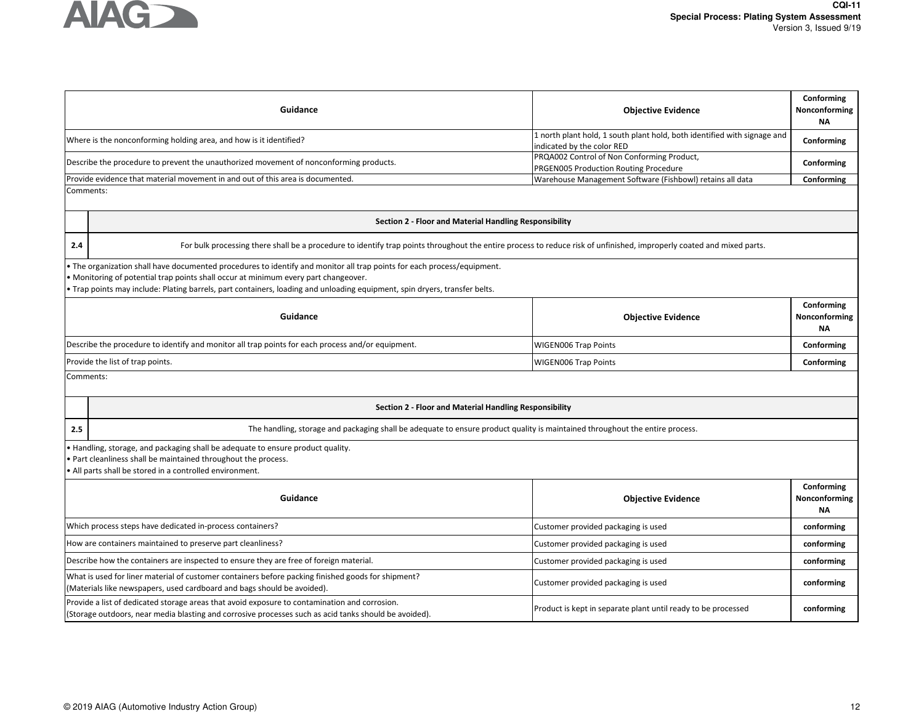

| Guidance                              |                                                                                                                                                                                                                                                                                                                                              | <b>Objective Evidence</b>                                                                              | Conforming<br>Nonconforming<br><b>NA</b> |  |
|---------------------------------------|----------------------------------------------------------------------------------------------------------------------------------------------------------------------------------------------------------------------------------------------------------------------------------------------------------------------------------------------|--------------------------------------------------------------------------------------------------------|------------------------------------------|--|
|                                       | Where is the nonconforming holding area, and how is it identified?                                                                                                                                                                                                                                                                           | 1 north plant hold, 1 south plant hold, both identified with signage and<br>indicated by the color RED | Conforming                               |  |
|                                       | Describe the procedure to prevent the unauthorized movement of nonconforming products.                                                                                                                                                                                                                                                       | PRQA002 Control of Non Conforming Product,<br>PRGEN005 Production Routing Procedure                    | Conforming                               |  |
|                                       | Provide evidence that material movement in and out of this area is documented.                                                                                                                                                                                                                                                               | Warehouse Management Software (Fishbowl) retains all data                                              | Conforming                               |  |
| Comments:                             |                                                                                                                                                                                                                                                                                                                                              |                                                                                                        |                                          |  |
|                                       | Section 2 - Floor and Material Handling Responsibility                                                                                                                                                                                                                                                                                       |                                                                                                        |                                          |  |
| 2.4                                   | For bulk processing there shall be a procedure to identify trap points throughout the entire process to reduce risk of unfinished, improperly coated and mixed parts.                                                                                                                                                                        |                                                                                                        |                                          |  |
|                                       | • The organization shall have documented procedures to identify and monitor all trap points for each process/equipment.<br>• Monitoring of potential trap points shall occur at minimum every part changeover.<br>• Trap points may include: Plating barrels, part containers, loading and unloading equipment, spin dryers, transfer belts. |                                                                                                        |                                          |  |
|                                       | Guidance                                                                                                                                                                                                                                                                                                                                     | <b>Objective Evidence</b>                                                                              | Conforming<br>Nonconforming<br><b>NA</b> |  |
|                                       | Describe the procedure to identify and monitor all trap points for each process and/or equipment.                                                                                                                                                                                                                                            | <b>WIGEN006 Trap Points</b>                                                                            | Conforming                               |  |
|                                       | Provide the list of trap points.                                                                                                                                                                                                                                                                                                             | <b>WIGEN006 Trap Points</b>                                                                            | Conforming                               |  |
|                                       | Comments:                                                                                                                                                                                                                                                                                                                                    |                                                                                                        |                                          |  |
|                                       | Section 2 - Floor and Material Handling Responsibility                                                                                                                                                                                                                                                                                       |                                                                                                        |                                          |  |
| 2.5                                   | The handling, storage and packaging shall be adequate to ensure product quality is maintained throughout the entire process.                                                                                                                                                                                                                 |                                                                                                        |                                          |  |
|                                       | Handling, storage, and packaging shall be adequate to ensure product quality.<br>• Part cleanliness shall be maintained throughout the process.<br>. All parts shall be stored in a controlled environment.                                                                                                                                  |                                                                                                        |                                          |  |
| Guidance<br><b>Objective Evidence</b> |                                                                                                                                                                                                                                                                                                                                              |                                                                                                        | Conforming<br>Nonconforming<br><b>NA</b> |  |
|                                       | Which process steps have dedicated in-process containers?                                                                                                                                                                                                                                                                                    | Customer provided packaging is used                                                                    | conforming                               |  |
|                                       | How are containers maintained to preserve part cleanliness?<br>Customer provided packaging is used                                                                                                                                                                                                                                           |                                                                                                        | conforming                               |  |
|                                       | Describe how the containers are inspected to ensure they are free of foreign material.                                                                                                                                                                                                                                                       | Customer provided packaging is used                                                                    | conforming                               |  |
|                                       | What is used for liner material of customer containers before packing finished goods for shipment?<br>Customer provided packaging is used<br>(Materials like newspapers, used cardboard and bags should be avoided).                                                                                                                         |                                                                                                        |                                          |  |
|                                       | Provide a list of dedicated storage areas that avoid exposure to contamination and corrosion.<br>(Storage outdoors, near media blasting and corrosive processes such as acid tanks should be avoided).                                                                                                                                       | Product is kept in separate plant until ready to be processed                                          | conforming                               |  |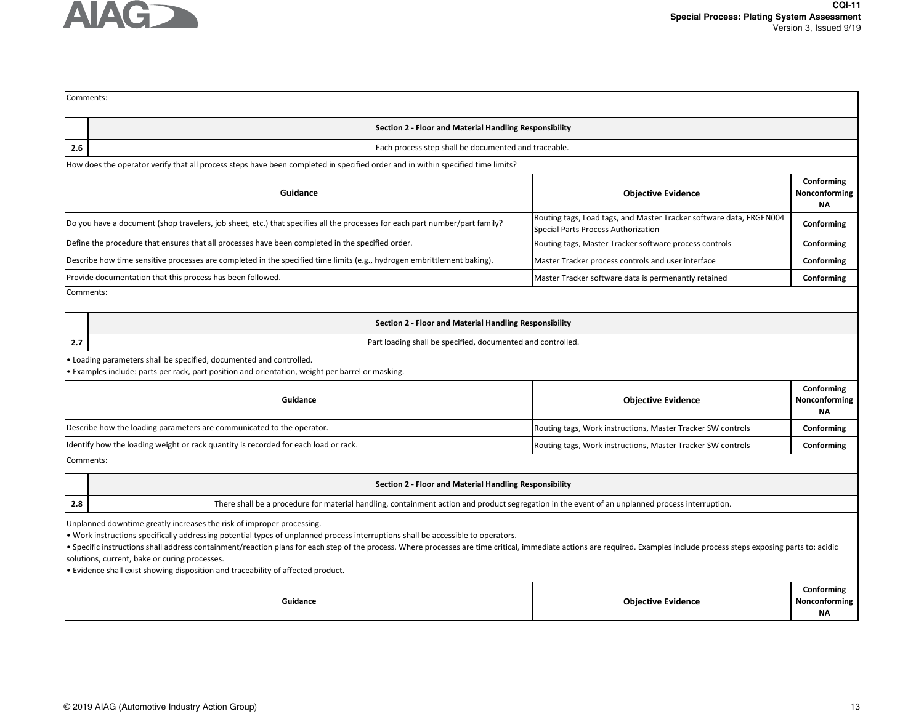

| Comments:                             |                                                                                                                                                                                                                                                                                                                                                                                                                                                                                                                                                                              |                                                                                                            |                                          |  |
|---------------------------------------|------------------------------------------------------------------------------------------------------------------------------------------------------------------------------------------------------------------------------------------------------------------------------------------------------------------------------------------------------------------------------------------------------------------------------------------------------------------------------------------------------------------------------------------------------------------------------|------------------------------------------------------------------------------------------------------------|------------------------------------------|--|
|                                       | Section 2 - Floor and Material Handling Responsibility                                                                                                                                                                                                                                                                                                                                                                                                                                                                                                                       |                                                                                                            |                                          |  |
| 2.6                                   | Each process step shall be documented and traceable.                                                                                                                                                                                                                                                                                                                                                                                                                                                                                                                         |                                                                                                            |                                          |  |
|                                       | How does the operator verify that all process steps have been completed in specified order and in within specified time limits?                                                                                                                                                                                                                                                                                                                                                                                                                                              |                                                                                                            |                                          |  |
|                                       | Conforming<br>Guidance<br><b>Objective Evidence</b><br>Nonconforming<br><b>NA</b>                                                                                                                                                                                                                                                                                                                                                                                                                                                                                            |                                                                                                            |                                          |  |
|                                       | Do you have a document (shop travelers, job sheet, etc.) that specifies all the processes for each part number/part family?                                                                                                                                                                                                                                                                                                                                                                                                                                                  | Routing tags, Load tags, and Master Tracker software data, FRGEN004<br>Special Parts Process Authorization | Conforming                               |  |
|                                       | Define the procedure that ensures that all processes have been completed in the specified order.                                                                                                                                                                                                                                                                                                                                                                                                                                                                             | Routing tags, Master Tracker software process controls                                                     | Conforming                               |  |
|                                       | Describe how time sensitive processes are completed in the specified time limits (e.g., hydrogen embrittlement baking).                                                                                                                                                                                                                                                                                                                                                                                                                                                      | Master Tracker process controls and user interface                                                         | Conforming                               |  |
|                                       | Provide documentation that this process has been followed.                                                                                                                                                                                                                                                                                                                                                                                                                                                                                                                   | Master Tracker software data is permenantly retained                                                       | Conforming                               |  |
| Comments:                             |                                                                                                                                                                                                                                                                                                                                                                                                                                                                                                                                                                              |                                                                                                            |                                          |  |
|                                       | Section 2 - Floor and Material Handling Responsibility                                                                                                                                                                                                                                                                                                                                                                                                                                                                                                                       |                                                                                                            |                                          |  |
| 2.7                                   | Part loading shall be specified, documented and controlled.                                                                                                                                                                                                                                                                                                                                                                                                                                                                                                                  |                                                                                                            |                                          |  |
|                                       | . Loading parameters shall be specified, documented and controlled.<br>. Examples include: parts per rack, part position and orientation, weight per barrel or masking.                                                                                                                                                                                                                                                                                                                                                                                                      |                                                                                                            |                                          |  |
| Guidance<br><b>Objective Evidence</b> |                                                                                                                                                                                                                                                                                                                                                                                                                                                                                                                                                                              | Conforming<br>Nonconforming<br><b>NA</b>                                                                   |                                          |  |
|                                       | Describe how the loading parameters are communicated to the operator.                                                                                                                                                                                                                                                                                                                                                                                                                                                                                                        | Routing tags, Work instructions, Master Tracker SW controls                                                | Conforming                               |  |
|                                       | Identify how the loading weight or rack quantity is recorded for each load or rack.                                                                                                                                                                                                                                                                                                                                                                                                                                                                                          | Routing tags, Work instructions, Master Tracker SW controls                                                | Conforming                               |  |
| Comments:                             |                                                                                                                                                                                                                                                                                                                                                                                                                                                                                                                                                                              |                                                                                                            |                                          |  |
|                                       | Section 2 - Floor and Material Handling Responsibility                                                                                                                                                                                                                                                                                                                                                                                                                                                                                                                       |                                                                                                            |                                          |  |
| 2.8                                   | There shall be a procedure for material handling, containment action and product segregation in the event of an unplanned process interruption.                                                                                                                                                                                                                                                                                                                                                                                                                              |                                                                                                            |                                          |  |
|                                       | Unplanned downtime greatly increases the risk of improper processing.<br>. Work instructions specifically addressing potential types of unplanned process interruptions shall be accessible to operators.<br>. Specific instructions shall address containment/reaction plans for each step of the process. Where processes are time critical, immediate actions are required. Examples include process steps exposing parts to: acidic<br>solutions, current, bake or curing processes.<br>. Evidence shall exist showing disposition and traceability of affected product. |                                                                                                            |                                          |  |
|                                       | Guidance                                                                                                                                                                                                                                                                                                                                                                                                                                                                                                                                                                     | <b>Objective Evidence</b>                                                                                  | Conforming<br>Nonconforming<br><b>NA</b> |  |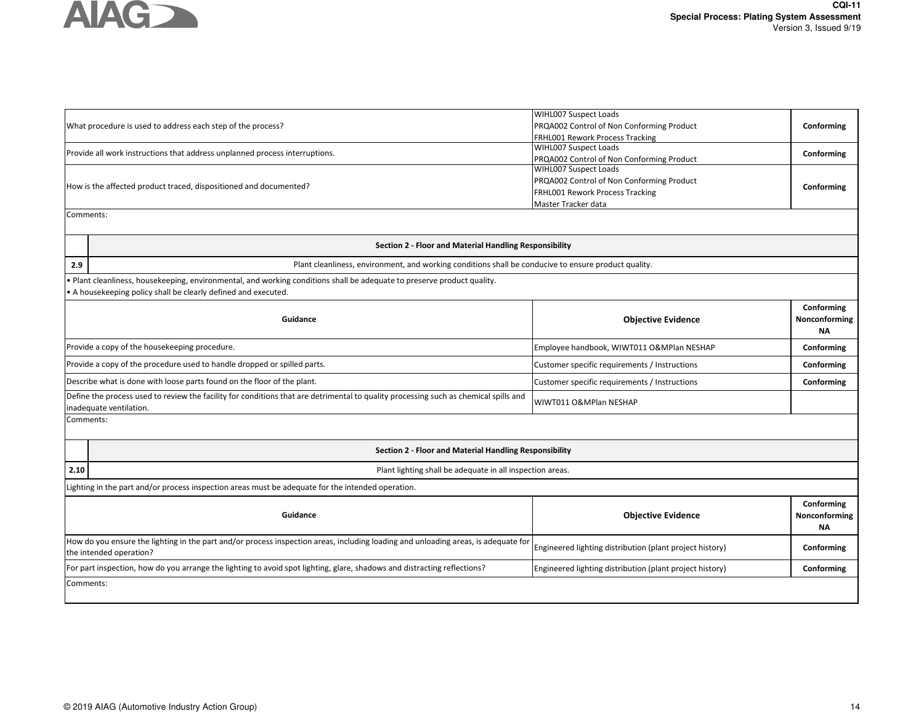

| What procedure is used to address each step of the process?                                                                                                     |                                                                                                                                                                                       | <b>WIHL007 Suspect Loads</b><br>PRQA002 Control of Non Conforming Product<br>FRHL001 Rework Process Tracking                 | Conforming                               |
|-----------------------------------------------------------------------------------------------------------------------------------------------------------------|---------------------------------------------------------------------------------------------------------------------------------------------------------------------------------------|------------------------------------------------------------------------------------------------------------------------------|------------------------------------------|
| Provide all work instructions that address unplanned process interruptions.                                                                                     |                                                                                                                                                                                       | WIHL007 Suspect Loads<br>PRQA002 Control of Non Conforming Product                                                           | Conforming                               |
|                                                                                                                                                                 | How is the affected product traced, dispositioned and documented?                                                                                                                     | WIHL007 Suspect Loads<br>PRQA002 Control of Non Conforming Product<br>FRHL001 Rework Process Tracking<br>Master Tracker data | Conforming                               |
| Comments:                                                                                                                                                       |                                                                                                                                                                                       |                                                                                                                              |                                          |
|                                                                                                                                                                 | Section 2 - Floor and Material Handling Responsibility                                                                                                                                |                                                                                                                              |                                          |
| 2.9                                                                                                                                                             | Plant cleanliness, environment, and working conditions shall be conducive to ensure product quality.                                                                                  |                                                                                                                              |                                          |
|                                                                                                                                                                 | Plant cleanliness, housekeeping, environmental, and working conditions shall be adequate to preserve product quality.<br>A housekeeping policy shall be clearly defined and executed. |                                                                                                                              |                                          |
|                                                                                                                                                                 | Guidance                                                                                                                                                                              | <b>Objective Evidence</b>                                                                                                    | Conforming<br>Nonconforming<br><b>NA</b> |
| Provide a copy of the housekeeping procedure.                                                                                                                   |                                                                                                                                                                                       | Employee handbook, WIWT011 O&MPlan NESHAP<br>Conforming                                                                      |                                          |
| Provide a copy of the procedure used to handle dropped or spilled parts.                                                                                        |                                                                                                                                                                                       | Customer specific requirements / Instructions                                                                                | Conforming                               |
| Describe what is done with loose parts found on the floor of the plant.                                                                                         |                                                                                                                                                                                       | Customer specific requirements / Instructions                                                                                | Conforming                               |
| Define the process used to review the facility for conditions that are detrimental to quality processing such as chemical spills and<br>inadequate ventilation. |                                                                                                                                                                                       | WIWT011 O&MPlan NESHAP                                                                                                       |                                          |
| Comments:                                                                                                                                                       |                                                                                                                                                                                       |                                                                                                                              |                                          |
|                                                                                                                                                                 | Section 2 - Floor and Material Handling Responsibility                                                                                                                                |                                                                                                                              |                                          |
| 2.10                                                                                                                                                            | Plant lighting shall be adequate in all inspection areas.                                                                                                                             |                                                                                                                              |                                          |
|                                                                                                                                                                 | Lighting in the part and/or process inspection areas must be adequate for the intended operation.                                                                                     |                                                                                                                              |                                          |
| Guidance                                                                                                                                                        |                                                                                                                                                                                       | <b>Objective Evidence</b>                                                                                                    | Conforming<br>Nonconforming<br>ΝA        |
|                                                                                                                                                                 | How do you ensure the lighting in the part and/or process inspection areas, including loading and unloading areas, is adequate for<br>the intended operation?                         | Engineered lighting distribution (plant project history)                                                                     | Conforming                               |
|                                                                                                                                                                 | For part inspection, how do you arrange the lighting to avoid spot lighting, glare, shadows and distracting reflections?                                                              | Engineered lighting distribution (plant project history)                                                                     | Conforming                               |
| Comments:                                                                                                                                                       |                                                                                                                                                                                       |                                                                                                                              |                                          |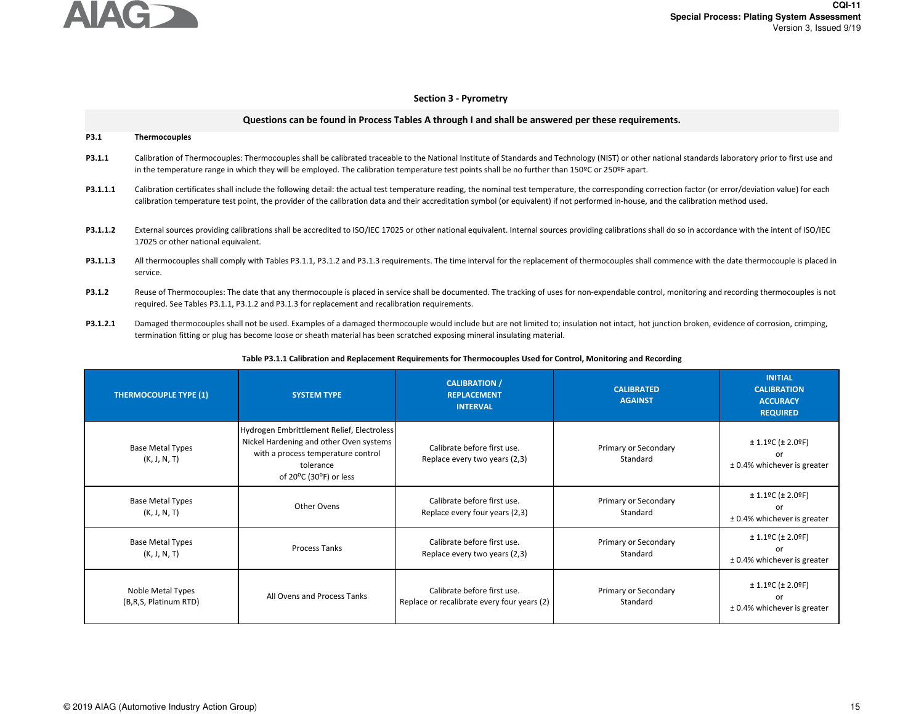

# **Section 3 - Pyrometry**

|          | Questions can be found in Process Tables A through I and shall be answered per these requirements.                                                                                                                                                                                                                                                                                             |
|----------|------------------------------------------------------------------------------------------------------------------------------------------------------------------------------------------------------------------------------------------------------------------------------------------------------------------------------------------------------------------------------------------------|
| P3.1     | <b>Thermocouples</b>                                                                                                                                                                                                                                                                                                                                                                           |
| P3.1.1   | Calibration of Thermocouples: Thermocouples shall be calibrated traceable to the National Institute of Standards and Technology (NIST) or other national standards laboratory prior to first use and<br>in the temperature range in which they will be employed. The calibration temperature test points shall be no further than 150ºC or 250ºF apart.                                        |
| P3.1.1.1 | Calibration certificates shall include the following detail: the actual test temperature reading, the nominal test temperature, the corresponding correction factor (or error/deviation value) for each<br>calibration temperature test point, the provider of the calibration data and their accreditation symbol (or equivalent) if not performed in-house, and the calibration method used. |
| P3.1.1.2 | External sources providing calibrations shall be accredited to ISO/IEC 17025 or other national equivalent. Internal sources providing calibrations shall do so in accordance with the intent of ISO/IEC<br>17025 or other national equivalent.                                                                                                                                                 |
| P3.1.1.3 | All thermocouples shall comply with Tables P3.1.1, P3.1.2 and P3.1.3 requirements. The time interval for the replacement of thermocouples shall commence with the date thermocouple is placed in<br>service.                                                                                                                                                                                   |
| P3.1.2   | Reuse of Thermocouples: The date that any thermocouple is placed in service shall be documented. The tracking of uses for non-expendable control, monitoring and recording thermocouples is not<br>required. See Tables P3.1.1, P3.1.2 and P3.1.3 for replacement and recalibration requirements.                                                                                              |

**P3.1.2.1**Damaged thermocouples shall not be used. Examples of a damaged thermocouple would include but are not limited to; insulation not intact, hot junction broken, evidence of corrosion, crimping, termination fitting or plug has become loose or sheath material has been scratched exposing mineral insulating material.

# **Table P3.1.1 Calibration and Replacement Requirements for Thermocouples Used for Control, Monitoring and Recording**

| <b>THERMOCOUPLE TYPE (1)</b>               | <b>SYSTEM TYPE</b>                                                                                                                                                 | <b>CALIBRATION /</b><br><b>REPLACEMENT</b><br><b>INTERVAL</b>              | <b>CALIBRATED</b><br><b>AGAINST</b> | <b>INITIAL</b><br><b>CALIBRATION</b><br><b>ACCURACY</b><br><b>REQUIRED</b>           |
|--------------------------------------------|--------------------------------------------------------------------------------------------------------------------------------------------------------------------|----------------------------------------------------------------------------|-------------------------------------|--------------------------------------------------------------------------------------|
| <b>Base Metal Types</b><br>(K, J, N, T)    | Hydrogen Embrittlement Relief, Electroless<br>Nickel Hardening and other Oven systems<br>with a process temperature control<br>tolerance<br>of 20°C (30°F) or less | Calibrate before first use.<br>Replace every two years (2,3)               | Primary or Secondary<br>Standard    | $± 1.1$ °C ( $± 2.0$ °F)<br>or<br>± 0.4% whichever is greater                        |
| <b>Base Metal Types</b><br>(K, J, N, T)    | Other Ovens                                                                                                                                                        | Calibrate before first use.<br>Replace every four years (2,3)              | Primary or Secondary<br>Standard    | $± 1.1$ °C ( $± 2.0$ °F)<br>or<br>± 0.4% whichever is greater                        |
| <b>Base Metal Types</b><br>(K, J, N, T)    | <b>Process Tanks</b>                                                                                                                                               | Calibrate before first use.<br>Replace every two years (2,3)               | Primary or Secondary<br>Standard    | $± 1.1$ <sup>o</sup> C (± 2.0 <sup>o</sup> F)<br>or<br>± 0.4% whichever is greater   |
| Noble Metal Types<br>(B,R,S, Platinum RTD) | All Ovens and Process Tanks                                                                                                                                        | Calibrate before first use.<br>Replace or recalibrate every four years (2) | Primary or Secondary<br>Standard    | $± 1.1$ <sup>o</sup> C (± 2.0 <sup>o</sup> F)<br>or<br>$±$ 0.4% whichever is greater |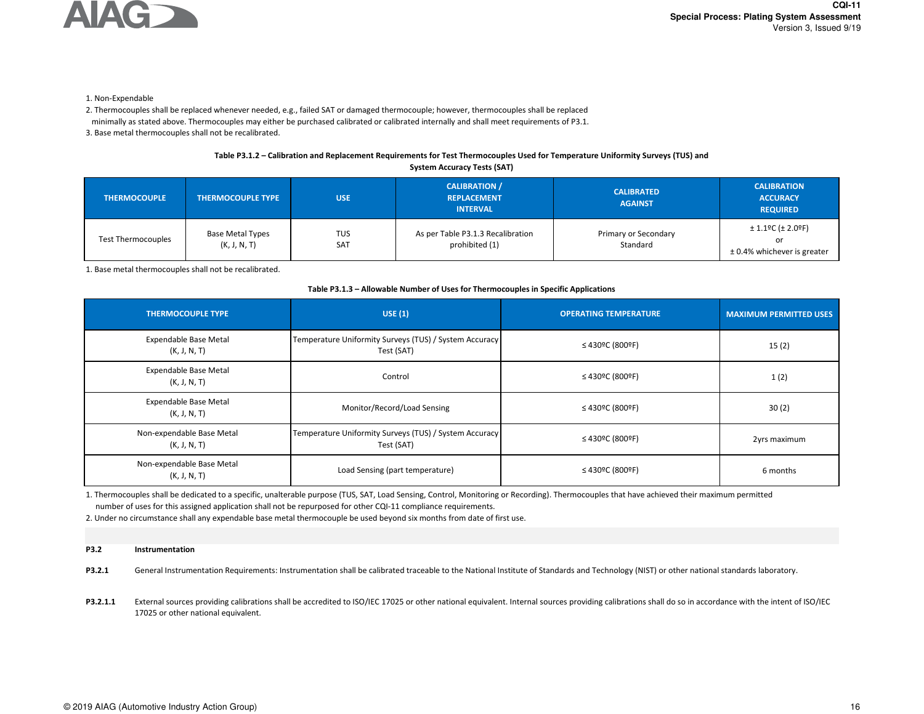

1. Non-Expendable

2. Thermocouples shall be replaced whenever needed, e.g., failed SAT or damaged thermocouple; however, thermocouples shall be replaced

minimally as stated above. Thermocouples may either be purchased calibrated or calibrated internally and shall meet requirements of P3.1.

3. Base metal thermocouples shall not be recalibrated.

# **Table P3.1.2 – Calibration and Replacement Requirements for Test Thermocouples Used for Temperature Uniformity Surveys (TUS) and**

| <b>System Accuracy Tests (SAT)</b> |                                         |                          |                                                               |                                     |                                                                                         |
|------------------------------------|-----------------------------------------|--------------------------|---------------------------------------------------------------|-------------------------------------|-----------------------------------------------------------------------------------------|
| <b>THERMOCOUPLE</b>                | <b>THERMOCOUPLE TYPE</b>                | <b>USE</b>               | <b>CALIBRATION /</b><br><b>REPLACEMENT</b><br><b>INTERVAL</b> | <b>CALIBRATED</b><br><b>AGAINST</b> | <b>CALIBRATION</b><br><b>ACCURACY</b><br><b>REQUIRED</b>                                |
| <b>Test Thermocouples</b>          | <b>Base Metal Types</b><br>(K, J, N, T) | <b>TUS</b><br><b>SAT</b> | As per Table P3.1.3 Recalibration<br>prohibited (1)           | Primary or Secondary<br>Standard    | $± 1.1$ <sup>o</sup> C ( $± 2.0$ <sup>o</sup> F)<br>or<br>$± 0.4%$ whichever is greater |

1. Base metal thermocouples shall not be recalibrated.

## **Table P3.1.3 – Allowable Number of Uses for Thermocouples in Specific Applications**

| <b>THERMOCOUPLE TYPE</b>                     | USE(1)                                                               | <b>OPERATING TEMPERATURE</b>                   | <b>MAXIMUM PERMITTED USES</b> |
|----------------------------------------------|----------------------------------------------------------------------|------------------------------------------------|-------------------------------|
| Expendable Base Metal<br>(K, J, N, T)        | Temperature Uniformity Surveys (TUS) / System Accuracy<br>Test (SAT) | ≤ 430ºC (800ºF)                                | 15(2)                         |
| Expendable Base Metal<br>(K, J, N, T)        | Control                                                              | ≤ 430ºC (800ºF)                                | 1(2)                          |
| <b>Expendable Base Metal</b><br>(K, J, N, T) | Monitor/Record/Load Sensing                                          | ≤ 430ºC (800ºF)                                | 30(2)                         |
| Non-expendable Base Metal<br>(K, J, N, T)    | Temperature Uniformity Surveys (TUS) / System Accuracy<br>Test (SAT) | $\leq 430$ <sup>o</sup> C (800 <sup>o</sup> F) | 2yrs maximum                  |
| Non-expendable Base Metal<br>(K, J, N, T)    | Load Sensing (part temperature)                                      | ≤ 430ºC (800ºF)                                | 6 months                      |

1. Thermocouples shall be dedicated to a specific, unalterable purpose (TUS, SAT, Load Sensing, Control, Monitoring or Recording). Thermocouples that have achieved their maximum permittednumber of uses for this assigned application shall not be repurposed for other CQI-11 compliance requirements.

2. Under no circumstance shall any expendable base metal thermocouple be used beyond six months from date of first use.

#### **P3.2Instrumentation**

**P3.2.1**General Instrumentation Requirements: Instrumentation shall be calibrated traceable to the National Institute of Standards and Technology (NIST) or other national standards laboratory.

**P3.2.1.1**External sources providing calibrations shall be accredited to ISO/IEC 17025 or other national equivalent. Internal sources providing calibrations shall do so in accordance with the intent of ISO/IEC 17025 or other national equivalent.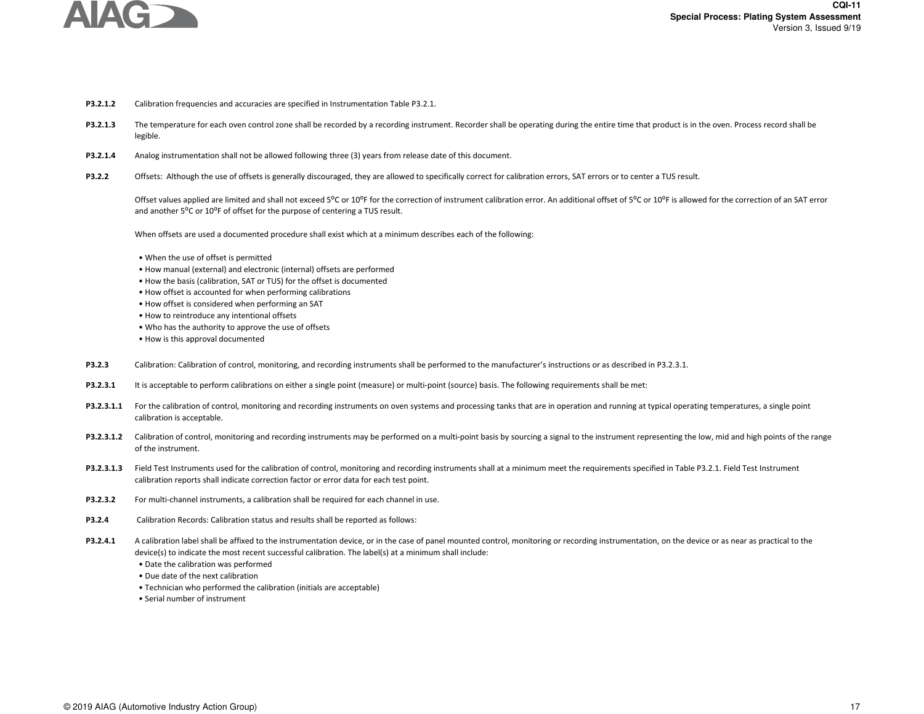

- **P3.2.1.2**Calibration frequencies and accuracies are specified in Instrumentation Table P3.2.1.
- **P3.2.1.3**The temperature for each oven control zone shall be recorded by a recording instrument. Recorder shall be operating during the entire time that product is in the oven. Process record shall be legible.
- **P3.2.1.4**Analog instrumentation shall not be allowed following three (3) years from release date of this document.
- **P3.2.2**Offsets: Although the use of offsets is generally discouraged, they are allowed to specifically correct for calibration errors, SAT errors or to center a TUS result.

Offset values applied are limited and shall not exceed 5°C or 10°F for the correction of instrument calibration error. An additional offset of 5°C or 10°F is allowed for the correction of an SAT error and another  $5^{\circ}$ C or  $10^{\circ}$ F of offset for the purpose of centering a TUS result.

When offsets are used a documented procedure shall exist which at a minimum describes each of the following:

- When the use of offset is permitted
- How manual (external) and electronic (internal) offsets are performed
- How the basis (calibration, SAT or TUS) for the offset is documented
- How offset is accounted for when performing calibrations
- How offset is considered when performing an SAT
- How to reintroduce any intentional offsets
- Who has the authority to approve the use of offsets
- How is this approval documented
- **P3.2.3**Calibration: Calibration of control, monitoring, and recording instruments shall be performed to the manufacturer's instructions or as described in P3.2.3.1.
- **P3.2.3.1**It is acceptable to perform calibrations on either a single point (measure) or multi-point (source) basis. The following requirements shall be met:
- P3.2.3.1.1 For the calibration of control, monitoring and recording instruments on oven systems and processing tanks that are in operation and running at typical operating temperatures, a single point calibration is acceptable.
- P3.2.3.1.2 Calibration of control, monitoring and recording instruments may be performed on a multi-point basis by sourcing a signal to the instrument representing the low, mid and high points of the range of the instrument.
- P3.2.3.1.3 Field Test Instruments used for the calibration of control, monitoring and recording instruments shall at a minimum meet the requirements specified in Table P3.2.1. Field Test Instrument calibration reports shall indicate correction factor or error data for each test point.
- **P3.2.3.2**For multi-channel instruments, a calibration shall be required for each channel in use.
- **P3.2.4**Calibration Records: Calibration status and results shall be reported as follows:
- **P3.2.4.1**A calibration label shall be affixed to the instrumentation device, or in the case of panel mounted control, monitoring or recording instrumentation, on the device or as near as practical to the device(s) to indicate the most recent successful calibration. The label(s) at a minimum shall include:
	- Date the calibration was performed
	- Due date of the next calibration
	- Technician who performed the calibration (initials are acceptable)
	- Serial number of instrument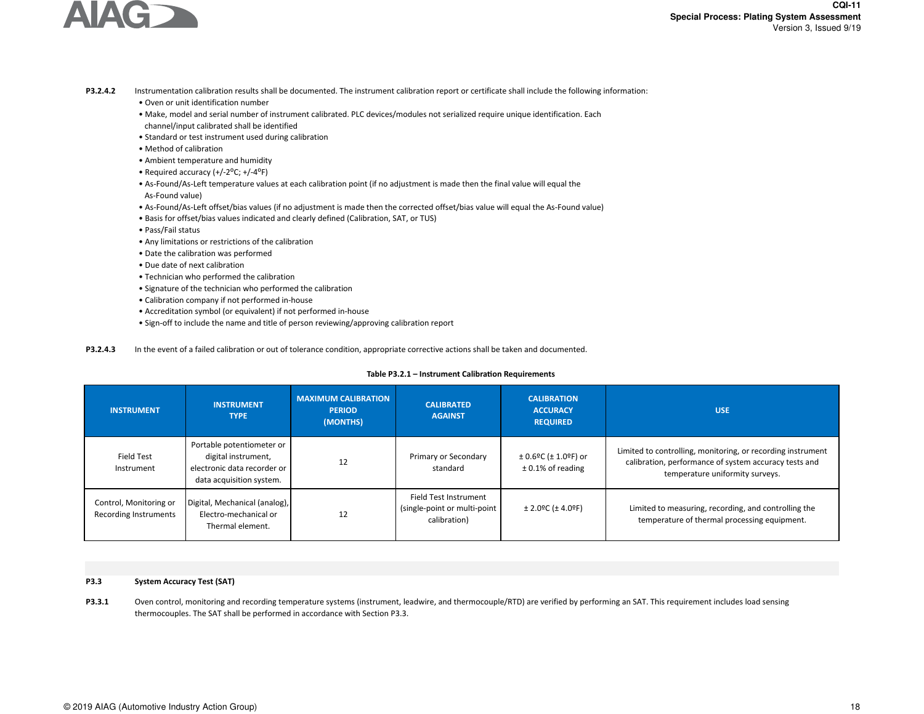

- **P3.2.4.2**Instrumentation calibration results shall be documented. The instrument calibration report or certificate shall include the following information:
	- Oven or unit identification number
	- • Make, model and serial number of instrument calibrated. PLC devices/modules not serialized require unique identification. Eachchannel/input calibrated shall be identified
	- Standard or test instrument used during calibration
	- Method of calibration
	- Ambient temperature and humidity
	- Required accuracy  $(+/-2\degree C; +/-4\degree F)$
	- As-Found/As-Left temperature values at each calibration point (if no adjustment is made then the final value will equal the As-Found value)
	- As-Found/As-Left offset/bias values (if no adjustment is made then the corrected offset/bias value will equal the As-Found value)
	- Basis for offset/bias values indicated and clearly defined (Calibration, SAT, or TUS)
	- Pass/Fail status
	- Any limitations or restrictions of the calibration
	- Date the calibration was performed
	- Due date of next calibration
	- Technician who performed the calibration
	- Signature of the technician who performed the calibration
	- Calibration company if not performed in-house
	- Accreditation symbol (or equivalent) if not performed in-house
	- Sign-off to include the name and title of person reviewing/approving calibration report

**P3.2.4.3**In the event of a failed calibration or out of tolerance condition, appropriate corrective actions shall be taken and documented.

# Table P3.2.1 – Instrument Calibration Requirements

| <b>INSTRUMENT</b>                               | <b>INSTRUMENT</b><br><b>TYPE</b>                                                                            | <b>MAXIMUM CALIBRATION</b><br><b>PERIOD</b><br>(MONTHS) | <b>CALIBRATED</b><br><b>AGAINST</b>                                    | <b>CALIBRATION</b><br><b>ACCURACY</b><br><b>REQUIRED</b> | <b>USE</b>                                                                                                                                              |
|-------------------------------------------------|-------------------------------------------------------------------------------------------------------------|---------------------------------------------------------|------------------------------------------------------------------------|----------------------------------------------------------|---------------------------------------------------------------------------------------------------------------------------------------------------------|
| Field Test<br>Instrument                        | Portable potentiometer or<br>digital instrument,<br>electronic data recorder or<br>data acquisition system. | 12                                                      | Primary or Secondary<br>standard                                       | $\pm$ 0.6ºC ( $\pm$ 1.0ºF) or<br>$± 0.1\%$ of reading    | Limited to controlling, monitoring, or recording instrument<br>calibration, performance of system accuracy tests and<br>temperature uniformity surveys. |
| Control, Monitoring or<br>Recording Instruments | Digital, Mechanical (analog),<br>Electro-mechanical or<br>Thermal element.                                  | 12                                                      | Field Test Instrument<br>(single-point or multi-point)<br>calibration) | $± 2.0$ ºC ( $± 4.0$ ºF)                                 | Limited to measuring, recording, and controlling the<br>temperature of thermal processing equipment.                                                    |

#### **P3.3System Accuracy Test (SAT)**

**P3.3.1**Oven control, monitoring and recording temperature systems (instrument, leadwire, and thermocouple/RTD) are verified by performing an SAT. This requirement includes load sensing thermocouples. The SAT shall be performed in accordance with Section P3.3.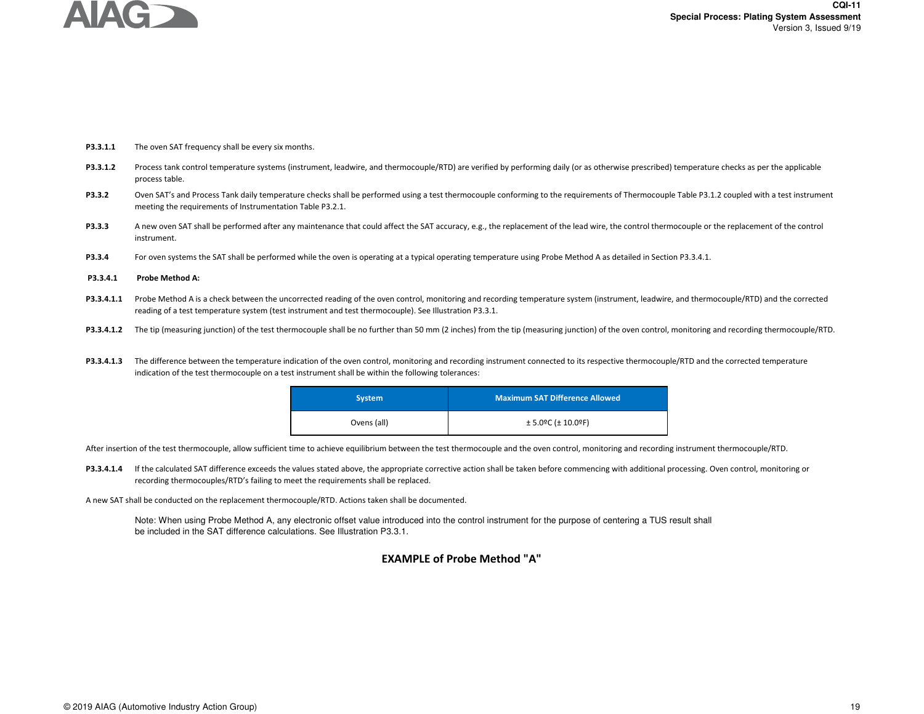

- **P3.3.1.1**The oven SAT frequency shall be every six months.
- **P3.3.1.2**Process tank control temperature systems (instrument, leadwire, and thermocouple/RTD) are verified by performing daily (or as otherwise prescribed) temperature checks as per the applicable process table.
- **P3.3.2**Oven SAT's and Process Tank daily temperature checks shall be performed using a test thermocouple conforming to the requirements of Thermocouple Table P3.1.2 coupled with a test instrument meeting the requirements of Instrumentation Table P3.2.1.
- **P3.3.3**A new oven SAT shall be performed after any maintenance that could affect the SAT accuracy, e.g., the replacement of the lead wire, the control thermocouple or the replacement of the control instrument.
- **P3.3.4**For oven systems the SAT shall be performed while the oven is operating at a typical operating temperature using Probe Method A as detailed in Section P3.3.4.1.
- **P3.3.4.1Probe Method A:**
- P3.3.4.1.1 Probe Method A is a check between the uncorrected reading of the oven control, monitoring and recording temperature system (instrument, leadwire, and thermocouple/RTD) and the corrected reading of a test temperature system (test instrument and test thermocouple). See Illustration P3.3.1.
- P3.3.4.1.2 The tip (measuring junction) of the test thermocouple shall be no further than 50 mm (2 inches) from the tip (measuring junction) of the oven control, monitoring and recording thermocouple/RTD.
- P3.3.4.1.3 The difference between the temperature indication of the oven control, monitoring and recording instrument connected to its respective thermocouple/RTD and the corrected temperature indication of the test thermocouple on a test instrument shall be within the following tolerances:

| <b>System</b> | <b>Maximum SAT Difference Allowed</b> |
|---------------|---------------------------------------|
| Ovens (all)   | $± 5.0$ ºC ( $± 10.0$ ºF)             |

After insertion of the test thermocouple, allow sufficient time to achieve equilibrium between the test thermocouple and the oven control, monitoring and recording instrument thermocouple/RTD.

P3.3.4.1.4 If the calculated SAT difference exceeds the values stated above, the appropriate corrective action shall be taken before commencing with additional processing. Oven control, monitoring or recording thermocouples/RTD's failing to meet the requirements shall be replaced.

A new SAT shall be conducted on the replacement thermocouple/RTD. Actions taken shall be documented.

Note: When using Probe Method A, any electronic offset value introduced into the control instrument for the purpose of centering a TUS result shall be included in the SAT difference calculations. See Illustration P3.3.1.

# **EXAMPLE of Probe Method "A"**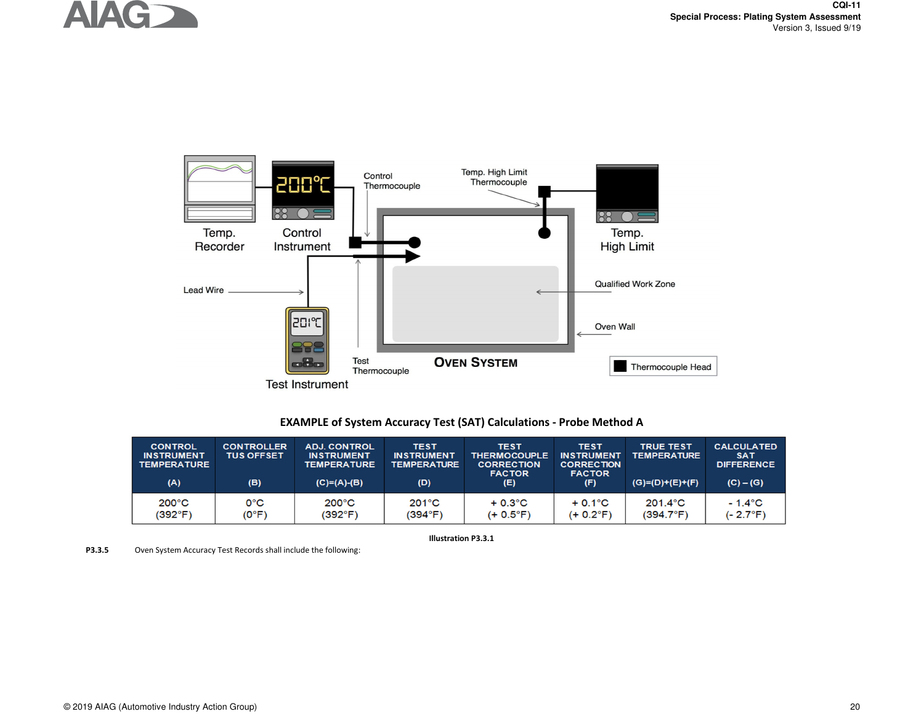



# **EXAMPLE of System Accuracy Test (SAT) Calculations - Probe Method A**

| <b>CONTROL</b><br><b>INSTRUMENT</b><br><b>TEMPERATURE</b><br>(A) | <b>CONTROLLER</b><br><b>TUS OFFSET</b><br>(B) | <b>ADJ. CONTROL</b><br><b>INSTRUMENT</b><br><b>TEMPERATURE</b><br>$(C)=(A)-(B)$ | <b>TEST</b><br><b>INSTRUMENT</b><br><b>TEMPERATURE</b><br>(D) | <b>TEST</b><br><b>THERMOCOUPLE</b><br><b>CORRECTION</b><br><b>FACTOR</b><br>(E) | <b>TEST</b><br><b>INSTRUMENT</b><br><b>CORRECTION</b><br><b>FACTOR</b><br>(F) | <b>TRUE TEST</b><br><b>TEMPERATURE</b><br>$(G)=(D)+(E)+(F)$ | <b>CALCULATED</b><br><b>SAT</b><br><b>DIFFERENCE</b><br>$(C) - (G)$ |
|------------------------------------------------------------------|-----------------------------------------------|---------------------------------------------------------------------------------|---------------------------------------------------------------|---------------------------------------------------------------------------------|-------------------------------------------------------------------------------|-------------------------------------------------------------|---------------------------------------------------------------------|
| $200^{\circ}$ C                                                  | 0°C                                           | $200^{\circ}$ C                                                                 | $201^{\circ}$ C                                               | $+0.3^{\circ}$ C                                                                | $+0.1^{\circ}$ C                                                              | $201.4$ °C                                                  | $-1.4^{\circ}$ C                                                    |
| (392°F)                                                          | $(0^{\circ}F)$                                | (392°F)                                                                         | (394°F)                                                       | (+ 0.5°F)                                                                       | $(+ 0.2^{\circ}F)$                                                            | $(394.7^{\circ}F)$                                          | $(-2.7^{\circ}F)$                                                   |

**Illustration P3.3.1**

**P3.3.5**Oven System Accuracy Test Records shall include the following: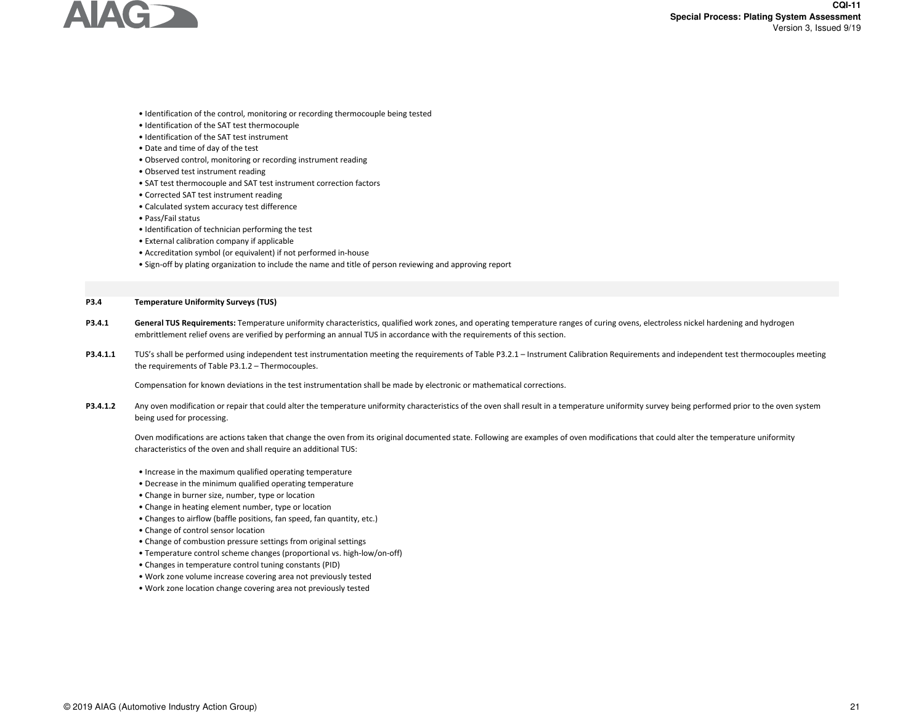

- Identification of the control, monitoring or recording thermocouple being tested
- Identification of the SAT test thermocouple
- Identification of the SAT test instrument
- Date and time of day of the test
- Observed control, monitoring or recording instrument reading
- Observed test instrument reading
- SAT test thermocouple and SAT test instrument correction factors
- Corrected SAT test instrument reading
- Calculated system accuracy test difference
- Pass/Fail status
- Identification of technician performing the test
- External calibration company if applicable
- Accreditation symbol (or equivalent) if not performed in-house
- Sign-off by plating organization to include the name and title of person reviewing and approving report

#### **P3.4Temperature Uniformity Surveys (TUS)**

- **P3.4.1**General TUS Requirements: Temperature uniformity characteristics, qualified work zones, and operating temperature ranges of curing ovens, electroless nickel hardening and hydrogen embrittlement relief ovens are verified by performing an annual TUS in accordance with the requirements of this section.
- **P3.4.1.1** TUS's shall be performed using independent test instrumentation meeting the requirements of Table P3.2.1 – Instrument Calibration Requirements and independent test thermocouples meeting the requirements of Table P3.1.2 – Thermocouples.

Compensation for known deviations in the test instrumentation shall be made by electronic or mathematical corrections.

**P3.4.1.2**Any oven modification or repair that could alter the temperature uniformity characteristics of the oven shall result in a temperature uniformity survey being performed prior to the oven system being used for processing.

Oven modifications are actions taken that change the oven from its original documented state. Following are examples of oven modifications that could alter the temperature uniformity characteristics of the oven and shall require an additional TUS:

- Increase in the maximum qualified operating temperature
- Decrease in the minimum qualified operating temperature
- Change in burner size, number, type or location
- Change in heating element number, type or location
- Changes to airflow (baffle positions, fan speed, fan quantity, etc.)
- Change of control sensor location
- Change of combustion pressure settings from original settings
- Temperature control scheme changes (proportional vs. high-low/on-off)
- Changes in temperature control tuning constants (PID)
- Work zone volume increase covering area not previously tested
- Work zone location change covering area not previously tested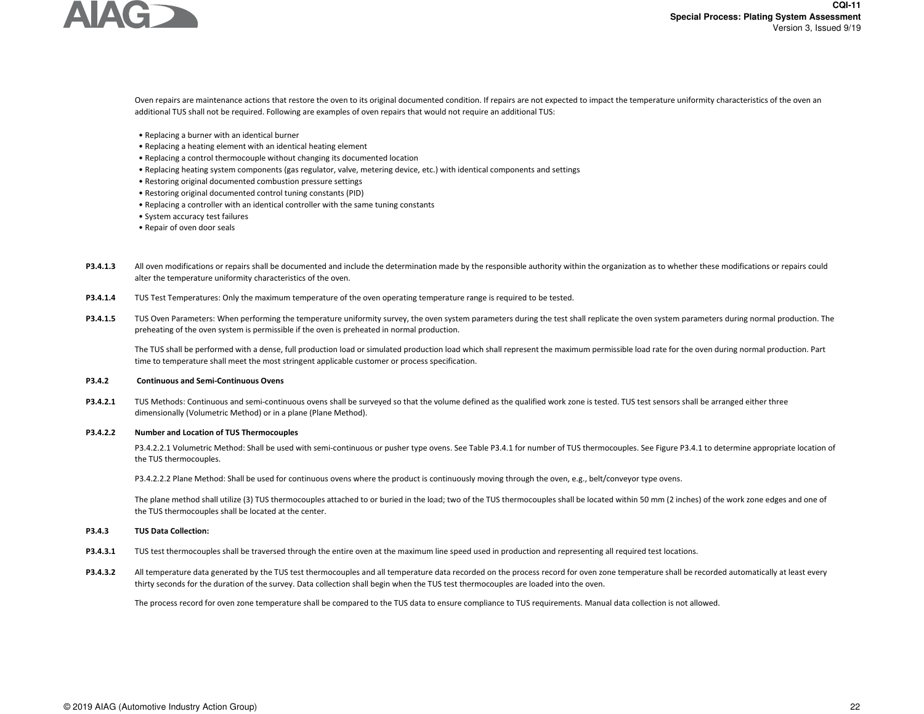

Oven repairs are maintenance actions that restore the oven to its original documented condition. If repairs are not expected to impact the temperature uniformity characteristics of the oven an additional TUS shall not be required. Following are examples of oven repairs that would not require an additional TUS:

- Replacing a burner with an identical burner
- Replacing a heating element with an identical heating element
- Replacing a control thermocouple without changing its documented location
- Replacing heating system components (gas regulator, valve, metering device, etc.) with identical components and settings
- Restoring original documented combustion pressure settings
- Restoring original documented control tuning constants (PID)
- Replacing a controller with an identical controller with the same tuning constants
- System accuracy test failures
- Repair of oven door seals
- **P3.4.1.3**All oven modifications or repairs shall be documented and include the determination made by the responsible authority within the organization as to whether these modifications or repairs could alter the temperature uniformity characteristics of the oven.
- **P3.4.1.4**TUS Test Temperatures: Only the maximum temperature of the oven operating temperature range is required to be tested.
- **P3.4.1.5**TUS Oven Parameters: When performing the temperature uniformity survey, the oven system parameters during the test shall replicate the oven system parameters during normal production. The preheating of the oven system is permissible if the oven is preheated in normal production.

The TUS shall be performed with a dense, full production load or simulated production load which shall represent the maximum permissible load rate for the oven during normal production. Part time to temperature shall meet the most stringent applicable customer or process specification.

#### **P3.4.2 Continuous and Semi-Continuous Ovens**

**P3.4.2.1**TUS Methods: Continuous and semi-continuous ovens shall be surveyed so that the volume defined as the qualified work zone is tested. TUS test sensors shall be arranged either three dimensionally (Volumetric Method) or in a plane (Plane Method).

#### **P3.4.2.2Number and Location of TUS Thermocouples**

P3.4.2.2.1 Volumetric Method: Shall be used with semi-continuous or pusher type ovens. See Table P3.4.1 for number of TUS thermocouples. See Figure P3.4.1 to determine appropriate location of the TUS thermocouples.

P3.4.2.2.2 Plane Method: Shall be used for continuous ovens where the product is continuously moving through the oven, e.g., belt/conveyor type ovens.

The plane method shall utilize (3) TUS thermocouples attached to or buried in the load; two of the TUS thermocouples shall be located within 50 mm (2 inches) of the work zone edges and one of the TUS thermocouples shall be located at the center.

#### **P3.4.3TUS Data Collection:**

- **P3.4.3.1**TUS test thermocouples shall be traversed through the entire oven at the maximum line speed used in production and representing all required test locations.
- **P3.4.3.2**All temperature data generated by the TUS test thermocouples and all temperature data recorded on the process record for oven zone temperature shall be recorded automatically at least every thirty seconds for the duration of the survey. Data collection shall begin when the TUS test thermocouples are loaded into the oven.

The process record for oven zone temperature shall be compared to the TUS data to ensure compliance to TUS requirements. Manual data collection is not allowed.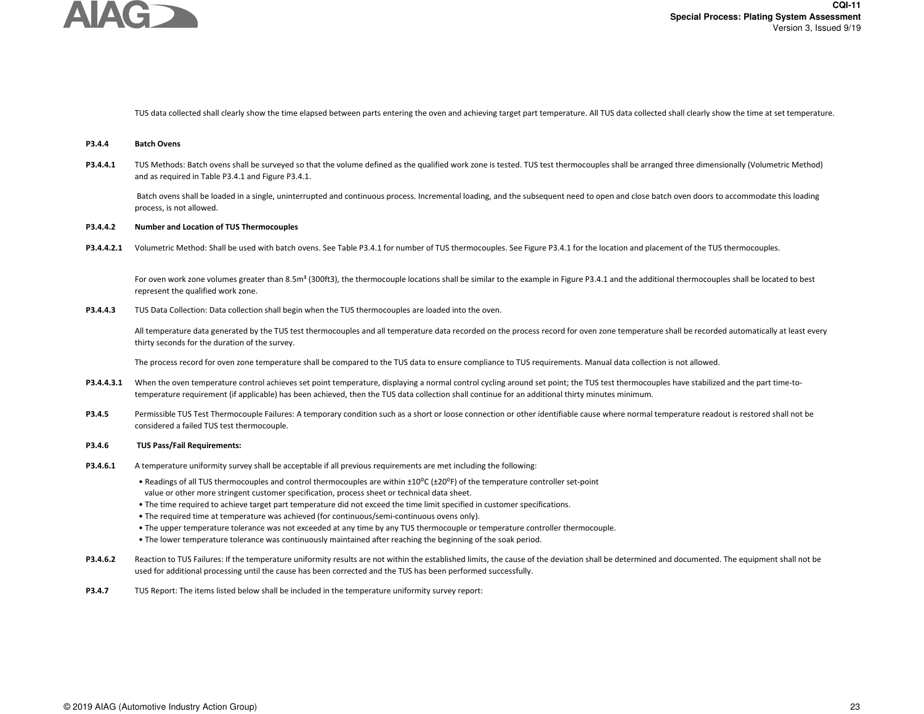

TUS data collected shall clearly show the time elapsed between parts entering the oven and achieving target part temperature. All TUS data collected shall clearly show the time at set temperature.

#### **P3.4.4Batch Ovens**

**P3.4.4.1**TUS Methods: Batch ovens shall be surveyed so that the volume defined as the qualified work zone is tested. TUS test thermocouples shall be arranged three dimensionally (Volumetric Method) and as required in Table P3.4.1 and Figure P3.4.1.

Batch ovens shall be loaded in a single, uninterrupted and continuous process. Incremental loading, and the subsequent need to open and close batch oven doors to accommodate this loading process, is not allowed.

#### **P3.4.4.2Number and Location of TUS Thermocouples**

P3.4.4.2.1 Volumetric Method: Shall be used with batch ovens. See Table P3.4.1 for number of TUS thermocouples. See Figure P3.4.1 for the location and placement of the TUS thermocouples.

For oven work zone volumes greater than 8.5m<sup>3</sup> (300ft3), the thermocouple locations shall be similar to the example in Figure P3.4.1 and the additional thermocouples shall be located to best represent the qualified work zone.

**P3.4.4.3**TUS Data Collection: Data collection shall begin when the TUS thermocouples are loaded into the oven.

> All temperature data generated by the TUS test thermocouples and all temperature data recorded on the process record for oven zone temperature shall be recorded automatically at least every thirty seconds for the duration of the survey.

The process record for oven zone temperature shall be compared to the TUS data to ensure compliance to TUS requirements. Manual data collection is not allowed.

- **P3.4.4.3.1**When the oven temperature control achieves set point temperature, displaying a normal control cycling around set point; the TUS test thermocouples have stabilized and the part time-totemperature requirement (if applicable) has been achieved, then the TUS data collection shall continue for an additional thirty minutes minimum.
- **P3.4.5**Permissible TUS Test Thermocouple Failures: A temporary condition such as a short or loose connection or other identifiable cause where normal temperature readout is restored shall not be considered a failed TUS test thermocouple.

#### **P3.4.6 TUS Pass/Fail Requirements:**

- **P3.4.6.1**A temperature uniformity survey shall be acceptable if all previous requirements are met including the following:
	- Readings of all TUS thermocouples and control thermocouples are within  $\pm 10^{\circ}C (\pm 20^{\circ}F)$  of the temperature controller set-point value or other more stringent customer specification, process sheet or technical data sheet.
	- The time required to achieve target part temperature did not exceed the time limit specified in customer specifications.
	- The required time at temperature was achieved (for continuous/semi-continuous ovens only).
	- The upper temperature tolerance was not exceeded at any time by any TUS thermocouple or temperature controller thermocouple.
	- The lower temperature tolerance was continuously maintained after reaching the beginning of the soak period.
- **P3.4.6.2**Reaction to TUS Failures: If the temperature uniformity results are not within the established limits, the cause of the deviation shall be determined and documented. The equipment shall not be used for additional processing until the cause has been corrected and the TUS has been performed successfully.
- **P3.4.7**TUS Report: The items listed below shall be included in the temperature uniformity survey report: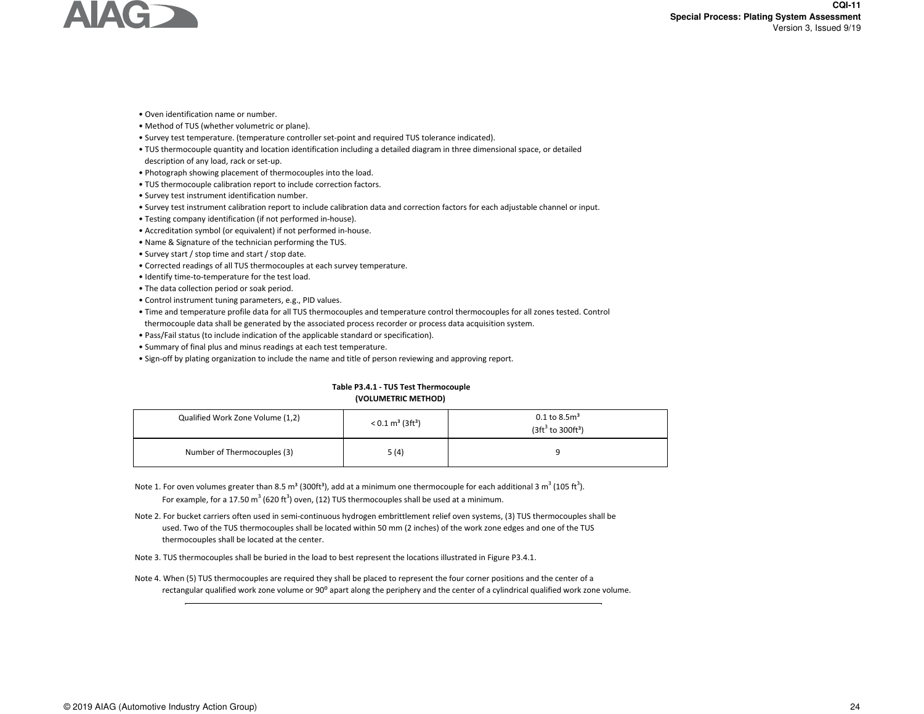

- Oven identification name or number.
- Method of TUS (whether volumetric or plane).
- Survey test temperature. (temperature controller set-point and required TUS tolerance indicated).
- TUS thermocouple quantity and location identification including a detailed diagram in three dimensional space, or detailed
- description of any load, rack or set-up.
- Photograph showing placement of thermocouples into the load.
- TUS thermocouple calibration report to include correction factors.
- Survey test instrument identification number.
- Survey test instrument calibration report to include calibration data and correction factors for each adjustable channel or input.
- Testing company identification (if not performed in-house).
- Accreditation symbol (or equivalent) if not performed in-house.
- Name & Signature of the technician performing the TUS.
- Survey start / stop time and start / stop date.
- Corrected readings of all TUS thermocouples at each survey temperature.
- Identify time-to-temperature for the test load.
- The data collection period or soak period.
- Control instrument tuning parameters, e.g., PID values.
- Time and temperature profile data for all TUS thermocouples and temperature control thermocouples for all zones tested. Controlthermocouple data shall be generated by the associated process recorder or process data acquisition system.
- Pass/Fail status (to include indication of the applicable standard or specification).
- Summary of final plus and minus readings at each test temperature.
- Sign-off by plating organization to include the name and title of person reviewing and approving report.

# **Table P3.4.1 - TUS Test Thermocouple (VOLUMETRIC METHOD)**

| Qualified Work Zone Volume (1,2) | $< 0.1$ m <sup>3</sup> (3ft <sup>3</sup> ) | 0.1 to 8.5 $m3$<br>$(3ft3 to 300ft3)$ |  |  |
|----------------------------------|--------------------------------------------|---------------------------------------|--|--|
| Number of Thermocouples (3)      | 5(4)                                       |                                       |  |  |

- Note 1. For oven volumes greater than 8.5 m<sup>3</sup> (300ft<sup>3</sup>), add at a minimum one thermocouple for each additional 3 m<sup>3</sup> (105 ft<sup>3</sup>). For example, for a 17.50  $m^3$  (620 ft<sup>3</sup>) oven, (12) TUS thermocouples shall be used at a minimum.
- Note 2. For bucket carriers often used in semi-continuous hydrogen embrittlement relief oven systems, (3) TUS thermocouples shall be used. Two of the TUS thermocouples shall be located within 50 mm (2 inches) of the work zone edges and one of the TUSthermocouples shall be located at the center.
- Note 3. TUS thermocouples shall be buried in the load to best represent the locations illustrated in Figure P3.4.1.
- Note 4. When (5) TUS thermocouples are required they shall be placed to represent the four corner positions and the center of a rectangular qualified work zone volume or 90° apart along the periphery and the center of a cylindrical qualified work zone volume.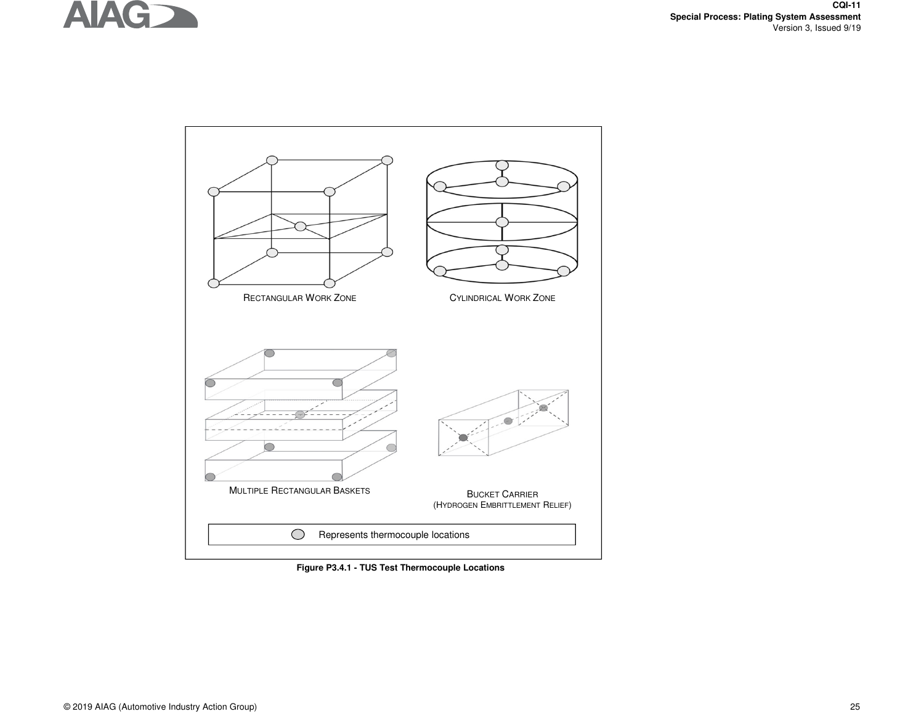



**Figure P3.4.1 - TUS Test Thermocouple Locations**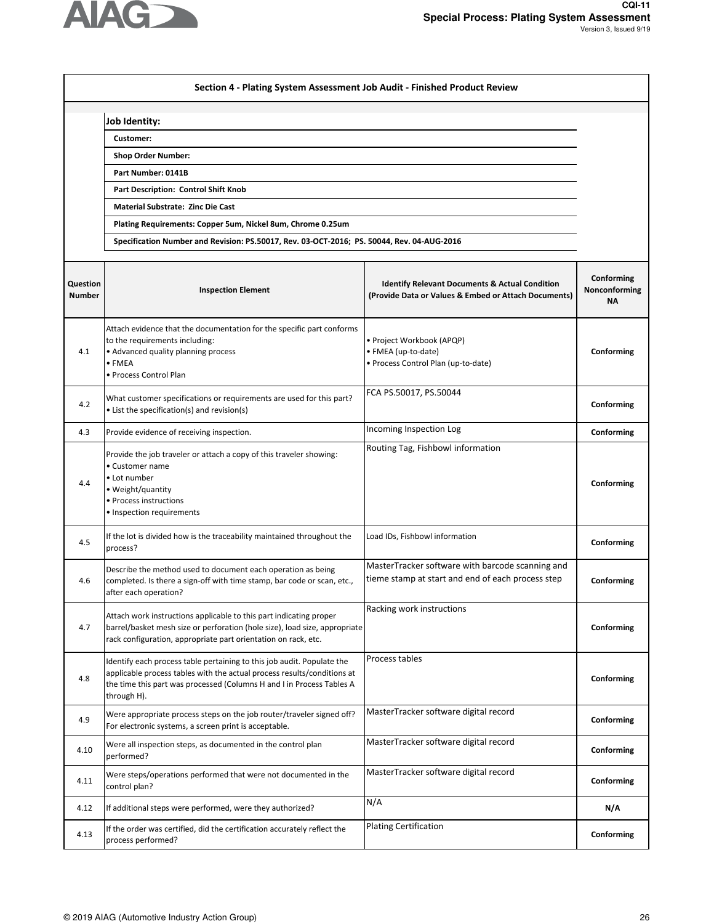

|                           | Section 4 - Plating System Assessment Job Audit - Finished Product Review                                                                                                                                                                 |                                                                                                                   |                                          |
|---------------------------|-------------------------------------------------------------------------------------------------------------------------------------------------------------------------------------------------------------------------------------------|-------------------------------------------------------------------------------------------------------------------|------------------------------------------|
|                           |                                                                                                                                                                                                                                           |                                                                                                                   |                                          |
|                           | <b>Job Identity:</b>                                                                                                                                                                                                                      |                                                                                                                   |                                          |
|                           | Customer:<br><b>Shop Order Number:</b>                                                                                                                                                                                                    |                                                                                                                   |                                          |
|                           | Part Number: 0141B                                                                                                                                                                                                                        |                                                                                                                   |                                          |
|                           | <b>Part Description: Control Shift Knob</b>                                                                                                                                                                                               |                                                                                                                   |                                          |
|                           | <b>Material Substrate: Zinc Die Cast</b>                                                                                                                                                                                                  |                                                                                                                   |                                          |
|                           | Plating Requirements: Copper 5um, Nickel 8um, Chrome 0.25um                                                                                                                                                                               |                                                                                                                   |                                          |
|                           | Specification Number and Revision: PS.50017, Rev. 03-OCT-2016; PS. 50044, Rev. 04-AUG-2016                                                                                                                                                |                                                                                                                   |                                          |
|                           |                                                                                                                                                                                                                                           |                                                                                                                   |                                          |
| Question<br><b>Number</b> | <b>Inspection Element</b>                                                                                                                                                                                                                 | <b>Identify Relevant Documents &amp; Actual Condition</b><br>(Provide Data or Values & Embed or Attach Documents) | Conforming<br>Nonconforming<br><b>NA</b> |
| 4.1                       | Attach evidence that the documentation for the specific part conforms<br>to the requirements including:<br>• Advanced quality planning process<br>• FMEA<br>• Process Control Plan                                                        | • Project Workbook (APQP)<br>· FMEA (up-to-date)<br>· Process Control Plan (up-to-date)                           | Conforming                               |
| 4.2                       | What customer specifications or requirements are used for this part?<br>• List the specification(s) and revision(s)                                                                                                                       | FCA PS.50017, PS.50044                                                                                            | Conforming                               |
| 4.3                       | Provide evidence of receiving inspection.                                                                                                                                                                                                 | Incoming Inspection Log                                                                                           | Conforming                               |
| 4.4                       | Provide the job traveler or attach a copy of this traveler showing:<br>• Customer name<br>• Lot number<br>• Weight/quantity<br>• Process instructions<br>• Inspection requirements                                                        | Routing Tag, Fishbowl information                                                                                 | Conforming                               |
| 4.5                       | If the lot is divided how is the traceability maintained throughout the<br>process?                                                                                                                                                       | Load IDs, Fishbowl information                                                                                    | Conforming                               |
| 4.6                       | Describe the method used to document each operation as being<br>completed. Is there a sign-off with time stamp, bar code or scan, etc.,<br>after each operation?                                                                          | MasterTracker software with barcode scanning and<br>tieme stamp at start and end of each process step             | Conforming                               |
| 4.7                       | Attach work instructions applicable to this part indicating proper<br>barrel/basket mesh size or perforation (hole size), load size, appropriate<br>rack configuration, appropriate part orientation on rack, etc.                        | Racking work instructions                                                                                         | Conforming                               |
| 4.8                       | Identify each process table pertaining to this job audit. Populate the<br>applicable process tables with the actual process results/conditions at<br>the time this part was processed (Columns H and I in Process Tables A<br>through H). | Process tables                                                                                                    | Conforming                               |
| 4.9                       | Were appropriate process steps on the job router/traveler signed off?<br>For electronic systems, a screen print is acceptable.                                                                                                            | MasterTracker software digital record                                                                             | Conforming                               |
| 4.10                      | Were all inspection steps, as documented in the control plan<br>performed?                                                                                                                                                                | MasterTracker software digital record                                                                             | Conforming                               |
| 4.11                      | Were steps/operations performed that were not documented in the<br>control plan?                                                                                                                                                          | MasterTracker software digital record                                                                             | Conforming                               |
| 4.12                      | If additional steps were performed, were they authorized?                                                                                                                                                                                 | N/A                                                                                                               | N/A                                      |
| 4.13                      | If the order was certified, did the certification accurately reflect the<br>process performed?                                                                                                                                            | <b>Plating Certification</b>                                                                                      | Conforming                               |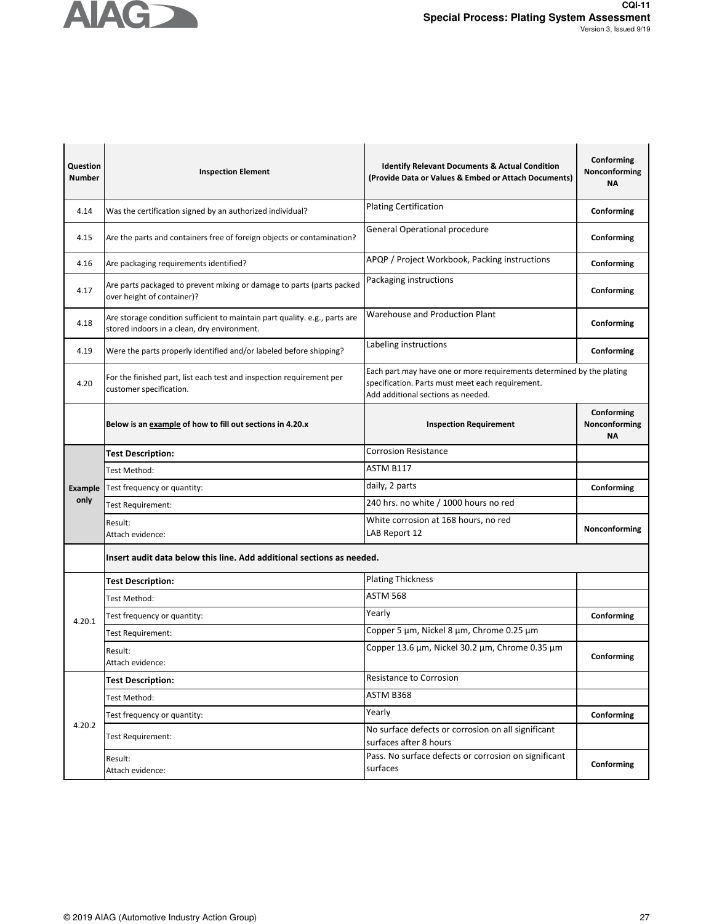

| Question<br><b>Number</b> | <b>Inspection Element</b>                                                                                                 | <b>Identify Relevant Documents &amp; Actual Condition</b><br>(Provide Data or Values & Embed or Attach Documents)                                               | Conforming<br>Nonconforming<br><b>NA</b> |
|---------------------------|---------------------------------------------------------------------------------------------------------------------------|-----------------------------------------------------------------------------------------------------------------------------------------------------------------|------------------------------------------|
| 4.14                      | Was the certification signed by an authorized individual?                                                                 | <b>Plating Certification</b>                                                                                                                                    | Conforming                               |
| 4.15                      | Are the parts and containers free of foreign objects or contamination?                                                    | <b>General Operational procedure</b>                                                                                                                            | Conforming                               |
| 4.16                      | Are packaging requirements identified?                                                                                    | APQP / Project Workbook, Packing instructions                                                                                                                   | Conforming                               |
| 4.17                      | Are parts packaged to prevent mixing or damage to parts (parts packed<br>over height of container)?                       | Packaging instructions                                                                                                                                          | Conforming                               |
| 4.18                      | Are storage condition sufficient to maintain part quality. e.g., parts are<br>stored indoors in a clean, dry environment. | <b>Warehouse and Production Plant</b>                                                                                                                           | Conforming                               |
| 4.19                      | Were the parts properly identified and/or labeled before shipping?                                                        | Labeling instructions                                                                                                                                           | Conforming                               |
| 4.20                      | For the finished part, list each test and inspection requirement per<br>customer specification.                           | Each part may have one or more requirements determined by the plating<br>specification. Parts must meet each requirement.<br>Add additional sections as needed. |                                          |
|                           | Below is an example of how to fill out sections in 4.20.x                                                                 | <b>Inspection Requirement</b>                                                                                                                                   | Conforming<br>Nonconforming<br>ΝA        |
|                           | <b>Test Description:</b>                                                                                                  | <b>Corrosion Resistance</b>                                                                                                                                     |                                          |
|                           | Test Method:                                                                                                              | ASTM B117                                                                                                                                                       |                                          |
| Example                   | Test frequency or quantity:                                                                                               | daily, 2 parts                                                                                                                                                  | Conforming                               |
| only                      | Test Requirement:                                                                                                         | 240 hrs. no white / 1000 hours no red                                                                                                                           |                                          |
|                           | Result:<br>Attach evidence:                                                                                               | White corrosion at 168 hours, no red<br>LAB Report 12                                                                                                           | Nonconforming                            |
|                           | Insert audit data below this line. Add additional sections as needed.                                                     |                                                                                                                                                                 |                                          |
|                           | <b>Test Description:</b>                                                                                                  | <b>Plating Thickness</b>                                                                                                                                        |                                          |
|                           | Test Method:                                                                                                              | ASTM 568                                                                                                                                                        |                                          |
| 4.20.1                    | Test frequency or quantity:                                                                                               | Yearly                                                                                                                                                          | Conforming                               |
|                           | Test Requirement:                                                                                                         | Copper 5 µm, Nickel 8 µm, Chrome 0.25 µm                                                                                                                        |                                          |
|                           | Result:<br>Attach evidence:                                                                                               | Copper 13.6 μm, Nickel 30.2 μm, Chrome 0.35 μm                                                                                                                  | Conforming                               |
|                           | <b>Test Description:</b>                                                                                                  | Resistance to Corrosion                                                                                                                                         |                                          |
|                           | Test Method:                                                                                                              | ASTM B368                                                                                                                                                       |                                          |
|                           | Test frequency or quantity:                                                                                               | Yearly                                                                                                                                                          | Conforming                               |
| 4.20.2                    | Test Requirement:                                                                                                         | No surface defects or corrosion on all significant<br>surfaces after 8 hours                                                                                    |                                          |
|                           | Result:<br>Attach evidence:                                                                                               | Pass. No surface defects or corrosion on significant<br>surfaces                                                                                                | Conforming                               |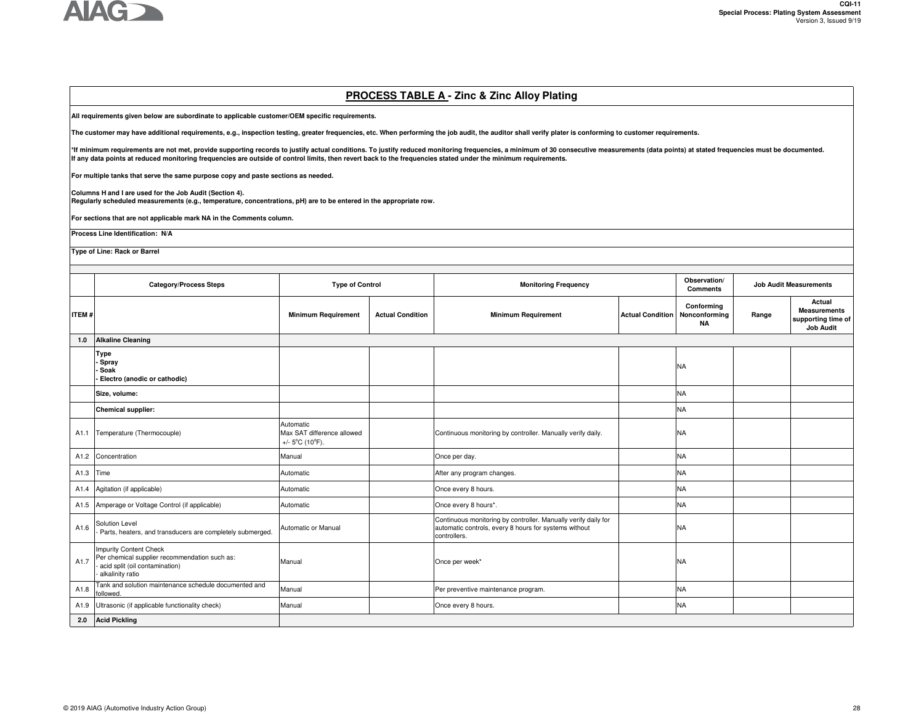

# **PROCESS TABLE A - Zinc & Zinc Alloy Plating**

**All requirements given below are subordinate to applicable customer/OEM specific requirements.** 

**The customer may have additional requirements, e.g., inspection testing, greater frequencies, etc. When performing the job audit, the auditor shall verify plater is conforming to customer requirements.**

\*If minimum requirements are not met, provide supporting records to justify actual conditions. To justify reduced monitoring frequencies, a minimum of 30 consecutive measurements (data points) at stated frequencies must be **If any data points at reduced monitoring frequencies are outside of control limits, then revert back to the frequencies stated under the minimum requirements.** 

**For multiple tanks that serve the same purpose copy and paste sections as needed.**

**Columns H and I are used for the Job Audit (Section 4).** 

**Regularly scheduled measurements (e.g., temperature, concentrations, pH) are to be entered in the appropriate row.**

**For sections that are not applicable mark NA in the Comments column.**

**Process Line Identification: N/A**

**Type of Line: Rack or Barrel**

|              | <b>Category/Process Steps</b>                                                                                                        | <b>Type of Control</b>                                                          |                         | <b>Monitoring Frequency</b>                                                                                                             |                         | Observation/<br><b>Job Audit Measurements</b><br><b>Comments</b> |       |                                                                         |
|--------------|--------------------------------------------------------------------------------------------------------------------------------------|---------------------------------------------------------------------------------|-------------------------|-----------------------------------------------------------------------------------------------------------------------------------------|-------------------------|------------------------------------------------------------------|-------|-------------------------------------------------------------------------|
| <b>ITEM#</b> |                                                                                                                                      | <b>Minimum Requirement</b>                                                      | <b>Actual Condition</b> | <b>Minimum Requirement</b>                                                                                                              | <b>Actual Condition</b> | Conformina<br>Nonconforming<br><b>NA</b>                         | Range | Actual<br><b>Measurements</b><br>supporting time of<br><b>Job Audit</b> |
| 1.0          | <b>Alkaline Cleaning</b>                                                                                                             |                                                                                 |                         |                                                                                                                                         |                         |                                                                  |       |                                                                         |
|              | <b>Type</b><br>Spray<br>Soak<br>Electro (anodic or cathodic)                                                                         |                                                                                 |                         |                                                                                                                                         |                         | <b>NA</b>                                                        |       |                                                                         |
|              | Size, volume:                                                                                                                        |                                                                                 |                         |                                                                                                                                         |                         | <b>NA</b>                                                        |       |                                                                         |
|              | <b>Chemical supplier:</b>                                                                                                            |                                                                                 |                         |                                                                                                                                         |                         | <b>NA</b>                                                        |       |                                                                         |
| A1.1         | Temperature (Thermocouple)                                                                                                           | Automatic<br>Max SAT difference allowed<br>+/- $5^{\circ}$ C (10 $^{\circ}$ F). |                         | Continuous monitoring by controller. Manually verify daily.                                                                             |                         | <b>NA</b>                                                        |       |                                                                         |
| A1.2         | Concentration                                                                                                                        | Manual                                                                          |                         | Once per day.                                                                                                                           |                         | <b>NA</b>                                                        |       |                                                                         |
| A1.3         | Time                                                                                                                                 | Automatic                                                                       |                         | After any program changes.                                                                                                              |                         | <b>NA</b>                                                        |       |                                                                         |
| A1.4         | Agitation (if applicable)                                                                                                            | Automatic                                                                       |                         | Once every 8 hours.                                                                                                                     |                         | <b>NA</b>                                                        |       |                                                                         |
| A1.5         | Amperage or Voltage Control (if applicable)                                                                                          | Automatic                                                                       |                         | Once every 8 hours*.                                                                                                                    |                         | <b>NA</b>                                                        |       |                                                                         |
| A1.6         | Solution Level<br>Parts, heaters, and transducers are completely submerged.                                                          | Automatic or Manual                                                             |                         | Continuous monitoring by controller. Manually verify daily for<br>automatic controls, every 8 hours for systems without<br>controllers. |                         | <b>NA</b>                                                        |       |                                                                         |
| A1.7         | <b>Impurity Content Check</b><br>Per chemical supplier recommendation such as:<br>acid split (oil contamination)<br>alkalinity ratio | Manual                                                                          |                         | Once per week*                                                                                                                          |                         | <b>NA</b>                                                        |       |                                                                         |
| A1.8         | Tank and solution maintenance schedule documented and<br>ollowed.                                                                    | Manual                                                                          |                         | Per preventive maintenance program.                                                                                                     |                         | <b>NA</b>                                                        |       |                                                                         |
| A1.9         | Ultrasonic (if applicable functionality check)                                                                                       | Manual                                                                          |                         | Once every 8 hours.                                                                                                                     |                         | <b>NA</b>                                                        |       |                                                                         |
| 2.0          | <b>Acid Pickling</b>                                                                                                                 |                                                                                 |                         |                                                                                                                                         |                         |                                                                  |       |                                                                         |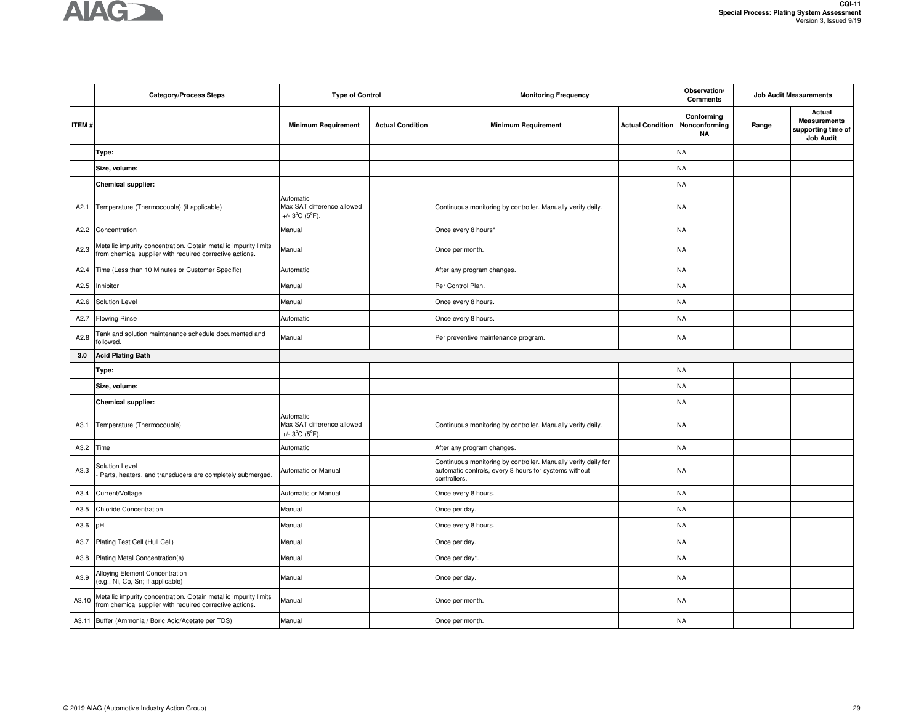

|              | <b>Category/Process Steps</b>                                                                                                | <b>Type of Control</b>                                                         |                         | <b>Monitoring Frequency</b>                                                                                                             |                         | Observation/<br><b>Comments</b>          | <b>Job Audit Measurements</b> |                                                                         |
|--------------|------------------------------------------------------------------------------------------------------------------------------|--------------------------------------------------------------------------------|-------------------------|-----------------------------------------------------------------------------------------------------------------------------------------|-------------------------|------------------------------------------|-------------------------------|-------------------------------------------------------------------------|
| <b>ITEM#</b> |                                                                                                                              | <b>Minimum Requirement</b>                                                     | <b>Actual Condition</b> | <b>Minimum Requirement</b>                                                                                                              | <b>Actual Condition</b> | Conforming<br>Nonconforming<br><b>NA</b> | Range                         | Actual<br><b>Measurements</b><br>supporting time of<br><b>Job Audit</b> |
|              | Type:                                                                                                                        |                                                                                |                         |                                                                                                                                         |                         | <b>NA</b>                                |                               |                                                                         |
|              | Size, volume:                                                                                                                |                                                                                |                         |                                                                                                                                         |                         | <b>NA</b>                                |                               |                                                                         |
|              | <b>Chemical supplier:</b>                                                                                                    |                                                                                |                         |                                                                                                                                         |                         | <b>NA</b>                                |                               |                                                                         |
| A2.1         | Temperature (Thermocouple) (if applicable)                                                                                   | Automatic<br>Max SAT difference allowed<br>+/- $3^{\circ}C$ ( $5^{\circ}F$ ).  |                         | Continuous monitoring by controller. Manually verify daily.                                                                             |                         | <b>NA</b>                                |                               |                                                                         |
| A2.2         | Concentration                                                                                                                | Manual                                                                         |                         | Once every 8 hours*                                                                                                                     |                         | <b>NA</b>                                |                               |                                                                         |
| A2.3         | Metallic impurity concentration. Obtain metallic impurity limits<br>from chemical supplier with required corrective actions. | Manual                                                                         |                         | Once per month.                                                                                                                         |                         | <b>NA</b>                                |                               |                                                                         |
| A2.4         | Time (Less than 10 Minutes or Customer Specific)                                                                             | Automatic                                                                      |                         | After any program changes.                                                                                                              |                         | <b>NA</b>                                |                               |                                                                         |
| A2.5         | Inhibitor                                                                                                                    | Manual                                                                         |                         | Per Control Plan.                                                                                                                       |                         | <b>NA</b>                                |                               |                                                                         |
| A2.6         | Solution Level                                                                                                               | Manual                                                                         |                         | Once every 8 hours.                                                                                                                     |                         | <b>NA</b>                                |                               |                                                                         |
| A2.7         | <b>Flowing Rinse</b>                                                                                                         | Automatic                                                                      |                         | Once every 8 hours.                                                                                                                     |                         | <b>NA</b>                                |                               |                                                                         |
| A2.8         | Tank and solution maintenance schedule documented and<br>followed.                                                           | Manual                                                                         |                         | Per preventive maintenance program.                                                                                                     |                         | <b>NA</b>                                |                               |                                                                         |
| 3.0          | <b>Acid Plating Bath</b>                                                                                                     |                                                                                |                         |                                                                                                                                         |                         |                                          |                               |                                                                         |
|              | Type:                                                                                                                        |                                                                                |                         |                                                                                                                                         |                         | <b>NA</b>                                |                               |                                                                         |
|              | Size, volume:                                                                                                                |                                                                                |                         |                                                                                                                                         |                         | <b>NA</b>                                |                               |                                                                         |
|              | <b>Chemical supplier:</b>                                                                                                    |                                                                                |                         |                                                                                                                                         |                         | <b>NA</b>                                |                               |                                                                         |
| A3.1         | Temperature (Thermocouple)                                                                                                   | Automatic<br>Max SAT difference allowed<br>+/- $3^{\circ}$ C ( $5^{\circ}$ F). |                         | Continuous monitoring by controller. Manually verify daily.                                                                             |                         | <b>NA</b>                                |                               |                                                                         |
| A3.2         | Time                                                                                                                         | Automatic                                                                      |                         | After any program changes.                                                                                                              |                         | <b>NA</b>                                |                               |                                                                         |
| A3.3         | Solution Level<br>Parts, heaters, and transducers are completely submerged.                                                  | Automatic or Manual                                                            |                         | Continuous monitoring by controller. Manually verify daily for<br>automatic controls, every 8 hours for systems without<br>controllers. |                         | <b>NA</b>                                |                               |                                                                         |
| A3.4         | Current/Voltage                                                                                                              | Automatic or Manual                                                            |                         | Once every 8 hours.                                                                                                                     |                         | <b>NA</b>                                |                               |                                                                         |
| A3.5         | Chloride Concentration                                                                                                       | Manual                                                                         |                         | Once per day.                                                                                                                           |                         | <b>NA</b>                                |                               |                                                                         |
| A3.6         | юH                                                                                                                           | Manual                                                                         |                         | Once every 8 hours.                                                                                                                     |                         | <b>NA</b>                                |                               |                                                                         |
| A3.7         | Plating Test Cell (Hull Cell)                                                                                                | Manual                                                                         |                         | Once per day.                                                                                                                           |                         | <b>NA</b>                                |                               |                                                                         |
| A3.8         | Plating Metal Concentration(s)                                                                                               | Manual                                                                         |                         | Once per day*.                                                                                                                          |                         | <b>NA</b>                                |                               |                                                                         |
| A3.9         | Alloying Element Concentration<br>(e.g., Ni, Co, Sn; if applicable)                                                          | Manual                                                                         |                         | Once per day.                                                                                                                           |                         | <b>NA</b>                                |                               |                                                                         |
| A3.10        | Metallic impurity concentration. Obtain metallic impurity limits<br>from chemical supplier with required corrective actions. | Manual                                                                         |                         | Once per month.                                                                                                                         |                         | <b>NA</b>                                |                               |                                                                         |
|              | A3.11 Buffer (Ammonia / Boric Acid/Acetate per TDS)                                                                          | Manual                                                                         |                         | Once per month.                                                                                                                         |                         | <b>NA</b>                                |                               |                                                                         |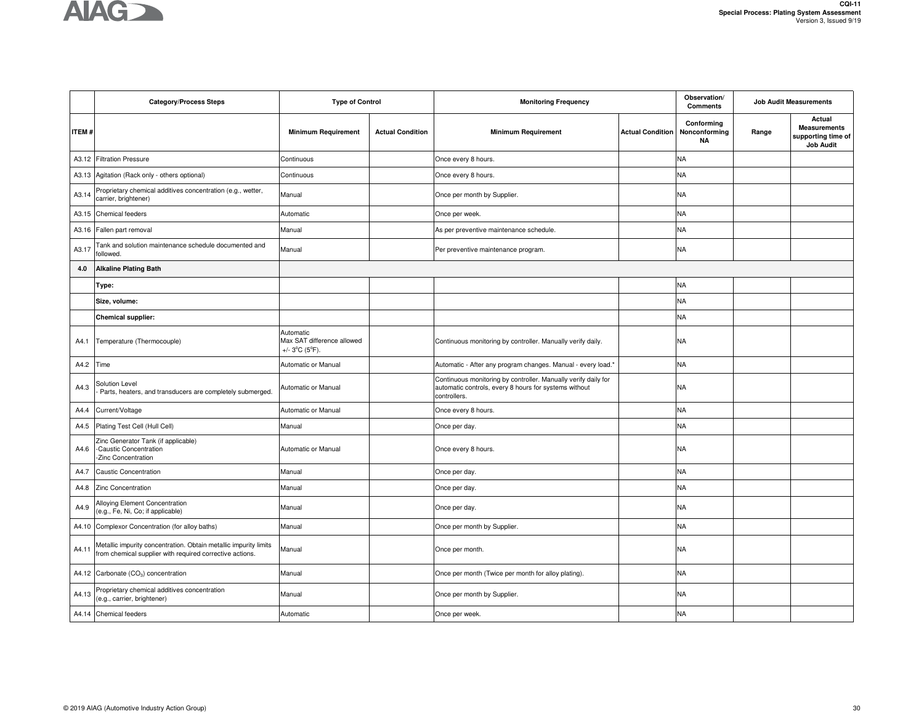

|              | <b>Category/Process Steps</b>                                                                                                | <b>Type of Control</b>                                                        |                         | <b>Monitoring Frequency</b>                                                                                                             |                         | Observation/<br><b>Comments</b>          |       | <b>Job Audit Measurements</b>                                           |
|--------------|------------------------------------------------------------------------------------------------------------------------------|-------------------------------------------------------------------------------|-------------------------|-----------------------------------------------------------------------------------------------------------------------------------------|-------------------------|------------------------------------------|-------|-------------------------------------------------------------------------|
| <b>ITEM#</b> |                                                                                                                              | <b>Minimum Requirement</b>                                                    | <b>Actual Condition</b> | <b>Minimum Requirement</b>                                                                                                              | <b>Actual Condition</b> | Conforming<br>Nonconforming<br><b>NA</b> | Range | Actual<br><b>Measurements</b><br>supporting time of<br><b>Job Audit</b> |
|              | A3.12 Filtration Pressure                                                                                                    | Continuous                                                                    |                         | Once every 8 hours.                                                                                                                     |                         | <b>NA</b>                                |       |                                                                         |
|              | A3.13 Agitation (Rack only - others optional)                                                                                | Continuous                                                                    |                         | Once every 8 hours.                                                                                                                     |                         | <b>NA</b>                                |       |                                                                         |
| A3.14        | Proprietary chemical additives concentration (e.g., wetter,<br>carrier, brightener)                                          | Manual                                                                        |                         | Once per month by Supplier.                                                                                                             |                         | <b>NA</b>                                |       |                                                                         |
|              | A3.15 Chemical feeders                                                                                                       | Automatic                                                                     |                         | Once per week.                                                                                                                          |                         | <b>NA</b>                                |       |                                                                         |
|              | A3.16 Fallen part removal                                                                                                    | Manual                                                                        |                         | As per preventive maintenance schedule.                                                                                                 |                         | <b>NA</b>                                |       |                                                                         |
| A3.17        | Tank and solution maintenance schedule documented and<br>followed.                                                           | Manual                                                                        |                         | Per preventive maintenance program.                                                                                                     |                         | <b>NA</b>                                |       |                                                                         |
| 4.0          | <b>Alkaline Plating Bath</b>                                                                                                 |                                                                               |                         |                                                                                                                                         |                         |                                          |       |                                                                         |
|              | Type:                                                                                                                        |                                                                               |                         |                                                                                                                                         |                         | <b>NA</b>                                |       |                                                                         |
|              | Size, volume:                                                                                                                |                                                                               |                         |                                                                                                                                         |                         | <b>NA</b>                                |       |                                                                         |
|              | <b>Chemical supplier:</b>                                                                                                    |                                                                               |                         |                                                                                                                                         |                         | <b>NA</b>                                |       |                                                                         |
| A4.1         | Temperature (Thermocouple)                                                                                                   | Automatic<br>Max SAT difference allowed<br>+/- $3^{\circ}C$ ( $5^{\circ}F$ ). |                         | Continuous monitoring by controller. Manually verify daily.                                                                             |                         | <b>NA</b>                                |       |                                                                         |
| A4.2         | Time                                                                                                                         | Automatic or Manual                                                           |                         | Automatic - After any program changes. Manual - every load.'                                                                            |                         | <b>NA</b>                                |       |                                                                         |
| A4.3         | Solution Level<br>Parts, heaters, and transducers are completely submerged.                                                  | Automatic or Manual                                                           |                         | Continuous monitoring by controller. Manually verify daily for<br>automatic controls, every 8 hours for systems without<br>controllers. |                         | NA                                       |       |                                                                         |
| A4.4         | Current/Voltage                                                                                                              | Automatic or Manual                                                           |                         | Once every 8 hours.                                                                                                                     |                         | <b>NA</b>                                |       |                                                                         |
| A4.5         | Plating Test Cell (Hull Cell)                                                                                                | Manual                                                                        |                         | Once per day.                                                                                                                           |                         | <b>NA</b>                                |       |                                                                         |
| A4.6         | Zinc Generator Tank (if applicable)<br>-Caustic Concentration<br>Zinc Concentration                                          | Automatic or Manual                                                           |                         | Once every 8 hours.                                                                                                                     |                         | <b>NA</b>                                |       |                                                                         |
| A4.7         | <b>Caustic Concentration</b>                                                                                                 | Manual                                                                        |                         | Once per day.                                                                                                                           |                         | <b>NA</b>                                |       |                                                                         |
| A4.8         | Zinc Concentration                                                                                                           | Manual                                                                        |                         | Once per day.                                                                                                                           |                         | <b>NA</b>                                |       |                                                                         |
| A4.9         | Alloying Element Concentration<br>(e.g., Fe, Ni, Co; if applicable)                                                          | Manual                                                                        |                         | Once per day.                                                                                                                           |                         | <b>NA</b>                                |       |                                                                         |
| A4.10        | Complexor Concentration (for alloy baths)                                                                                    | Manual                                                                        |                         | Once per month by Supplier.                                                                                                             |                         | <b>NA</b>                                |       |                                                                         |
| A4.11        | Metallic impurity concentration. Obtain metallic impurity limits<br>from chemical supplier with required corrective actions. | Manual                                                                        |                         | Once per month.                                                                                                                         |                         | NA                                       |       |                                                                         |
|              | A4.12 Carbonate (CO <sub>3</sub> ) concentration                                                                             | Manual                                                                        |                         | Once per month (Twice per month for alloy plating).                                                                                     |                         | <b>NA</b>                                |       |                                                                         |
| A4.13        | Proprietary chemical additives concentration<br>(e.g., carrier, brightener)                                                  | Manual                                                                        |                         | Once per month by Supplier.                                                                                                             |                         | <b>NA</b>                                |       |                                                                         |
|              | A4.14 Chemical feeders                                                                                                       | Automatic                                                                     |                         | Once per week.                                                                                                                          |                         | <b>NA</b>                                |       |                                                                         |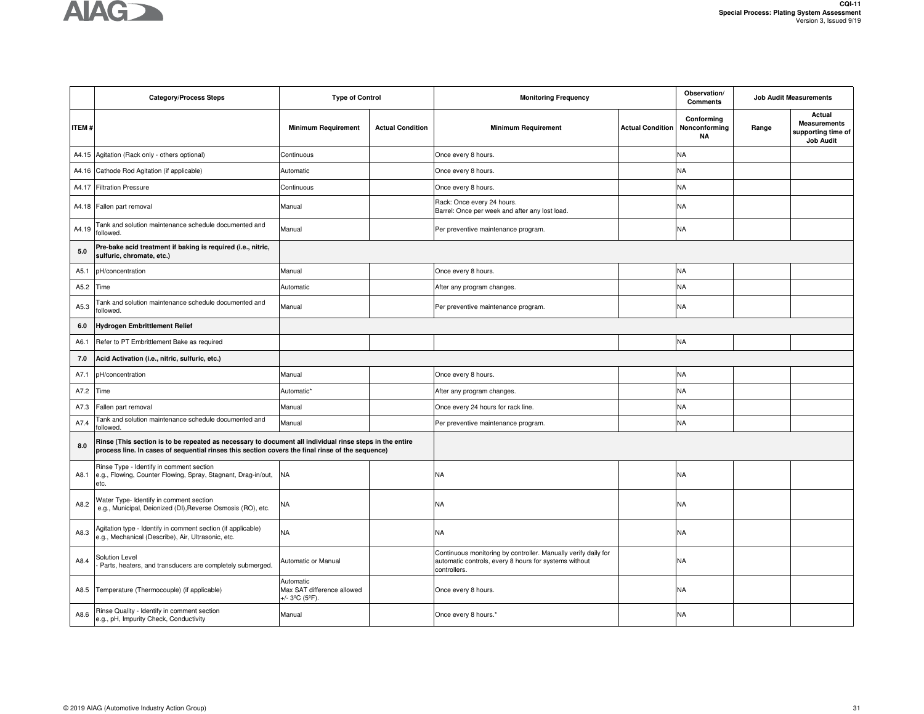

|              | <b>Category/Process Steps</b>                                                                                                                                                                               | <b>Type of Control</b>                                    |                         | <b>Monitoring Frequency</b>                                                                                                             |                         | Observation/<br><b>Job Audit Measurements</b><br><b>Comments</b> |       |                                                                         |
|--------------|-------------------------------------------------------------------------------------------------------------------------------------------------------------------------------------------------------------|-----------------------------------------------------------|-------------------------|-----------------------------------------------------------------------------------------------------------------------------------------|-------------------------|------------------------------------------------------------------|-------|-------------------------------------------------------------------------|
| <b>ITEM#</b> |                                                                                                                                                                                                             | <b>Minimum Requirement</b>                                | <b>Actual Condition</b> | <b>Minimum Requirement</b>                                                                                                              | <b>Actual Condition</b> | Conforming<br>Nonconforming<br><b>NA</b>                         | Range | Actual<br><b>Measurements</b><br>supporting time of<br><b>Job Audit</b> |
|              | A4.15 Agitation (Rack only - others optional)                                                                                                                                                               | Continuous                                                |                         | Once every 8 hours.                                                                                                                     |                         | <b>NA</b>                                                        |       |                                                                         |
|              | A4.16 Cathode Rod Agitation (if applicable)                                                                                                                                                                 | Automatic                                                 |                         | Once every 8 hours.                                                                                                                     |                         | <b>NA</b>                                                        |       |                                                                         |
| A4.17        | <b>Filtration Pressure</b>                                                                                                                                                                                  | Continuous                                                |                         | Once every 8 hours.                                                                                                                     |                         | <b>NA</b>                                                        |       |                                                                         |
|              | A4.18 Fallen part removal                                                                                                                                                                                   | Manual                                                    |                         | Rack: Once every 24 hours.<br>Barrel: Once per week and after any lost load.                                                            |                         | <b>NA</b>                                                        |       |                                                                         |
| A4.19        | Tank and solution maintenance schedule documented and<br>followed.                                                                                                                                          | Manual                                                    |                         | Per preventive maintenance program.                                                                                                     |                         | <b>NA</b>                                                        |       |                                                                         |
| 5.0          | Pre-bake acid treatment if baking is required (i.e., nitric,<br>sulfuric, chromate, etc.)                                                                                                                   |                                                           |                         |                                                                                                                                         |                         |                                                                  |       |                                                                         |
| A5.1         | pH/concentration                                                                                                                                                                                            | Manual                                                    |                         | Once every 8 hours.                                                                                                                     |                         | <b>NA</b>                                                        |       |                                                                         |
| A5.2         | Time                                                                                                                                                                                                        | Automatic                                                 |                         | After any program changes.                                                                                                              |                         | <b>NA</b>                                                        |       |                                                                         |
| A5.3         | Tank and solution maintenance schedule documented and<br>ollowed.                                                                                                                                           | Manual                                                    |                         | Per preventive maintenance program.                                                                                                     |                         | <b>NA</b>                                                        |       |                                                                         |
| 6.0          | Hydrogen Embrittlement Relief                                                                                                                                                                               |                                                           |                         |                                                                                                                                         |                         |                                                                  |       |                                                                         |
| A6.1         | Refer to PT Embrittlement Bake as required                                                                                                                                                                  |                                                           |                         |                                                                                                                                         |                         | <b>NA</b>                                                        |       |                                                                         |
| 7.0          | Acid Activation (i.e., nitric, sulfuric, etc.)                                                                                                                                                              |                                                           |                         |                                                                                                                                         |                         |                                                                  |       |                                                                         |
| A7.1         | pH/concentration                                                                                                                                                                                            | Manual                                                    |                         | Once every 8 hours.                                                                                                                     |                         | <b>NA</b>                                                        |       |                                                                         |
| A7.2         | Time                                                                                                                                                                                                        | Automatic'                                                |                         | After any program changes.                                                                                                              |                         | <b>NA</b>                                                        |       |                                                                         |
| A7.3         | Fallen part removal                                                                                                                                                                                         | Manual                                                    |                         | Once every 24 hours for rack line.                                                                                                      |                         | <b>NA</b>                                                        |       |                                                                         |
| A7.4         | Tank and solution maintenance schedule documented and<br>ollowed.                                                                                                                                           | Manual                                                    |                         | Per preventive maintenance program.                                                                                                     |                         | <b>NA</b>                                                        |       |                                                                         |
| 8.0          | Rinse (This section is to be repeated as necessary to document all individual rinse steps in the entire<br>process line. In cases of sequential rinses this section covers the final rinse of the sequence) |                                                           |                         |                                                                                                                                         |                         |                                                                  |       |                                                                         |
| A8.1         | Rinse Type - Identify in comment section<br>e.g., Flowing, Counter Flowing, Spray, Stagnant, Drag-in/out, NA<br>etc.                                                                                        |                                                           |                         | NA                                                                                                                                      |                         | <b>NA</b>                                                        |       |                                                                         |
| A8.2         | Water Type- Identify in comment section<br>e.g., Municipal, Deionized (DI), Reverse Osmosis (RO), etc.                                                                                                      | <b>NA</b>                                                 |                         | NA                                                                                                                                      |                         | <b>NA</b>                                                        |       |                                                                         |
| A8.3         | Agitation type - Identify in comment section (if applicable)<br>e.g., Mechanical (Describe), Air, Ultrasonic, etc.                                                                                          | <b>NA</b>                                                 |                         | NA                                                                                                                                      |                         | <b>NA</b>                                                        |       |                                                                         |
| A8.4         | Solution Level<br>Parts, heaters, and transducers are completely submerged.                                                                                                                                 | Automatic or Manual                                       |                         | Continuous monitoring by controller. Manually verify daily for<br>automatic controls, every 8 hours for systems without<br>controllers. |                         | NA                                                               |       |                                                                         |
| A8.5         | Temperature (Thermocouple) (if applicable)                                                                                                                                                                  | Automatic<br>Max SAT difference allowed<br>+/- 3ºC (5ºF). |                         | Once every 8 hours.                                                                                                                     |                         | NA                                                               |       |                                                                         |
| A8.6         | Rinse Quality - Identify in comment section<br>e.g., pH, Impurity Check, Conductivity                                                                                                                       | Manual                                                    |                         | Once every 8 hours.*                                                                                                                    |                         | NA                                                               |       |                                                                         |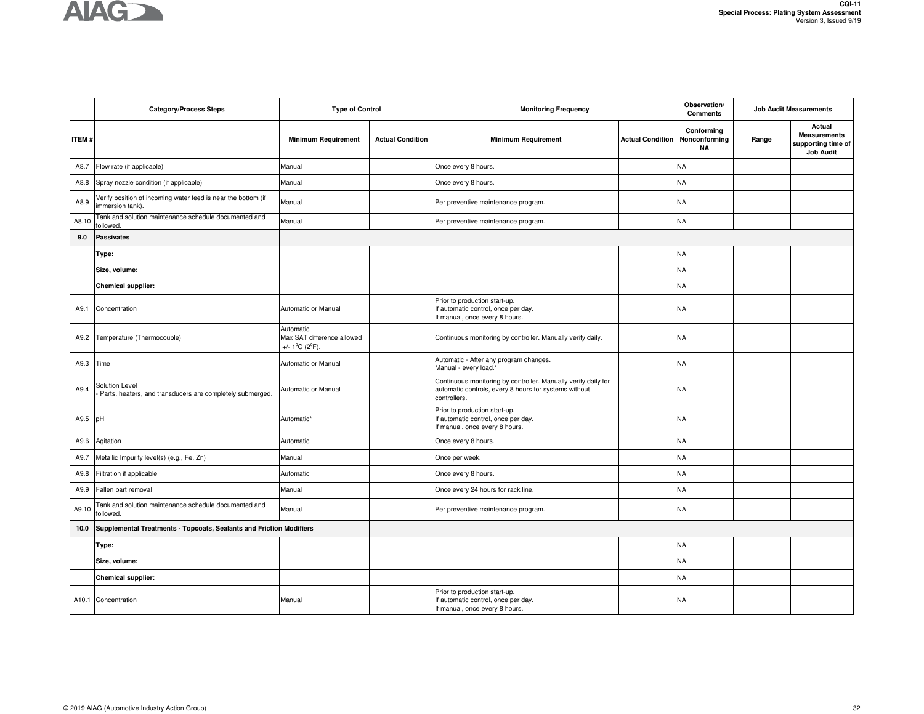# **AIAG**

|       | <b>Category/Process Steps</b>                                                    | <b>Type of Control</b>                                                         |                         | <b>Monitoring Frequency</b>                                                                                                             |                         | Observation/<br><b>Comments</b>          |       | <b>Job Audit Measurements</b>                                           |
|-------|----------------------------------------------------------------------------------|--------------------------------------------------------------------------------|-------------------------|-----------------------------------------------------------------------------------------------------------------------------------------|-------------------------|------------------------------------------|-------|-------------------------------------------------------------------------|
| ITEM# |                                                                                  | <b>Minimum Requirement</b>                                                     | <b>Actual Condition</b> | <b>Minimum Requirement</b>                                                                                                              | <b>Actual Condition</b> | Conforming<br>Nonconforming<br><b>NA</b> | Range | Actual<br><b>Measurements</b><br>supporting time of<br><b>Job Audit</b> |
| A8.7  | Flow rate (if applicable)                                                        | Manual                                                                         |                         | Once every 8 hours.                                                                                                                     |                         | ΝA                                       |       |                                                                         |
| A8.8  | Spray nozzle condition (if applicable)                                           | Manual                                                                         |                         | Once every 8 hours.                                                                                                                     |                         | NA                                       |       |                                                                         |
| A8.9  | Verify position of incoming water feed is near the bottom (if<br>mmersion tank). | Manual                                                                         |                         | Per preventive maintenance program.                                                                                                     |                         | <b>NA</b>                                |       |                                                                         |
| A8.10 | Tank and solution maintenance schedule documented and<br>followed.               | Manual                                                                         |                         | Per preventive maintenance program.                                                                                                     |                         | ΝA                                       |       |                                                                         |
| 9.0   | <b>Passivates</b>                                                                |                                                                                |                         |                                                                                                                                         |                         |                                          |       |                                                                         |
|       | Type:                                                                            |                                                                                |                         |                                                                                                                                         |                         | <b>NA</b>                                |       |                                                                         |
|       | Size, volume:                                                                    |                                                                                |                         |                                                                                                                                         |                         | ΝA                                       |       |                                                                         |
|       | <b>Chemical supplier:</b>                                                        |                                                                                |                         |                                                                                                                                         |                         | <b>NA</b>                                |       |                                                                         |
| A9.1  | Concentration                                                                    | Automatic or Manual                                                            |                         | Prior to production start-up.<br>If automatic control, once per day.<br>If manual, once every 8 hours.                                  |                         | <b>NA</b>                                |       |                                                                         |
| A9.2  | Temperature (Thermocouple)                                                       | Automatic<br>Max SAT difference allowed<br>+/- $1^{\circ}$ C (2 $^{\circ}$ F). |                         | Continuous monitoring by controller. Manually verify daily.                                                                             |                         | NA                                       |       |                                                                         |
| A9.3  | Time                                                                             | Automatic or Manual                                                            |                         | Automatic - After any program changes.<br>Manual - every load.*                                                                         |                         | <b>NA</b>                                |       |                                                                         |
| A9.4  | Solution Level<br>Parts, heaters, and transducers are completely submerged.      | Automatic or Manual                                                            |                         | Continuous monitoring by controller. Manually verify daily for<br>automatic controls, every 8 hours for systems without<br>controllers. |                         | <b>NA</b>                                |       |                                                                         |
| A9.5  | pH                                                                               | Automatic*                                                                     |                         | Prior to production start-up.<br>If automatic control, once per day.<br>If manual, once every 8 hours.                                  |                         | NA                                       |       |                                                                         |
| A9.6  | Agitation                                                                        | Automatic                                                                      |                         | Once every 8 hours.                                                                                                                     |                         | <b>NA</b>                                |       |                                                                         |
| A9.7  | Metallic Impurity level(s) (e.g., Fe, Zn)                                        | Manual                                                                         |                         | Once per week.                                                                                                                          |                         | <b>NA</b>                                |       |                                                                         |
| A9.8  | Filtration if applicable                                                         | Automatic                                                                      |                         | Once every 8 hours.                                                                                                                     |                         | NA                                       |       |                                                                         |
| A9.9  | Fallen part removal                                                              | Manual                                                                         |                         | Once every 24 hours for rack line.                                                                                                      |                         | <b>NA</b>                                |       |                                                                         |
| A9.10 | Tank and solution maintenance schedule documented and<br>followed.               | Manual                                                                         |                         | Per preventive maintenance program.                                                                                                     |                         | <b>NA</b>                                |       |                                                                         |
| 10.0  | Supplemental Treatments - Topcoats, Sealants and Friction Modifiers              |                                                                                |                         |                                                                                                                                         |                         |                                          |       |                                                                         |
|       | Type:                                                                            |                                                                                |                         |                                                                                                                                         |                         | <b>NA</b>                                |       |                                                                         |
|       | Size, volume:                                                                    |                                                                                |                         |                                                                                                                                         |                         | <b>NA</b>                                |       |                                                                         |
|       | <b>Chemical supplier:</b>                                                        |                                                                                |                         |                                                                                                                                         |                         | NA                                       |       |                                                                         |
|       | A10.1 Concentration                                                              | Manual                                                                         |                         | Prior to production start-up.<br>If automatic control, once per day.<br>If manual, once every 8 hours.                                  |                         | NA                                       |       |                                                                         |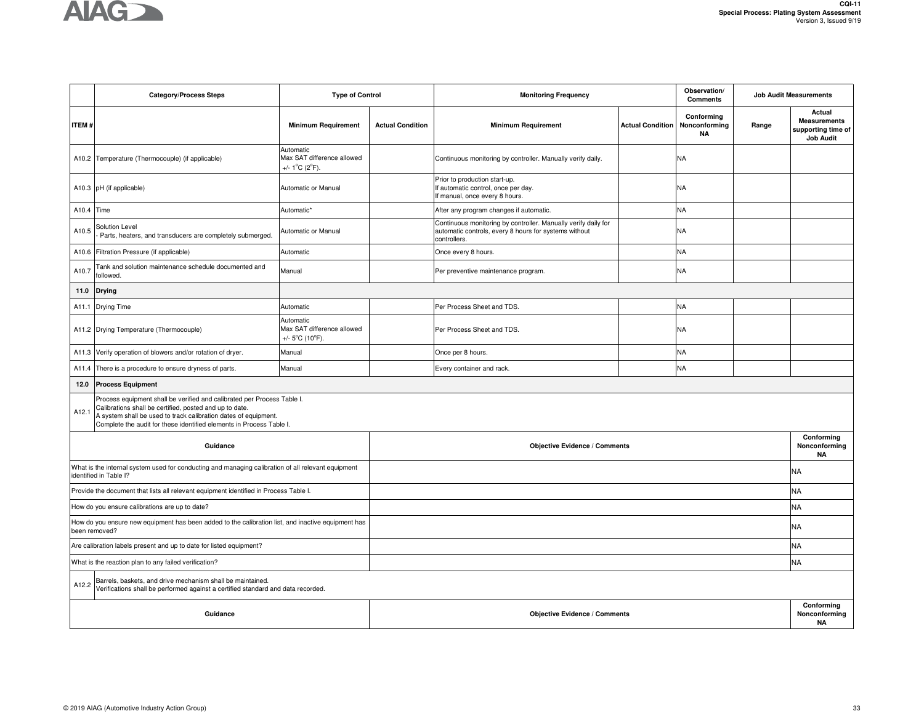

|              | <b>Category/Process Steps</b>                                                                                                                                                                                                                                                 | <b>Type of Control</b>                                                          |                                      | <b>Monitoring Frequency</b>                                                                                                             |                         | Observation/<br><b>Comments</b>          | <b>Job Audit Measurements</b>            |                                                                         |
|--------------|-------------------------------------------------------------------------------------------------------------------------------------------------------------------------------------------------------------------------------------------------------------------------------|---------------------------------------------------------------------------------|--------------------------------------|-----------------------------------------------------------------------------------------------------------------------------------------|-------------------------|------------------------------------------|------------------------------------------|-------------------------------------------------------------------------|
| <b>ITEM#</b> |                                                                                                                                                                                                                                                                               | <b>Minimum Requirement</b>                                                      | <b>Actual Condition</b>              | <b>Minimum Requirement</b>                                                                                                              | <b>Actual Condition</b> | Conforming<br>Nonconforming<br><b>NA</b> | Range                                    | Actual<br><b>Measurements</b><br>supporting time of<br><b>Job Audit</b> |
|              | A10.2 Temperature (Thermocouple) (if applicable)                                                                                                                                                                                                                              | Automatic<br>Max SAT difference allowed<br>+/- $1^{\circ}$ C (2 $^{\circ}$ F).  |                                      | Continuous monitoring by controller. Manually verify daily.                                                                             |                         | <b>NA</b>                                |                                          |                                                                         |
|              | A10.3 pH (if applicable)                                                                                                                                                                                                                                                      | Automatic or Manual                                                             |                                      | Prior to production start-up.<br>If automatic control, once per day.<br>If manual, once every 8 hours.                                  |                         | <b>NA</b>                                |                                          |                                                                         |
| A10.4 Time   |                                                                                                                                                                                                                                                                               | Automatic*                                                                      |                                      | After any program changes if automatic.                                                                                                 |                         | <b>NA</b>                                |                                          |                                                                         |
| A10.5        | <b>Solution Level</b><br>Parts, heaters, and transducers are completely submerged.                                                                                                                                                                                            | Automatic or Manual                                                             |                                      | Continuous monitoring by controller. Manually verify daily for<br>automatic controls, every 8 hours for systems without<br>controllers. |                         | <b>NA</b>                                |                                          |                                                                         |
|              | A10.6 Filtration Pressure (if applicable)                                                                                                                                                                                                                                     | Automatic                                                                       |                                      | Once every 8 hours.                                                                                                                     |                         | <b>NA</b>                                |                                          |                                                                         |
| A10.7        | Tank and solution maintenance schedule documented and<br>followed.                                                                                                                                                                                                            | Manual                                                                          |                                      | Per preventive maintenance program.                                                                                                     |                         | <b>NA</b>                                |                                          |                                                                         |
| 11.0         | <b>Drying</b>                                                                                                                                                                                                                                                                 |                                                                                 |                                      |                                                                                                                                         |                         |                                          |                                          |                                                                         |
|              | A11.1 Drying Time                                                                                                                                                                                                                                                             | Automatic                                                                       |                                      | Per Process Sheet and TDS.                                                                                                              |                         | <b>NA</b>                                |                                          |                                                                         |
|              | A11.2 Drying Temperature (Thermocouple)                                                                                                                                                                                                                                       | Automatic<br>Max SAT difference allowed<br>+/- $5^{\circ}$ C (10 $^{\circ}$ F). |                                      | Per Process Sheet and TDS.                                                                                                              |                         | <b>NA</b>                                |                                          |                                                                         |
| A11.3        | Verify operation of blowers and/or rotation of dryer.                                                                                                                                                                                                                         | Manual                                                                          |                                      | Once per 8 hours.                                                                                                                       |                         | <b>NA</b>                                |                                          |                                                                         |
| A11.4        | There is a procedure to ensure dryness of parts.                                                                                                                                                                                                                              | Manual                                                                          |                                      | Every container and rack.                                                                                                               |                         | <b>NA</b>                                |                                          |                                                                         |
| 12.0         | <b>Process Equipment</b>                                                                                                                                                                                                                                                      |                                                                                 |                                      |                                                                                                                                         |                         |                                          |                                          |                                                                         |
| A12.1        | Process equipment shall be verified and calibrated per Process Table I.<br>Calibrations shall be certified, posted and up to date.<br>A system shall be used to track calibration dates of equipment.<br>Complete the audit for these identified elements in Process Table I. |                                                                                 |                                      |                                                                                                                                         |                         |                                          |                                          |                                                                         |
|              | Guidance                                                                                                                                                                                                                                                                      |                                                                                 |                                      | <b>Objective Evidence / Comments</b>                                                                                                    |                         |                                          |                                          | Conforming<br>Nonconforming<br><b>NA</b>                                |
|              | What is the internal system used for conducting and managing calibration of all relevant equipment<br>identified in Table I?                                                                                                                                                  |                                                                                 |                                      |                                                                                                                                         |                         |                                          |                                          | <b>NA</b>                                                               |
|              | Provide the document that lists all relevant equipment identified in Process Table I.                                                                                                                                                                                         |                                                                                 |                                      |                                                                                                                                         |                         |                                          |                                          | <b>NA</b>                                                               |
|              | How do you ensure calibrations are up to date?                                                                                                                                                                                                                                |                                                                                 |                                      |                                                                                                                                         |                         |                                          |                                          | <b>NA</b>                                                               |
|              | How do you ensure new equipment has been added to the calibration list, and inactive equipment has<br>been removed?                                                                                                                                                           |                                                                                 |                                      |                                                                                                                                         |                         |                                          |                                          | <b>NA</b>                                                               |
|              | Are calibration labels present and up to date for listed equipment?                                                                                                                                                                                                           |                                                                                 |                                      |                                                                                                                                         |                         |                                          |                                          |                                                                         |
|              | What is the reaction plan to any failed verification?                                                                                                                                                                                                                         |                                                                                 |                                      |                                                                                                                                         |                         |                                          |                                          | <b>NA</b>                                                               |
| A12.2        | Barrels, baskets, and drive mechanism shall be maintained.<br>Verifications shall be performed against a certified standard and data recorded.                                                                                                                                |                                                                                 |                                      |                                                                                                                                         |                         |                                          |                                          |                                                                         |
|              | Guidance                                                                                                                                                                                                                                                                      |                                                                                 | <b>Objective Evidence / Comments</b> |                                                                                                                                         |                         |                                          | Conforming<br>Nonconforming<br><b>NA</b> |                                                                         |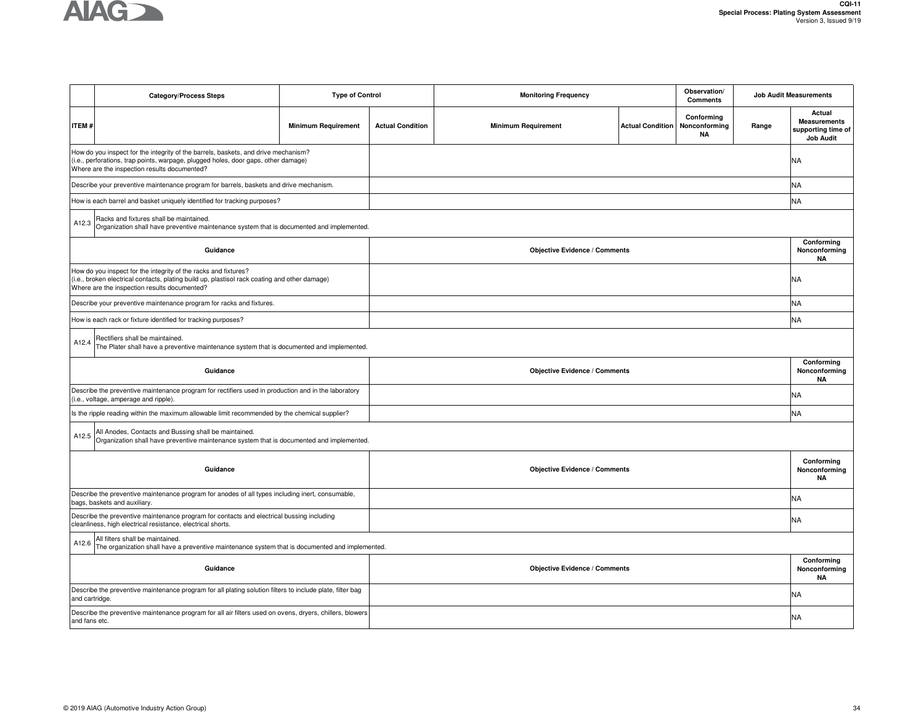

|                                                                                                                                                                                                                  | <b>Category/Process Steps</b>                                                                                                                                                                                            | <b>Type of Control</b>     |                         | <b>Monitoring Frequency</b>          |                         | Observation/<br><b>Comments</b>          |       | <b>Job Audit Measurements</b>                                           |  |  |
|------------------------------------------------------------------------------------------------------------------------------------------------------------------------------------------------------------------|--------------------------------------------------------------------------------------------------------------------------------------------------------------------------------------------------------------------------|----------------------------|-------------------------|--------------------------------------|-------------------------|------------------------------------------|-------|-------------------------------------------------------------------------|--|--|
| <b>ITEM#</b>                                                                                                                                                                                                     |                                                                                                                                                                                                                          | <b>Minimum Requirement</b> | <b>Actual Condition</b> | <b>Minimum Requirement</b>           | <b>Actual Condition</b> | Conforming<br>Nonconforming<br><b>NA</b> | Range | Actual<br><b>Measurements</b><br>supporting time of<br><b>Job Audit</b> |  |  |
|                                                                                                                                                                                                                  | How do you inspect for the integrity of the barrels, baskets, and drive mechanism?<br>(i.e., perforations, trap points, warpage, plugged holes, door gaps, other damage)<br>Where are the inspection results documented? |                            |                         |                                      |                         |                                          |       |                                                                         |  |  |
|                                                                                                                                                                                                                  | Describe your preventive maintenance program for barrels, baskets and drive mechanism.                                                                                                                                   |                            |                         |                                      |                         |                                          |       | <b>NA</b>                                                               |  |  |
|                                                                                                                                                                                                                  | How is each barrel and basket uniquely identified for tracking purposes?                                                                                                                                                 |                            |                         | <b>NA</b>                            |                         |                                          |       |                                                                         |  |  |
| A12.3                                                                                                                                                                                                            | Racks and fixtures shall be maintained.<br>Organization shall have preventive maintenance system that is documented and implemented.                                                                                     |                            |                         |                                      |                         |                                          |       |                                                                         |  |  |
| Guidance                                                                                                                                                                                                         |                                                                                                                                                                                                                          |                            |                         | <b>Objective Evidence / Comments</b> |                         |                                          |       | Conforming<br>Nonconforming<br>NA                                       |  |  |
| How do you inspect for the integrity of the racks and fixtures?<br>(i.e., broken electrical contacts, plating build up, plastisol rack coating and other damage)<br>Where are the inspection results documented? |                                                                                                                                                                                                                          |                            |                         |                                      |                         |                                          |       | NA                                                                      |  |  |
|                                                                                                                                                                                                                  | Describe your preventive maintenance program for racks and fixtures.                                                                                                                                                     |                            |                         |                                      |                         |                                          |       | <b>NA</b>                                                               |  |  |
|                                                                                                                                                                                                                  | How is each rack or fixture identified for tracking purposes?                                                                                                                                                            |                            |                         |                                      |                         |                                          |       | <b>NA</b>                                                               |  |  |
| Rectifiers shall be maintained.<br>A12.4<br>The Plater shall have a preventive maintenance system that is documented and implemented.                                                                            |                                                                                                                                                                                                                          |                            |                         |                                      |                         |                                          |       |                                                                         |  |  |
|                                                                                                                                                                                                                  | Guidance                                                                                                                                                                                                                 |                            |                         | <b>Objective Evidence / Comments</b> |                         |                                          |       |                                                                         |  |  |
|                                                                                                                                                                                                                  | Describe the preventive maintenance program for rectifiers used in production and in the laboratory<br>(i.e., voltage, amperage and ripple).                                                                             |                            |                         |                                      |                         |                                          |       | NA                                                                      |  |  |
|                                                                                                                                                                                                                  | Is the ripple reading within the maximum allowable limit recommended by the chemical supplier?                                                                                                                           |                            |                         |                                      |                         |                                          |       | NA                                                                      |  |  |
| A12.5                                                                                                                                                                                                            | All Anodes, Contacts and Bussing shall be maintained.<br>Organization shall have preventive maintenance system that is documented and implemented.                                                                       |                            |                         |                                      |                         |                                          |       |                                                                         |  |  |
|                                                                                                                                                                                                                  | Guidance                                                                                                                                                                                                                 |                            |                         | <b>Objective Evidence / Comments</b> |                         |                                          |       | Conforming<br>Nonconforming<br><b>NA</b>                                |  |  |
|                                                                                                                                                                                                                  | Describe the preventive maintenance program for anodes of all types including inert, consumable,<br>bags, baskets and auxiliary.                                                                                         |                            |                         |                                      |                         |                                          |       | ΝA                                                                      |  |  |
|                                                                                                                                                                                                                  | Describe the preventive maintenance program for contacts and electrical bussing including<br>cleanliness, high electrical resistance, electrical shorts.                                                                 |                            |                         |                                      |                         |                                          |       | NA                                                                      |  |  |
| A12.6                                                                                                                                                                                                            | All filters shall be maintained.<br>The organization shall have a preventive maintenance system that is documented and implemented.                                                                                      |                            |                         |                                      |                         |                                          |       |                                                                         |  |  |
|                                                                                                                                                                                                                  | Guidance                                                                                                                                                                                                                 |                            |                         | <b>Objective Evidence / Comments</b> |                         |                                          |       |                                                                         |  |  |
| and cartridge.                                                                                                                                                                                                   | Describe the preventive maintenance program for all plating solution filters to include plate, filter bag                                                                                                                |                            |                         |                                      |                         |                                          |       | NA                                                                      |  |  |
| and fans etc.                                                                                                                                                                                                    | Describe the preventive maintenance program for all air filters used on ovens, dryers, chillers, blowers                                                                                                                 |                            |                         |                                      |                         |                                          |       | <b>NA</b>                                                               |  |  |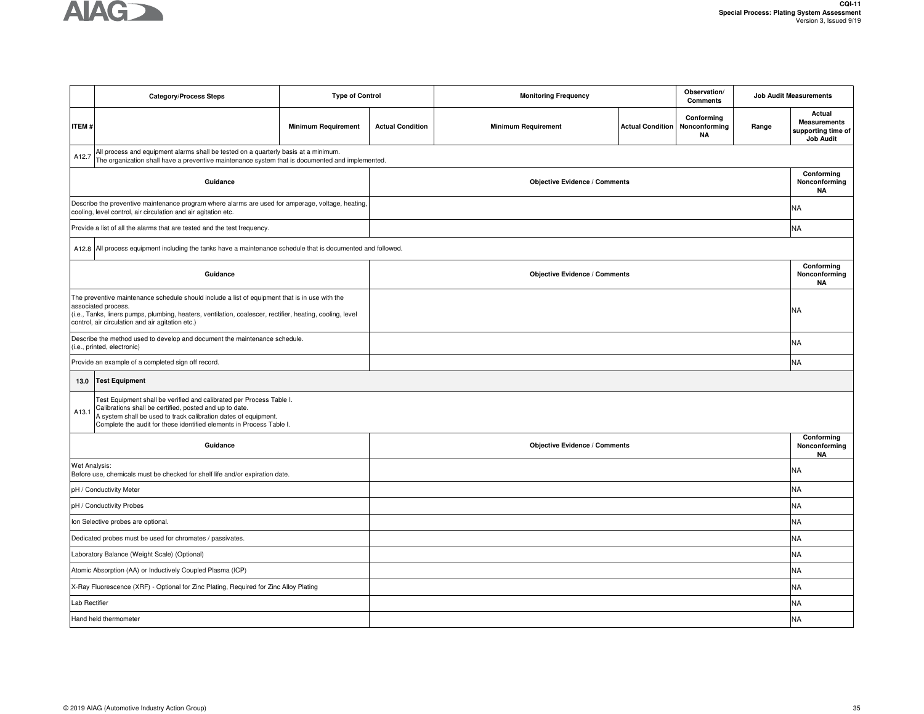

|                                                                                                                                                                                                                                                                                        | <b>Category/Process Steps</b>                                                                                                                                                                                                                                              | <b>Type of Control</b>     | Observation/<br><b>Monitoring Frequency</b><br><b>Comments</b> |                                      |                         | <b>Job Audit Measurements</b>            |       |                                                                         |  |
|----------------------------------------------------------------------------------------------------------------------------------------------------------------------------------------------------------------------------------------------------------------------------------------|----------------------------------------------------------------------------------------------------------------------------------------------------------------------------------------------------------------------------------------------------------------------------|----------------------------|----------------------------------------------------------------|--------------------------------------|-------------------------|------------------------------------------|-------|-------------------------------------------------------------------------|--|
| <b>ITEM#</b>                                                                                                                                                                                                                                                                           |                                                                                                                                                                                                                                                                            | <b>Minimum Requirement</b> | <b>Actual Condition</b>                                        | <b>Minimum Requirement</b>           | <b>Actual Condition</b> | Conforming<br>Nonconforming<br><b>NA</b> | Range | Actual<br><b>Measurements</b><br>supporting time of<br><b>Job Audit</b> |  |
| A12.7                                                                                                                                                                                                                                                                                  | All process and equipment alarms shall be tested on a quarterly basis at a minimum.<br>The organization shall have a preventive maintenance system that is documented and implemented.                                                                                     |                            |                                                                |                                      |                         |                                          |       |                                                                         |  |
|                                                                                                                                                                                                                                                                                        | Guidance                                                                                                                                                                                                                                                                   |                            |                                                                | <b>Objective Evidence / Comments</b> |                         |                                          |       | Conforming<br>Nonconforming<br><b>NA</b>                                |  |
|                                                                                                                                                                                                                                                                                        | Describe the preventive maintenance program where alarms are used for amperage, voltage, heating,<br>cooling, level control, air circulation and air agitation etc.                                                                                                        |                            |                                                                |                                      |                         |                                          |       |                                                                         |  |
|                                                                                                                                                                                                                                                                                        | Provide a list of all the alarms that are tested and the test frequency.                                                                                                                                                                                                   |                            |                                                                |                                      |                         |                                          |       | <b>NA</b>                                                               |  |
|                                                                                                                                                                                                                                                                                        | A12.8 All process equipment including the tanks have a maintenance schedule that is documented and followed.                                                                                                                                                               |                            |                                                                |                                      |                         |                                          |       |                                                                         |  |
|                                                                                                                                                                                                                                                                                        | Guidance                                                                                                                                                                                                                                                                   |                            |                                                                | <b>Objective Evidence / Comments</b> |                         |                                          |       | Conforming<br>Nonconforming<br>ΝA                                       |  |
| The preventive maintenance schedule should include a list of equipment that is in use with the<br>associated process.<br>(i.e., Tanks, liners pumps, plumbing, heaters, ventilation, coalescer, rectifier, heating, cooling, level<br>control, air circulation and air agitation etc.) |                                                                                                                                                                                                                                                                            |                            |                                                                |                                      |                         |                                          |       | <b>NA</b>                                                               |  |
|                                                                                                                                                                                                                                                                                        | Describe the method used to develop and document the maintenance schedule.<br>(i.e., printed, electronic)                                                                                                                                                                  |                            |                                                                |                                      |                         |                                          |       | <b>NA</b>                                                               |  |
|                                                                                                                                                                                                                                                                                        | Provide an example of a completed sign off record.                                                                                                                                                                                                                         |                            |                                                                |                                      |                         |                                          |       | <b>NA</b>                                                               |  |
|                                                                                                                                                                                                                                                                                        | 13.0 Test Equipment                                                                                                                                                                                                                                                        |                            |                                                                |                                      |                         |                                          |       |                                                                         |  |
| A13.1                                                                                                                                                                                                                                                                                  | Test Equipment shall be verified and calibrated per Process Table I.<br>Calibrations shall be certified, posted and up to date.<br>A system shall be used to track calibration dates of equipment.<br>Complete the audit for these identified elements in Process Table I. |                            |                                                                |                                      |                         |                                          |       |                                                                         |  |
|                                                                                                                                                                                                                                                                                        | Guidance                                                                                                                                                                                                                                                                   |                            |                                                                | <b>Objective Evidence / Comments</b> |                         |                                          |       | Conforming<br>Nonconforming<br><b>NA</b>                                |  |
| <b>Wet Analysis:</b>                                                                                                                                                                                                                                                                   | Before use, chemicals must be checked for shelf life and/or expiration date.                                                                                                                                                                                               |                            |                                                                |                                      |                         |                                          |       | NA                                                                      |  |
|                                                                                                                                                                                                                                                                                        | pH / Conductivity Meter                                                                                                                                                                                                                                                    |                            |                                                                |                                      |                         |                                          |       | <b>NA</b>                                                               |  |
|                                                                                                                                                                                                                                                                                        | pH / Conductivity Probes                                                                                                                                                                                                                                                   |                            |                                                                |                                      |                         |                                          |       | <b>NA</b>                                                               |  |
|                                                                                                                                                                                                                                                                                        | Ion Selective probes are optional.                                                                                                                                                                                                                                         |                            |                                                                |                                      |                         |                                          |       | <b>NA</b>                                                               |  |
|                                                                                                                                                                                                                                                                                        | Dedicated probes must be used for chromates / passivates.                                                                                                                                                                                                                  |                            |                                                                |                                      |                         |                                          |       | <b>NA</b>                                                               |  |
|                                                                                                                                                                                                                                                                                        | Laboratory Balance (Weight Scale) (Optional)                                                                                                                                                                                                                               |                            |                                                                |                                      |                         |                                          |       | <b>NA</b>                                                               |  |
|                                                                                                                                                                                                                                                                                        | Atomic Absorption (AA) or Inductively Coupled Plasma (ICP)                                                                                                                                                                                                                 |                            |                                                                |                                      |                         |                                          |       | <b>NA</b>                                                               |  |
|                                                                                                                                                                                                                                                                                        | X-Ray Fluorescence (XRF) - Optional for Zinc Plating, Required for Zinc Alloy Plating                                                                                                                                                                                      |                            |                                                                |                                      |                         |                                          |       |                                                                         |  |
| Lab Rectifier                                                                                                                                                                                                                                                                          |                                                                                                                                                                                                                                                                            |                            |                                                                |                                      |                         |                                          |       | <b>NA</b>                                                               |  |
| Hand held thermometer                                                                                                                                                                                                                                                                  |                                                                                                                                                                                                                                                                            |                            |                                                                |                                      |                         |                                          |       | <b>NA</b>                                                               |  |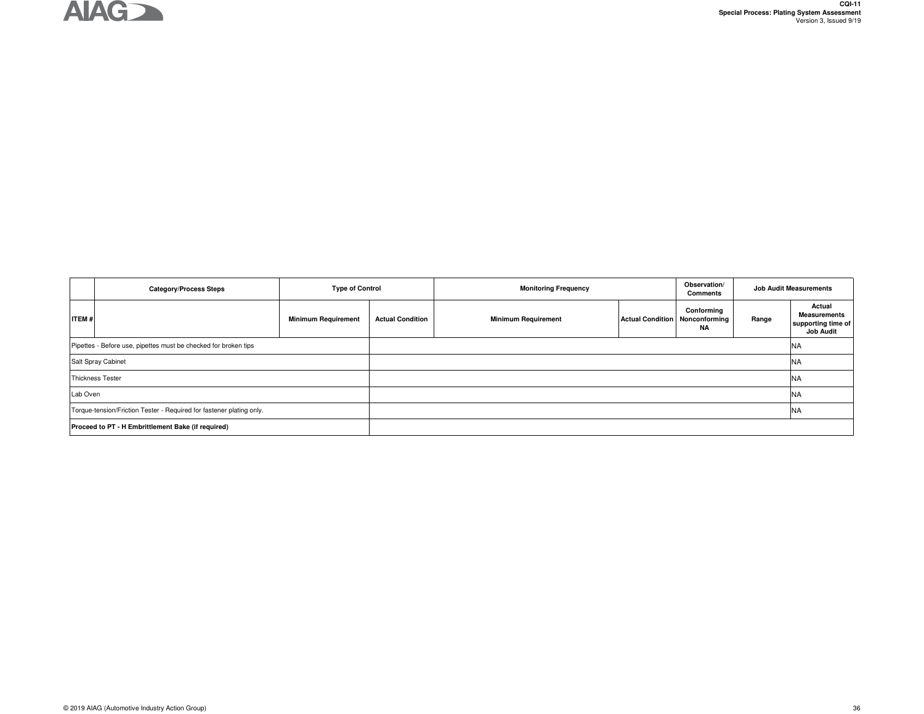

|                                                                      | <b>Category/Process Steps</b>                      | <b>Type of Control</b>     |                         | <b>Monitoring Frequency</b> |                                         | Observation/<br>Comments | <b>Job Audit Measurements</b> |                                                                         |
|----------------------------------------------------------------------|----------------------------------------------------|----------------------------|-------------------------|-----------------------------|-----------------------------------------|--------------------------|-------------------------------|-------------------------------------------------------------------------|
| <b>ITEM#</b>                                                         |                                                    | <b>Minimum Requirement</b> | <b>Actual Condition</b> | <b>Minimum Requirement</b>  | <b>Actual Condition   Nonconforming</b> | Conforming<br>ΝA         | Range                         | Actual<br><b>Measurements</b><br>supporting time of<br><b>Job Audit</b> |
| Pipettes - Before use, pipettes must be checked for broken tips      |                                                    |                            |                         |                             |                                         |                          |                               | <b>NA</b>                                                               |
| Salt Spray Cabinet                                                   |                                                    |                            |                         |                             |                                         |                          |                               | <b>INA</b>                                                              |
| <b>Thickness Tester</b>                                              |                                                    |                            |                         |                             |                                         |                          |                               | <b>INA</b>                                                              |
| Lab Oven                                                             |                                                    |                            |                         |                             |                                         |                          |                               | <b>NA</b>                                                               |
| Torque-tension/Friction Tester - Required for fastener plating only. |                                                    |                            |                         |                             |                                         |                          |                               | <b>NA</b>                                                               |
|                                                                      | Proceed to PT - H Embrittlement Bake (if required) |                            |                         |                             |                                         |                          |                               |                                                                         |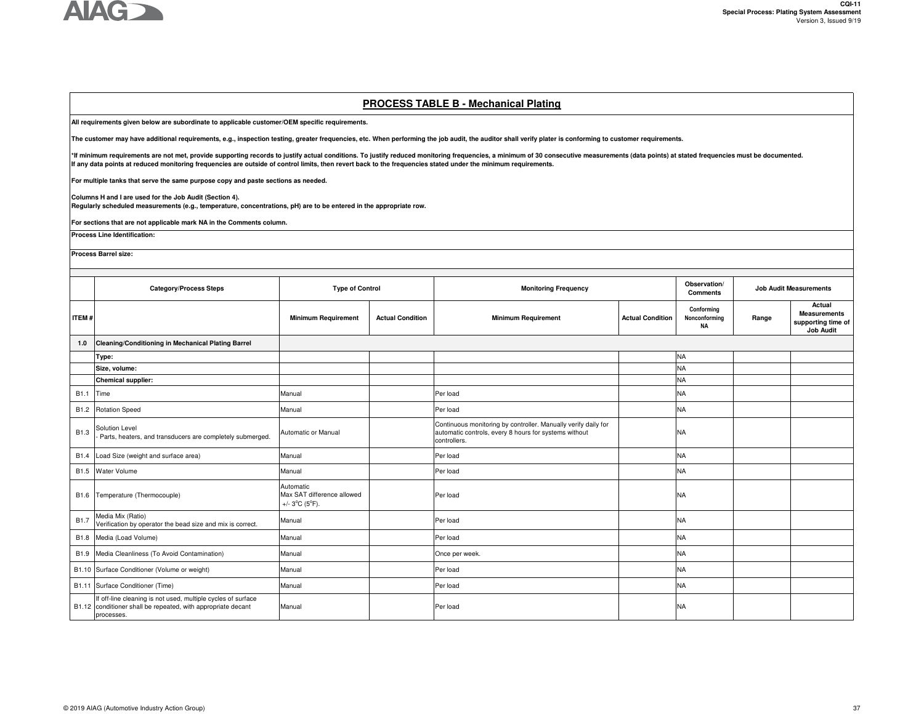

### **PROCESS TABLE B - Mechanical Plating**

**All requirements given below are subordinate to applicable customer/OEM specific requirements.** 

**The customer may have additional requirements, e.g., inspection testing, greater frequencies, etc. When performing the job audit, the auditor shall verify plater is conforming to customer requirements.**

\*If minimum requirements are not met, provide supporting records to justify actual conditions. To justify reduced monitoring frequencies, a minimum of 30 consecutive measurements (data points) at stated frequencies must be **If any data points at reduced monitoring frequencies are outside of control limits, then revert back to the frequencies stated under the minimum requirements.** 

**For multiple tanks that serve the same purpose copy and paste sections as needed.**

**Columns H and I are used for the Job Audit (Section 4).** 

**Regularly scheduled measurements (e.g., temperature, concentrations, pH) are to be entered in the appropriate row.**

**For sections that are not applicable mark NA in the Comments column.**

**Process Line Identification:**

**Process Barrel size:**

|                  | <b>Category/Process Steps</b>                                                                                                              | <b>Type of Control</b>                                                        |                         | <b>Monitoring Frequency</b>                                                                                                             |                         | Observation/<br><b>Comments</b>   |       | <b>Job Audit Measurements</b>                                           |  |  |
|------------------|--------------------------------------------------------------------------------------------------------------------------------------------|-------------------------------------------------------------------------------|-------------------------|-----------------------------------------------------------------------------------------------------------------------------------------|-------------------------|-----------------------------------|-------|-------------------------------------------------------------------------|--|--|
| <b>ITEM#</b>     |                                                                                                                                            | <b>Minimum Requirement</b>                                                    | <b>Actual Condition</b> | <b>Minimum Requirement</b>                                                                                                              | <b>Actual Condition</b> | Conformina<br>Nonconforming<br>NA | Range | Actual<br><b>Measurements</b><br>supporting time of<br><b>Job Audit</b> |  |  |
| 1.0              | Cleaning/Conditioning in Mechanical Plating Barrel                                                                                         |                                                                               |                         |                                                                                                                                         |                         |                                   |       |                                                                         |  |  |
|                  | Type:                                                                                                                                      |                                                                               |                         |                                                                                                                                         |                         | <b>NA</b>                         |       |                                                                         |  |  |
|                  | Size, volume:                                                                                                                              |                                                                               |                         |                                                                                                                                         |                         | <b>NA</b>                         |       |                                                                         |  |  |
|                  | Chemical supplier:                                                                                                                         |                                                                               |                         |                                                                                                                                         |                         | <b>NA</b>                         |       |                                                                         |  |  |
| B1.1             | Time                                                                                                                                       | Manual                                                                        |                         | Per load                                                                                                                                |                         | <b>NA</b>                         |       |                                                                         |  |  |
| B <sub>1.2</sub> | <b>Rotation Speed</b>                                                                                                                      | Manual                                                                        |                         | Per load                                                                                                                                |                         | <b>NA</b>                         |       |                                                                         |  |  |
| B <sub>1.3</sub> | Solution Level<br>Parts, heaters, and transducers are completely submerged.                                                                | Automatic or Manual                                                           |                         | Continuous monitoring by controller. Manually verify daily for<br>automatic controls, every 8 hours for systems without<br>controllers. |                         | <b>NA</b>                         |       |                                                                         |  |  |
| B1.4             | Load Size (weight and surface area)                                                                                                        | Manual                                                                        |                         | Per load                                                                                                                                |                         | <b>NA</b>                         |       |                                                                         |  |  |
| B <sub>1.5</sub> | <b>Water Volume</b>                                                                                                                        | Manual                                                                        |                         | Per load                                                                                                                                |                         | <b>NA</b>                         |       |                                                                         |  |  |
| B1.6             | Temperature (Thermocouple)                                                                                                                 | Automatic<br>Max SAT difference allowed<br>+/- $3^{\circ}C$ ( $5^{\circ}F$ ). |                         | Per load                                                                                                                                |                         | NA                                |       |                                                                         |  |  |
| <b>B1.7</b>      | Media Mix (Ratio)<br>Verification by operator the bead size and mix is correct.                                                            | Manual                                                                        |                         | Per load                                                                                                                                |                         | <b>NA</b>                         |       |                                                                         |  |  |
|                  | B1.8 Media (Load Volume)                                                                                                                   | Manual                                                                        |                         | Per load                                                                                                                                |                         | <b>NA</b>                         |       |                                                                         |  |  |
| B1.9             | Media Cleanliness (To Avoid Contamination)                                                                                                 | Manual                                                                        |                         | Once per week.                                                                                                                          |                         | NA                                |       |                                                                         |  |  |
|                  | B1.10 Surface Conditioner (Volume or weight)                                                                                               | Manual                                                                        |                         | Per load                                                                                                                                |                         | <b>NA</b>                         |       |                                                                         |  |  |
|                  | B1.11 Surface Conditioner (Time)                                                                                                           | Manual                                                                        |                         | Per load                                                                                                                                |                         | <b>NA</b>                         |       |                                                                         |  |  |
|                  | If off-line cleaning is not used, multiple cycles of surface<br>B1.12 conditioner shall be repeated, with appropriate decant<br>processes. | Manual                                                                        |                         | Per load                                                                                                                                |                         | <b>NA</b>                         |       |                                                                         |  |  |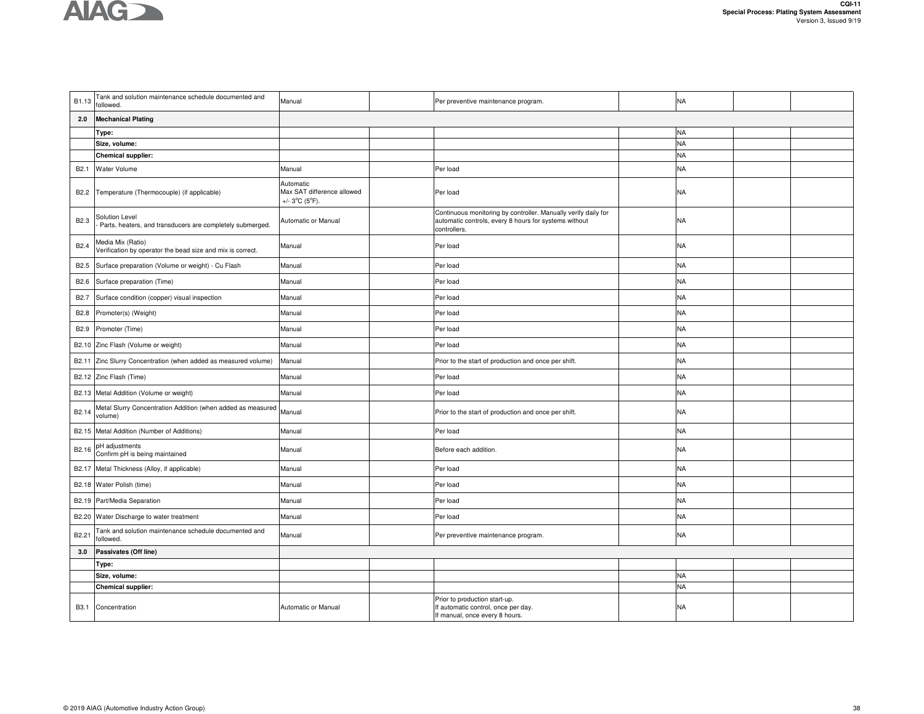| B1.13             | Tank and solution maintenance schedule documented and<br>followed.              | Manual                                                                         | Per preventive maintenance program.                                                                                                     | <b>NA</b> |  |
|-------------------|---------------------------------------------------------------------------------|--------------------------------------------------------------------------------|-----------------------------------------------------------------------------------------------------------------------------------------|-----------|--|
| 2.0               | <b>Mechanical Plating</b>                                                       |                                                                                |                                                                                                                                         |           |  |
|                   | Type:                                                                           |                                                                                |                                                                                                                                         | <b>NA</b> |  |
|                   | Size, volume:                                                                   |                                                                                |                                                                                                                                         | <b>NA</b> |  |
|                   | <b>Chemical supplier:</b>                                                       |                                                                                |                                                                                                                                         | <b>NA</b> |  |
| B <sub>2.1</sub>  | Water Volume                                                                    | Manual                                                                         | Per load                                                                                                                                | <b>NA</b> |  |
| B <sub>2.2</sub>  | Temperature (Thermocouple) (if applicable)                                      | Automatic<br>Max SAT difference allowed<br>+/- $3^{\circ}$ C ( $5^{\circ}$ F). | Per load                                                                                                                                | <b>NA</b> |  |
| B <sub>2.3</sub>  | Solution Level<br>Parts, heaters, and transducers are completely submerged.     | Automatic or Manual                                                            | Continuous monitoring by controller. Manually verify daily for<br>automatic controls, every 8 hours for systems without<br>controllers. | <b>NA</b> |  |
| B2.4              | Media Mix (Ratio)<br>Verification by operator the bead size and mix is correct. | Manual                                                                         | Per load                                                                                                                                | <b>NA</b> |  |
| B <sub>2.5</sub>  | Surface preparation (Volume or weight) - Cu Flash                               | Manual                                                                         | Per load                                                                                                                                | <b>NA</b> |  |
| B2.6              | Surface preparation (Time)                                                      | Manual                                                                         | Per load                                                                                                                                | <b>NA</b> |  |
| B <sub>2.7</sub>  | Surface condition (copper) visual inspection                                    | Manual                                                                         | Per load                                                                                                                                | <b>NA</b> |  |
| B <sub>2.8</sub>  | Promoter(s) (Weight)                                                            | Manual                                                                         | Per load                                                                                                                                | <b>NA</b> |  |
| B <sub>2.9</sub>  | Promoter (Time)                                                                 | Manual                                                                         | Per load                                                                                                                                | <b>NA</b> |  |
|                   | B2.10 Zinc Flash (Volume or weight)                                             | Manual                                                                         | Per load                                                                                                                                | <b>NA</b> |  |
|                   | B2.11 Zinc Slurry Concentration (when added as measured volume)                 | Manual                                                                         | Prior to the start of production and once per shift.                                                                                    | <b>NA</b> |  |
|                   | B2.12 Zinc Flash (Time)                                                         | Manual                                                                         | Per load                                                                                                                                | <b>NA</b> |  |
|                   | B2.13 Metal Addition (Volume or weight)                                         | Manual                                                                         | Per load                                                                                                                                | <b>NA</b> |  |
| B <sub>2.14</sub> | Metal Slurry Concentration Addition (when added as measured<br>volume)          | Manual                                                                         | Prior to the start of production and once per shift.                                                                                    | <b>NA</b> |  |
|                   | B2.15 Metal Addition (Number of Additions)                                      | Manual                                                                         | Per load                                                                                                                                | <b>NA</b> |  |
| B2.16             | pH adjustments<br>Confirm pH is being maintained                                | Manual                                                                         | Before each addition.                                                                                                                   | <b>NA</b> |  |
|                   | B2.17 Metal Thickness (Alloy, if applicable)                                    | Manual                                                                         | Per load                                                                                                                                | <b>NA</b> |  |
|                   | B2.18 Water Polish (time)                                                       | Manual                                                                         | Per load                                                                                                                                | <b>NA</b> |  |
|                   | B2.19 Part/Media Separation                                                     | Manual                                                                         | Per load                                                                                                                                | <b>NA</b> |  |
|                   | B2.20 Water Discharge to water treatment                                        | Manual                                                                         | Per load                                                                                                                                | <b>NA</b> |  |
| B <sub>2.21</sub> | Tank and solution maintenance schedule documented and<br>followed.              | Manual                                                                         | Per preventive maintenance program.                                                                                                     | <b>NA</b> |  |
| 3.0               | Passivates (Off line)                                                           |                                                                                |                                                                                                                                         |           |  |
|                   | Type:                                                                           |                                                                                |                                                                                                                                         |           |  |
|                   | Size, volume:                                                                   |                                                                                |                                                                                                                                         | <b>NA</b> |  |
|                   | <b>Chemical supplier:</b>                                                       |                                                                                |                                                                                                                                         | <b>NA</b> |  |
|                   | B3.1 Concentration                                                              | Automatic or Manual                                                            | Prior to production start-up.<br>If automatic control, once per day.<br>If manual, once every 8 hours.                                  | <b>NA</b> |  |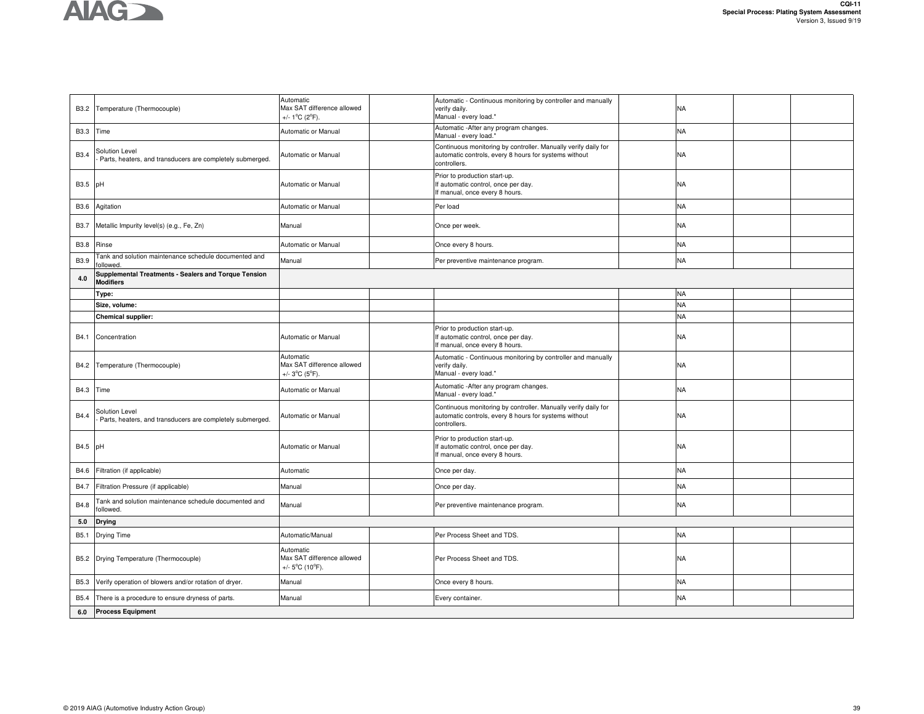|                  | B3.2 Temperature (Thermocouple)                                             | Automatic<br>Max SAT difference allowed<br>+/- $1^{\circ}$ C (2 $^{\circ}$ F).  | Automatic - Continuous monitoring by controller and manually<br>verify daily.<br>Manual - every load.*                                  | <b>NA</b> |  |
|------------------|-----------------------------------------------------------------------------|---------------------------------------------------------------------------------|-----------------------------------------------------------------------------------------------------------------------------------------|-----------|--|
|                  | B3.3 Time                                                                   | Automatic or Manual                                                             | Automatic - After any program changes.<br>Manual - every load.*                                                                         | <b>NA</b> |  |
| B <sub>3.4</sub> | Solution Level<br>Parts, heaters, and transducers are completely submerged. | Automatic or Manual                                                             | Continuous monitoring by controller. Manually verify daily for<br>automatic controls, every 8 hours for systems without<br>controllers. | <b>NA</b> |  |
| B3.5 pH          |                                                                             | <b>Automatic or Manual</b>                                                      | Prior to production start-up.<br>If automatic control, once per day.<br>If manual, once every 8 hours.                                  | <b>NA</b> |  |
| <b>B3.6</b>      | Agitation                                                                   | Automatic or Manual                                                             | Per load                                                                                                                                | <b>NA</b> |  |
| <b>B3.7</b>      | Metallic Impurity level(s) (e.g., Fe, Zn)                                   | Manual                                                                          | Once per week.                                                                                                                          | <b>NA</b> |  |
| <b>B3.8</b>      | Rinse                                                                       | Automatic or Manual                                                             | Once every 8 hours.                                                                                                                     | <b>NA</b> |  |
| B3.9             | Tank and solution maintenance schedule documented and<br>followed           | Manual                                                                          | Per preventive maintenance program.                                                                                                     | <b>NA</b> |  |
| 4.0              | Supplemental Treatments - Sealers and Torque Tension<br><b>Modifiers</b>    |                                                                                 |                                                                                                                                         |           |  |
|                  | Type:                                                                       |                                                                                 |                                                                                                                                         | <b>NA</b> |  |
|                  | Size, volume:                                                               |                                                                                 |                                                                                                                                         | <b>NA</b> |  |
|                  | <b>Chemical supplier:</b>                                                   |                                                                                 |                                                                                                                                         | <b>NA</b> |  |
| B4.1             | Concentration                                                               | Automatic or Manual                                                             | Prior to production start-up.<br>If automatic control, once per day.<br>If manual, once every 8 hours.                                  | <b>NA</b> |  |
|                  | B4.2 Temperature (Thermocouple)                                             | Automatic<br>Max SAT difference allowed<br>+/- $3^{\circ}C$ ( $5^{\circ}F$ ).   | Automatic - Continuous monitoring by controller and manually<br>verify daily.<br>Manual - every load.*                                  | <b>NA</b> |  |
|                  | B4.3 Time                                                                   | Automatic or Manual                                                             | Automatic - After any program changes.<br>Manual - every load.*                                                                         | <b>NA</b> |  |
| B4.4             | Solution Level<br>Parts, heaters, and transducers are completely submerged. | Automatic or Manual                                                             | Continuous monitoring by controller. Manually verify daily for<br>automatic controls, every 8 hours for systems without<br>controllers. | <b>NA</b> |  |
| B4.5 pH          |                                                                             | Automatic or Manual                                                             | Prior to production start-up.<br>If automatic control, once per day.<br>If manual, once every 8 hours.                                  | <b>NA</b> |  |
| B4.6             | Filtration (if applicable)                                                  | Automatic                                                                       | Once per day.                                                                                                                           | <b>NA</b> |  |
| B4.7             | Filtration Pressure (if applicable)                                         | Manual                                                                          | Once per day.                                                                                                                           | <b>NA</b> |  |
| B4.8             | Tank and solution maintenance schedule documented and<br>followed.          | Manual                                                                          | Per preventive maintenance program.                                                                                                     | <b>NA</b> |  |
| 5.0              | <b>Drying</b>                                                               |                                                                                 |                                                                                                                                         |           |  |
| B5.1             | Drying Time                                                                 | Automatic/Manual                                                                | Per Process Sheet and TDS.                                                                                                              | <b>NA</b> |  |
|                  | B5.2 Drying Temperature (Thermocouple)                                      | Automatic<br>Max SAT difference allowed<br>+/- $5^{\circ}$ C (10 $^{\circ}$ F). | Per Process Sheet and TDS.                                                                                                              | <b>NA</b> |  |
| <b>B5.3</b>      | Verify operation of blowers and/or rotation of dryer.                       | Manual                                                                          | Once every 8 hours.                                                                                                                     | <b>NA</b> |  |
| B5.4             | There is a procedure to ensure dryness of parts.                            | Manual                                                                          | Every container.                                                                                                                        | <b>NA</b> |  |
| 6.0              | <b>Process Equipment</b>                                                    |                                                                                 |                                                                                                                                         |           |  |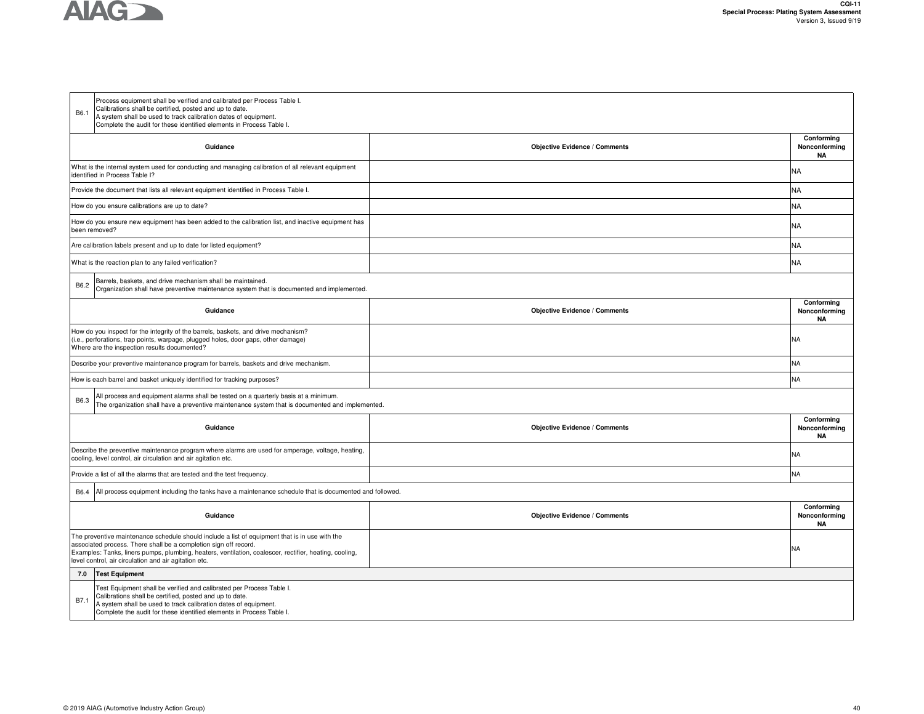

| B6.1                                                            | Process equipment shall be verified and calibrated per Process Table I.<br>Calibrations shall be certified, posted and up to date.<br>A system shall be used to track calibration dates of equipment.<br>Complete the audit for these identified elements in Process Table I. |                                      |                                          |
|-----------------------------------------------------------------|-------------------------------------------------------------------------------------------------------------------------------------------------------------------------------------------------------------------------------------------------------------------------------|--------------------------------------|------------------------------------------|
|                                                                 | Guidance                                                                                                                                                                                                                                                                      | <b>Objective Evidence / Comments</b> | Conforming<br>Nonconforming<br>ΝA        |
| identified in Process Table I?                                  | What is the internal system used for conducting and managing calibration of all relevant equipment                                                                                                                                                                            |                                      | <b>NA</b>                                |
|                                                                 | Provide the document that lists all relevant equipment identified in Process Table I.                                                                                                                                                                                         |                                      | <b>NA</b>                                |
| How do you ensure calibrations are up to date?                  |                                                                                                                                                                                                                                                                               |                                      | <b>NA</b>                                |
| been removed?                                                   | How do you ensure new equipment has been added to the calibration list, and inactive equipment has                                                                                                                                                                            |                                      | <b>NA</b>                                |
|                                                                 | Are calibration labels present and up to date for listed equipment?                                                                                                                                                                                                           |                                      | <b>NA</b>                                |
| What is the reaction plan to any failed verification?           |                                                                                                                                                                                                                                                                               |                                      | <b>NA</b>                                |
| B6.2                                                            | Barrels, baskets, and drive mechanism shall be maintained.<br>Organization shall have preventive maintenance system that is documented and implemented.                                                                                                                       |                                      |                                          |
|                                                                 | Guidance                                                                                                                                                                                                                                                                      | <b>Objective Evidence / Comments</b> | Conforming<br>Nonconforming<br><b>NA</b> |
| Where are the inspection results documented?                    | How do you inspect for the integrity of the barrels, baskets, and drive mechanism?<br>(i.e., perforations, trap points, warpage, plugged holes, door gaps, other damage)                                                                                                      |                                      | <b>NA</b>                                |
|                                                                 | Describe your preventive maintenance program for barrels, baskets and drive mechanism.                                                                                                                                                                                        |                                      | NA                                       |
|                                                                 | How is each barrel and basket uniquely identified for tracking purposes?                                                                                                                                                                                                      |                                      | <b>NA</b>                                |
| B6.3                                                            | All process and equipment alarms shall be tested on a quarterly basis at a minimum.<br>The organization shall have a preventive maintenance system that is documented and implemented.                                                                                        |                                      |                                          |
|                                                                 | Guidance                                                                                                                                                                                                                                                                      | <b>Objective Evidence / Comments</b> | Conforming<br>Nonconforming<br><b>NA</b> |
| cooling, level control, air circulation and air agitation etc.  | Describe the preventive maintenance program where alarms are used for amperage, voltage, heating,                                                                                                                                                                             |                                      | <b>NA</b>                                |
|                                                                 | Provide a list of all the alarms that are tested and the test frequency.                                                                                                                                                                                                      |                                      | <b>NA</b>                                |
| B6.4                                                            | All process equipment including the tanks have a maintenance schedule that is documented and followed.                                                                                                                                                                        |                                      |                                          |
|                                                                 | Guidance                                                                                                                                                                                                                                                                      | <b>Objective Evidence / Comments</b> | Conforming<br>Nonconforming<br><b>NA</b> |
| level control, air circulation and air agitation etc.           | The preventive maintenance schedule should include a list of equipment that is in use with the<br>associated process. There shall be a completion sign off record.<br>Examples: Tanks, liners pumps, plumbing, heaters, ventilation, coalescer, rectifier, heating, cooling,  |                                      | <b>NA</b>                                |
| <b>Test Equipment</b><br>7.0                                    |                                                                                                                                                                                                                                                                               |                                      |                                          |
| Calibrations shall be certified, posted and up to date.<br>B7.1 | Test Equipment shall be verified and calibrated per Process Table I.                                                                                                                                                                                                          |                                      |                                          |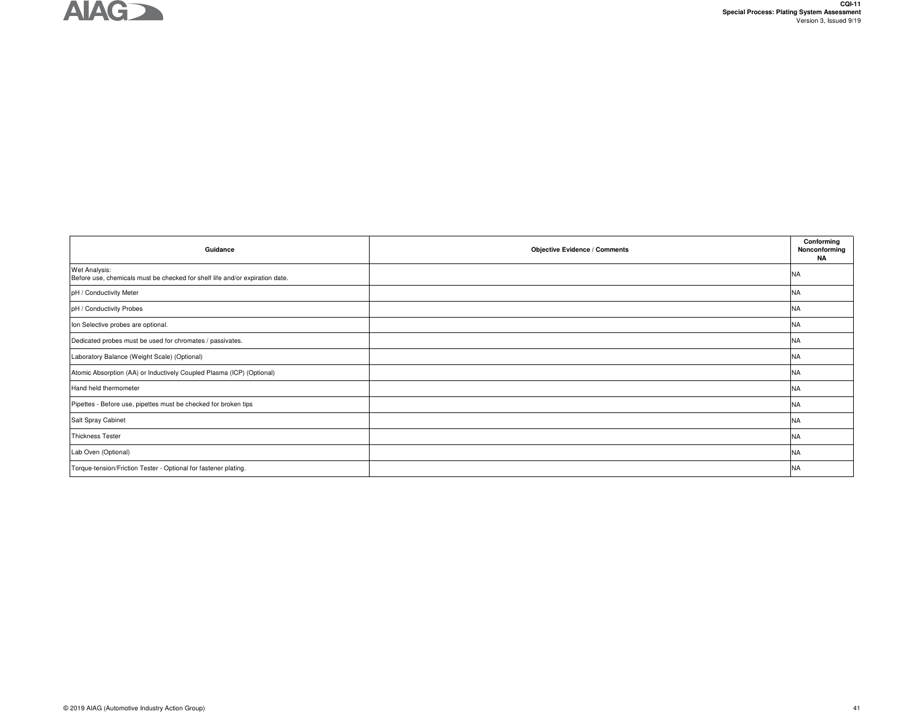

| Guidance                                                                                      | <b>Objective Evidence / Comments</b> | Conforming<br>Nonconforming<br>ΝA |
|-----------------------------------------------------------------------------------------------|--------------------------------------|-----------------------------------|
| Wet Analysis:<br>Before use, chemicals must be checked for shelf life and/or expiration date. |                                      | <b>NA</b>                         |
| pH / Conductivity Meter                                                                       |                                      | <b>NA</b>                         |
| pH / Conductivity Probes                                                                      |                                      | <b>NA</b>                         |
| Ion Selective probes are optional.                                                            |                                      | <b>NA</b>                         |
| Dedicated probes must be used for chromates / passivates.                                     |                                      | <b>NA</b>                         |
| Laboratory Balance (Weight Scale) (Optional)                                                  |                                      | <b>NA</b>                         |
| Atomic Absorption (AA) or Inductively Coupled Plasma (ICP) (Optional)                         |                                      | <b>NA</b>                         |
| Hand held thermometer                                                                         |                                      | <b>NA</b>                         |
| Pipettes - Before use, pipettes must be checked for broken tips                               |                                      | <b>NA</b>                         |
| Salt Spray Cabinet                                                                            |                                      | <b>NA</b>                         |
| <b>Thickness Tester</b>                                                                       |                                      | <b>NA</b>                         |
| Lab Oven (Optional)                                                                           |                                      | <b>NA</b>                         |
| Torque-tension/Friction Tester - Optional for fastener plating.                               |                                      | <b>NA</b>                         |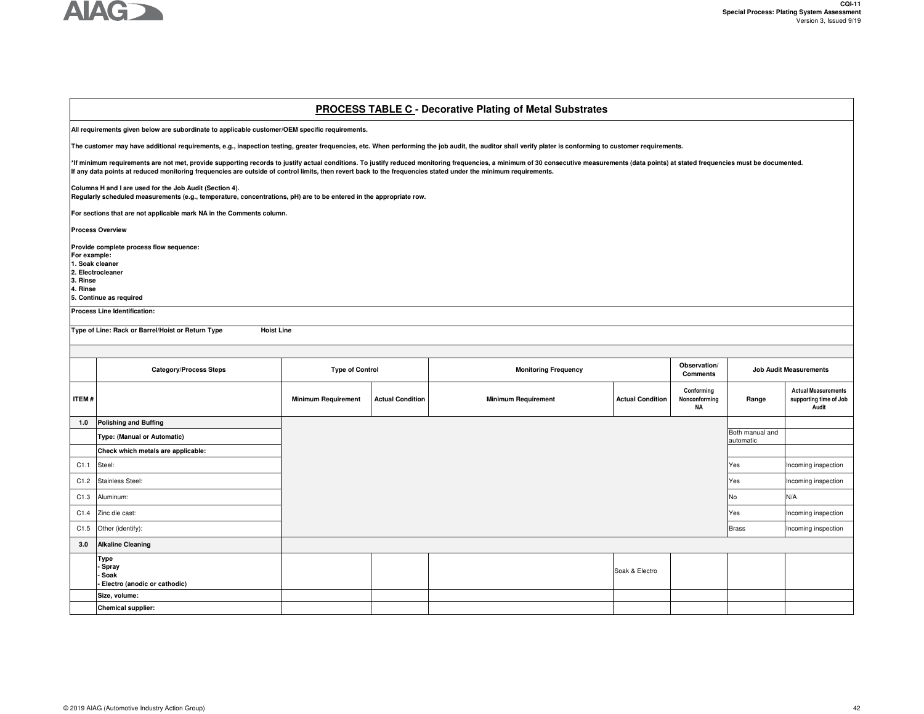

#### **PROCESS TABLE C - Decorative Plating of Metal Substrates**

**All requirements given below are subordinate to applicable customer/OEM specific requirements.** 

**The customer may have additional requirements, e.g., inspection testing, greater frequencies, etc. When performing the job audit, the auditor shall verify plater is conforming to customer requirements.**

\*If minimum requirements are not met, provide supporting records to justify actual conditions. To justify reduced monitoring frequencies, a minimum of 30 consecutive measurements (data points) at stated frequencies must be **If any data points at reduced monitoring frequencies are outside of control limits, then revert back to the frequencies stated under the minimum requirements.** 

**Columns H and I are used for the Job Audit (Section 4).** 

**Regularly scheduled measurements (e.g., temperature, concentrations, pH) are to be entered in the appropriate row.**

**For sections that are not applicable mark NA in the Comments column.** 

**Process Overview**

**Provide complete process flow sequence: For example: 1. Soak cleaner 2. Electrocleaner3. Rinse 4. Rinse5. Continue as required**

**Process Line Identification:** 

**Type of Line: Rack or Barrel/Hoist or Return Type Hoist Line**

|              | <b>Category/Process Steps</b>                             | <b>Type of Control</b>     |                         | <b>Monitoring Frequency</b> |                         | Observation/<br><b>Comments</b>   |                              | <b>Job Audit Measurements</b>                                 |
|--------------|-----------------------------------------------------------|----------------------------|-------------------------|-----------------------------|-------------------------|-----------------------------------|------------------------------|---------------------------------------------------------------|
| <b>ITEM#</b> |                                                           | <b>Minimum Requirement</b> | <b>Actual Condition</b> | <b>Minimum Requirement</b>  | <b>Actual Condition</b> | Conforming<br>Nonconforming<br>NA | Range                        | <b>Actual Measurements</b><br>supporting time of Job<br>Audit |
| $1.0$        | <b>Polishing and Buffing</b>                              |                            |                         |                             |                         |                                   |                              |                                                               |
|              | Type: (Manual or Automatic)                               |                            |                         |                             |                         |                                   | Both manual and<br>automatic |                                                               |
|              | Check which metals are applicable:                        |                            |                         |                             |                         |                                   |                              |                                                               |
| C1.1         | Steel:                                                    |                            |                         |                             |                         |                                   | Yes                          | Incoming inspection                                           |
| C1.2         | Stainless Steel:                                          |                            |                         |                             |                         |                                   | Yes                          | Incoming inspection                                           |
| C1.3         | Aluminum:                                                 |                            |                         |                             |                         |                                   | No                           | N/A                                                           |
| C1.4         | Zinc die cast:                                            |                            |                         |                             |                         |                                   | Yes                          | Incoming inspection                                           |
| C1.5         | Other (identify):                                         |                            |                         |                             |                         |                                   | <b>Brass</b>                 | Incoming inspection                                           |
| 3.0          | <b>Alkaline Cleaning</b>                                  |                            |                         |                             |                         |                                   |                              |                                                               |
|              | Type<br>- Spray<br>- Soak<br>Electro (anodic or cathodic) |                            |                         |                             | Soak & Electro          |                                   |                              |                                                               |
|              | Size, volume:                                             |                            |                         |                             |                         |                                   |                              |                                                               |
|              | <b>Chemical supplier:</b>                                 |                            |                         |                             |                         |                                   |                              |                                                               |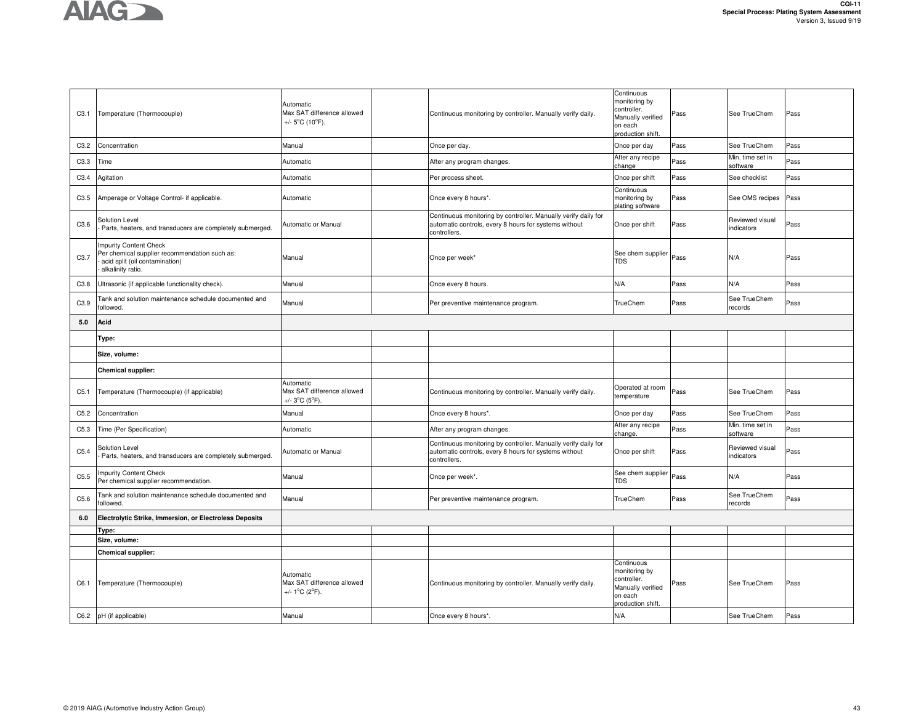

| C3.1             | Temperature (Thermocouple)                                                                                                            | Automatic<br>Max SAT difference allowed<br>+/- 5°C (10°F).                     | Continuous monitoring by controller. Manually verify daily.                                                                             | Continuous<br>monitoring by<br>controller.<br>Manually verified<br>on each<br>production shift. | Pass | See TrueChem                  | Pass |
|------------------|---------------------------------------------------------------------------------------------------------------------------------------|--------------------------------------------------------------------------------|-----------------------------------------------------------------------------------------------------------------------------------------|-------------------------------------------------------------------------------------------------|------|-------------------------------|------|
| C3.2             | Concentration                                                                                                                         | Manual                                                                         | Once per day.                                                                                                                           | Once per day                                                                                    | Pass | See TrueChem                  | Pass |
| C3.3             | Time                                                                                                                                  | Automatic                                                                      | After any program changes.                                                                                                              | After any recipe<br>change                                                                      | Pass | Min. time set in<br>software  | Pass |
| C3.4             | Agitation                                                                                                                             | Automatic                                                                      | Per process sheet.                                                                                                                      | Once per shift                                                                                  | Pass | See checklist                 | Pass |
| C3.5             | Amperage or Voltage Control- if applicable.                                                                                           | Automatic                                                                      | Once every 8 hours*.                                                                                                                    | Continuous<br>monitoring by<br>plating software                                                 | Pass | See OMS recipes               | Pass |
| C3.6             | Solution Level<br>Parts, heaters, and transducers are completely submerged.                                                           | Automatic or Manual                                                            | Continuous monitoring by controller. Manually verify daily for<br>automatic controls, every 8 hours for systems without<br>controllers. | Once per shift                                                                                  | Pass | Reviewed visual<br>indicators | Pass |
| C <sub>3.7</sub> | <b>Impurity Content Check</b><br>Per chemical supplier recommendation such as:<br>acid split (oil contamination)<br>alkalinity ratio. | Manual                                                                         | Once per week'                                                                                                                          | See chem supplier<br>TDS                                                                        | Pass | N/A                           | Pass |
| C3.8             | Ultrasonic (if applicable functionality check).                                                                                       | Manual                                                                         | Once every 8 hours.                                                                                                                     | N/A                                                                                             | Pass | N/A                           | Pass |
| C3.9             | Tank and solution maintenance schedule documented and<br>followed.                                                                    | Manual                                                                         | Per preventive maintenance program.                                                                                                     | TrueChem                                                                                        | Pass | See TrueChem<br>records       | Pass |
| 5.0              | Acid                                                                                                                                  |                                                                                |                                                                                                                                         |                                                                                                 |      |                               |      |
|                  | Type:                                                                                                                                 |                                                                                |                                                                                                                                         |                                                                                                 |      |                               |      |
|                  | Size, volume:                                                                                                                         |                                                                                |                                                                                                                                         |                                                                                                 |      |                               |      |
|                  | <b>Chemical supplier:</b>                                                                                                             |                                                                                |                                                                                                                                         |                                                                                                 |      |                               |      |
| C <sub>5.1</sub> | Temperature (Thermocouple) (if applicable)                                                                                            | Automatic<br>Max SAT difference allowed<br>+/- 3°C (5°F).                      | Continuous monitoring by controller. Manually verify daily.                                                                             | Operated at room<br>temperature                                                                 | Pass | See TrueChem                  | Pass |
| C5.2             | Concentration                                                                                                                         | Manual                                                                         | Once every 8 hours*.                                                                                                                    | Once per day                                                                                    | Pass | See TrueChem                  | Pass |
| C5.3             | Time (Per Specification)                                                                                                              | Automatic                                                                      | After any program changes.                                                                                                              | After any recipe<br>change.                                                                     | Pass | Min. time set in<br>software  | Pass |
| C5.4             | Solution Level<br>Parts, heaters, and transducers are completely submerged.                                                           | Automatic or Manual                                                            | Continuous monitoring by controller. Manually verify daily for<br>automatic controls, every 8 hours for systems without<br>controllers. | Once per shift                                                                                  | Pass | Reviewed visual<br>indicators | Pass |
| C5.5             | <b>Impurity Content Check</b><br>Per chemical supplier recommendation.                                                                | Manual                                                                         | Once per week*.                                                                                                                         | See chem supplier<br>TDS                                                                        | Pass | N/A                           | Pass |
| C5.6             | Tank and solution maintenance schedule documented and<br>followed.                                                                    | Manual                                                                         | Per preventive maintenance program.                                                                                                     | TrueChem                                                                                        | Pass | See TrueChem<br>records       | Pass |
| 6.0              | Electrolytic Strike, Immersion, or Electroless Deposits                                                                               |                                                                                |                                                                                                                                         |                                                                                                 |      |                               |      |
|                  | Type:                                                                                                                                 |                                                                                |                                                                                                                                         |                                                                                                 |      |                               |      |
|                  | Size, volume:                                                                                                                         |                                                                                |                                                                                                                                         |                                                                                                 |      |                               |      |
|                  | <b>Chemical supplier:</b>                                                                                                             |                                                                                |                                                                                                                                         | Continuous                                                                                      |      |                               |      |
| C6.1             | Temperature (Thermocouple)                                                                                                            | Automatic<br>Max SAT difference allowed<br>+/- $1^{\circ}$ C ( $2^{\circ}$ F). | Continuous monitoring by controller. Manually verify daily.                                                                             | monitoring by<br>controller.<br>Manually verified<br>on each<br>production shift.               | Pass | See TrueChem                  | Pass |
| C6.2             | pH (if applicable)                                                                                                                    | Manual                                                                         | Once every 8 hours*.                                                                                                                    | N/A                                                                                             |      | See TrueChem                  | Pass |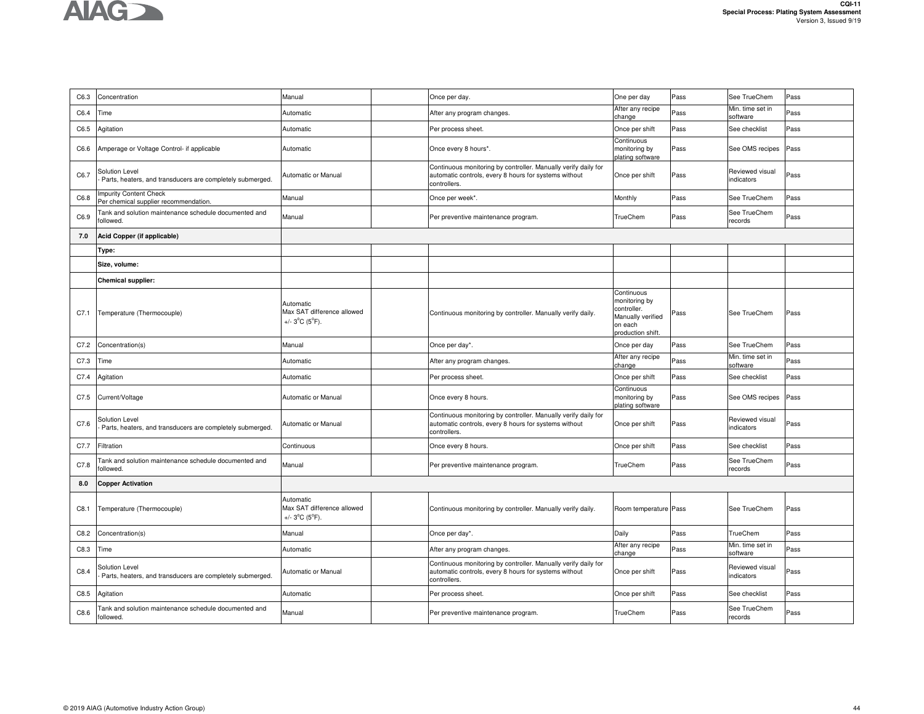| C6.3 | Concentration                                                               | Manual                                                                         | Once per day.                                                                                                                           | One per day                                                                                     | Pass | See TrueChem                  | Pass |
|------|-----------------------------------------------------------------------------|--------------------------------------------------------------------------------|-----------------------------------------------------------------------------------------------------------------------------------------|-------------------------------------------------------------------------------------------------|------|-------------------------------|------|
| C6.4 | Time                                                                        | Automatic                                                                      | After any program changes.                                                                                                              | After any recipe<br>change                                                                      | Pass | Min. time set in<br>software  | Pass |
| C6.5 | Agitation                                                                   | Automatic                                                                      | Per process sheet.                                                                                                                      | Once per shift                                                                                  | Pass | See checklist                 | Pass |
| C6.6 | Amperage or Voltage Control- if applicable                                  | Automatic                                                                      | Once every 8 hours*.                                                                                                                    | Continuous<br>monitoring by<br>plating software                                                 | Pass | See OMS recipes               | Pass |
| C6.7 | Solution Level<br>Parts, heaters, and transducers are completely submerged. | Automatic or Manual                                                            | Continuous monitoring by controller. Manually verify daily for<br>automatic controls, every 8 hours for systems without<br>controllers. | Once per shift                                                                                  | Pass | Reviewed visual<br>indicators | Pass |
| C6.8 | <b>Impurity Content Check</b><br>Per chemical supplier recommendation.      | Manual                                                                         | Once per week*.                                                                                                                         | Monthly                                                                                         | Pass | See TrueChem                  | Pass |
| C6.9 | Tank and solution maintenance schedule documented and<br>followed.          | Manual                                                                         | Per preventive maintenance program.                                                                                                     | TrueChem                                                                                        | Pass | See TrueChem<br>records       | Pass |
| 7.0  | Acid Copper (if applicable)                                                 |                                                                                |                                                                                                                                         |                                                                                                 |      |                               |      |
|      | Type:                                                                       |                                                                                |                                                                                                                                         |                                                                                                 |      |                               |      |
|      | Size, volume:                                                               |                                                                                |                                                                                                                                         |                                                                                                 |      |                               |      |
|      | <b>Chemical supplier:</b>                                                   |                                                                                |                                                                                                                                         |                                                                                                 |      |                               |      |
| C7.1 | Temperature (Thermocouple)                                                  | Automatic<br>Max SAT difference allowed<br>+/- $3^{\circ}$ C ( $5^{\circ}$ F). | Continuous monitoring by controller. Manually verify daily.                                                                             | Continuous<br>monitoring by<br>controller.<br>Manually verified<br>on each<br>production shift. | Pass | See TrueChem                  | Pass |
| C7.2 | Concentration(s)                                                            | Manual                                                                         | Once per day*.                                                                                                                          | Once per day                                                                                    | Pass | See TrueChem                  | Pass |
| C7.3 | Time                                                                        | Automatic                                                                      | After any program changes.                                                                                                              | After any recipe<br>change                                                                      | Pass | Min. time set in<br>software  | Pass |
| C7.4 | Agitation                                                                   | Automatic                                                                      | Per process sheet.                                                                                                                      | Once per shift                                                                                  | Pass | See checklist                 | Pass |
| C7.5 | Current/Voltage                                                             | Automatic or Manual                                                            | Once every 8 hours.                                                                                                                     | Continuous<br>monitoring by<br>plating software                                                 | Pass | See OMS recipes               | Pass |
| C7.6 | Solution Level<br>Parts, heaters, and transducers are completely submerged. | Automatic or Manual                                                            | Continuous monitoring by controller. Manually verify daily for<br>automatic controls, every 8 hours for systems without<br>controllers. | Once per shift                                                                                  | Pass | Reviewed visual<br>indicators | Pass |
| C7.7 | Filtration                                                                  | Continuous                                                                     | Once every 8 hours.                                                                                                                     | Once per shift                                                                                  | Pass | See checklist                 | Pass |
| C7.8 | Tank and solution maintenance schedule documented and<br>followed.          | Manual                                                                         | Per preventive maintenance program.                                                                                                     | TrueChem                                                                                        | Pass | See TrueChem<br>records       | Pass |
| 8.0  | <b>Copper Activation</b>                                                    |                                                                                |                                                                                                                                         |                                                                                                 |      |                               |      |
| C8.1 | Temperature (Thermocouple)                                                  | Automatic<br>Max SAT difference allowed<br>+/- $3^{\circ}$ C ( $5^{\circ}$ F). | Continuous monitoring by controller. Manually verify daily.                                                                             | Room temperature Pass                                                                           |      | See TrueChem                  | Pass |
| C8.2 | Concentration(s)                                                            | Manual                                                                         | Once per day*.                                                                                                                          | Daily                                                                                           | Pass | TrueChem                      | Pass |
| C8.3 | Time                                                                        | Automatic                                                                      | After any program changes.                                                                                                              | After any recipe<br>change                                                                      | Pass | Min. time set in<br>software  | Pass |
| C8.4 | Solution Level<br>Parts, heaters, and transducers are completely submerged. | Automatic or Manual                                                            | Continuous monitoring by controller. Manually verify daily for<br>automatic controls, every 8 hours for systems without<br>controllers. | Once per shift                                                                                  | Pass | Reviewed visual<br>indicators | Pass |
| C8.5 | Agitation                                                                   | Automatic                                                                      | Per process sheet.                                                                                                                      | Once per shift                                                                                  | Pass | See checklist                 | Pass |
| C8.6 | Tank and solution maintenance schedule documented and<br>followed.          | Manual                                                                         | Per preventive maintenance program.                                                                                                     | TrueChem                                                                                        | Pass | See TrueChem<br>records       | Pass |
|      |                                                                             |                                                                                |                                                                                                                                         |                                                                                                 |      |                               |      |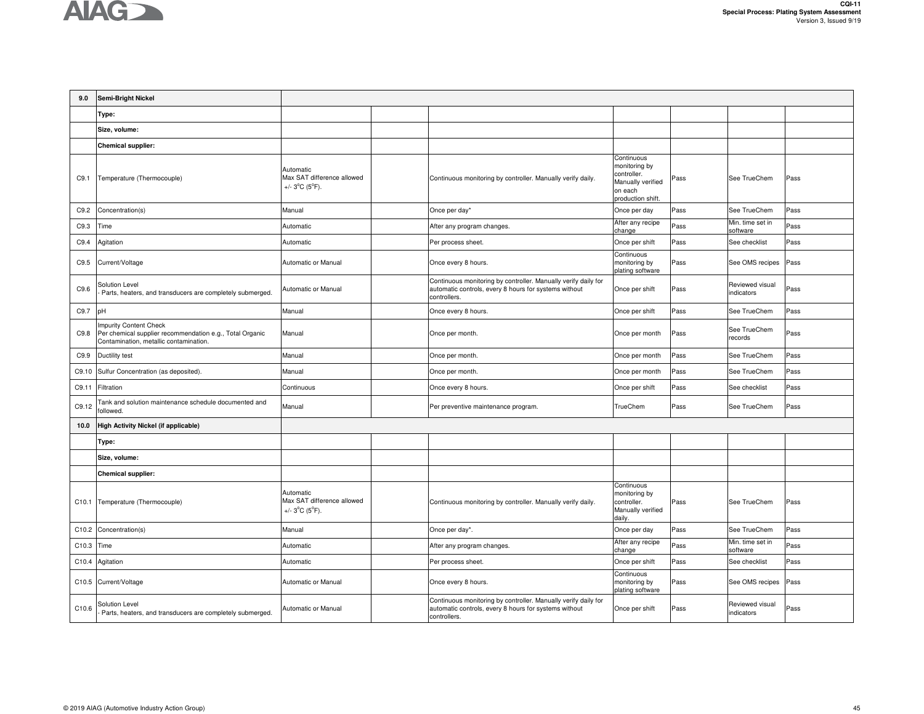

| 9.0   | Semi-Bright Nickel                                                                                                           |                                                                                |                                                                                                                                         |                                                                                                 |      |                               |      |
|-------|------------------------------------------------------------------------------------------------------------------------------|--------------------------------------------------------------------------------|-----------------------------------------------------------------------------------------------------------------------------------------|-------------------------------------------------------------------------------------------------|------|-------------------------------|------|
|       | Type:                                                                                                                        |                                                                                |                                                                                                                                         |                                                                                                 |      |                               |      |
|       | Size, volume:                                                                                                                |                                                                                |                                                                                                                                         |                                                                                                 |      |                               |      |
|       | <b>Chemical supplier:</b>                                                                                                    |                                                                                |                                                                                                                                         |                                                                                                 |      |                               |      |
| C9.1  | Temperature (Thermocouple)                                                                                                   | Automatic<br>Max SAT difference allowed<br>+/- $3^{\circ}$ C ( $5^{\circ}$ F). | Continuous monitoring by controller. Manually verify daily.                                                                             | Continuous<br>monitoring by<br>controller.<br>Manually verified<br>on each<br>production shift. | Pass | See TrueChem                  | Pass |
| C9.2  | Concentration(s)                                                                                                             | Manual                                                                         | Once per day*                                                                                                                           | Once per day                                                                                    | Pass | See TrueChem                  | Pass |
| C9.3  | Time                                                                                                                         | Automatic                                                                      | After any program changes.                                                                                                              | After any recipe<br>change                                                                      | Pass | Min. time set in<br>software  | Pass |
| C9.4  | Agitation                                                                                                                    | Automatic                                                                      | Per process sheet.                                                                                                                      | Once per shift                                                                                  | Pass | See checklist                 | Pass |
| C9.5  | Current/Voltage                                                                                                              | Automatic or Manual                                                            | Once every 8 hours.                                                                                                                     | Continuous<br>monitoring by<br>plating software                                                 | Pass | See OMS recipes               | Pass |
| C9.6  | Solution Level<br>Parts, heaters, and transducers are completely submerged.                                                  | Automatic or Manual                                                            | Continuous monitoring by controller. Manually verify daily for<br>automatic controls, every 8 hours for systems without<br>controllers. | Once per shift                                                                                  | Pass | Reviewed visual<br>indicators | Pass |
| C9.7  | pH                                                                                                                           | Manual                                                                         | Once every 8 hours.                                                                                                                     | Once per shift                                                                                  | Pass | See TrueChem                  | Pass |
| C9.8  | Impurity Content Check<br>Per chemical supplier recommendation e.g., Total Organic<br>Contamination, metallic contamination. | Manual                                                                         | Once per month.                                                                                                                         | Once per month                                                                                  | Pass | See TrueChem<br>records       | Pass |
| C9.9  | Ductility test                                                                                                               | Manual                                                                         | Once per month.                                                                                                                         | Once per month                                                                                  | Pass | See TrueChem                  | Pass |
| C9.10 | Sulfur Concentration (as deposited).                                                                                         | Manual                                                                         | Once per month.                                                                                                                         | Once per month                                                                                  | Pass | See TrueChem                  | Pass |
| C9.11 | Filtration                                                                                                                   | Continuous                                                                     | Once every 8 hours.                                                                                                                     | Once per shift                                                                                  | Pass | See checklist                 | Pass |
| C9.12 | Tank and solution maintenance schedule documented and<br>followed.                                                           | Manual                                                                         | Per preventive maintenance program.                                                                                                     | TrueChem                                                                                        | Pass | See TrueChem                  | Pass |
| 10.0  | <b>High Activity Nickel (if applicable)</b>                                                                                  |                                                                                |                                                                                                                                         |                                                                                                 |      |                               |      |
|       | Type:                                                                                                                        |                                                                                |                                                                                                                                         |                                                                                                 |      |                               |      |
|       | Size, volume:                                                                                                                |                                                                                |                                                                                                                                         |                                                                                                 |      |                               |      |
|       | <b>Chemical supplier:</b>                                                                                                    |                                                                                |                                                                                                                                         |                                                                                                 |      |                               |      |
| C10.1 | Temperature (Thermocouple)                                                                                                   | Automatic<br>Max SAT difference allowed<br>+/- $3^{\circ}C$ ( $5^{\circ}F$ ).  | Continuous monitoring by controller. Manually verify daily.                                                                             | Continuous<br>monitoring by<br>controller.<br>Manually verified<br>daily.                       | Pass | See TrueChem                  | Pass |
| C10.2 | Concentration(s)                                                                                                             | Manual                                                                         | Once per day*.                                                                                                                          | Once per day                                                                                    | Pass | See TrueChem                  | Pass |
| C10.3 | Time                                                                                                                         | Automatic                                                                      | After any program changes.                                                                                                              | After any recipe<br>change                                                                      | Pass | Min. time set in<br>software  | Pass |
| C10.4 | Agitation                                                                                                                    | Automatic                                                                      | Per process sheet.                                                                                                                      | Once per shift                                                                                  | Pass | See checklist                 | Pass |
|       | C10.5 Current/Voltage                                                                                                        | Automatic or Manual                                                            | Once every 8 hours.                                                                                                                     | Continuous<br>monitoring by<br>plating software                                                 | Pass | See OMS recipes               | Pass |
| C10.6 | Solution Level<br>Parts, heaters, and transducers are completely submerged.                                                  | Automatic or Manual                                                            | Continuous monitoring by controller. Manually verify daily for<br>automatic controls, every 8 hours for systems without<br>controllers. | Once per shift                                                                                  | Pass | Reviewed visual<br>indicators | Pass |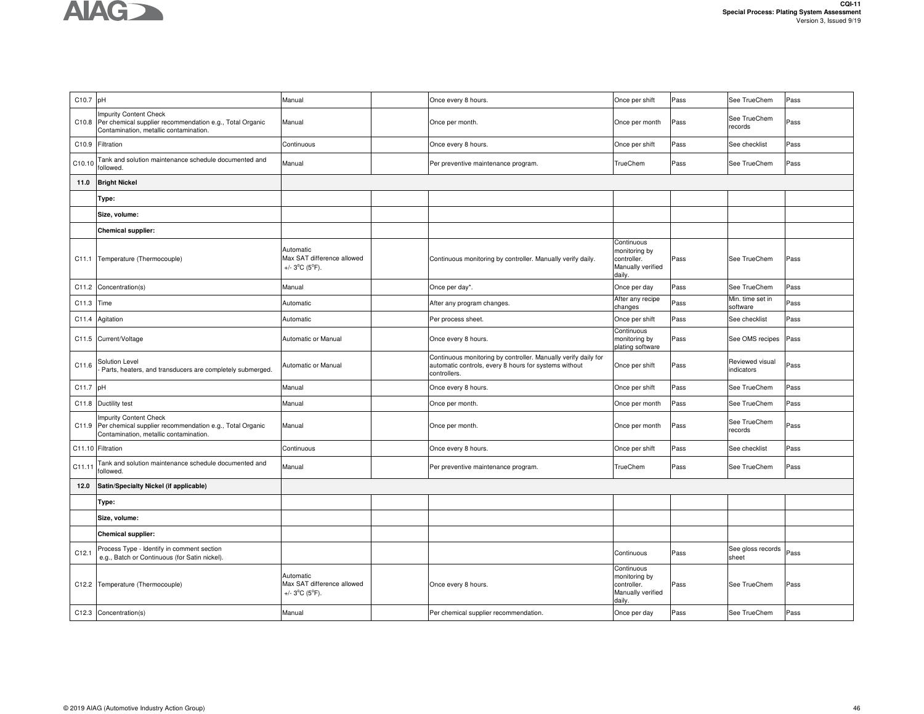| C10.7 pH |                                                                                                                                     | Manual                                                                         | Once every 8 hours.                                                                                                                     | Once per shift                                                            | Pass | See TrueChem                  | Pass |
|----------|-------------------------------------------------------------------------------------------------------------------------------------|--------------------------------------------------------------------------------|-----------------------------------------------------------------------------------------------------------------------------------------|---------------------------------------------------------------------------|------|-------------------------------|------|
| C10.8    | <b>Impurity Content Check</b><br>Per chemical supplier recommendation e.g., Total Organic<br>Contamination, metallic contamination. | Manual                                                                         | Once per month.                                                                                                                         | Once per month                                                            | Pass | See TrueChem<br>records       | Pass |
| C10.9    | Filtration                                                                                                                          | Continuous                                                                     | Once every 8 hours.                                                                                                                     | Once per shift                                                            | Pass | See checklist                 | Pass |
| C10.10   | Tank and solution maintenance schedule documented and<br>followed.                                                                  | Manual                                                                         | Per preventive maintenance program.                                                                                                     | TrueChem                                                                  | Pass | See TrueChem                  | Pass |
| 11.0     | <b>Bright Nickel</b>                                                                                                                |                                                                                |                                                                                                                                         |                                                                           |      |                               |      |
|          | Type:                                                                                                                               |                                                                                |                                                                                                                                         |                                                                           |      |                               |      |
|          | Size, volume:                                                                                                                       |                                                                                |                                                                                                                                         |                                                                           |      |                               |      |
|          | <b>Chemical supplier:</b>                                                                                                           |                                                                                |                                                                                                                                         |                                                                           |      |                               |      |
|          | C11.1 Temperature (Thermocouple)                                                                                                    | Automatic<br>Max SAT difference allowed<br>+/- $3^{\circ}C$ ( $5^{\circ}F$ ).  | Continuous monitoring by controller. Manually verify daily.                                                                             | Continuous<br>monitoring by<br>controller.<br>Manually verified<br>dailv. | Pass | See TrueChem                  | Pass |
| C11.2    | Concentration(s)                                                                                                                    | Manual                                                                         | Once per day*.                                                                                                                          | Once per day                                                              | Pass | See TrueChem                  | Pass |
| C11.3    | Time                                                                                                                                | Automatic                                                                      | After any program changes.                                                                                                              | After any recipe<br>changes                                               | Pass | Min. time set in<br>software  | Pass |
| C11.4    | Agitation                                                                                                                           | Automatic                                                                      | Per process sheet.                                                                                                                      | Once per shift                                                            | Pass | See checklist                 | Pass |
|          | C11.5 Current/Voltage                                                                                                               | Automatic or Manual                                                            | Once every 8 hours.                                                                                                                     | Continuous<br>monitoring by<br>plating software                           | Pass | See OMS recipes               | Pass |
| C11.6    | Solution Level<br>Parts, heaters, and transducers are completely submerged.                                                         | Automatic or Manual                                                            | Continuous monitoring by controller. Manually verify daily for<br>automatic controls, every 8 hours for systems without<br>controllers. | Once per shift                                                            | Pass | Reviewed visual<br>indicators | Pass |
| C11.7    | pH                                                                                                                                  | Manual                                                                         | Once every 8 hours.                                                                                                                     | Once per shift                                                            | Pass | See TrueChem                  | Pass |
|          | C11.8 Ductility test                                                                                                                | Manual                                                                         | Once per month.                                                                                                                         | Once per month                                                            | Pass | See TrueChem                  | Pass |
| C11.9    | Impurity Content Check<br>Per chemical supplier recommendation e.g., Total Organic<br>Contamination, metallic contamination.        | Manual                                                                         | Once per month.                                                                                                                         | Once per month                                                            | Pass | See TrueChem<br>records       | Pass |
|          | C11.10 Filtration                                                                                                                   | Continuous                                                                     | Once every 8 hours.                                                                                                                     | Once per shift                                                            | Pass | See checklist                 | Pass |
| C11.11   | Tank and solution maintenance schedule documented and<br>followed.                                                                  | Manual                                                                         | Per preventive maintenance program.                                                                                                     | TrueChem                                                                  | Pass | See TrueChem                  | Pass |
| 12.0     | Satin/Specialty Nickel (if applicable)                                                                                              |                                                                                |                                                                                                                                         |                                                                           |      |                               |      |
|          | Type:                                                                                                                               |                                                                                |                                                                                                                                         |                                                                           |      |                               |      |
|          | Size, volume:                                                                                                                       |                                                                                |                                                                                                                                         |                                                                           |      |                               |      |
|          | <b>Chemical supplier:</b>                                                                                                           |                                                                                |                                                                                                                                         |                                                                           |      |                               |      |
| C12.1    | Process Type - Identify in comment section<br>e.g., Batch or Continuous (for Satin nickel).                                         |                                                                                |                                                                                                                                         | Continuous                                                                | Pass | See gloss records<br>sheet    | Pass |
|          | C12.2 Temperature (Thermocouple)                                                                                                    | Automatic<br>Max SAT difference allowed<br>+/- $3^{\circ}$ C ( $5^{\circ}$ F). | Once every 8 hours.                                                                                                                     | Continuous<br>monitoring by<br>controller.<br>Manually verified<br>daily. | Pass | See TrueChem                  | Pass |
|          | C12.3 Concentration(s)                                                                                                              | Manual                                                                         | Per chemical supplier recommendation.                                                                                                   | Once per day                                                              | Pass | See TrueChem                  | Pass |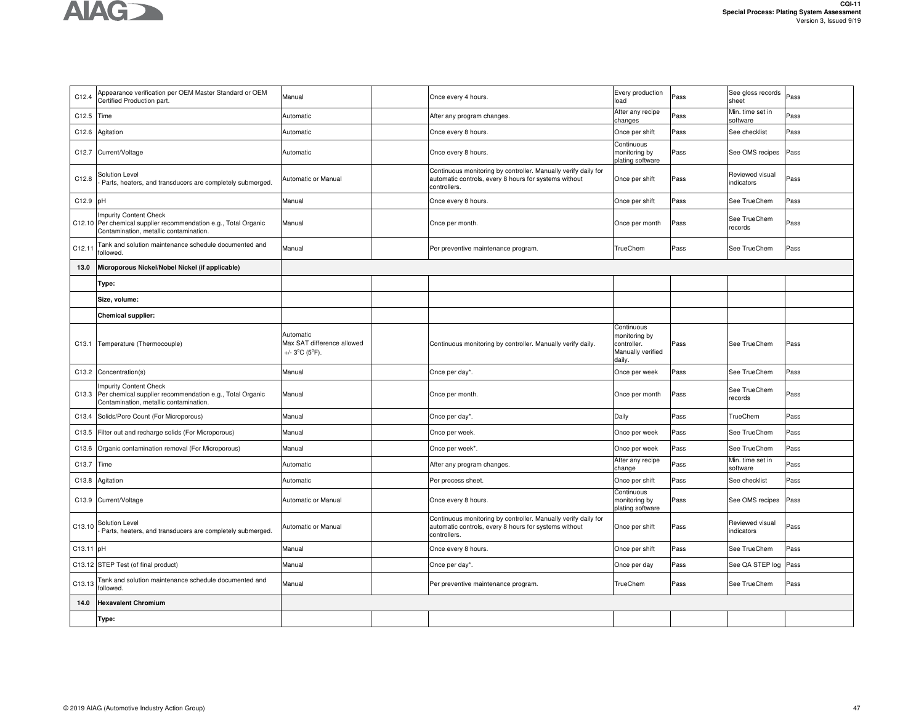

| After any recipe<br>Min. time set in<br>Pass<br>C12.5<br>Time<br>Automatic<br>After any program changes.<br>Pass<br>changes<br>software<br>See checklist<br>Automatic<br>Once every 8 hours.<br>Once per shift<br>Pass<br>C12.6<br>Agitation<br><sup>o</sup> ass<br>Continuous<br>Current/Voltage<br>Once every 8 hours.<br>monitoring by<br>See OMS recipes<br>C12.7<br>Automatic<br>Pass<br>Pass<br>plating software<br>Continuous monitoring by controller. Manually verify daily for<br>Solution Level<br>Reviewed visual<br>C12.8<br>Automatic or Manual<br>automatic controls, every 8 hours for systems without<br>Once per shift<br>Pass<br><sup>2</sup> ass<br>indicators<br>Parts, heaters, and transducers are completely submerged.<br>controllers.<br>C12.9<br>pH<br>Manual<br>Once every 8 hours.<br>Pass<br>See TrueChem<br>Pass<br>Once per shift<br>Impurity Content Check<br>See TrueChem<br>C12.10 Per chemical supplier recommendation e.g., Total Organic<br>Manual<br>Once per month<br>Pass<br>Once per month<br>Pass<br>records<br>Contamination, metallic contamination.<br>Tank and solution maintenance schedule documented and<br>Manual<br>TrueChem<br>C12.11<br>Per preventive maintenance program.<br>Pass<br>See TrueChem<br>Pass<br>followed.<br>13.0<br>Microporous Nickel/Nobel Nickel (if applicable)<br>Type:<br>Size, volume:<br><b>Chemical supplier:</b><br>Continuous<br>Automatic<br>monitoring by<br>Max SAT difference allowed<br>Temperature (Thermocouple)<br>Continuous monitoring by controller. Manually verify daily.<br>controller.<br>Pass<br>See TrueChem<br>C13.1<br>Pass<br>Manually verified<br>+/- $3^{\circ}C$ ( $5^{\circ}F$ ).<br>daily.<br>C13.2<br>Manual<br>Once per day*.<br>Once per week<br>Pass<br>See TrueChem<br>Pass<br>Concentration(s)<br><b>Impurity Content Check</b><br>See TrueChem<br>Per chemical supplier recommendation e.g., Total Organic<br>C13.3<br>Manual<br>Once per month.<br>Pass<br>Once per month<br>Pass<br>records<br>Contamination, metallic contamination.<br>Manual<br>Daily<br>C13.4<br>Solids/Pore Count (For Microporous)<br>Once per day*.<br>Pass<br>TrueChem<br>Pass<br>Filter out and recharge solids (For Microporous)<br>Pass<br>See TrueChem<br>C13.5<br>Manual<br>Once per week.<br>Once per week<br>Pass<br>Organic contamination removal (For Microporous)<br>Manual<br>Pass<br>See TrueChem<br>Pass<br>C13.6<br>Once per week*<br>Once per week<br>After any recipe<br>Min. time set in<br>C13.7<br>Time<br>Automatic<br>After any program changes.<br>Pass<br>ass<br>change<br>software<br>See checklist<br>Automatic<br>Per process sheet.<br>Once per shift<br>Pass<br>Pass<br>C13.8<br>Agitation<br>Continuous<br>Current/Voltage<br>C13.9<br>Automatic or Manual<br>Once every 8 hours.<br>monitoring by<br>Pass<br>See OMS recipes<br>Pass<br>plating software<br>Continuous monitoring by controller. Manually verify daily for<br>Reviewed visual<br>Solution Level<br>automatic controls, every 8 hours for systems without<br>C13.10<br>Automatic or Manual<br>Once per shift<br>Pass<br><sup>2</sup> ass<br>Parts, heaters, and transducers are completely submerged.<br>indicators<br>controllers.<br>C13.11 pH<br>Manual<br>Once every 8 hours.<br>Once per shift<br>Pass<br>See TrueChem<br><sup>o</sup> ass<br>C13.12 STEP Test (of final product)<br>Manual<br>Pass<br>See QA STEP log<br>Once per day*.<br>Once per day<br>Pass<br>Tank and solution maintenance schedule documented and<br>C13.13<br>Manual<br>TrueChem<br>Pass<br>See TrueChem<br>Per preventive maintenance program.<br><sup>2</sup> ass<br>followed.<br><b>Hexavalent Chromium</b><br>14.0<br>Type: | C12.4 | Appearance verification per OEM Master Standard or OEM<br>Certified Production part. | Manual | Once every 4 hours. | Every production<br>load | Pass | See gloss records<br>sheet | Pass |
|-------------------------------------------------------------------------------------------------------------------------------------------------------------------------------------------------------------------------------------------------------------------------------------------------------------------------------------------------------------------------------------------------------------------------------------------------------------------------------------------------------------------------------------------------------------------------------------------------------------------------------------------------------------------------------------------------------------------------------------------------------------------------------------------------------------------------------------------------------------------------------------------------------------------------------------------------------------------------------------------------------------------------------------------------------------------------------------------------------------------------------------------------------------------------------------------------------------------------------------------------------------------------------------------------------------------------------------------------------------------------------------------------------------------------------------------------------------------------------------------------------------------------------------------------------------------------------------------------------------------------------------------------------------------------------------------------------------------------------------------------------------------------------------------------------------------------------------------------------------------------------------------------------------------------------------------------------------------------------------------------------------------------------------------------------------------------------------------------------------------------------------------------------------------------------------------------------------------------------------------------------------------------------------------------------------------------------------------------------------------------------------------------------------------------------------------------------------------------------------------------------------------------------------------------------------------------------------------------------------------------------------------------------------------------------------------------------------------------------------------------------------------------------------------------------------------------------------------------------------------------------------------------------------------------------------------------------------------------------------------------------------------------------------------------------------------------------------------------------------------------------------------------------------------------------------------------------------------------------------------------------------------------------------------------------------------------------------------------------------------------------------------------------------------------------------------------------------------------------------------------------------------------------------------------------------------------------------------------------------------------------------------------------------------------------------------------------|-------|--------------------------------------------------------------------------------------|--------|---------------------|--------------------------|------|----------------------------|------|
|                                                                                                                                                                                                                                                                                                                                                                                                                                                                                                                                                                                                                                                                                                                                                                                                                                                                                                                                                                                                                                                                                                                                                                                                                                                                                                                                                                                                                                                                                                                                                                                                                                                                                                                                                                                                                                                                                                                                                                                                                                                                                                                                                                                                                                                                                                                                                                                                                                                                                                                                                                                                                                                                                                                                                                                                                                                                                                                                                                                                                                                                                                                                                                                                                                                                                                                                                                                                                                                                                                                                                                                                                                                                                                       |       |                                                                                      |        |                     |                          |      |                            |      |
|                                                                                                                                                                                                                                                                                                                                                                                                                                                                                                                                                                                                                                                                                                                                                                                                                                                                                                                                                                                                                                                                                                                                                                                                                                                                                                                                                                                                                                                                                                                                                                                                                                                                                                                                                                                                                                                                                                                                                                                                                                                                                                                                                                                                                                                                                                                                                                                                                                                                                                                                                                                                                                                                                                                                                                                                                                                                                                                                                                                                                                                                                                                                                                                                                                                                                                                                                                                                                                                                                                                                                                                                                                                                                                       |       |                                                                                      |        |                     |                          |      |                            |      |
|                                                                                                                                                                                                                                                                                                                                                                                                                                                                                                                                                                                                                                                                                                                                                                                                                                                                                                                                                                                                                                                                                                                                                                                                                                                                                                                                                                                                                                                                                                                                                                                                                                                                                                                                                                                                                                                                                                                                                                                                                                                                                                                                                                                                                                                                                                                                                                                                                                                                                                                                                                                                                                                                                                                                                                                                                                                                                                                                                                                                                                                                                                                                                                                                                                                                                                                                                                                                                                                                                                                                                                                                                                                                                                       |       |                                                                                      |        |                     |                          |      |                            |      |
|                                                                                                                                                                                                                                                                                                                                                                                                                                                                                                                                                                                                                                                                                                                                                                                                                                                                                                                                                                                                                                                                                                                                                                                                                                                                                                                                                                                                                                                                                                                                                                                                                                                                                                                                                                                                                                                                                                                                                                                                                                                                                                                                                                                                                                                                                                                                                                                                                                                                                                                                                                                                                                                                                                                                                                                                                                                                                                                                                                                                                                                                                                                                                                                                                                                                                                                                                                                                                                                                                                                                                                                                                                                                                                       |       |                                                                                      |        |                     |                          |      |                            |      |
|                                                                                                                                                                                                                                                                                                                                                                                                                                                                                                                                                                                                                                                                                                                                                                                                                                                                                                                                                                                                                                                                                                                                                                                                                                                                                                                                                                                                                                                                                                                                                                                                                                                                                                                                                                                                                                                                                                                                                                                                                                                                                                                                                                                                                                                                                                                                                                                                                                                                                                                                                                                                                                                                                                                                                                                                                                                                                                                                                                                                                                                                                                                                                                                                                                                                                                                                                                                                                                                                                                                                                                                                                                                                                                       |       |                                                                                      |        |                     |                          |      |                            |      |
|                                                                                                                                                                                                                                                                                                                                                                                                                                                                                                                                                                                                                                                                                                                                                                                                                                                                                                                                                                                                                                                                                                                                                                                                                                                                                                                                                                                                                                                                                                                                                                                                                                                                                                                                                                                                                                                                                                                                                                                                                                                                                                                                                                                                                                                                                                                                                                                                                                                                                                                                                                                                                                                                                                                                                                                                                                                                                                                                                                                                                                                                                                                                                                                                                                                                                                                                                                                                                                                                                                                                                                                                                                                                                                       |       |                                                                                      |        |                     |                          |      |                            |      |
|                                                                                                                                                                                                                                                                                                                                                                                                                                                                                                                                                                                                                                                                                                                                                                                                                                                                                                                                                                                                                                                                                                                                                                                                                                                                                                                                                                                                                                                                                                                                                                                                                                                                                                                                                                                                                                                                                                                                                                                                                                                                                                                                                                                                                                                                                                                                                                                                                                                                                                                                                                                                                                                                                                                                                                                                                                                                                                                                                                                                                                                                                                                                                                                                                                                                                                                                                                                                                                                                                                                                                                                                                                                                                                       |       |                                                                                      |        |                     |                          |      |                            |      |
|                                                                                                                                                                                                                                                                                                                                                                                                                                                                                                                                                                                                                                                                                                                                                                                                                                                                                                                                                                                                                                                                                                                                                                                                                                                                                                                                                                                                                                                                                                                                                                                                                                                                                                                                                                                                                                                                                                                                                                                                                                                                                                                                                                                                                                                                                                                                                                                                                                                                                                                                                                                                                                                                                                                                                                                                                                                                                                                                                                                                                                                                                                                                                                                                                                                                                                                                                                                                                                                                                                                                                                                                                                                                                                       |       |                                                                                      |        |                     |                          |      |                            |      |
|                                                                                                                                                                                                                                                                                                                                                                                                                                                                                                                                                                                                                                                                                                                                                                                                                                                                                                                                                                                                                                                                                                                                                                                                                                                                                                                                                                                                                                                                                                                                                                                                                                                                                                                                                                                                                                                                                                                                                                                                                                                                                                                                                                                                                                                                                                                                                                                                                                                                                                                                                                                                                                                                                                                                                                                                                                                                                                                                                                                                                                                                                                                                                                                                                                                                                                                                                                                                                                                                                                                                                                                                                                                                                                       |       |                                                                                      |        |                     |                          |      |                            |      |
|                                                                                                                                                                                                                                                                                                                                                                                                                                                                                                                                                                                                                                                                                                                                                                                                                                                                                                                                                                                                                                                                                                                                                                                                                                                                                                                                                                                                                                                                                                                                                                                                                                                                                                                                                                                                                                                                                                                                                                                                                                                                                                                                                                                                                                                                                                                                                                                                                                                                                                                                                                                                                                                                                                                                                                                                                                                                                                                                                                                                                                                                                                                                                                                                                                                                                                                                                                                                                                                                                                                                                                                                                                                                                                       |       |                                                                                      |        |                     |                          |      |                            |      |
|                                                                                                                                                                                                                                                                                                                                                                                                                                                                                                                                                                                                                                                                                                                                                                                                                                                                                                                                                                                                                                                                                                                                                                                                                                                                                                                                                                                                                                                                                                                                                                                                                                                                                                                                                                                                                                                                                                                                                                                                                                                                                                                                                                                                                                                                                                                                                                                                                                                                                                                                                                                                                                                                                                                                                                                                                                                                                                                                                                                                                                                                                                                                                                                                                                                                                                                                                                                                                                                                                                                                                                                                                                                                                                       |       |                                                                                      |        |                     |                          |      |                            |      |
|                                                                                                                                                                                                                                                                                                                                                                                                                                                                                                                                                                                                                                                                                                                                                                                                                                                                                                                                                                                                                                                                                                                                                                                                                                                                                                                                                                                                                                                                                                                                                                                                                                                                                                                                                                                                                                                                                                                                                                                                                                                                                                                                                                                                                                                                                                                                                                                                                                                                                                                                                                                                                                                                                                                                                                                                                                                                                                                                                                                                                                                                                                                                                                                                                                                                                                                                                                                                                                                                                                                                                                                                                                                                                                       |       |                                                                                      |        |                     |                          |      |                            |      |
|                                                                                                                                                                                                                                                                                                                                                                                                                                                                                                                                                                                                                                                                                                                                                                                                                                                                                                                                                                                                                                                                                                                                                                                                                                                                                                                                                                                                                                                                                                                                                                                                                                                                                                                                                                                                                                                                                                                                                                                                                                                                                                                                                                                                                                                                                                                                                                                                                                                                                                                                                                                                                                                                                                                                                                                                                                                                                                                                                                                                                                                                                                                                                                                                                                                                                                                                                                                                                                                                                                                                                                                                                                                                                                       |       |                                                                                      |        |                     |                          |      |                            |      |
|                                                                                                                                                                                                                                                                                                                                                                                                                                                                                                                                                                                                                                                                                                                                                                                                                                                                                                                                                                                                                                                                                                                                                                                                                                                                                                                                                                                                                                                                                                                                                                                                                                                                                                                                                                                                                                                                                                                                                                                                                                                                                                                                                                                                                                                                                                                                                                                                                                                                                                                                                                                                                                                                                                                                                                                                                                                                                                                                                                                                                                                                                                                                                                                                                                                                                                                                                                                                                                                                                                                                                                                                                                                                                                       |       |                                                                                      |        |                     |                          |      |                            |      |
|                                                                                                                                                                                                                                                                                                                                                                                                                                                                                                                                                                                                                                                                                                                                                                                                                                                                                                                                                                                                                                                                                                                                                                                                                                                                                                                                                                                                                                                                                                                                                                                                                                                                                                                                                                                                                                                                                                                                                                                                                                                                                                                                                                                                                                                                                                                                                                                                                                                                                                                                                                                                                                                                                                                                                                                                                                                                                                                                                                                                                                                                                                                                                                                                                                                                                                                                                                                                                                                                                                                                                                                                                                                                                                       |       |                                                                                      |        |                     |                          |      |                            |      |
|                                                                                                                                                                                                                                                                                                                                                                                                                                                                                                                                                                                                                                                                                                                                                                                                                                                                                                                                                                                                                                                                                                                                                                                                                                                                                                                                                                                                                                                                                                                                                                                                                                                                                                                                                                                                                                                                                                                                                                                                                                                                                                                                                                                                                                                                                                                                                                                                                                                                                                                                                                                                                                                                                                                                                                                                                                                                                                                                                                                                                                                                                                                                                                                                                                                                                                                                                                                                                                                                                                                                                                                                                                                                                                       |       |                                                                                      |        |                     |                          |      |                            |      |
|                                                                                                                                                                                                                                                                                                                                                                                                                                                                                                                                                                                                                                                                                                                                                                                                                                                                                                                                                                                                                                                                                                                                                                                                                                                                                                                                                                                                                                                                                                                                                                                                                                                                                                                                                                                                                                                                                                                                                                                                                                                                                                                                                                                                                                                                                                                                                                                                                                                                                                                                                                                                                                                                                                                                                                                                                                                                                                                                                                                                                                                                                                                                                                                                                                                                                                                                                                                                                                                                                                                                                                                                                                                                                                       |       |                                                                                      |        |                     |                          |      |                            |      |
|                                                                                                                                                                                                                                                                                                                                                                                                                                                                                                                                                                                                                                                                                                                                                                                                                                                                                                                                                                                                                                                                                                                                                                                                                                                                                                                                                                                                                                                                                                                                                                                                                                                                                                                                                                                                                                                                                                                                                                                                                                                                                                                                                                                                                                                                                                                                                                                                                                                                                                                                                                                                                                                                                                                                                                                                                                                                                                                                                                                                                                                                                                                                                                                                                                                                                                                                                                                                                                                                                                                                                                                                                                                                                                       |       |                                                                                      |        |                     |                          |      |                            |      |
|                                                                                                                                                                                                                                                                                                                                                                                                                                                                                                                                                                                                                                                                                                                                                                                                                                                                                                                                                                                                                                                                                                                                                                                                                                                                                                                                                                                                                                                                                                                                                                                                                                                                                                                                                                                                                                                                                                                                                                                                                                                                                                                                                                                                                                                                                                                                                                                                                                                                                                                                                                                                                                                                                                                                                                                                                                                                                                                                                                                                                                                                                                                                                                                                                                                                                                                                                                                                                                                                                                                                                                                                                                                                                                       |       |                                                                                      |        |                     |                          |      |                            |      |
|                                                                                                                                                                                                                                                                                                                                                                                                                                                                                                                                                                                                                                                                                                                                                                                                                                                                                                                                                                                                                                                                                                                                                                                                                                                                                                                                                                                                                                                                                                                                                                                                                                                                                                                                                                                                                                                                                                                                                                                                                                                                                                                                                                                                                                                                                                                                                                                                                                                                                                                                                                                                                                                                                                                                                                                                                                                                                                                                                                                                                                                                                                                                                                                                                                                                                                                                                                                                                                                                                                                                                                                                                                                                                                       |       |                                                                                      |        |                     |                          |      |                            |      |
|                                                                                                                                                                                                                                                                                                                                                                                                                                                                                                                                                                                                                                                                                                                                                                                                                                                                                                                                                                                                                                                                                                                                                                                                                                                                                                                                                                                                                                                                                                                                                                                                                                                                                                                                                                                                                                                                                                                                                                                                                                                                                                                                                                                                                                                                                                                                                                                                                                                                                                                                                                                                                                                                                                                                                                                                                                                                                                                                                                                                                                                                                                                                                                                                                                                                                                                                                                                                                                                                                                                                                                                                                                                                                                       |       |                                                                                      |        |                     |                          |      |                            |      |
|                                                                                                                                                                                                                                                                                                                                                                                                                                                                                                                                                                                                                                                                                                                                                                                                                                                                                                                                                                                                                                                                                                                                                                                                                                                                                                                                                                                                                                                                                                                                                                                                                                                                                                                                                                                                                                                                                                                                                                                                                                                                                                                                                                                                                                                                                                                                                                                                                                                                                                                                                                                                                                                                                                                                                                                                                                                                                                                                                                                                                                                                                                                                                                                                                                                                                                                                                                                                                                                                                                                                                                                                                                                                                                       |       |                                                                                      |        |                     |                          |      |                            |      |
|                                                                                                                                                                                                                                                                                                                                                                                                                                                                                                                                                                                                                                                                                                                                                                                                                                                                                                                                                                                                                                                                                                                                                                                                                                                                                                                                                                                                                                                                                                                                                                                                                                                                                                                                                                                                                                                                                                                                                                                                                                                                                                                                                                                                                                                                                                                                                                                                                                                                                                                                                                                                                                                                                                                                                                                                                                                                                                                                                                                                                                                                                                                                                                                                                                                                                                                                                                                                                                                                                                                                                                                                                                                                                                       |       |                                                                                      |        |                     |                          |      |                            |      |
|                                                                                                                                                                                                                                                                                                                                                                                                                                                                                                                                                                                                                                                                                                                                                                                                                                                                                                                                                                                                                                                                                                                                                                                                                                                                                                                                                                                                                                                                                                                                                                                                                                                                                                                                                                                                                                                                                                                                                                                                                                                                                                                                                                                                                                                                                                                                                                                                                                                                                                                                                                                                                                                                                                                                                                                                                                                                                                                                                                                                                                                                                                                                                                                                                                                                                                                                                                                                                                                                                                                                                                                                                                                                                                       |       |                                                                                      |        |                     |                          |      |                            |      |
|                                                                                                                                                                                                                                                                                                                                                                                                                                                                                                                                                                                                                                                                                                                                                                                                                                                                                                                                                                                                                                                                                                                                                                                                                                                                                                                                                                                                                                                                                                                                                                                                                                                                                                                                                                                                                                                                                                                                                                                                                                                                                                                                                                                                                                                                                                                                                                                                                                                                                                                                                                                                                                                                                                                                                                                                                                                                                                                                                                                                                                                                                                                                                                                                                                                                                                                                                                                                                                                                                                                                                                                                                                                                                                       |       |                                                                                      |        |                     |                          |      |                            |      |
|                                                                                                                                                                                                                                                                                                                                                                                                                                                                                                                                                                                                                                                                                                                                                                                                                                                                                                                                                                                                                                                                                                                                                                                                                                                                                                                                                                                                                                                                                                                                                                                                                                                                                                                                                                                                                                                                                                                                                                                                                                                                                                                                                                                                                                                                                                                                                                                                                                                                                                                                                                                                                                                                                                                                                                                                                                                                                                                                                                                                                                                                                                                                                                                                                                                                                                                                                                                                                                                                                                                                                                                                                                                                                                       |       |                                                                                      |        |                     |                          |      |                            |      |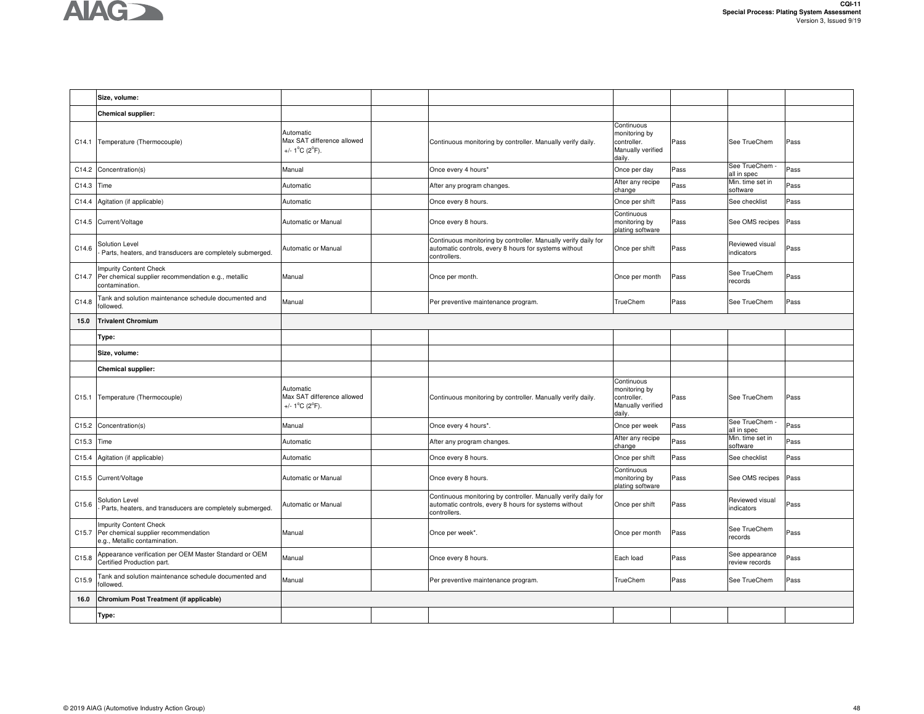

|                   | Size, volume:                                                                                          |                                                                                |                                                                                                                                         |                                                                           |      |                                  |      |
|-------------------|--------------------------------------------------------------------------------------------------------|--------------------------------------------------------------------------------|-----------------------------------------------------------------------------------------------------------------------------------------|---------------------------------------------------------------------------|------|----------------------------------|------|
|                   | <b>Chemical supplier:</b>                                                                              |                                                                                |                                                                                                                                         |                                                                           |      |                                  |      |
| C14.1             | Temperature (Thermocouple)                                                                             | Automatic<br>Max SAT difference allowed<br>+/- $1^{\circ}$ C ( $2^{\circ}$ F). | Continuous monitoring by controller. Manually verify daily.                                                                             | Continuous<br>monitoring by<br>controller.<br>Manually verified<br>dailv. | Pass | See TrueChem                     | Pass |
| C14.2             | Concentration(s)                                                                                       | Manual                                                                         | Once every 4 hours*                                                                                                                     | Once per day                                                              | Pass | See TrueChem<br>all in spec      | Pass |
| C14.3             | Time                                                                                                   | Automatic                                                                      | After any program changes.                                                                                                              | After any recipe<br>change                                                | Pass | Min. time set in<br>software     | Pass |
| C14.4             | Agitation (if applicable)                                                                              | Automatic                                                                      | Once every 8 hours.                                                                                                                     | Once per shift                                                            | Pass | See checklist                    | Pass |
| C14.5             | Current/Voltage                                                                                        | Automatic or Manual                                                            | Once every 8 hours.                                                                                                                     | Continuous<br>monitoring by<br>plating software                           | Pass | See OMS recipes                  | Pass |
| C14.6             | Solution Level<br>Parts, heaters, and transducers are completely submerged.                            | Automatic or Manual                                                            | Continuous monitoring by controller. Manually verify daily for<br>automatic controls, every 8 hours for systems without<br>controllers. | Once per shift                                                            | Pass | Reviewed visual<br>indicators    | Pass |
| C14.7             | <b>Impurity Content Check</b><br>Per chemical supplier recommendation e.g., metallic<br>contamination. | Manual                                                                         | Once per month.                                                                                                                         | Once per month                                                            | Pass | See TrueChem<br>records          | Pass |
| C14.8             | Tank and solution maintenance schedule documented and<br>followed.                                     | Manual                                                                         | Per preventive maintenance program.                                                                                                     | TrueChem                                                                  | Pass | See TrueChem                     | Pass |
| 15.0              | <b>Trivalent Chromium</b>                                                                              |                                                                                |                                                                                                                                         |                                                                           |      |                                  |      |
|                   | Type:                                                                                                  |                                                                                |                                                                                                                                         |                                                                           |      |                                  |      |
|                   | Size, volume:                                                                                          |                                                                                |                                                                                                                                         |                                                                           |      |                                  |      |
|                   | <b>Chemical supplier:</b>                                                                              |                                                                                |                                                                                                                                         |                                                                           |      |                                  |      |
| C15.1             | Temperature (Thermocouple)                                                                             | Automatic<br>Max SAT difference allowed<br>+/- $1^{\circ}$ C ( $2^{\circ}$ F). | Continuous monitoring by controller. Manually verify daily.                                                                             | Continuous<br>monitoring by<br>controller.<br>Manually verified<br>daily. | Pass | See TrueChem                     | Pass |
| C <sub>15.2</sub> | Concentration(s)                                                                                       | Manual                                                                         | Once every 4 hours*.                                                                                                                    | Once per week                                                             | Pass | See TrueChem -<br>all in spec    | Pass |
| C <sub>15.3</sub> | Time                                                                                                   | Automatic                                                                      | After any program changes.                                                                                                              | After any recipe<br>change                                                | Pass | Min. time set in<br>software     | Pass |
| C15.4             | Agitation (if applicable)                                                                              | Automatic                                                                      | Once every 8 hours.                                                                                                                     | Once per shift                                                            | Pass | See checklist                    | Pass |
| C <sub>15.5</sub> | Current/Voltage                                                                                        | Automatic or Manual                                                            | Once every 8 hours.                                                                                                                     | Continuous<br>monitoring by<br>plating software                           | Pass | See OMS recipes                  | Pass |
| C15.6             | Solution Level<br>Parts, heaters, and transducers are completely submerged.                            | Automatic or Manual                                                            | Continuous monitoring by controller. Manually verify daily for<br>automatic controls, every 8 hours for systems without<br>controllers. | Once per shift                                                            | Pass | Reviewed visual<br>indicators    | Pass |
| C <sub>15.7</sub> | <b>Impurity Content Check</b><br>Per chemical supplier recommendation<br>e.g., Metallic contamination. | Manual                                                                         | Once per week*.                                                                                                                         | Once per month                                                            | Pass | See TrueChem<br>records          | Pass |
| C15.8             | Appearance verification per OEM Master Standard or OEM<br>Certified Production part.                   | Manual                                                                         | Once every 8 hours.                                                                                                                     | Each load                                                                 | Pass | See appearance<br>review records | Pass |
| C15.9             | Tank and solution maintenance schedule documented and<br>followed.                                     | Manual                                                                         | Per preventive maintenance program.                                                                                                     | TrueChem                                                                  | Pass | See TrueChem                     | Pass |
| 16.0              | Chromium Post Treatment (if applicable)                                                                |                                                                                |                                                                                                                                         |                                                                           |      |                                  |      |
|                   | Type:                                                                                                  |                                                                                |                                                                                                                                         |                                                                           |      |                                  |      |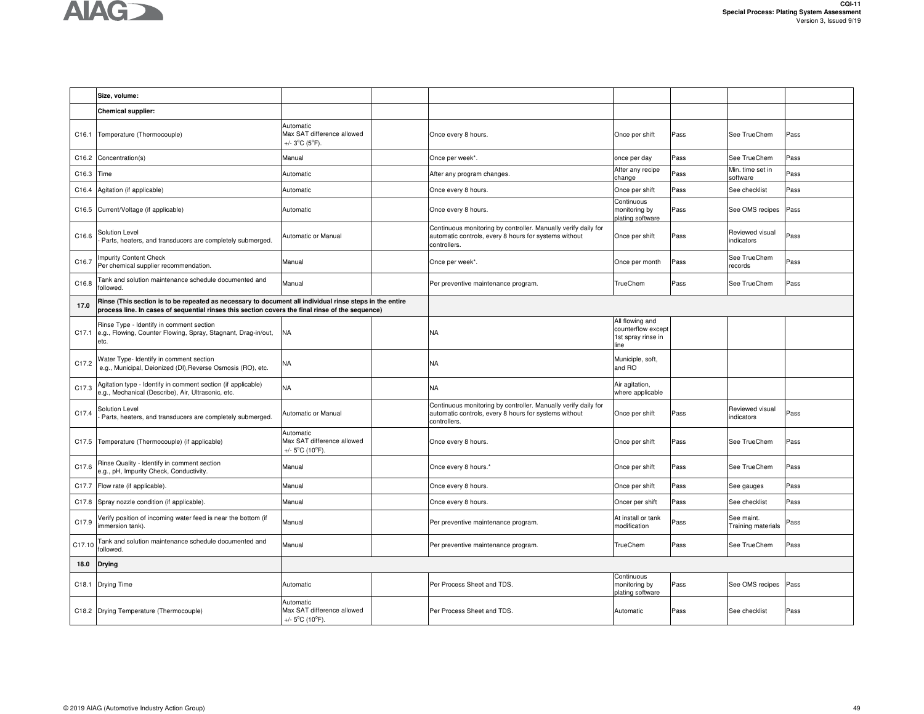

|        | Size, volume:                                                                                                                                                                                               |                                                                                 |                                                                                                                                         |                                                                     |      |                                         |      |
|--------|-------------------------------------------------------------------------------------------------------------------------------------------------------------------------------------------------------------|---------------------------------------------------------------------------------|-----------------------------------------------------------------------------------------------------------------------------------------|---------------------------------------------------------------------|------|-----------------------------------------|------|
|        | Chemical supplier:                                                                                                                                                                                          |                                                                                 |                                                                                                                                         |                                                                     |      |                                         |      |
| C16.1  | Temperature (Thermocouple)                                                                                                                                                                                  | Automatic<br>Max SAT difference allowed<br>+/- $3^{\circ}C$ ( $5^{\circ}F$ ).   | Once every 8 hours.                                                                                                                     | Once per shift                                                      | Pass | See TrueChem                            | Pass |
| C16.2  | Concentration(s)                                                                                                                                                                                            | Manual                                                                          | Once per week*.                                                                                                                         | once per day                                                        | Pass | See TrueChem                            | Pass |
| C16.3  | Time                                                                                                                                                                                                        | Automatic                                                                       | After any program changes.                                                                                                              | After any recipe<br>change                                          | Pass | Min. time set in<br>software            | Pass |
| C16.4  | Agitation (if applicable)                                                                                                                                                                                   | Automatic                                                                       | Once every 8 hours.                                                                                                                     | Once per shift                                                      | Pass | See checklist                           | Pass |
|        | C16.5 Current/Voltage (if applicable)                                                                                                                                                                       | Automatic                                                                       | Once every 8 hours.                                                                                                                     | Continuous<br>monitoring by<br>plating software                     | Pass | See OMS recipes                         | Pass |
| C16.6  | Solution Level<br>Parts, heaters, and transducers are completely submerged.                                                                                                                                 | Automatic or Manual                                                             | Continuous monitoring by controller. Manually verify daily for<br>automatic controls, every 8 hours for systems without<br>controllers. | Once per shift                                                      | Pass | Reviewed visual<br>indicators           | Pass |
| C16.7  | <b>Impurity Content Check</b><br>Per chemical supplier recommendation.                                                                                                                                      | Manual                                                                          | Once per week*.                                                                                                                         | Once per month                                                      | Pass | See TrueChem<br>records                 | Pass |
| C16.8  | Tank and solution maintenance schedule documented and<br>followed.                                                                                                                                          | Manual                                                                          | Per preventive maintenance program.                                                                                                     | TrueChem                                                            | Pass | See TrueChem                            | Pass |
| 17.0   | Rinse (This section is to be repeated as necessary to document all individual rinse steps in the entire<br>process line. In cases of sequential rinses this section covers the final rinse of the sequence) |                                                                                 |                                                                                                                                         |                                                                     |      |                                         |      |
|        | Rinse Type - Identify in comment section<br>C17.1 e.g., Flowing, Counter Flowing, Spray, Stagnant, Drag-in/out,<br>etc.                                                                                     | <b>NA</b>                                                                       | <b>NA</b>                                                                                                                               | All flowing and<br>counterflow except<br>1st spray rinse in<br>line |      |                                         |      |
| C17.2  | Water Type- Identify in comment section<br>e.g., Municipal, Deionized (DI), Reverse Osmosis (RO), etc.                                                                                                      | NA                                                                              | <b>NA</b>                                                                                                                               | Municiple, soft,<br>and RO                                          |      |                                         |      |
| C17.3  | Agitation type - Identify in comment section (if applicable)<br>e.g., Mechanical (Describe), Air, Ultrasonic, etc.                                                                                          | <b>NA</b>                                                                       | <b>NA</b>                                                                                                                               | Air agitation,<br>where applicable                                  |      |                                         |      |
| C17.4  | Solution Level<br>Parts, heaters, and transducers are completely submerged.                                                                                                                                 | Automatic or Manual                                                             | Continuous monitoring by controller. Manually verify daily for<br>automatic controls, every 8 hours for systems without<br>controllers. | Once per shift                                                      | Pass | Reviewed visual<br>indicators           | Pass |
|        | C17.5 Temperature (Thermocouple) (if applicable)                                                                                                                                                            | Automatic<br>Max SAT difference allowed<br>+/- 5°C (10°F).                      | Once every 8 hours.                                                                                                                     | Once per shift                                                      | Pass | See TrueChem                            | Pass |
| C17.6  | Rinse Quality - Identify in comment section<br>e.g., pH, Impurity Check, Conductivity.                                                                                                                      | Manual                                                                          | Once every 8 hours.'                                                                                                                    | Once per shift                                                      | Pass | See TrueChem                            | Pass |
| C17.7  | Flow rate (if applicable).                                                                                                                                                                                  | Manual                                                                          | Once every 8 hours.                                                                                                                     | Once per shift                                                      | Pass | See gauges                              | Pass |
| C17.8  | Spray nozzle condition (if applicable).                                                                                                                                                                     | Manual                                                                          | Once every 8 hours.                                                                                                                     | Oncer per shift                                                     | Pass | See checklist                           | Pass |
| C17.9  | Verify position of incoming water feed is near the bottom (if<br>immersion tank).                                                                                                                           | Manual                                                                          | Per preventive maintenance program.                                                                                                     | At install or tank<br>modification                                  | Pass | See maint.<br><b>Training materials</b> | Pass |
| C17.10 | Tank and solution maintenance schedule documented and<br>followed.                                                                                                                                          | Manual                                                                          | Per preventive maintenance program.                                                                                                     | TrueChem                                                            | Pass | See TrueChem                            | Pass |
| 18.0   | <b>Drying</b>                                                                                                                                                                                               |                                                                                 |                                                                                                                                         |                                                                     |      |                                         |      |
|        | C18.1 Drying Time                                                                                                                                                                                           | Automatic                                                                       | Per Process Sheet and TDS.                                                                                                              | Continuous<br>monitoring by<br>plating software                     | Pass | See OMS recipes                         | Pass |
|        | C18.2 Drying Temperature (Thermocouple)                                                                                                                                                                     | Automatic<br>Max SAT difference allowed<br>+/- $5^{\circ}$ C (10 $^{\circ}$ F). | Per Process Sheet and TDS.                                                                                                              | Automatic                                                           | Pass | See checklist                           | Pass |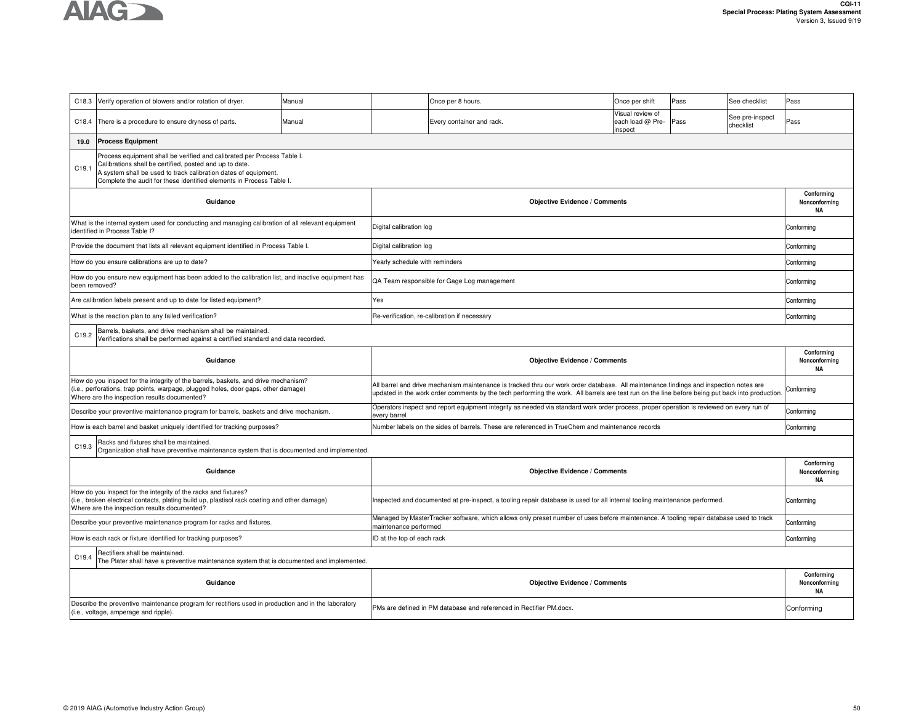

|                                                                                                                                                                                                                                                                                        | C18.3 Verify operation of blowers and/or rotation of dryer.                                                                                                                                                              | Manual |                                | Once per 8 hours.                                                                                                                                                                                                                                                                       | Once per shift                                  | Pass | See checklist                | Pass                                     |  |  |  |
|----------------------------------------------------------------------------------------------------------------------------------------------------------------------------------------------------------------------------------------------------------------------------------------|--------------------------------------------------------------------------------------------------------------------------------------------------------------------------------------------------------------------------|--------|--------------------------------|-----------------------------------------------------------------------------------------------------------------------------------------------------------------------------------------------------------------------------------------------------------------------------------------|-------------------------------------------------|------|------------------------------|------------------------------------------|--|--|--|
| C18.4                                                                                                                                                                                                                                                                                  | There is a procedure to ensure dryness of parts.                                                                                                                                                                         | Manual |                                | Every container and rack.                                                                                                                                                                                                                                                               | Visual review of<br>each load @ Pre-<br>inspect | Pass | See pre-inspect<br>checklist | Pass                                     |  |  |  |
| 19.0                                                                                                                                                                                                                                                                                   | <b>Process Equipment</b>                                                                                                                                                                                                 |        |                                |                                                                                                                                                                                                                                                                                         |                                                 |      |                              |                                          |  |  |  |
| Process equipment shall be verified and calibrated per Process Table I.<br>Calibrations shall be certified, posted and up to date.<br>C19.1<br>A system shall be used to track calibration dates of equipment.<br>Complete the audit for these identified elements in Process Table I. |                                                                                                                                                                                                                          |        |                                |                                                                                                                                                                                                                                                                                         |                                                 |      |                              |                                          |  |  |  |
|                                                                                                                                                                                                                                                                                        | Guidance                                                                                                                                                                                                                 |        |                                | <b>Objective Evidence / Comments</b>                                                                                                                                                                                                                                                    |                                                 |      |                              | Conforming<br>Nonconforming<br>ΝA        |  |  |  |
|                                                                                                                                                                                                                                                                                        | What is the internal system used for conducting and managing calibration of all relevant equipment<br>identified in Process Table I?                                                                                     |        | Digital calibration log        |                                                                                                                                                                                                                                                                                         |                                                 |      |                              | Conforming                               |  |  |  |
|                                                                                                                                                                                                                                                                                        | Provide the document that lists all relevant equipment identified in Process Table I.                                                                                                                                    |        | Digital calibration log        |                                                                                                                                                                                                                                                                                         |                                                 |      |                              | Conforming                               |  |  |  |
|                                                                                                                                                                                                                                                                                        | How do you ensure calibrations are up to date?                                                                                                                                                                           |        | Yearly schedule with reminders |                                                                                                                                                                                                                                                                                         |                                                 |      |                              | Conforming                               |  |  |  |
|                                                                                                                                                                                                                                                                                        | How do you ensure new equipment has been added to the calibration list, and inactive equipment has<br>been removed?                                                                                                      |        |                                | QA Team responsible for Gage Log management                                                                                                                                                                                                                                             |                                                 |      |                              | Conforming                               |  |  |  |
|                                                                                                                                                                                                                                                                                        | Are calibration labels present and up to date for listed equipment?                                                                                                                                                      |        | Yes                            |                                                                                                                                                                                                                                                                                         |                                                 |      |                              | Conforming                               |  |  |  |
|                                                                                                                                                                                                                                                                                        | What is the reaction plan to any failed verification?                                                                                                                                                                    |        |                                | Re-verification, re-calibration if necessary                                                                                                                                                                                                                                            |                                                 |      |                              | Conforming                               |  |  |  |
| C19.2                                                                                                                                                                                                                                                                                  | Barrels, baskets, and drive mechanism shall be maintained.<br>Verifications shall be performed against a certified standard and data recorded.                                                                           |        |                                |                                                                                                                                                                                                                                                                                         |                                                 |      |                              |                                          |  |  |  |
| Conforming<br>Guidance<br><b>Objective Evidence / Comments</b><br>Nonconforming<br><b>NA</b>                                                                                                                                                                                           |                                                                                                                                                                                                                          |        |                                |                                                                                                                                                                                                                                                                                         |                                                 |      |                              |                                          |  |  |  |
|                                                                                                                                                                                                                                                                                        |                                                                                                                                                                                                                          |        |                                | All barrel and drive mechanism maintenance is tracked thru our work order database. All maintenance findings and inspection notes are<br>updated in the work order comments by the tech performing the work. All barrels are test run on the line before being put back into production |                                                 |      |                              |                                          |  |  |  |
|                                                                                                                                                                                                                                                                                        | How do you inspect for the integrity of the barrels, baskets, and drive mechanism?<br>(i.e., perforations, trap points, warpage, plugged holes, door gaps, other damage)<br>Where are the inspection results documented? |        |                                |                                                                                                                                                                                                                                                                                         |                                                 |      |                              | Conforming                               |  |  |  |
|                                                                                                                                                                                                                                                                                        | Describe your preventive maintenance program for barrels, baskets and drive mechanism.                                                                                                                                   |        | every barrel                   | Operators inspect and report equipment integrity as needed via standard work order process, proper operation is reviewed on every run of                                                                                                                                                |                                                 |      |                              | Conforming                               |  |  |  |
|                                                                                                                                                                                                                                                                                        | How is each barrel and basket uniquely identified for tracking purposes?                                                                                                                                                 |        |                                | Number labels on the sides of barrels. These are referenced in TrueChem and maintenance records                                                                                                                                                                                         |                                                 |      |                              | Conforming                               |  |  |  |
| C19.3                                                                                                                                                                                                                                                                                  | Racks and fixtures shall be maintained.<br>Organization shall have preventive maintenance system that is documented and implemented.                                                                                     |        |                                |                                                                                                                                                                                                                                                                                         |                                                 |      |                              |                                          |  |  |  |
|                                                                                                                                                                                                                                                                                        | Guidance                                                                                                                                                                                                                 |        |                                | <b>Objective Evidence / Comments</b>                                                                                                                                                                                                                                                    |                                                 |      |                              | Conforming<br>Nonconforming<br><b>NA</b> |  |  |  |
|                                                                                                                                                                                                                                                                                        | How do you inspect for the integrity of the racks and fixtures?<br>(i.e., broken electrical contacts, plating build up, plastisol rack coating and other damage)<br>Where are the inspection results documented?         |        |                                | Inspected and documented at pre-inspect, a tooling repair database is used for all internal tooling maintenance performed.                                                                                                                                                              |                                                 |      |                              | Conforming                               |  |  |  |
|                                                                                                                                                                                                                                                                                        | Describe your preventive maintenance program for racks and fixtures.                                                                                                                                                     |        | maintenance performed          | Managed by MasterTracker software, which allows only preset number of uses before maintenance. A tooling repair database used to track                                                                                                                                                  |                                                 |      |                              | Conforming                               |  |  |  |
|                                                                                                                                                                                                                                                                                        | How is each rack or fixture identified for tracking purposes?                                                                                                                                                            |        | ID at the top of each rack     |                                                                                                                                                                                                                                                                                         |                                                 |      |                              | Conforming                               |  |  |  |
| C19.4                                                                                                                                                                                                                                                                                  | Rectifiers shall be maintained.<br>The Plater shall have a preventive maintenance system that is documented and implemented.                                                                                             |        |                                |                                                                                                                                                                                                                                                                                         |                                                 |      |                              |                                          |  |  |  |
|                                                                                                                                                                                                                                                                                        | Guidance                                                                                                                                                                                                                 |        |                                | <b>Objective Evidence / Comments</b>                                                                                                                                                                                                                                                    |                                                 |      |                              | Conforming<br>Nonconforming<br><b>NA</b> |  |  |  |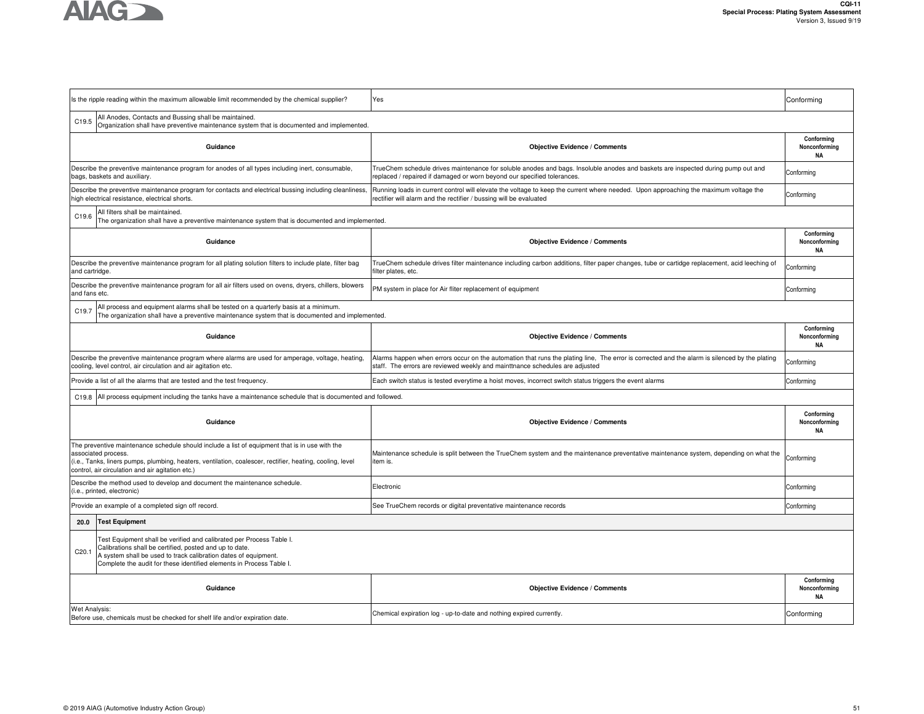

|                   | Is the ripple reading within the maximum allowable limit recommended by the chemical supplier?                                                                                                                                                                                         | Yes                                                                                                                                                                                                                           | Conforming                               |
|-------------------|----------------------------------------------------------------------------------------------------------------------------------------------------------------------------------------------------------------------------------------------------------------------------------------|-------------------------------------------------------------------------------------------------------------------------------------------------------------------------------------------------------------------------------|------------------------------------------|
| C19.5             | All Anodes, Contacts and Bussing shall be maintained.<br>Organization shall have preventive maintenance system that is documented and implemented.                                                                                                                                     |                                                                                                                                                                                                                               |                                          |
|                   | Guidance                                                                                                                                                                                                                                                                               | <b>Objective Evidence / Comments</b>                                                                                                                                                                                          | Conformina<br>Nonconforming<br><b>NA</b> |
|                   | Describe the preventive maintenance program for anodes of all types including inert, consumable,<br>bags, baskets and auxiliary.                                                                                                                                                       | TrueChem schedule drives maintenance for soluble anodes and bags. Insoluble anodes and baskets are inspected during pump out and<br>replaced / repaired if damaged or worn beyond our specified tolerances.                   | Conforming                               |
|                   | Describe the preventive maintenance program for contacts and electrical bussing including cleanliness<br>high electrical resistance, electrical shorts.                                                                                                                                | Running loads in current control will elevate the voltage to keep the current where needed. Upon approaching the maximum voltage the<br>rectifier will alarm and the rectifier / bussing will be evaluated                    | Conforming                               |
| C <sub>19.6</sub> | All filters shall be maintained.<br>The organization shall have a preventive maintenance system that is documented and implemented.                                                                                                                                                    |                                                                                                                                                                                                                               |                                          |
|                   | Guidance                                                                                                                                                                                                                                                                               | <b>Objective Evidence / Comments</b>                                                                                                                                                                                          | Conforming<br>Nonconforming<br><b>NA</b> |
| and cartridge.    | Describe the preventive maintenance program for all plating solution filters to include plate, filter bag                                                                                                                                                                              | TrueChem schedule drives filter maintenance including carbon additions, filter paper changes, tube or cartidge replacement, acid leeching of<br>filter plates, etc.                                                           | Conforming                               |
| and fans etc.     | Describe the preventive maintenance program for all air filters used on ovens, dryers, chillers, blowers                                                                                                                                                                               | PM system in place for Air fliter replacement of equipment                                                                                                                                                                    | Conforming                               |
| C <sub>19.7</sub> | All process and equipment alarms shall be tested on a quarterly basis at a minimum.<br>The organization shall have a preventive maintenance system that is documented and implemented.                                                                                                 |                                                                                                                                                                                                                               |                                          |
|                   | Guidance                                                                                                                                                                                                                                                                               | <b>Objective Evidence / Comments</b>                                                                                                                                                                                          | Conforming<br>Nonconforming<br><b>NA</b> |
|                   | Describe the preventive maintenance program where alarms are used for amperage, voltage, heating,<br>cooling, level control, air circulation and air agitation etc.                                                                                                                    | Alarms happen when errors occur on the automation that runs the plating line, The error is corrected and the alarm is silenced by the plating<br>staff. The errors are reviewed weekly and mainttnance schedules are adjusted | Conforming                               |
|                   | Provide a list of all the alarms that are tested and the test frequency.                                                                                                                                                                                                               | Each switch status is tested everytime a hoist moves, incorrect switch status triggers the event alarms                                                                                                                       | Conforming                               |
| C19.8             | All process equipment including the tanks have a maintenance schedule that is documented and followed.                                                                                                                                                                                 |                                                                                                                                                                                                                               |                                          |
|                   | Guidance                                                                                                                                                                                                                                                                               | <b>Objective Evidence / Comments</b>                                                                                                                                                                                          | Conforming<br>Nonconforming<br>ΝA        |
|                   | The preventive maintenance schedule should include a list of equipment that is in use with the<br>associated process.<br>(i.e., Tanks, liners pumps, plumbing, heaters, ventilation, coalescer, rectifier, heating, cooling, level<br>control, air circulation and air agitation etc.) | Maintenance schedule is split between the TrueChem system and the maintenance preventative maintenance system, depending on what the<br>item is.                                                                              | Conforming                               |
|                   | Describe the method used to develop and document the maintenance schedule.<br>(i.e., printed, electronic)                                                                                                                                                                              | Electronic                                                                                                                                                                                                                    | Conforming                               |
|                   | Provide an example of a completed sign off record.                                                                                                                                                                                                                                     | See TrueChem records or digital preventative maintenance records                                                                                                                                                              | Conforming                               |
| 20.0              | <b>Test Equipment</b>                                                                                                                                                                                                                                                                  |                                                                                                                                                                                                                               |                                          |
| C <sub>20.1</sub> | Test Equipment shall be verified and calibrated per Process Table I.<br>Calibrations shall be certified, posted and up to date.<br>A system shall be used to track calibration dates of equipment.<br>Complete the audit for these identified elements in Process Table I.             |                                                                                                                                                                                                                               |                                          |
|                   | Guidance                                                                                                                                                                                                                                                                               | <b>Objective Evidence / Comments</b>                                                                                                                                                                                          | Conforming<br>Nonconforming<br><b>NA</b> |
| Wet Analysis:     | Before use, chemicals must be checked for shelf life and/or expiration date.                                                                                                                                                                                                           | Chemical expiration log - up-to-date and nothing expired currently.                                                                                                                                                           | Conforming                               |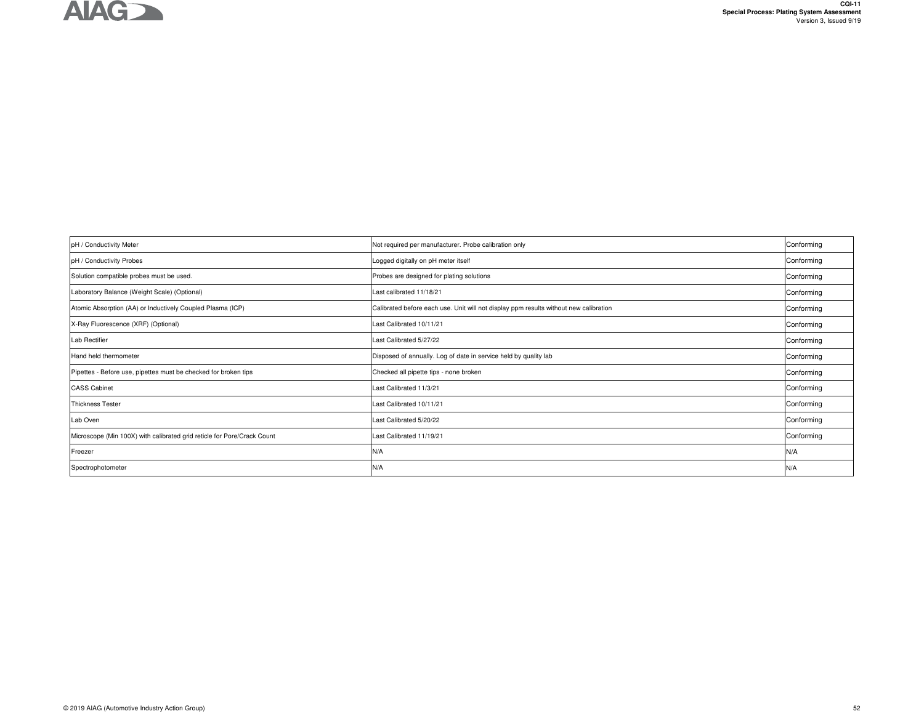

| pH / Conductivity Meter                                                 | Not required per manufacturer. Probe calibration only                                 | Conforming |
|-------------------------------------------------------------------------|---------------------------------------------------------------------------------------|------------|
| pH / Conductivity Probes                                                | Logged digitally on pH meter itself                                                   | Conforming |
| Solution compatible probes must be used.                                | Probes are designed for plating solutions                                             | Conforming |
| Laboratory Balance (Weight Scale) (Optional)                            | Last calibrated 11/18/21                                                              | Conforming |
| Atomic Absorption (AA) or Inductively Coupled Plasma (ICP)              | Calibrated before each use. Unit will not display ppm results without new calibration | Conforming |
| X-Ray Fluorescence (XRF) (Optional)                                     | Last Calibrated 10/11/21                                                              | Conforming |
| Lab Rectifier                                                           | Last Calibrated 5/27/22                                                               | Conforming |
| Hand held thermometer                                                   | Disposed of annually. Log of date in service held by quality lab                      | Conforming |
| Pipettes - Before use, pipettes must be checked for broken tips         | Checked all pipette tips - none broken                                                | Conforming |
| <b>CASS Cabinet</b>                                                     | Last Calibrated 11/3/21                                                               | Conforming |
| <b>Thickness Tester</b>                                                 | Last Calibrated 10/11/21                                                              | Conforming |
| Lab Oven                                                                | Last Calibrated 5/20/22                                                               | Conforming |
| Microscope (Min 100X) with calibrated grid reticle for Pore/Crack Count | Last Calibrated 11/19/21                                                              | Conforming |
| Freezer                                                                 | N/A                                                                                   | N/A        |
| Spectrophotometer                                                       | N/A                                                                                   | N/A        |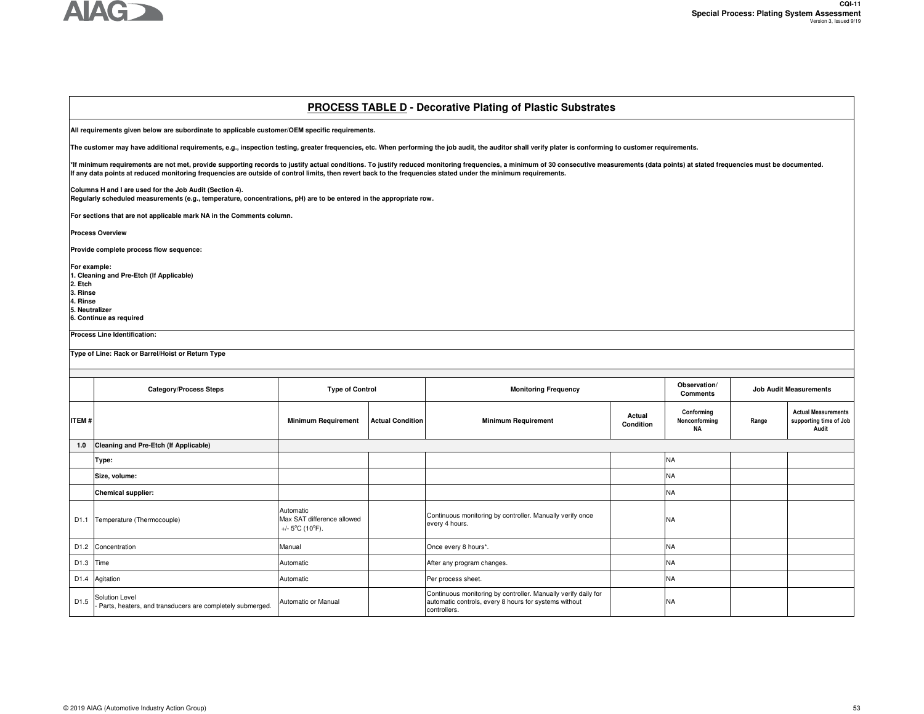

### **PROCESS TABLE D - Decorative Plating of Plastic Substrates**

**All requirements given below are subordinate to applicable customer/OEM specific requirements.** 

**The customer may have additional requirements, e.g., inspection testing, greater frequencies, etc. When performing the job audit, the auditor shall verify plater is conforming to customer requirements.**

\*If minimum requirements are not met, provide supporting records to justify actual conditions. To justify reduced monitoring frequencies, a minimum of 30 consecutive measurements (data points) at stated frequencies must be **If any data points at reduced monitoring frequencies are outside of control limits, then revert back to the frequencies stated under the minimum requirements.** 

**Columns H and I are used for the Job Audit (Section 4).** 

**Regularly scheduled measurements (e.g., temperature, concentrations, pH) are to be entered in the appropriate row.**

**For sections that are not applicable mark NA in the Comments column.** 

**Process Overview**

**Provide complete process flow sequence:** 

**For example: 1. Cleaning and Pre-Etch (If Applicable)2. Etch 3. Rinse 4. Rinse5. Neutralizer**

**6. Continue as required**

**Process Line Identification:**

**Type of Line: Rack or Barrel/Hoist or Return Type**

|                  | <b>Category/Process Steps</b>                                               | <b>Type of Control</b>                                                          |                         | <b>Monitoring Frequency</b>                                                                                                             |                     |                                   |       | <b>Job Audit Measurements</b>                                 |
|------------------|-----------------------------------------------------------------------------|---------------------------------------------------------------------------------|-------------------------|-----------------------------------------------------------------------------------------------------------------------------------------|---------------------|-----------------------------------|-------|---------------------------------------------------------------|
| <b>ITEM#</b>     |                                                                             | <b>Minimum Requirement</b>                                                      | <b>Actual Condition</b> | <b>Minimum Requirement</b>                                                                                                              | Actual<br>Condition | Conforming<br>Nonconforming<br>NA | Range | <b>Actual Measurements</b><br>supporting time of Job<br>Audit |
| $1.0$            | Cleaning and Pre-Etch (If Applicable)                                       |                                                                                 |                         |                                                                                                                                         |                     |                                   |       |                                                               |
|                  | Type:                                                                       |                                                                                 |                         |                                                                                                                                         |                     | <b>NA</b>                         |       |                                                               |
|                  | Size, volume:                                                               |                                                                                 |                         |                                                                                                                                         |                     | <b>NA</b>                         |       |                                                               |
|                  | <b>Chemical supplier:</b>                                                   |                                                                                 |                         |                                                                                                                                         |                     | <b>NA</b>                         |       |                                                               |
| D1.1             | Temperature (Thermocouple)                                                  | Automatic<br>Max SAT difference allowed<br>+/- $5^{\circ}$ C (10 $^{\circ}$ F). |                         | Continuous monitoring by controller. Manually verify once<br>every 4 hours.                                                             |                     | <b>NA</b>                         |       |                                                               |
|                  | D1.2 Concentration                                                          | Manual                                                                          |                         | Once every 8 hours*.                                                                                                                    |                     | <b>NA</b>                         |       |                                                               |
|                  | D1.3 Time                                                                   | Automatic                                                                       |                         | After any program changes.                                                                                                              |                     | <b>NA</b>                         |       |                                                               |
|                  | D1.4 Agitation                                                              | Automatic                                                                       |                         | Per process sheet.                                                                                                                      |                     | <b>NA</b>                         |       |                                                               |
| D <sub>1.5</sub> | Solution Level<br>Parts, heaters, and transducers are completely submerged. | Automatic or Manual                                                             |                         | Continuous monitoring by controller. Manually verify daily for<br>automatic controls, every 8 hours for systems without<br>controllers. |                     | NA                                |       |                                                               |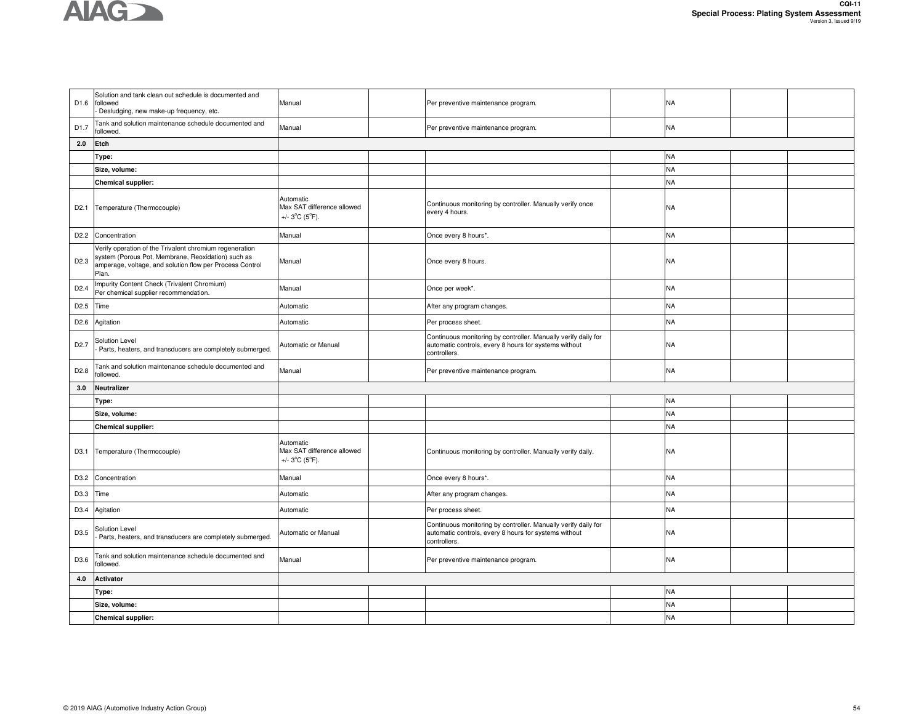

| D1.6             | Solution and tank clean out schedule is documented and<br>followed<br>Desludging, new make-up frequency, etc.                                                                      | Manual                                                                        | Per preventive maintenance program.                                                                                                     | NA        |  |
|------------------|------------------------------------------------------------------------------------------------------------------------------------------------------------------------------------|-------------------------------------------------------------------------------|-----------------------------------------------------------------------------------------------------------------------------------------|-----------|--|
| D1.7             | Tank and solution maintenance schedule documented and<br>followed.                                                                                                                 | Manual                                                                        | Per preventive maintenance program.                                                                                                     | NA        |  |
| 2.0              | Etch                                                                                                                                                                               |                                                                               |                                                                                                                                         |           |  |
|                  | Type:                                                                                                                                                                              |                                                                               |                                                                                                                                         | <b>NA</b> |  |
|                  | Size, volume:                                                                                                                                                                      |                                                                               |                                                                                                                                         | NA        |  |
|                  | <b>Chemical supplier:</b>                                                                                                                                                          |                                                                               |                                                                                                                                         | <b>NA</b> |  |
|                  | D2.1 Temperature (Thermocouple)                                                                                                                                                    | Automatic<br>Max SAT difference allowed<br>$+/- 3$ °C (5°F).                  | Continuous monitoring by controller. Manually verify once<br>every 4 hours.                                                             | NA        |  |
| D <sub>2.2</sub> | Concentration                                                                                                                                                                      | Manual                                                                        | Once every 8 hours*.                                                                                                                    | NA        |  |
| D <sub>2.3</sub> | Verify operation of the Trivalent chromium regeneration<br>system (Porous Pot, Membrane, Reoxidation) such as<br>amperage, voltage, and solution flow per Process Control<br>Plan. | Manual                                                                        | Once every 8 hours.                                                                                                                     | NA        |  |
| D <sub>2.4</sub> | Impurity Content Check (Trivalent Chromium)<br>Per chemical supplier recommendation.                                                                                               | Manual                                                                        | Once per week*.                                                                                                                         | NA        |  |
| D <sub>2.5</sub> | Time                                                                                                                                                                               | Automatic                                                                     | After any program changes.                                                                                                              | NA        |  |
| D <sub>2.6</sub> | Agitation                                                                                                                                                                          | Automatic                                                                     | Per process sheet.                                                                                                                      | NA        |  |
| D <sub>2.7</sub> | Solution Level<br>Parts, heaters, and transducers are completely submerged.                                                                                                        | Automatic or Manual                                                           | Continuous monitoring by controller. Manually verify daily for<br>automatic controls, every 8 hours for systems without<br>controllers. | NA        |  |
| D <sub>2.8</sub> | Tank and solution maintenance schedule documented and<br>followed.                                                                                                                 | Manual                                                                        | Per preventive maintenance program.                                                                                                     | NA        |  |
| 3.0              | Neutralizer                                                                                                                                                                        |                                                                               |                                                                                                                                         |           |  |
|                  | Type:                                                                                                                                                                              |                                                                               |                                                                                                                                         | <b>NA</b> |  |
|                  | Size, volume:                                                                                                                                                                      |                                                                               |                                                                                                                                         | <b>NA</b> |  |
|                  | <b>Chemical supplier:</b>                                                                                                                                                          |                                                                               |                                                                                                                                         | NA        |  |
|                  | D3.1 Temperature (Thermocouple)                                                                                                                                                    | Automatic<br>Max SAT difference allowed<br>+/- $3^{\circ}C$ ( $5^{\circ}F$ ). | Continuous monitoring by controller. Manually verify daily.                                                                             | NA        |  |
| D3.2             | Concentration                                                                                                                                                                      | Manual                                                                        | Once every 8 hours*.                                                                                                                    | NA        |  |
| D3.3 Time        |                                                                                                                                                                                    | Automatic                                                                     | After any program changes.                                                                                                              | NA        |  |
| D3.4             | Agitation                                                                                                                                                                          | Automatic                                                                     | Per process sheet.                                                                                                                      | NA        |  |
| D3.5             | Solution Level<br>Parts, heaters, and transducers are completely submerged.                                                                                                        | Automatic or Manual                                                           | Continuous monitoring by controller. Manually verify daily for<br>automatic controls, every 8 hours for systems without<br>controllers. | <b>NA</b> |  |
| D3.6             | Tank and solution maintenance schedule documented and<br>followed.                                                                                                                 | Manual                                                                        | Per preventive maintenance program.                                                                                                     | NA        |  |
|                  |                                                                                                                                                                                    |                                                                               |                                                                                                                                         |           |  |
| 4.0              | Activator                                                                                                                                                                          |                                                                               |                                                                                                                                         |           |  |
|                  | Type:                                                                                                                                                                              |                                                                               |                                                                                                                                         | NA        |  |
|                  | Size, volume:                                                                                                                                                                      |                                                                               |                                                                                                                                         | <b>NA</b> |  |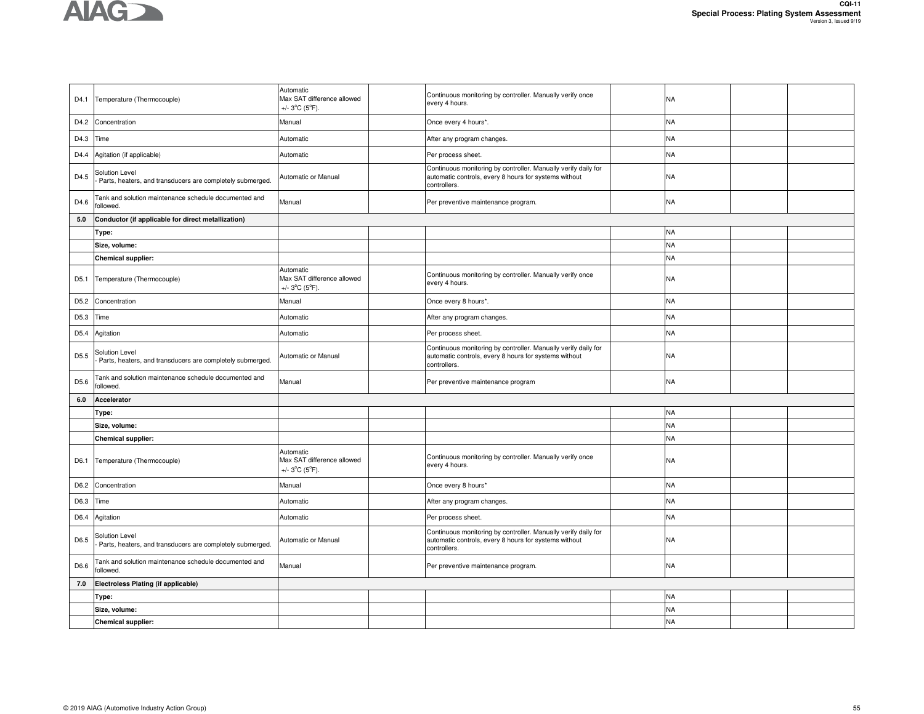

|                  | D4.1 Temperature (Thermocouple)                                             | Automatic<br>Max SAT difference allowed<br>+/- $3^{\circ}$ C ( $5^{\circ}$ F). | Continuous monitoring by controller. Manually verify once<br>every 4 hours.                                                             | NA        |  |
|------------------|-----------------------------------------------------------------------------|--------------------------------------------------------------------------------|-----------------------------------------------------------------------------------------------------------------------------------------|-----------|--|
| D4.2             | Concentration                                                               | Manual                                                                         | Once every 4 hours*.                                                                                                                    | <b>NA</b> |  |
| D4.3             | Time                                                                        | Automatic                                                                      | After any program changes.                                                                                                              | <b>NA</b> |  |
| D4.4             | Agitation (if applicable)                                                   | Automatic                                                                      | Per process sheet.                                                                                                                      | <b>NA</b> |  |
| D4.5             | Solution Level<br>Parts, heaters, and transducers are completely submerged. | Automatic or Manual                                                            | Continuous monitoring by controller. Manually verify daily for<br>automatic controls, every 8 hours for systems without<br>controllers. | <b>NA</b> |  |
| D4.6             | Tank and solution maintenance schedule documented and<br>ollowed.           | Manual                                                                         | Per preventive maintenance program.                                                                                                     | <b>NA</b> |  |
| 5.0              | Conductor (if applicable for direct metallization)                          |                                                                                |                                                                                                                                         |           |  |
|                  | Type:                                                                       |                                                                                |                                                                                                                                         | <b>NA</b> |  |
|                  | Size, volume:                                                               |                                                                                |                                                                                                                                         | <b>NA</b> |  |
|                  | <b>Chemical supplier:</b>                                                   |                                                                                |                                                                                                                                         | <b>NA</b> |  |
| D5.1             | Temperature (Thermocouple)                                                  | Automatic<br>Max SAT difference allowed<br>+/- $3^{\circ}$ C ( $5^{\circ}$ F). | Continuous monitoring by controller. Manually verify once<br>every 4 hours.                                                             | NA        |  |
| D5.2             | Concentration                                                               | Manual                                                                         | Once every 8 hours*.                                                                                                                    | <b>NA</b> |  |
| D5.3             | Time                                                                        | Automatic                                                                      | After any program changes.                                                                                                              | <b>NA</b> |  |
| D5.4             | Agitation                                                                   | Automatic                                                                      | Per process sheet.                                                                                                                      | <b>NA</b> |  |
| D <sub>5.5</sub> | Solution Level<br>Parts, heaters, and transducers are completely submerged. | Automatic or Manual                                                            | Continuous monitoring by controller. Manually verify daily for<br>automatic controls, every 8 hours for systems without<br>controllers. | <b>NA</b> |  |
| D5.6             | Tank and solution maintenance schedule documented and<br>ollowed.           | Manual                                                                         | Per preventive maintenance program                                                                                                      | <b>NA</b> |  |
| 6.0              | Accelerator                                                                 |                                                                                |                                                                                                                                         |           |  |
|                  | Type:                                                                       |                                                                                |                                                                                                                                         | <b>NA</b> |  |
|                  | Size, volume:                                                               |                                                                                |                                                                                                                                         | <b>NA</b> |  |
|                  | <b>Chemical supplier:</b>                                                   |                                                                                |                                                                                                                                         | <b>NA</b> |  |
| D6.1             | Temperature (Thermocouple)                                                  | Automatic<br>Max SAT difference allowed<br>+/- $3^{\circ}$ C ( $5^{\circ}$ F). | Continuous monitoring by controller. Manually verify once<br>every 4 hours.                                                             | <b>NA</b> |  |
| D6.2             | Concentration                                                               | Manual                                                                         | Once every 8 hours*                                                                                                                     | <b>NA</b> |  |
| D6.3             | Time                                                                        | Automatic                                                                      | After any program changes.                                                                                                              | <b>NA</b> |  |
| D6.4             | Agitation                                                                   | Automatic                                                                      | Per process sheet.                                                                                                                      | <b>NA</b> |  |
| D6.5             | Solution Level<br>Parts, heaters, and transducers are completely submerged. | Automatic or Manual                                                            | Continuous monitoring by controller. Manually verify daily for<br>automatic controls, every 8 hours for systems without<br>controllers. | <b>NA</b> |  |
| D6.6             | Tank and solution maintenance schedule documented and<br>ollowed.           | Manual                                                                         | Per preventive maintenance program.                                                                                                     | <b>NA</b> |  |
| 7.0              | Electroless Plating (if applicable)                                         |                                                                                |                                                                                                                                         |           |  |
|                  | Type:                                                                       |                                                                                |                                                                                                                                         | <b>NA</b> |  |
|                  | Size, volume:                                                               |                                                                                |                                                                                                                                         | <b>NA</b> |  |
|                  | Chemical supplier:                                                          |                                                                                |                                                                                                                                         | <b>NA</b> |  |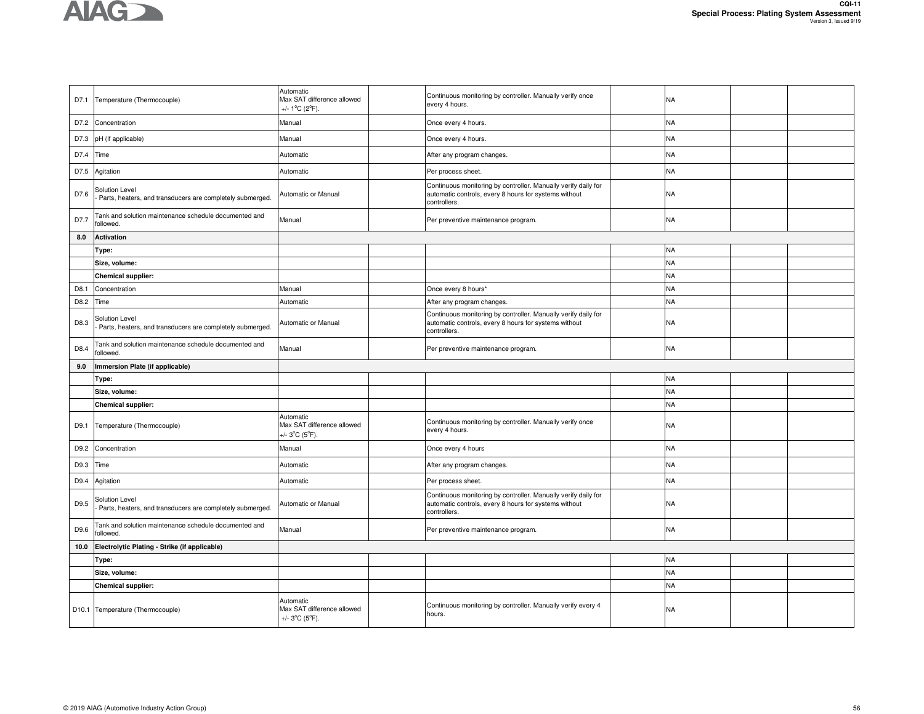

|      | D7.1 Temperature (Thermocouple)                                             | Automatic<br>Max SAT difference allowed<br>+/- $1^{\circ}$ C (2 $^{\circ}$ F). | Continuous monitoring by controller. Manually verify once<br>every 4 hours.                                                             | <b>NA</b> |  |
|------|-----------------------------------------------------------------------------|--------------------------------------------------------------------------------|-----------------------------------------------------------------------------------------------------------------------------------------|-----------|--|
|      | D7.2 Concentration                                                          | Manual                                                                         | Once every 4 hours.                                                                                                                     | <b>NA</b> |  |
| D7.3 | pH (if applicable)                                                          | Manual                                                                         | Once every 4 hours.                                                                                                                     | <b>NA</b> |  |
| D7.4 | Time                                                                        | Automatic                                                                      | After any program changes.                                                                                                              | <b>NA</b> |  |
| D7.5 | Agitation                                                                   | Automatic                                                                      | Per process sheet.                                                                                                                      | <b>NA</b> |  |
| D7.6 | Solution Level<br>Parts, heaters, and transducers are completely submerged. | Automatic or Manual                                                            | Continuous monitoring by controller. Manually verify daily for<br>automatic controls, every 8 hours for systems without<br>controllers. | <b>NA</b> |  |
| D7.7 | Tank and solution maintenance schedule documented and<br>followed.          | Manual                                                                         | Per preventive maintenance program.                                                                                                     | <b>NA</b> |  |
| 8.0  | <b>Activation</b>                                                           |                                                                                |                                                                                                                                         |           |  |
|      | Type:                                                                       |                                                                                |                                                                                                                                         | <b>NA</b> |  |
|      | Size, volume:                                                               |                                                                                |                                                                                                                                         | <b>NA</b> |  |
|      | Chemical supplier:                                                          |                                                                                |                                                                                                                                         | <b>NA</b> |  |
| D8.1 | Concentration                                                               | Manual                                                                         | Once every 8 hours*                                                                                                                     | <b>NA</b> |  |
| D8.2 | Time                                                                        | Automatic                                                                      | After any program changes.                                                                                                              | <b>NA</b> |  |
| D8.3 | Solution Level<br>Parts, heaters, and transducers are completely submerged. | Automatic or Manual                                                            | Continuous monitoring by controller. Manually verify daily for<br>automatic controls, every 8 hours for systems without<br>controllers. | NA        |  |
| D8.4 | Tank and solution maintenance schedule documented and<br>ollowed.           | Manual                                                                         | Per preventive maintenance program.                                                                                                     | <b>NA</b> |  |
|      |                                                                             |                                                                                |                                                                                                                                         |           |  |
| 9.0  | mmersion Plate (if applicable)                                              |                                                                                |                                                                                                                                         |           |  |
|      | Type:                                                                       |                                                                                |                                                                                                                                         | <b>NA</b> |  |
|      | Size, volume:                                                               |                                                                                |                                                                                                                                         | <b>NA</b> |  |
|      | <b>Chemical supplier:</b>                                                   |                                                                                |                                                                                                                                         | <b>NA</b> |  |
| D9.1 | Temperature (Thermocouple)                                                  | Automatic<br>Max SAT difference allowed<br>+/- $3^{\circ}C$ (5 $^{\circ}F$ ).  | Continuous monitoring by controller. Manually verify once<br>every 4 hours.                                                             | NA        |  |
| D9.2 | Concentration                                                               | Manual                                                                         | Once every 4 hours                                                                                                                      | <b>NA</b> |  |
| D9.3 | Time                                                                        | Automatic                                                                      | After any program changes.                                                                                                              | <b>NA</b> |  |
| D9.4 | Agitation                                                                   | Automatic                                                                      | Per process sheet.                                                                                                                      | <b>NA</b> |  |
| D9.5 | Solution Level<br>Parts, heaters, and transducers are completely submerged. | Automatic or Manual                                                            | Continuous monitoring by controller. Manually verify daily for<br>automatic controls, every 8 hours for systems without<br>controllers. | <b>NA</b> |  |
| D9.6 | Tank and solution maintenance schedule documented and<br>ollowed.           | Manual                                                                         | Per preventive maintenance program.                                                                                                     | NA        |  |
| 10.0 | Electrolytic Plating - Strike (if applicable)                               |                                                                                |                                                                                                                                         |           |  |
|      | Type:                                                                       |                                                                                |                                                                                                                                         | <b>NA</b> |  |
|      | Size, volume:                                                               |                                                                                |                                                                                                                                         | <b>NA</b> |  |
|      | Chemical supplier:                                                          |                                                                                |                                                                                                                                         | <b>NA</b> |  |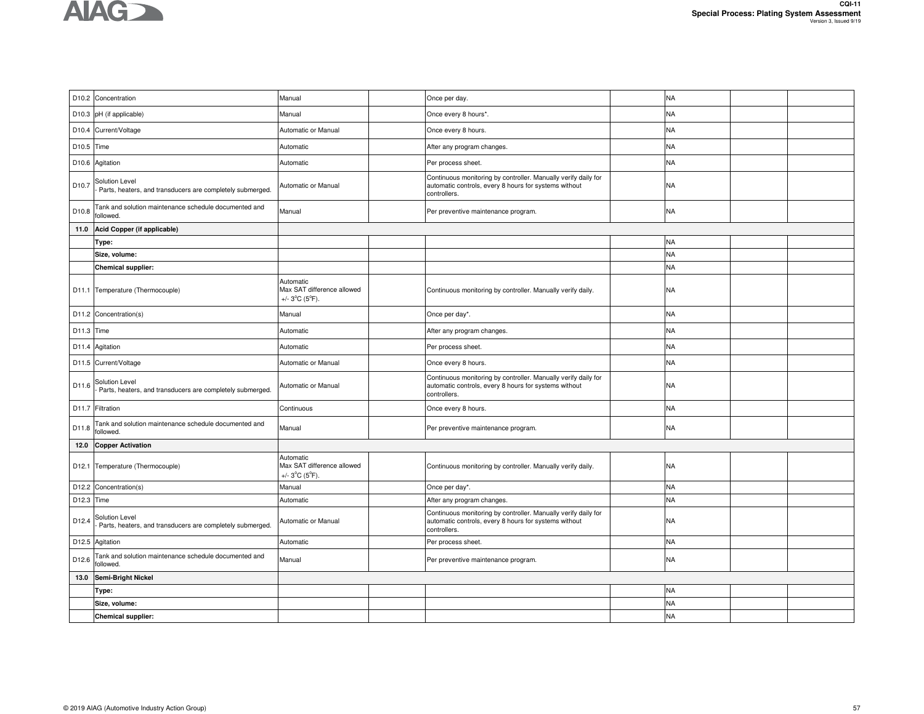

|            | D10.2 Concentration                                                         | Manual                                                                         | Once per day.                                                                                                                           | <b>NA</b> |  |
|------------|-----------------------------------------------------------------------------|--------------------------------------------------------------------------------|-----------------------------------------------------------------------------------------------------------------------------------------|-----------|--|
|            | D10.3 pH (if applicable)                                                    | Manual                                                                         | Once every 8 hours*.                                                                                                                    | <b>NA</b> |  |
| D10.4      | Current/Voltage                                                             | Automatic or Manual                                                            | Once every 8 hours.                                                                                                                     | <b>NA</b> |  |
| D10.5 Time |                                                                             | Automatic                                                                      | After any program changes.                                                                                                              | <b>NA</b> |  |
|            | D10.6 Agitation                                                             | Automatic                                                                      | Per process sheet.                                                                                                                      | <b>NA</b> |  |
| D10.7      | Solution Level<br>Parts, heaters, and transducers are completely submerged. | Automatic or Manual                                                            | Continuous monitoring by controller. Manually verify daily for<br>automatic controls, every 8 hours for systems without<br>controllers. | <b>NA</b> |  |
| D10.8      | Tank and solution maintenance schedule documented and<br>followed.          | Manual                                                                         | Per preventive maintenance program.                                                                                                     | <b>NA</b> |  |
| 11.0       | Acid Copper (if applicable)                                                 |                                                                                |                                                                                                                                         |           |  |
|            | Type:                                                                       |                                                                                |                                                                                                                                         | <b>NA</b> |  |
|            | Size, volume:                                                               |                                                                                |                                                                                                                                         | <b>NA</b> |  |
|            | <b>Chemical supplier:</b>                                                   |                                                                                |                                                                                                                                         | <b>NA</b> |  |
|            | D11.1 Temperature (Thermocouple)                                            | Automatic<br>Max SAT difference allowed<br>+/- $3^{\circ}$ C ( $5^{\circ}$ F). | Continuous monitoring by controller. Manually verify daily.                                                                             | <b>NA</b> |  |
|            | D11.2 Concentration(s)                                                      | Manual                                                                         | Once per day*.                                                                                                                          | <b>NA</b> |  |
| D11.3 Time |                                                                             | Automatic                                                                      | After any program changes.                                                                                                              | <b>NA</b> |  |
|            | D11.4 Agitation                                                             | Automatic                                                                      | Per process sheet.                                                                                                                      | <b>NA</b> |  |
|            | D11.5 Current/Voltage                                                       | Automatic or Manual                                                            | Once every 8 hours.                                                                                                                     | <b>NA</b> |  |
| D11.6      | Solution Level<br>Parts, heaters, and transducers are completely submerged. | Automatic or Manual                                                            | Continuous monitoring by controller. Manually verify daily for<br>automatic controls, every 8 hours for systems without<br>controllers. | <b>NA</b> |  |
|            | D11.7 Filtration                                                            | Continuous                                                                     | Once every 8 hours.                                                                                                                     | <b>NA</b> |  |
| D11.8      | Tank and solution maintenance schedule documented and<br>followed.          | Manual                                                                         | Per preventive maintenance program.                                                                                                     | <b>NA</b> |  |
| 12.0       | <b>Copper Activation</b>                                                    |                                                                                |                                                                                                                                         |           |  |
|            | D12.1 Temperature (Thermocouple)                                            | Automatic<br>Max SAT difference allowed<br>+/- $3^{\circ}$ C ( $5^{\circ}$ F). | Continuous monitoring by controller. Manually verify daily.                                                                             | NA        |  |
| D12.2      | Concentration(s)                                                            | Manual                                                                         | Once per day*.                                                                                                                          | <b>NA</b> |  |
| D12.3      | Time                                                                        | Automatic                                                                      | After any program changes.                                                                                                              | <b>NA</b> |  |
| D12.4      | Solution Level<br>Parts, heaters, and transducers are completely submerged. | Automatic or Manual                                                            | Continuous monitoring by controller. Manually verify daily for<br>automatic controls, every 8 hours for systems without<br>controllers. | <b>NA</b> |  |
|            | D12.5 Agitation                                                             | Automatic                                                                      | Per process sheet.                                                                                                                      | <b>NA</b> |  |
| D12.6      | Tank and solution maintenance schedule documented and<br>ollowed.           | Manual                                                                         | Per preventive maintenance program.                                                                                                     | <b>NA</b> |  |
| 13.0       | <b>Semi-Bright Nickel</b>                                                   |                                                                                |                                                                                                                                         |           |  |
|            | Type:                                                                       |                                                                                |                                                                                                                                         | <b>NA</b> |  |
|            | Size, volume:                                                               |                                                                                |                                                                                                                                         | <b>NA</b> |  |
|            | <b>Chemical supplier:</b>                                                   |                                                                                |                                                                                                                                         | <b>NA</b> |  |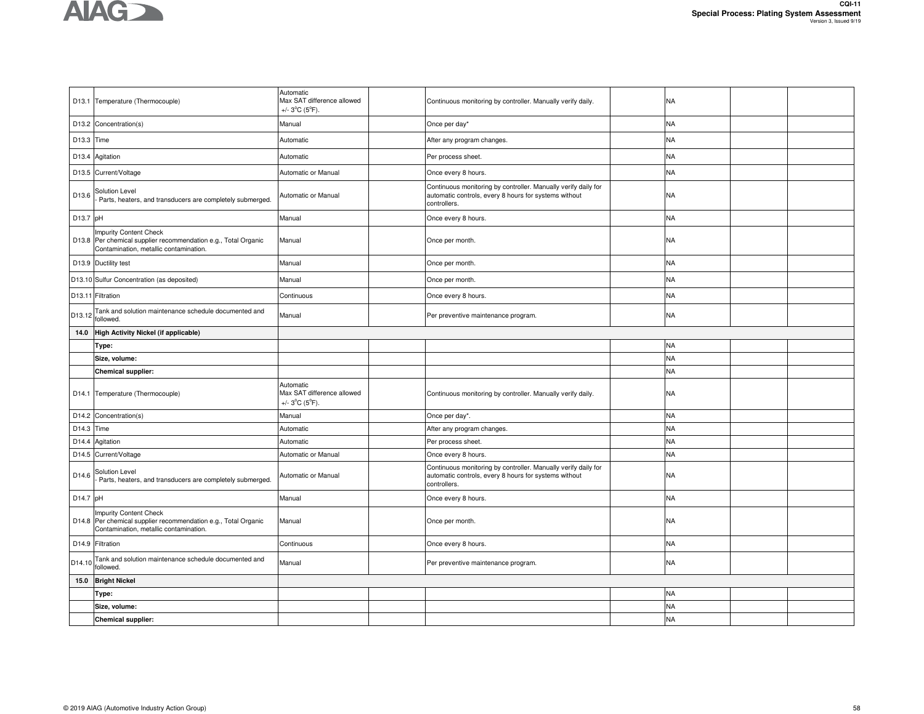

|            | D13.1 Temperature (Thermocouple)                                                                                                          | Automatic<br>Max SAT difference allowed<br>+/- $3^{\circ}$ C (5 $^{\circ}$ F). | Continuous monitoring by controller. Manually verify daily.                                                                             | NA        |  |
|------------|-------------------------------------------------------------------------------------------------------------------------------------------|--------------------------------------------------------------------------------|-----------------------------------------------------------------------------------------------------------------------------------------|-----------|--|
|            | D13.2 Concentration(s)                                                                                                                    | Manual                                                                         | Once per day*                                                                                                                           | <b>NA</b> |  |
| D13.3 Time |                                                                                                                                           | Automatic                                                                      | After any program changes.                                                                                                              | <b>NA</b> |  |
|            | D13.4 Agitation                                                                                                                           | Automatic                                                                      | Per process sheet.                                                                                                                      | <b>NA</b> |  |
|            | D13.5 Current/Voltage                                                                                                                     | Automatic or Manual                                                            | Once every 8 hours.                                                                                                                     | <b>NA</b> |  |
| D13.6      | Solution Level<br>Parts, heaters, and transducers are completely submerged.                                                               | Automatic or Manual                                                            | Continuous monitoring by controller. Manually verify daily for<br>automatic controls, every 8 hours for systems without<br>controllers. | <b>NA</b> |  |
| D13.7 pH   |                                                                                                                                           | Manual                                                                         | Once every 8 hours.                                                                                                                     | <b>NA</b> |  |
|            | <b>Impurity Content Check</b><br>D13.8 Per chemical supplier recommendation e.g., Total Organic<br>Contamination, metallic contamination. | Manual                                                                         | Once per month.                                                                                                                         | NA        |  |
|            | D13.9 Ductility test                                                                                                                      | Manual                                                                         | Once per month.                                                                                                                         | <b>NA</b> |  |
|            | D13.10 Sulfur Concentration (as deposited)                                                                                                | Manual                                                                         | Once per month.                                                                                                                         | <b>NA</b> |  |
|            | D13.11 Filtration                                                                                                                         | Continuous                                                                     | Once every 8 hours.                                                                                                                     | <b>NA</b> |  |
| D13.12     | Tank and solution maintenance schedule documented and<br>followed.                                                                        | Manual                                                                         | Per preventive maintenance program.                                                                                                     | <b>NA</b> |  |
| 14.0       | High Activity Nickel (if applicable)                                                                                                      |                                                                                |                                                                                                                                         |           |  |
|            | Type:                                                                                                                                     |                                                                                |                                                                                                                                         | <b>NA</b> |  |
|            | Size, volume:                                                                                                                             |                                                                                |                                                                                                                                         | <b>NA</b> |  |
|            | <b>Chemical supplier:</b>                                                                                                                 |                                                                                |                                                                                                                                         | <b>NA</b> |  |
|            | D14.1 Temperature (Thermocouple)                                                                                                          | Automatic<br>Max SAT difference allowed<br>+/- $3^{\circ}$ C (5 $^{\circ}$ F). | Continuous monitoring by controller. Manually verify daily.                                                                             | <b>NA</b> |  |
|            | D14.2 Concentration(s)                                                                                                                    | Manual                                                                         | Once per day*.                                                                                                                          | <b>NA</b> |  |
| D14.3      | Time                                                                                                                                      | Automatic                                                                      | After any program changes.                                                                                                              | <b>NA</b> |  |
| D14.4      | Agitation                                                                                                                                 | Automatic                                                                      | Per process sheet.                                                                                                                      | <b>NA</b> |  |
| D14.5      | Current/Voltage                                                                                                                           | Automatic or Manual                                                            | Once every 8 hours.                                                                                                                     | <b>NA</b> |  |
| D14.6      | Solution Level<br>Parts, heaters, and transducers are completely submerged.                                                               | Automatic or Manual                                                            | Continuous monitoring by controller. Manually verify daily for<br>automatic controls, every 8 hours for systems without<br>controllers. | <b>NA</b> |  |
| D14.7 pH   |                                                                                                                                           | Manual                                                                         | Once every 8 hours.                                                                                                                     | <b>NA</b> |  |
|            | mpurity Content Check<br>D14.8 Per chemical supplier recommendation e.g., Total Organic<br>Contamination, metallic contamination.         | Manual                                                                         | Once per month.                                                                                                                         | NA        |  |
|            | D14.9 Filtration                                                                                                                          | Continuous                                                                     | Once every 8 hours.                                                                                                                     | <b>NA</b> |  |
| D14.10     | Tank and solution maintenance schedule documented and<br>followed.                                                                        | Manual                                                                         | Per preventive maintenance program.                                                                                                     | <b>NA</b> |  |
| 15.0       | <b>Bright Nickel</b>                                                                                                                      |                                                                                |                                                                                                                                         |           |  |
|            | Type:                                                                                                                                     |                                                                                |                                                                                                                                         | <b>NA</b> |  |
|            | Size, volume:                                                                                                                             |                                                                                |                                                                                                                                         | <b>NA</b> |  |
|            | <b>Chemical supplier:</b>                                                                                                                 |                                                                                |                                                                                                                                         | <b>NA</b> |  |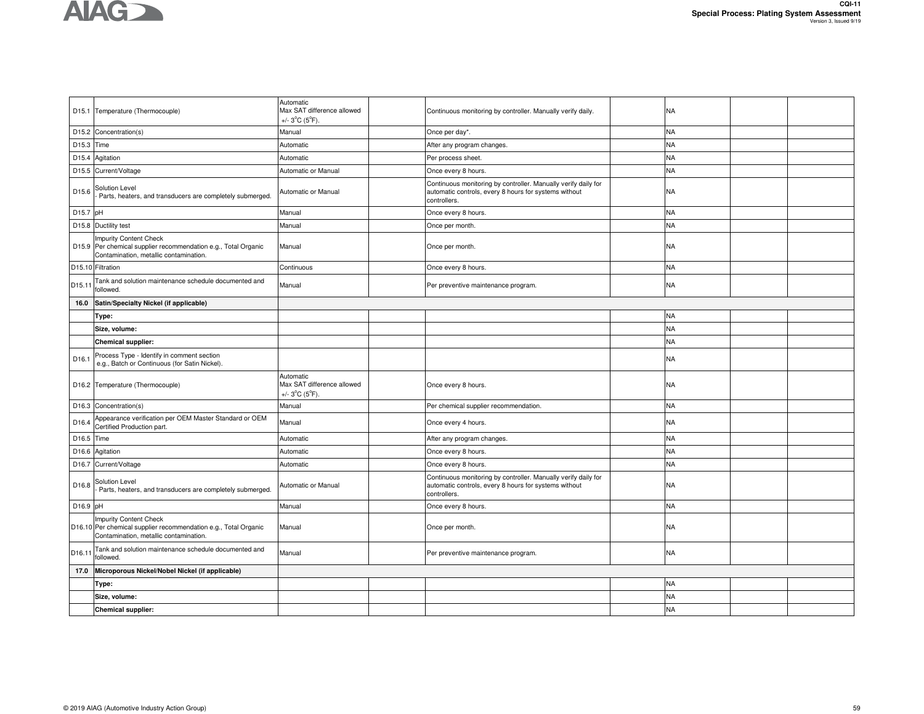|                   | D15.1 Temperature (Thermocouple)                                                                                                           | Automatic<br>Max SAT difference allowed<br>+/- $3^{\circ}$ C ( $5^{\circ}$ F). | Continuous monitoring by controller. Manually verify daily.                                                                             | NA        |  |
|-------------------|--------------------------------------------------------------------------------------------------------------------------------------------|--------------------------------------------------------------------------------|-----------------------------------------------------------------------------------------------------------------------------------------|-----------|--|
| D15.2             | Concentration(s)                                                                                                                           | Manual                                                                         | Once per day*.                                                                                                                          | <b>NA</b> |  |
| D15.3             | Time                                                                                                                                       | Automatic                                                                      | After any program changes.                                                                                                              | <b>NA</b> |  |
| D <sub>15.4</sub> | Agitation                                                                                                                                  | Automatic                                                                      | Per process sheet.                                                                                                                      | <b>NA</b> |  |
| D15.5             | Current/Voltage                                                                                                                            | Automatic or Manual                                                            | Once every 8 hours.                                                                                                                     | <b>NA</b> |  |
| D15.6             | Solution Level<br>Parts, heaters, and transducers are completely submerged.                                                                | Automatic or Manual                                                            | Continuous monitoring by controller. Manually verify daily for<br>automatic controls, every 8 hours for systems without<br>controllers. | <b>NA</b> |  |
| D15.7 pH          |                                                                                                                                            | Manual                                                                         | Once every 8 hours.                                                                                                                     | <b>NA</b> |  |
|                   | D15.8 Ductility test                                                                                                                       | Manual                                                                         | Once per month.                                                                                                                         | <b>NA</b> |  |
|                   | <b>Impurity Content Check</b><br>D15.9 Per chemical supplier recommendation e.g., Total Organic<br>Contamination, metallic contamination.  | Manual                                                                         | Once per month.                                                                                                                         | <b>NA</b> |  |
|                   | D15.10 Filtration                                                                                                                          | Continuous                                                                     | Once every 8 hours.                                                                                                                     | <b>NA</b> |  |
| D15.11            | Tank and solution maintenance schedule documented and<br>followed.                                                                         | Manual                                                                         | Per preventive maintenance program.                                                                                                     | <b>NA</b> |  |
| 16.0              | Satin/Specialty Nickel (if applicable)                                                                                                     |                                                                                |                                                                                                                                         |           |  |
|                   | Type:                                                                                                                                      |                                                                                |                                                                                                                                         | <b>NA</b> |  |
|                   | Size, volume:                                                                                                                              |                                                                                |                                                                                                                                         | <b>NA</b> |  |
|                   | <b>Chemical supplier:</b>                                                                                                                  |                                                                                |                                                                                                                                         | <b>NA</b> |  |
| D <sub>16.1</sub> | Process Type - Identify in comment section<br>e.g., Batch or Continuous (for Satin Nickel)                                                 |                                                                                |                                                                                                                                         | <b>NA</b> |  |
|                   | D16.2 Temperature (Thermocouple)                                                                                                           | Automatic<br>Max SAT difference allowed<br>+/- $3^{\circ}$ C ( $5^{\circ}$ F). | Once every 8 hours.                                                                                                                     | NA        |  |
| D16.3             | Concentration(s)                                                                                                                           | Manual                                                                         | Per chemical supplier recommendation.                                                                                                   | <b>NA</b> |  |
| D <sub>16.4</sub> | Appearance verification per OEM Master Standard or OEM<br>Certified Production part.                                                       | Manual                                                                         | Once every 4 hours.                                                                                                                     | <b>NA</b> |  |
| D16.5             | Time                                                                                                                                       | Automatic                                                                      | After any program changes.                                                                                                              | <b>NA</b> |  |
| D16.6             | Agitation                                                                                                                                  | Automatic                                                                      | Once every 8 hours.                                                                                                                     | <b>NA</b> |  |
| D16.7             | Current/Voltage                                                                                                                            | Automatic                                                                      | Once every 8 hours.                                                                                                                     | <b>NA</b> |  |
| D16.8             | Solution Level<br>Parts, heaters, and transducers are completely submerged.                                                                | Automatic or Manual                                                            | Continuous monitoring by controller. Manually verify daily for<br>automatic controls, every 8 hours for systems without<br>controllers. | NA        |  |
| D16.9 pH          |                                                                                                                                            | Manual                                                                         | Once every 8 hours.                                                                                                                     | <b>NA</b> |  |
|                   | <b>Impurity Content Check</b><br>D16.10 Per chemical supplier recommendation e.g., Total Organic<br>Contamination, metallic contamination. | Manual                                                                         | Once per month.                                                                                                                         | NA        |  |
| D16.11            | Tank and solution maintenance schedule documented and<br>followed.                                                                         | Manual                                                                         | Per preventive maintenance program.                                                                                                     | <b>NA</b> |  |
| 17.0              | Microporous Nickel/Nobel Nickel (if applicable)                                                                                            |                                                                                |                                                                                                                                         |           |  |
|                   | Type:                                                                                                                                      |                                                                                |                                                                                                                                         | <b>NA</b> |  |
|                   | Size, volume:                                                                                                                              |                                                                                |                                                                                                                                         | <b>NA</b> |  |
|                   | <b>Chemical supplier:</b>                                                                                                                  |                                                                                |                                                                                                                                         | <b>NA</b> |  |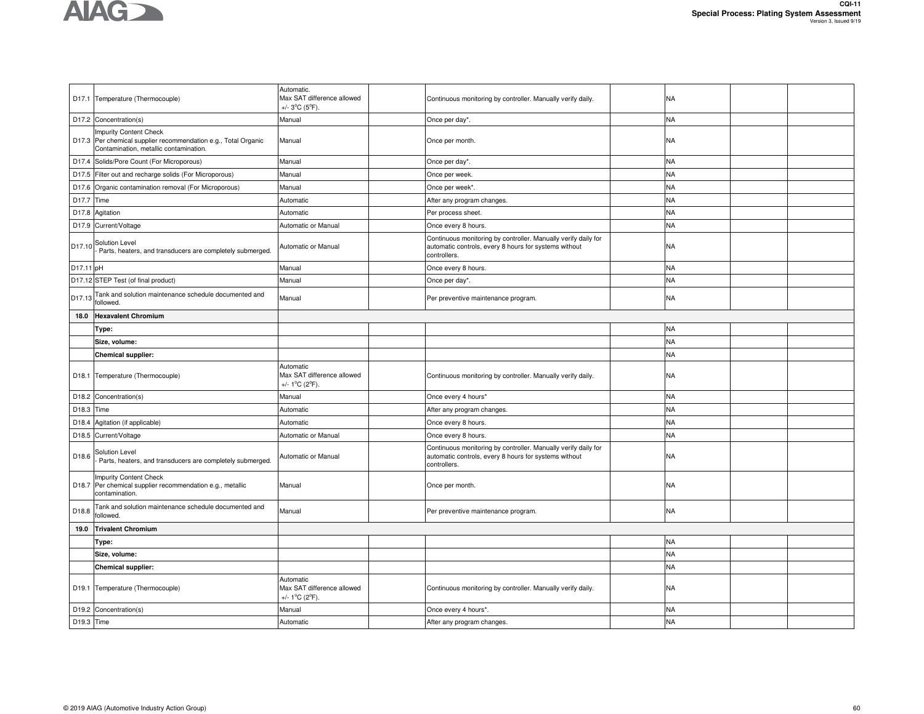

|            | D17.1 Temperature (Thermocouple)                                                                                                          | Automatic.<br>Max SAT difference allowed<br>+/- $3^{\circ}$ C ( $5^{\circ}$ F). | Continuous monitoring by controller. Manually verify daily.                                                                             | NA        |  |
|------------|-------------------------------------------------------------------------------------------------------------------------------------------|---------------------------------------------------------------------------------|-----------------------------------------------------------------------------------------------------------------------------------------|-----------|--|
|            | D17.2 Concentration(s)                                                                                                                    | Manual                                                                          | Once per day*.                                                                                                                          | <b>NA</b> |  |
|            | <b>Impurity Content Check</b><br>D17.3 Per chemical supplier recommendation e.g., Total Organic<br>Contamination, metallic contamination. | Manual                                                                          | Once per month.                                                                                                                         | NA        |  |
|            | D17.4 Solids/Pore Count (For Microporous)                                                                                                 | Manual                                                                          | Once per day*                                                                                                                           | <b>NA</b> |  |
| D17.5      | Filter out and recharge solids (For Microporous)                                                                                          | Manual                                                                          | Once per week.                                                                                                                          | <b>NA</b> |  |
|            | D17.6 Organic contamination removal (For Microporous)                                                                                     | Manual                                                                          | Once per week*.                                                                                                                         | <b>NA</b> |  |
| D17.7      | Time                                                                                                                                      | Automatic                                                                       | After any program changes.                                                                                                              | <b>NA</b> |  |
|            | D17.8 Agitation                                                                                                                           | Automatic                                                                       | Per process sheet.                                                                                                                      | <b>NA</b> |  |
|            | D17.9 Current/Voltage                                                                                                                     | Automatic or Manual                                                             | Once every 8 hours.                                                                                                                     | NA        |  |
| D17.10     | Solution Level<br>Parts, heaters, and transducers are completely submerged.                                                               | Automatic or Manual                                                             | Continuous monitoring by controller. Manually verify daily for<br>automatic controls, every 8 hours for systems without<br>controllers. | NA        |  |
| D17.11 pH  |                                                                                                                                           | Manual                                                                          | Once every 8 hours.                                                                                                                     | NA        |  |
|            | D17.12 STEP Test (of final product)                                                                                                       | Manual                                                                          | Once per day*.                                                                                                                          | NA        |  |
| D17.13     | Tank and solution maintenance schedule documented and<br>followed.                                                                        | Manual                                                                          | Per preventive maintenance program.                                                                                                     | <b>NA</b> |  |
| 18.0       | <b>Hexavalent Chromium</b>                                                                                                                |                                                                                 |                                                                                                                                         |           |  |
|            | Type:                                                                                                                                     |                                                                                 |                                                                                                                                         | NA        |  |
|            | Size, volume:                                                                                                                             |                                                                                 |                                                                                                                                         | <b>NA</b> |  |
|            | Chemical supplier:                                                                                                                        |                                                                                 |                                                                                                                                         | <b>NA</b> |  |
|            | D18.1 Temperature (Thermocouple)                                                                                                          | Automatic<br>Max SAT difference allowed<br>+/- $1^{\circ}$ C (2 $^{\circ}$ F).  | Continuous monitoring by controller. Manually verify daily.                                                                             | NA        |  |
|            | D18.2 Concentration(s)                                                                                                                    | Manual                                                                          | Once every 4 hours*                                                                                                                     | <b>NA</b> |  |
| D18.3 Time |                                                                                                                                           | Automatic                                                                       | After any program changes                                                                                                               | <b>NA</b> |  |
| D18.4      | Agitation (if applicable)                                                                                                                 | Automatic                                                                       | Once every 8 hours.                                                                                                                     | <b>NA</b> |  |
|            | D18.5 Current/Voltage                                                                                                                     | Automatic or Manual                                                             | Once every 8 hours.                                                                                                                     | <b>NA</b> |  |
| D18.6      | Solution Level<br>Parts, heaters, and transducers are completely submerged.                                                               | Automatic or Manual                                                             | Continuous monitoring by controller. Manually verify daily for<br>automatic controls, every 8 hours for systems without<br>controllers. | NA        |  |
|            | <b>Impurity Content Check</b><br>D18.7 Per chemical supplier recommendation e.g., metallic<br>contamination.                              | Manual                                                                          | Once per month.                                                                                                                         | NA        |  |
| D18.8      | Tank and solution maintenance schedule documented and<br>ollowed.                                                                         | Manual                                                                          | Per preventive maintenance program.                                                                                                     | <b>NA</b> |  |
| 19.0       | <b>Trivalent Chromium</b>                                                                                                                 |                                                                                 |                                                                                                                                         |           |  |
|            | Type:                                                                                                                                     |                                                                                 |                                                                                                                                         | NA        |  |
|            | Size, volume:                                                                                                                             |                                                                                 |                                                                                                                                         | <b>NA</b> |  |
|            | <b>Chemical supplier:</b>                                                                                                                 |                                                                                 |                                                                                                                                         | <b>NA</b> |  |
|            | D19.1 Temperature (Thermocouple)                                                                                                          | Automatic<br>Max SAT difference allowed<br>+/- $1^{\circ}$ C (2 $^{\circ}$ F).  | Continuous monitoring by controller. Manually verify daily.                                                                             | NA        |  |
|            | D19.2 Concentration(s)                                                                                                                    | Manual                                                                          | Once every 4 hours*.                                                                                                                    | <b>NA</b> |  |
| D19.3 Time |                                                                                                                                           | Automatic                                                                       | After any program changes.                                                                                                              | <b>NA</b> |  |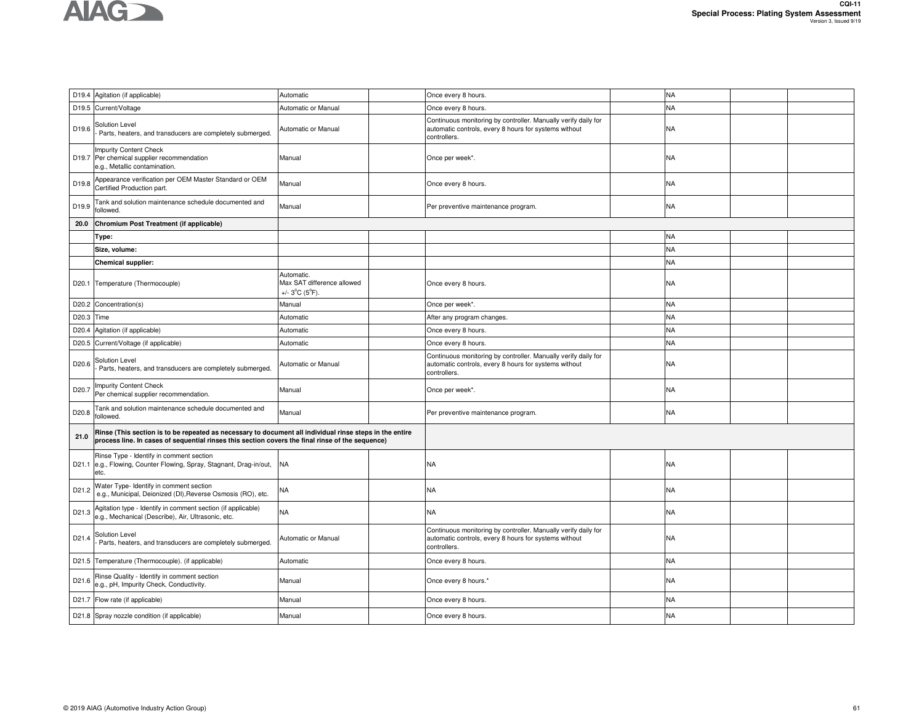

|                   | D19.4 Agitation (if applicable)                                                                                                                                                                             | Automatic                                                                       | Once every 8 hours.                                                                                                                     |  | <b>NA</b> |  |  |  |
|-------------------|-------------------------------------------------------------------------------------------------------------------------------------------------------------------------------------------------------------|---------------------------------------------------------------------------------|-----------------------------------------------------------------------------------------------------------------------------------------|--|-----------|--|--|--|
|                   | D19.5 Current/Voltage                                                                                                                                                                                       | Automatic or Manual                                                             | Once every 8 hours.                                                                                                                     |  | NA        |  |  |  |
| D19.6             | Solution Level<br>Parts, heaters, and transducers are completely submerged.                                                                                                                                 | Automatic or Manual                                                             | Continuous monitoring by controller. Manually verify daily for<br>automatic controls, every 8 hours for systems without<br>controllers. |  | NA        |  |  |  |
|                   | <b>Impurity Content Check</b><br>D19.7 Per chemical supplier recommendation<br>e.g., Metallic contamination.                                                                                                | Manual                                                                          | Once per week*.                                                                                                                         |  | NA        |  |  |  |
| D19.8             | Appearance verification per OEM Master Standard or OEM<br>Certified Production part.                                                                                                                        | Manual                                                                          | Once every 8 hours.                                                                                                                     |  | NA        |  |  |  |
| D19.9             | Tank and solution maintenance schedule documented and<br>followed.                                                                                                                                          | Manual                                                                          | Per preventive maintenance program.                                                                                                     |  | NA        |  |  |  |
| 20.0              | Chromium Post Treatment (if applicable)                                                                                                                                                                     |                                                                                 |                                                                                                                                         |  |           |  |  |  |
|                   | Type:                                                                                                                                                                                                       |                                                                                 |                                                                                                                                         |  | <b>NA</b> |  |  |  |
|                   | Size, volume:                                                                                                                                                                                               |                                                                                 |                                                                                                                                         |  | <b>NA</b> |  |  |  |
|                   | Chemical supplier:                                                                                                                                                                                          |                                                                                 |                                                                                                                                         |  | <b>NA</b> |  |  |  |
|                   | D20.1 Temperature (Thermocouple)                                                                                                                                                                            | Automatic.<br>Max SAT difference allowed<br>+/- $3^{\circ}$ C (5 $^{\circ}$ F). | Once every 8 hours.                                                                                                                     |  | NA        |  |  |  |
|                   | D20.2 Concentration(s)                                                                                                                                                                                      | Manual                                                                          | Once per week*.                                                                                                                         |  | <b>NA</b> |  |  |  |
| D20.3 Time        |                                                                                                                                                                                                             | Automatic                                                                       | After any program changes.                                                                                                              |  | <b>NA</b> |  |  |  |
| D <sub>20.4</sub> | Agitation (if applicable)                                                                                                                                                                                   | Automatic                                                                       | Once every 8 hours.                                                                                                                     |  | NA        |  |  |  |
|                   | D20.5 Current/Voltage (if applicable)                                                                                                                                                                       | Automatic                                                                       | Once every 8 hours.                                                                                                                     |  | <b>NA</b> |  |  |  |
| D20.6             | Solution Level<br>Parts, heaters, and transducers are completely submerged.                                                                                                                                 | Automatic or Manual                                                             | Continuous monitoring by controller. Manually verify daily for<br>automatic controls, every 8 hours for systems without<br>controllers. |  | NA        |  |  |  |
| D <sub>20.7</sub> | mpurity Content Check<br>Per chemical supplier recommendation.                                                                                                                                              | Manual                                                                          | Once per week*.                                                                                                                         |  | NA        |  |  |  |
| D20.8             | Tank and solution maintenance schedule documented and<br>followed.                                                                                                                                          | Manual                                                                          | Per preventive maintenance program.                                                                                                     |  | <b>NA</b> |  |  |  |
| 21.0              | Rinse (This section is to be repeated as necessary to document all individual rinse steps in the entire<br>process line. In cases of sequential rinses this section covers the final rinse of the sequence) |                                                                                 |                                                                                                                                         |  |           |  |  |  |
|                   | Rinse Type - Identify in comment section<br>D21.1 e.g., Flowing, Counter Flowing, Spray, Stagnant, Drag-in/out,<br>etc.                                                                                     | <b>NA</b>                                                                       | <b>NA</b>                                                                                                                               |  | NA        |  |  |  |
| D21.2             | <b>Nater Type- Identify in comment section</b><br>e.g., Municipal, Deionized (DI), Reverse Osmosis (RO), etc.                                                                                               | <b>NA</b>                                                                       | <b>NA</b>                                                                                                                               |  | NA        |  |  |  |
| D21.3             | Agitation type - Identify in comment section (if applicable)<br>e.g., Mechanical (Describe), Air, Ultrasonic, etc.                                                                                          | <b>NA</b>                                                                       | <b>NA</b>                                                                                                                               |  | NA        |  |  |  |
| D <sub>21.4</sub> | Solution Level<br>Parts, heaters, and transducers are completely submerged.                                                                                                                                 | Automatic or Manual                                                             | Continuous monitoring by controller. Manually verify daily for<br>automatic controls, every 8 hours for systems without<br>controllers. |  | NA        |  |  |  |
|                   | D21.5 Temperature (Thermocouple). (if applicable)                                                                                                                                                           | Automatic                                                                       | Once every 8 hours.                                                                                                                     |  | <b>NA</b> |  |  |  |
| D21.6             | Rinse Quality - Identify in comment section<br>e.g., pH, Impurity Check, Conductivity.                                                                                                                      | Manual                                                                          | Once every 8 hours.'                                                                                                                    |  | NA        |  |  |  |
|                   | D21.7 Flow rate (if applicable)                                                                                                                                                                             | Manual                                                                          | Once every 8 hours.                                                                                                                     |  | <b>NA</b> |  |  |  |
|                   | D21.8 Spray nozzle condition (if applicable)                                                                                                                                                                | Manual                                                                          | Once every 8 hours.                                                                                                                     |  | <b>NA</b> |  |  |  |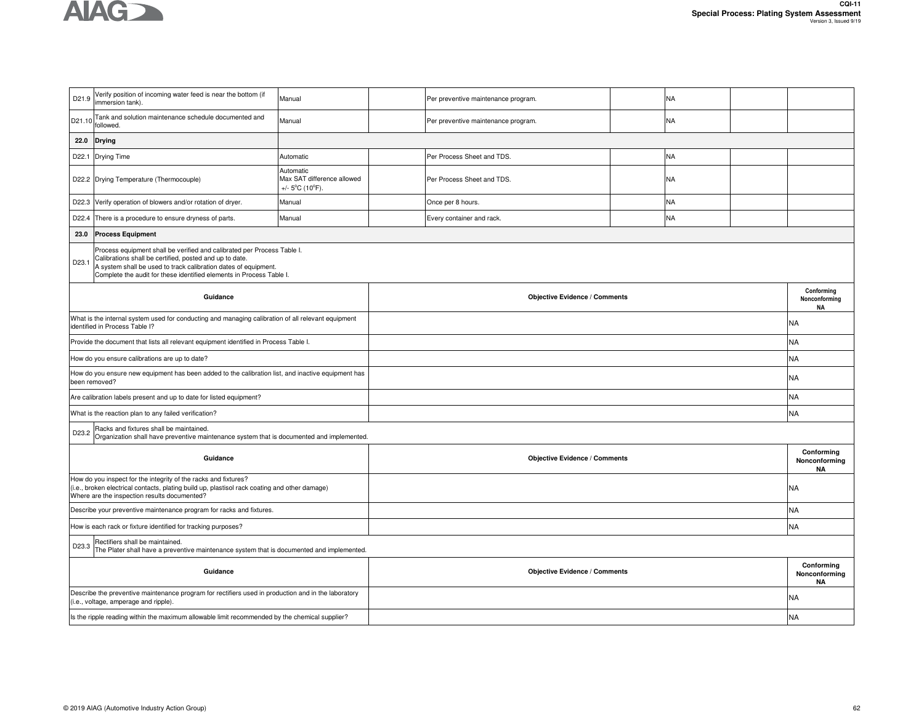

| D21.9                                                                                                                                                                                                                                                                                  | Verify position of incoming water feed is near the bottom (if<br>immersion tank).                                                                                                                                | Manual                                                                          |                                      | Per preventive maintenance program.  |  | NA        |  |                                          |
|----------------------------------------------------------------------------------------------------------------------------------------------------------------------------------------------------------------------------------------------------------------------------------------|------------------------------------------------------------------------------------------------------------------------------------------------------------------------------------------------------------------|---------------------------------------------------------------------------------|--------------------------------------|--------------------------------------|--|-----------|--|------------------------------------------|
| D21.10                                                                                                                                                                                                                                                                                 | Tank and solution maintenance schedule documented and<br>followed.                                                                                                                                               | Manual                                                                          |                                      | Per preventive maintenance program.  |  | NA        |  |                                          |
| 22.0                                                                                                                                                                                                                                                                                   | <b>Drying</b>                                                                                                                                                                                                    |                                                                                 |                                      |                                      |  |           |  |                                          |
| D22.1                                                                                                                                                                                                                                                                                  | Drying Time                                                                                                                                                                                                      | Automatic                                                                       |                                      | Per Process Sheet and TDS.           |  | <b>NA</b> |  |                                          |
|                                                                                                                                                                                                                                                                                        | D22.2 Drying Temperature (Thermocouple)                                                                                                                                                                          | Automatic<br>Max SAT difference allowed<br>+/- $5^{\circ}$ C (10 $^{\circ}$ F). |                                      | Per Process Sheet and TDS.           |  | NA        |  |                                          |
| D22.3                                                                                                                                                                                                                                                                                  | Verify operation of blowers and/or rotation of dryer.                                                                                                                                                            | Manual                                                                          |                                      | Once per 8 hours.                    |  | <b>NA</b> |  |                                          |
| D22.4                                                                                                                                                                                                                                                                                  | There is a procedure to ensure dryness of parts.                                                                                                                                                                 | Manual                                                                          |                                      | Every container and rack.            |  | <b>NA</b> |  |                                          |
| 23.0                                                                                                                                                                                                                                                                                   | <b>Process Equipment</b>                                                                                                                                                                                         |                                                                                 |                                      |                                      |  |           |  |                                          |
| Process equipment shall be verified and calibrated per Process Table I.<br>Calibrations shall be certified, posted and up to date.<br>D23.1<br>A system shall be used to track calibration dates of equipment.<br>Complete the audit for these identified elements in Process Table I. |                                                                                                                                                                                                                  |                                                                                 |                                      |                                      |  |           |  |                                          |
|                                                                                                                                                                                                                                                                                        | Guidance                                                                                                                                                                                                         |                                                                                 |                                      | <b>Objective Evidence / Comments</b> |  |           |  | Conforming<br>Nonconforming<br><b>NA</b> |
|                                                                                                                                                                                                                                                                                        | What is the internal system used for conducting and managing calibration of all relevant equipment<br>identified in Process Table I?                                                                             |                                                                                 |                                      |                                      |  |           |  | ΝA                                       |
|                                                                                                                                                                                                                                                                                        | Provide the document that lists all relevant equipment identified in Process Table I.                                                                                                                            |                                                                                 |                                      |                                      |  |           |  | <b>NA</b>                                |
|                                                                                                                                                                                                                                                                                        | How do you ensure calibrations are up to date?                                                                                                                                                                   |                                                                                 |                                      |                                      |  |           |  | NΑ                                       |
|                                                                                                                                                                                                                                                                                        | How do you ensure new equipment has been added to the calibration list, and inactive equipment has<br>been removed?                                                                                              |                                                                                 |                                      |                                      |  |           |  | ΝA                                       |
|                                                                                                                                                                                                                                                                                        | Are calibration labels present and up to date for listed equipment?                                                                                                                                              |                                                                                 |                                      |                                      |  |           |  | NA                                       |
|                                                                                                                                                                                                                                                                                        | What is the reaction plan to any failed verification?                                                                                                                                                            |                                                                                 |                                      |                                      |  |           |  | <b>NA</b>                                |
| D23.2                                                                                                                                                                                                                                                                                  | Racks and fixtures shall be maintained.<br>Organization shall have preventive maintenance system that is documented and implemented.                                                                             |                                                                                 |                                      |                                      |  |           |  |                                          |
|                                                                                                                                                                                                                                                                                        | Guidance                                                                                                                                                                                                         |                                                                                 | <b>Objective Evidence / Comments</b> |                                      |  |           |  | Conforming<br>Nonconforming<br><b>NA</b> |
|                                                                                                                                                                                                                                                                                        | How do you inspect for the integrity of the racks and fixtures?<br>(i.e., broken electrical contacts, plating build up, plastisol rack coating and other damage)<br>Where are the inspection results documented? |                                                                                 |                                      |                                      |  |           |  | NA                                       |
|                                                                                                                                                                                                                                                                                        | Describe your preventive maintenance program for racks and fixtures.                                                                                                                                             |                                                                                 |                                      |                                      |  |           |  | <b>NA</b>                                |
|                                                                                                                                                                                                                                                                                        | How is each rack or fixture identified for tracking purposes?                                                                                                                                                    |                                                                                 |                                      |                                      |  |           |  | NA                                       |
| D23.3                                                                                                                                                                                                                                                                                  | Rectifiers shall be maintained.<br>The Plater shall have a preventive maintenance system that is documented and implemented.                                                                                     |                                                                                 |                                      |                                      |  |           |  |                                          |
|                                                                                                                                                                                                                                                                                        | Guidance                                                                                                                                                                                                         |                                                                                 | <b>Objective Evidence / Comments</b> |                                      |  |           |  | Conforming<br>Nonconforming<br><b>NA</b> |
|                                                                                                                                                                                                                                                                                        | Describe the preventive maintenance program for rectifiers used in production and in the laboratory<br>(i.e., voltage, amperage and ripple).                                                                     |                                                                                 |                                      |                                      |  |           |  | NA                                       |
|                                                                                                                                                                                                                                                                                        | Is the ripple reading within the maximum allowable limit recommended by the chemical supplier?                                                                                                                   |                                                                                 |                                      |                                      |  |           |  | <b>NA</b>                                |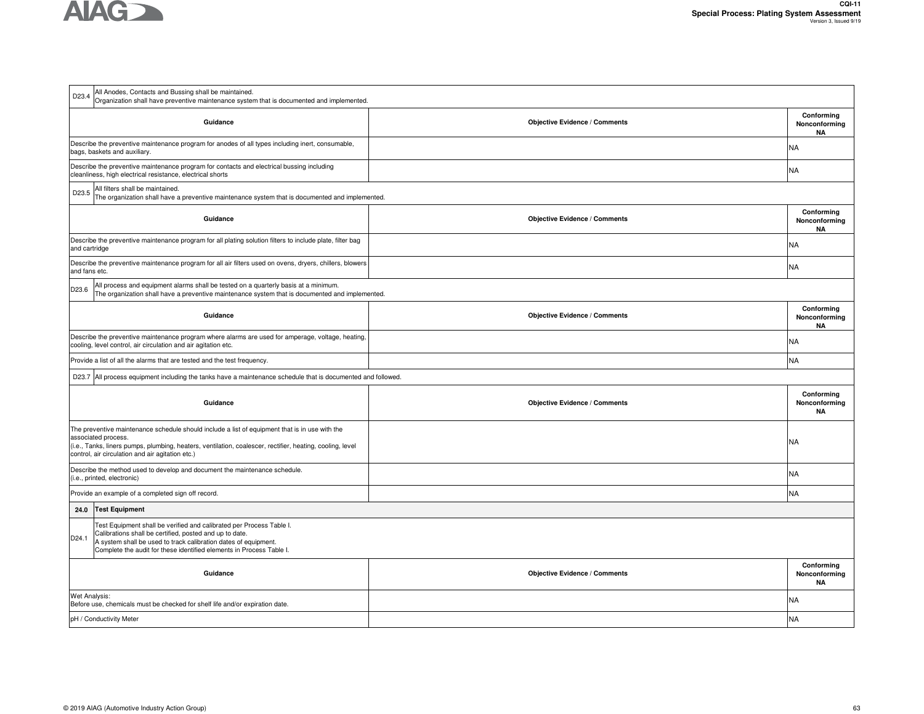

| D23.4         | All Anodes, Contacts and Bussing shall be maintained.<br>Organization shall have preventive maintenance system that is documented and implemented.                                                                                                                                     |                                      |                                          |  |  |  |  |  |  |
|---------------|----------------------------------------------------------------------------------------------------------------------------------------------------------------------------------------------------------------------------------------------------------------------------------------|--------------------------------------|------------------------------------------|--|--|--|--|--|--|
|               | Guidance                                                                                                                                                                                                                                                                               | <b>Objective Evidence / Comments</b> | Conforming<br>Nonconforming<br><b>NA</b> |  |  |  |  |  |  |
|               | Describe the preventive maintenance program for anodes of all types including inert, consumable,<br>bags, baskets and auxiliary.                                                                                                                                                       |                                      | NA                                       |  |  |  |  |  |  |
|               | Describe the preventive maintenance program for contacts and electrical bussing including<br>cleanliness, high electrical resistance, electrical shorts                                                                                                                                |                                      | NA                                       |  |  |  |  |  |  |
| D23.5         | All filters shall be maintained.<br>The organization shall have a preventive maintenance system that is documented and implemented.                                                                                                                                                    |                                      |                                          |  |  |  |  |  |  |
|               | Guidance                                                                                                                                                                                                                                                                               | <b>Objective Evidence / Comments</b> | Conforming<br>Nonconforming<br><b>NA</b> |  |  |  |  |  |  |
| and cartridge | Describe the preventive maintenance program for all plating solution filters to include plate, filter bag                                                                                                                                                                              |                                      | NA                                       |  |  |  |  |  |  |
| and fans etc. | Describe the preventive maintenance program for all air filters used on ovens, dryers, chillers, blowers                                                                                                                                                                               |                                      | NA                                       |  |  |  |  |  |  |
| D23.6         | All process and equipment alarms shall be tested on a quarterly basis at a minimum.<br>The organization shall have a preventive maintenance system that is documented and implemented.                                                                                                 |                                      |                                          |  |  |  |  |  |  |
|               | Guidance                                                                                                                                                                                                                                                                               | <b>Objective Evidence / Comments</b> | Conforming<br>Nonconforming<br><b>NA</b> |  |  |  |  |  |  |
|               | Describe the preventive maintenance program where alarms are used for amperage, voltage, heating,<br>cooling, level control, air circulation and air agitation etc.                                                                                                                    |                                      | NA                                       |  |  |  |  |  |  |
|               | Provide a list of all the alarms that are tested and the test frequency.                                                                                                                                                                                                               |                                      | <b>NA</b>                                |  |  |  |  |  |  |
|               | D23.7 All process equipment including the tanks have a maintenance schedule that is documented and followed.                                                                                                                                                                           |                                      |                                          |  |  |  |  |  |  |
|               | Guidance                                                                                                                                                                                                                                                                               | <b>Objective Evidence / Comments</b> | Conforming<br>Nonconforming<br><b>NA</b> |  |  |  |  |  |  |
|               | The preventive maintenance schedule should include a list of equipment that is in use with the<br>associated process.<br>(i.e., Tanks, liners pumps, plumbing, heaters, ventilation, coalescer, rectifier, heating, cooling, level<br>control, air circulation and air agitation etc.) |                                      | NA                                       |  |  |  |  |  |  |
|               | Describe the method used to develop and document the maintenance schedule.<br>(i.e., printed, electronic)                                                                                                                                                                              |                                      | N٨                                       |  |  |  |  |  |  |
|               | Provide an example of a completed sign off record.                                                                                                                                                                                                                                     |                                      | NA                                       |  |  |  |  |  |  |
| 24.0          | <b>Test Equipment</b>                                                                                                                                                                                                                                                                  |                                      |                                          |  |  |  |  |  |  |
| D24.1         | Test Equipment shall be verified and calibrated per Process Table I.<br>Calibrations shall be certified, posted and up to date.<br>A system shall be used to track calibration dates of equipment.<br>Complete the audit for these identified elements in Process Table I.             |                                      |                                          |  |  |  |  |  |  |
|               | Guidance                                                                                                                                                                                                                                                                               | <b>Objective Evidence / Comments</b> | Conforming<br>Nonconforming<br><b>NA</b> |  |  |  |  |  |  |
| Wet Analysis: | Before use, chemicals must be checked for shelf life and/or expiration date.                                                                                                                                                                                                           |                                      | NA                                       |  |  |  |  |  |  |
|               | pH / Conductivity Meter                                                                                                                                                                                                                                                                |                                      | <b>NA</b>                                |  |  |  |  |  |  |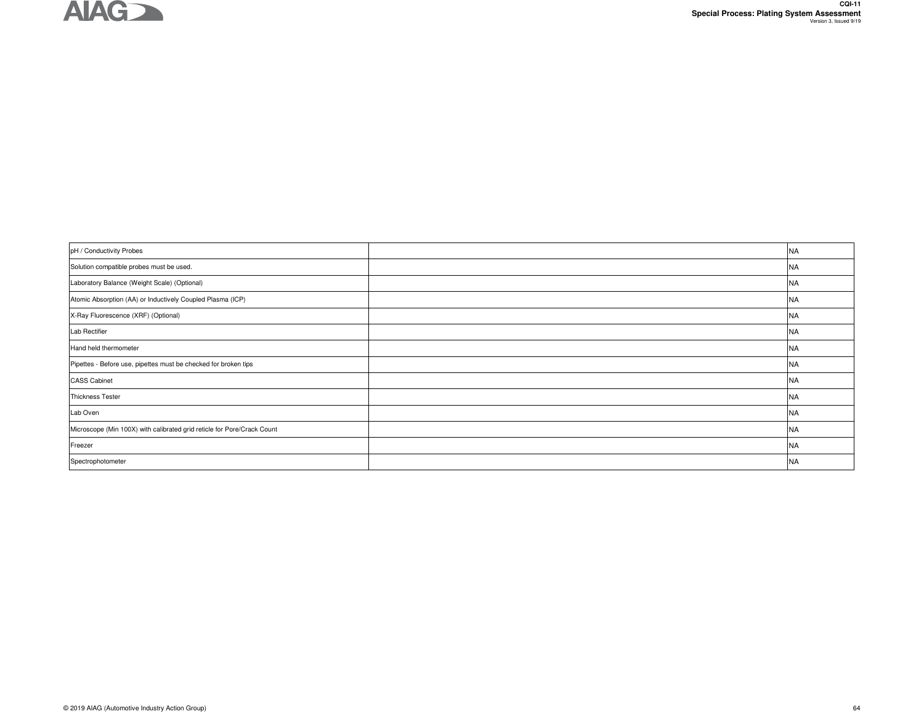

 $\mathbf{r}$ 

| pH / Conductivity Probes                                                | <b>NA</b> |
|-------------------------------------------------------------------------|-----------|
| Solution compatible probes must be used.                                | <b>NA</b> |
| Laboratory Balance (Weight Scale) (Optional)                            | <b>NA</b> |
| Atomic Absorption (AA) or Inductively Coupled Plasma (ICP)              | <b>NA</b> |
| X-Ray Fluorescence (XRF) (Optional)                                     | <b>NA</b> |
| Lab Rectifier                                                           | NA        |
| Hand held thermometer                                                   | <b>NA</b> |
| Pipettes - Before use, pipettes must be checked for broken tips         | <b>NA</b> |
| <b>CASS Cabinet</b>                                                     | <b>NA</b> |
| <b>Thickness Tester</b>                                                 | <b>NA</b> |
| Lab Oven                                                                | <b>NA</b> |
| Microscope (Min 100X) with calibrated grid reticle for Pore/Crack Count | <b>NA</b> |
| Freezer                                                                 | <b>NA</b> |
| Spectrophotometer                                                       | <b>NA</b> |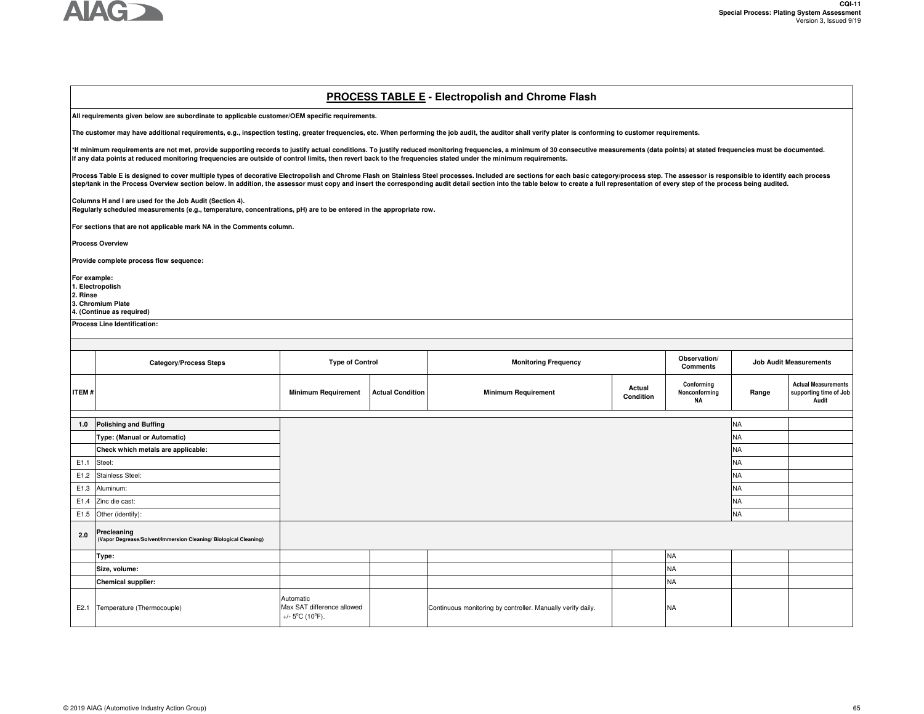

#### **PROCESS TABLE E - Electropolish and Chrome Flash**

**All requirements given below are subordinate to applicable customer/OEM specific requirements.** 

**The customer may have additional requirements, e.g., inspection testing, greater frequencies, etc. When performing the job audit, the auditor shall verify plater is conforming to customer requirements.**

\*If minimum requirements are not met, provide supporting records to justify actual conditions. To justify reduced monitoring frequencies, a minimum of 30 consecutive measurements (data points) at stated frequencies must be **If any data points at reduced monitoring frequencies are outside of control limits, then revert back to the frequencies stated under the minimum requirements.** 

Process Table E is designed to cover multiple types of decorative Electropolish and Chrome Flash on Stainless Steel processes. Included are sections for each basic category/process step. The assessor is responsible to iden step/tank in the Process Overview section below. In addition, the assessor must copy and insert the corresponding audit detail section into the table below to create a full representation of every step of the process being

**Columns H and I are used for the Job Audit (Section 4).** 

**Regularly scheduled measurements (e.g., temperature, concentrations, pH) are to be entered in the appropriate row.**

**For sections that are not applicable mark NA in the Comments column.** 

**Process Overview**

**Provide complete process flow sequence:** 

**For example:** 

**1. Electropolish**

**2. Rinse**

**3. Chromium Plate**

**4. (Continue as required)**

**Process Line Identification:**

|              | <b>Category/Process Steps</b>                                                   | <b>Type of Control</b>                                                          |                         | <b>Monitoring Frequency</b>                                 |                     | Observation/<br><b>Comments</b>   |           | <b>Job Audit Measurements</b>                                 |  |
|--------------|---------------------------------------------------------------------------------|---------------------------------------------------------------------------------|-------------------------|-------------------------------------------------------------|---------------------|-----------------------------------|-----------|---------------------------------------------------------------|--|
| <b>ITEM#</b> |                                                                                 | <b>Minimum Requirement</b>                                                      | <b>Actual Condition</b> | <b>Minimum Requirement</b>                                  | Actual<br>Condition | Conforming<br>Nonconforming<br>NA | Range     | <b>Actual Measurements</b><br>supporting time of Job<br>Audit |  |
|              |                                                                                 |                                                                                 |                         |                                                             |                     |                                   |           |                                                               |  |
| 1.0          | <b>Polishing and Buffing</b>                                                    |                                                                                 |                         |                                                             |                     |                                   | <b>NA</b> |                                                               |  |
|              | Type: (Manual or Automatic)                                                     |                                                                                 |                         |                                                             |                     |                                   | <b>NA</b> |                                                               |  |
|              | Check which metals are applicable:                                              |                                                                                 |                         |                                                             |                     |                                   | <b>NA</b> |                                                               |  |
|              | E1.1 Steel:                                                                     |                                                                                 |                         |                                                             |                     |                                   | <b>NA</b> |                                                               |  |
|              | E1.2 Stainless Steel:                                                           |                                                                                 |                         |                                                             |                     |                                   |           |                                                               |  |
|              | E1.3 Aluminum:                                                                  |                                                                                 |                         |                                                             |                     |                                   | <b>NA</b> |                                                               |  |
|              | E1.4 Zinc die cast:                                                             |                                                                                 |                         |                                                             |                     |                                   | <b>NA</b> |                                                               |  |
|              | E1.5 Other (identify):                                                          |                                                                                 |                         |                                                             |                     |                                   | <b>NA</b> |                                                               |  |
| 2.0          | Precleaning<br>(Vapor Degrease/Solvent/Immersion Cleaning/ Biological Cleaning) |                                                                                 |                         |                                                             |                     |                                   |           |                                                               |  |
|              | Type:                                                                           |                                                                                 |                         |                                                             |                     | <b>NA</b>                         |           |                                                               |  |
|              | Size, volume:                                                                   |                                                                                 |                         |                                                             |                     | <b>NA</b>                         |           |                                                               |  |
|              | <b>Chemical supplier:</b>                                                       |                                                                                 |                         |                                                             |                     | <b>NA</b>                         |           |                                                               |  |
| E2.1         | Temperature (Thermocouple)                                                      | Automatic<br>Max SAT difference allowed<br>+/- $5^{\circ}$ C (10 $^{\circ}$ F). |                         | Continuous monitoring by controller. Manually verify daily. |                     | <b>NA</b>                         |           |                                                               |  |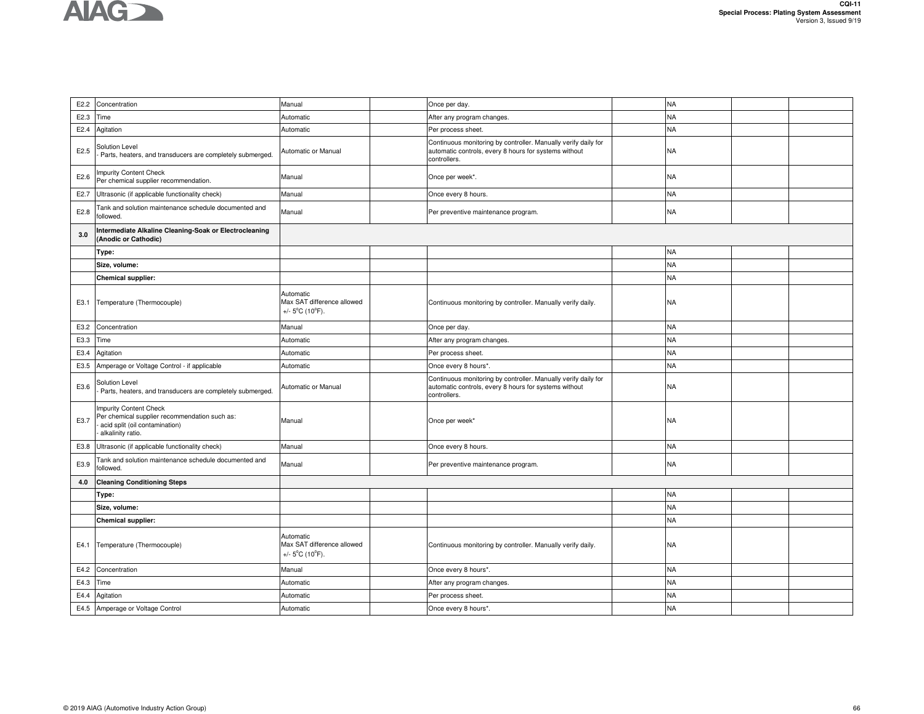| E2.2 | Concentration                                                                                                                  | Manual                                                                          | Once per day.                                                                                                                           |  | <b>NA</b> |  |  |  |  |
|------|--------------------------------------------------------------------------------------------------------------------------------|---------------------------------------------------------------------------------|-----------------------------------------------------------------------------------------------------------------------------------------|--|-----------|--|--|--|--|
| E2.3 | Time                                                                                                                           | Automatic                                                                       | After any program changes.                                                                                                              |  | <b>NA</b> |  |  |  |  |
| E2.4 | Agitation                                                                                                                      | Automatic                                                                       | Per process sheet.                                                                                                                      |  | <b>NA</b> |  |  |  |  |
| E2.5 | Solution Level<br>Parts, heaters, and transducers are completely submerged.                                                    | Automatic or Manual                                                             | Continuous monitoring by controller. Manually verify daily for<br>automatic controls, every 8 hours for systems without<br>controllers. |  | <b>NA</b> |  |  |  |  |
| E2.6 | <b>Impurity Content Check</b><br>Per chemical supplier recommendation.                                                         | Manual                                                                          | Once per week*.                                                                                                                         |  | <b>NA</b> |  |  |  |  |
| E2.7 | Ultrasonic (if applicable functionality check)                                                                                 | Manual                                                                          | Once every 8 hours.                                                                                                                     |  | <b>NA</b> |  |  |  |  |
| E2.8 | Tank and solution maintenance schedule documented and<br>followed.                                                             | Manual                                                                          | Per preventive maintenance program.                                                                                                     |  | <b>NA</b> |  |  |  |  |
| 3.0  | Intermediate Alkaline Cleaning-Soak or Electrocleaning<br>(Anodic or Cathodic)                                                 |                                                                                 |                                                                                                                                         |  |           |  |  |  |  |
|      | Type:                                                                                                                          |                                                                                 |                                                                                                                                         |  | <b>NA</b> |  |  |  |  |
|      | Size, volume:                                                                                                                  |                                                                                 |                                                                                                                                         |  | <b>NA</b> |  |  |  |  |
|      | <b>Chemical supplier:</b>                                                                                                      |                                                                                 |                                                                                                                                         |  | <b>NA</b> |  |  |  |  |
| E3.1 | Temperature (Thermocouple)                                                                                                     | Automatic<br>Max SAT difference allowed<br>+/- $5^{\circ}$ C (10 $^{\circ}$ F). | Continuous monitoring by controller. Manually verify daily.                                                                             |  | <b>NA</b> |  |  |  |  |
| E3.2 | Concentration                                                                                                                  | Manual                                                                          | Once per day.                                                                                                                           |  | <b>NA</b> |  |  |  |  |
| E3.3 | Time                                                                                                                           | Automatic                                                                       | After any program changes.                                                                                                              |  | <b>NA</b> |  |  |  |  |
| E3.4 | Agitation                                                                                                                      | Automatic                                                                       | Per process sheet.                                                                                                                      |  | <b>NA</b> |  |  |  |  |
| E3.5 | Amperage or Voltage Control - if applicable                                                                                    | Automatic                                                                       | Once every 8 hours*.                                                                                                                    |  | <b>NA</b> |  |  |  |  |
| E3.6 | Solution Level<br>Parts, heaters, and transducers are completely submerged.                                                    | Automatic or Manual                                                             | Continuous monitoring by controller. Manually verify daily for<br>automatic controls, every 8 hours for systems without<br>controllers. |  | <b>NA</b> |  |  |  |  |
| E3.7 | Impurity Content Check<br>Per chemical supplier recommendation such as:<br>acid split (oil contamination)<br>alkalinity ratio. | Manual                                                                          | Once per week*                                                                                                                          |  | <b>NA</b> |  |  |  |  |
| E3.8 | Ultrasonic (if applicable functionality check)                                                                                 | Manual                                                                          | Once every 8 hours.                                                                                                                     |  | NA        |  |  |  |  |
| E3.9 | Tank and solution maintenance schedule documented and<br>followed.                                                             | Manual                                                                          | Per preventive maintenance program.                                                                                                     |  | <b>NA</b> |  |  |  |  |
| 4.0  | <b>Cleaning Conditioning Steps</b>                                                                                             |                                                                                 |                                                                                                                                         |  |           |  |  |  |  |
|      | Type:                                                                                                                          |                                                                                 |                                                                                                                                         |  | <b>NA</b> |  |  |  |  |
|      | Size, volume:                                                                                                                  |                                                                                 |                                                                                                                                         |  | <b>NA</b> |  |  |  |  |
|      | <b>Chemical supplier:</b>                                                                                                      |                                                                                 |                                                                                                                                         |  | <b>NA</b> |  |  |  |  |
| E4.1 | Temperature (Thermocouple)                                                                                                     | Automatic<br>Max SAT difference allowed<br>+/- $5^{\circ}$ C (10 $^{\circ}$ F). | Continuous monitoring by controller. Manually verify daily.                                                                             |  | <b>NA</b> |  |  |  |  |
| E4.2 | Concentration                                                                                                                  | Manual                                                                          | Once every 8 hours*.                                                                                                                    |  | <b>NA</b> |  |  |  |  |
| E4.3 | Time                                                                                                                           | Automatic                                                                       | After any program changes.                                                                                                              |  | <b>NA</b> |  |  |  |  |
| E4.4 | Agitation                                                                                                                      | Automatic                                                                       | Per process sheet.                                                                                                                      |  | <b>NA</b> |  |  |  |  |
| E4.5 | Amperage or Voltage Control                                                                                                    | Automatic                                                                       | Once every 8 hours*.                                                                                                                    |  | <b>NA</b> |  |  |  |  |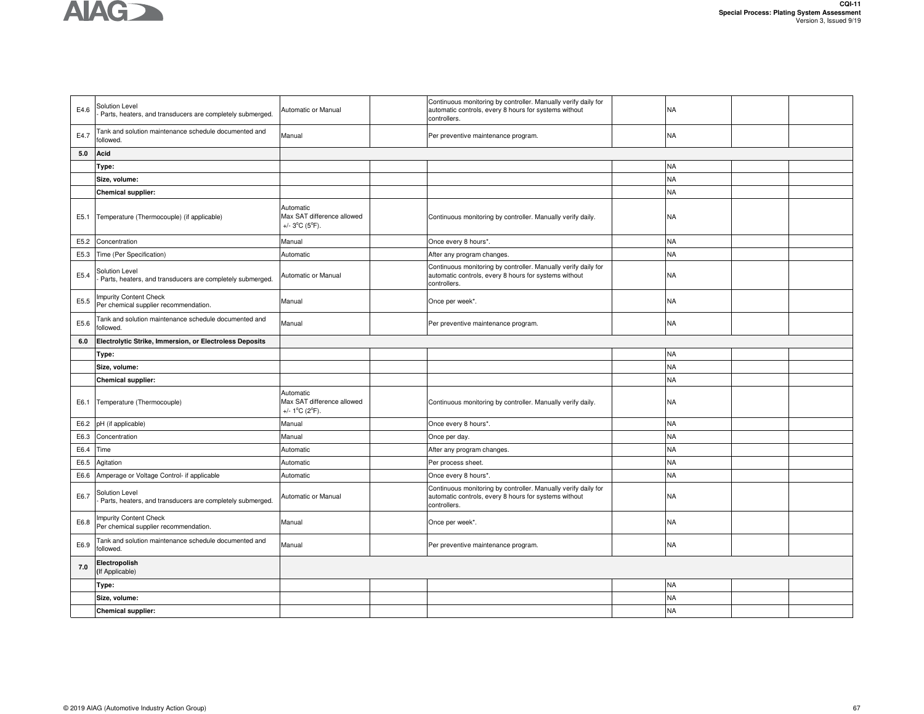

| E4.6 | Solution Level<br>Parts, heaters, and transducers are completely submerged. | Automatic or Manual                                                            | Continuous monitoring by controller. Manually verify daily for<br>automatic controls, every 8 hours for systems without<br>controllers. | <b>NA</b> |  |
|------|-----------------------------------------------------------------------------|--------------------------------------------------------------------------------|-----------------------------------------------------------------------------------------------------------------------------------------|-----------|--|
| E4.7 | Tank and solution maintenance schedule documented and<br>followed.          | Manual                                                                         | Per preventive maintenance program.                                                                                                     | <b>NA</b> |  |
| 5.0  | Acid                                                                        |                                                                                |                                                                                                                                         |           |  |
|      | Type:                                                                       |                                                                                |                                                                                                                                         | <b>NA</b> |  |
|      | Size, volume:                                                               |                                                                                |                                                                                                                                         | <b>NA</b> |  |
|      | Chemical supplier:                                                          |                                                                                |                                                                                                                                         | <b>NA</b> |  |
| E5.1 | Temperature (Thermocouple) (if applicable)                                  | Automatic<br>Max SAT difference allowed<br>+/- $3^{\circ}$ C (5 $^{\circ}$ F). | Continuous monitoring by controller. Manually verify daily.                                                                             | <b>NA</b> |  |
| E5.2 | Concentration                                                               | Manual                                                                         | Once every 8 hours*.                                                                                                                    | <b>NA</b> |  |
| E5.3 | Time (Per Specification)                                                    | Automatic                                                                      | After any program changes.                                                                                                              | <b>NA</b> |  |
| E5.4 | Solution Level<br>Parts, heaters, and transducers are completely submerged. | Automatic or Manual                                                            | Continuous monitoring by controller. Manually verify daily for<br>automatic controls, every 8 hours for systems without<br>controllers. | <b>NA</b> |  |
| E5.5 | mpurity Content Check<br>Per chemical supplier recommendation.              | Manual                                                                         | Once per week*.                                                                                                                         | <b>NA</b> |  |
| E5.6 | Tank and solution maintenance schedule documented and<br>followed.          | Manual                                                                         | Per preventive maintenance program.                                                                                                     | <b>NA</b> |  |
| 6.0  | Electrolytic Strike, Immersion, or Electroless Deposits                     |                                                                                |                                                                                                                                         |           |  |
|      | Type:                                                                       |                                                                                |                                                                                                                                         | <b>NA</b> |  |
|      | Size, volume:                                                               |                                                                                |                                                                                                                                         | <b>NA</b> |  |
|      | Chemical supplier:                                                          |                                                                                |                                                                                                                                         | <b>NA</b> |  |
| E6.1 | Temperature (Thermocouple)                                                  | Automatic<br>Max SAT difference allowed<br>+/- $1^{\circ}$ C (2 $^{\circ}$ F). | Continuous monitoring by controller. Manually verify daily.                                                                             | <b>NA</b> |  |
| E6.2 | pH (if applicable)                                                          | Manual                                                                         | Once every 8 hours*.                                                                                                                    | <b>NA</b> |  |
| E6.3 | Concentration                                                               | Manual                                                                         | Once per day.                                                                                                                           | <b>NA</b> |  |
| E6.4 | Time                                                                        | Automatic                                                                      | After any program changes                                                                                                               | <b>NA</b> |  |
| E6.5 | Agitation                                                                   | Automatic                                                                      | Per process sheet.                                                                                                                      | <b>NA</b> |  |
| E6.6 | Amperage or Voltage Control- if applicable                                  | Automatic                                                                      | Once every 8 hours*.                                                                                                                    | <b>NA</b> |  |
| E6.7 | Solution Level<br>Parts, heaters, and transducers are completely submerged. | Automatic or Manual                                                            | Continuous monitoring by controller. Manually verify daily for<br>automatic controls, every 8 hours for systems without<br>controllers. | <b>NA</b> |  |
| E6.8 | mpurity Content Check<br>Per chemical supplier recommendation.              | Manual                                                                         | Once per week*.                                                                                                                         | <b>NA</b> |  |
| E6.9 | Tank and solution maintenance schedule documented and<br>followed.          | Manual                                                                         | Per preventive maintenance program.                                                                                                     | <b>NA</b> |  |
| 7.0  | Electropolish<br>(If Applicable)                                            |                                                                                |                                                                                                                                         |           |  |
|      | Type:                                                                       |                                                                                |                                                                                                                                         | <b>NA</b> |  |
|      | Size, volume:                                                               |                                                                                |                                                                                                                                         | <b>NA</b> |  |
|      |                                                                             |                                                                                |                                                                                                                                         |           |  |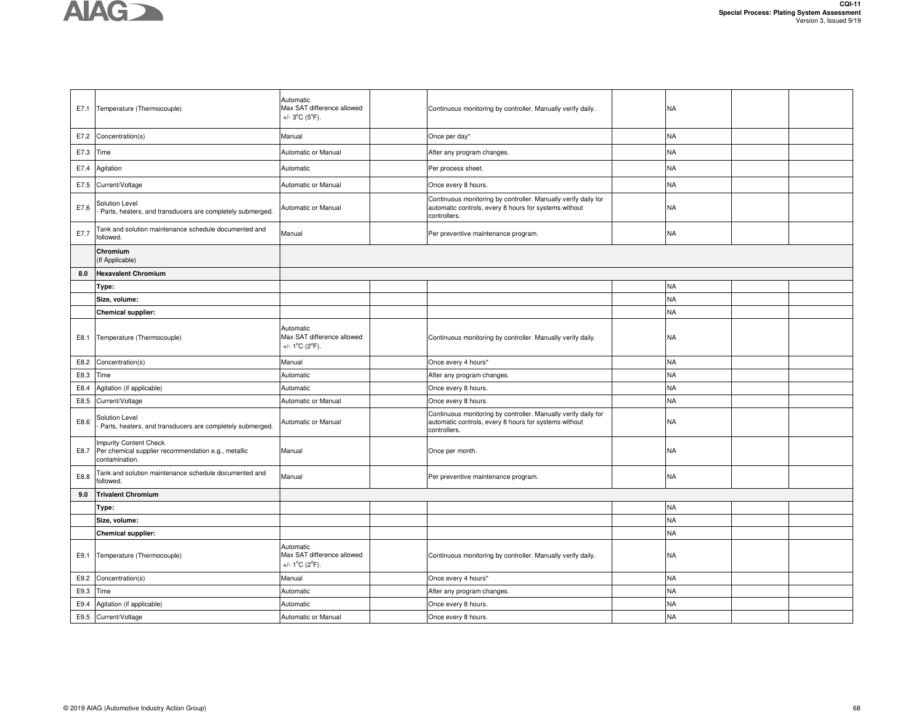

| E7.1 | Temperature (Thermocouple)                                                                      | Automatic<br>Max SAT difference allowed<br>+/- $3^{\circ}$ C (5 $^{\circ}$ F). | Continuous monitoring by controller. Manually verify daily.                                                                             | <b>NA</b> |  |
|------|-------------------------------------------------------------------------------------------------|--------------------------------------------------------------------------------|-----------------------------------------------------------------------------------------------------------------------------------------|-----------|--|
| E7.2 | Concentration(s)                                                                                | Manual                                                                         | Once per day*                                                                                                                           | <b>NA</b> |  |
| E7.3 | Time                                                                                            | Automatic or Manual                                                            | After any program changes.                                                                                                              | <b>NA</b> |  |
| E7.4 | Agitation                                                                                       | Automatic                                                                      | Per process sheet.                                                                                                                      | <b>NA</b> |  |
| E7.5 | Current/Voltage                                                                                 | Automatic or Manual                                                            | Once every 8 hours.                                                                                                                     | <b>NA</b> |  |
| E7.6 | <b>Solution Level</b><br>Parts, heaters, and transducers are completely submerged.              | Automatic or Manual                                                            | Continuous monitoring by controller. Manually verify daily for<br>automatic controls, every 8 hours for systems without<br>controllers. | <b>NA</b> |  |
| E7.7 | Tank and solution maintenance schedule documented and<br>followed.                              | Manual                                                                         | Per preventive maintenance program.                                                                                                     | <b>NA</b> |  |
|      | Chromium<br>(If Applicable)                                                                     |                                                                                |                                                                                                                                         |           |  |
| 8.0  | <b>Hexavalent Chromium</b>                                                                      |                                                                                |                                                                                                                                         |           |  |
|      | Type:                                                                                           |                                                                                |                                                                                                                                         | <b>NA</b> |  |
|      | Size, volume:                                                                                   |                                                                                |                                                                                                                                         | <b>NA</b> |  |
|      | Chemical supplier:                                                                              |                                                                                |                                                                                                                                         | <b>NA</b> |  |
| E8.1 | Temperature (Thermocouple)                                                                      | Automatic<br>Max SAT difference allowed<br>+/- 1°C (2°F).                      | Continuous monitoring by controller. Manually verify daily.                                                                             | <b>NA</b> |  |
| E8.2 | Concentration(s)                                                                                | Manual                                                                         | Once every 4 hours*                                                                                                                     | <b>NA</b> |  |
| E8.3 | Time                                                                                            | Automatic                                                                      | After any program changes                                                                                                               | <b>NA</b> |  |
| E8.4 | Agitation (if applicable)                                                                       | Automatic                                                                      | Once every 8 hours.                                                                                                                     | <b>NA</b> |  |
| E8.5 | Current/Voltage                                                                                 | Automatic or Manual                                                            | Once every 8 hours.                                                                                                                     | <b>NA</b> |  |
| E8.6 | <b>Solution Level</b><br>Parts, heaters, and transducers are completely submerged.              | Automatic or Manual                                                            | Continuous monitoring by controller. Manually verify daily for<br>automatic controls, every 8 hours for systems without<br>controllers. | <b>NA</b> |  |
| E8.7 | Impurity Content Check<br>Per chemical supplier recommendation e.g., metallic<br>contamination. | Manual                                                                         | Once per month.                                                                                                                         | <b>NA</b> |  |
| E8.8 | Tank and solution maintenance schedule documented and<br>followed.                              | Manual                                                                         | Per preventive maintenance program.                                                                                                     | <b>NA</b> |  |
| 9.0  |                                                                                                 |                                                                                |                                                                                                                                         |           |  |
|      | <b>Trivalent Chromium</b>                                                                       |                                                                                |                                                                                                                                         |           |  |
|      | Type:                                                                                           |                                                                                |                                                                                                                                         | <b>NA</b> |  |
|      | Size, volume:                                                                                   |                                                                                |                                                                                                                                         | <b>NA</b> |  |
|      | Chemical supplier:                                                                              |                                                                                |                                                                                                                                         | <b>NA</b> |  |
| E9.1 | Temperature (Thermocouple)                                                                      | Automatic<br>Max SAT difference allowed<br>+/- 1°C (2°F).                      | Continuous monitoring by controller. Manually verify daily.                                                                             | <b>NA</b> |  |
| E9.2 | Concentration(s)                                                                                | Manual                                                                         | Once every 4 hours*                                                                                                                     | <b>NA</b> |  |
| E9.3 | Time                                                                                            | Automatic                                                                      | After any program changes.                                                                                                              | <b>NA</b> |  |
| E9.4 | Agitation (if applicable)                                                                       | Automatic                                                                      | Once every 8 hours.                                                                                                                     | <b>NA</b> |  |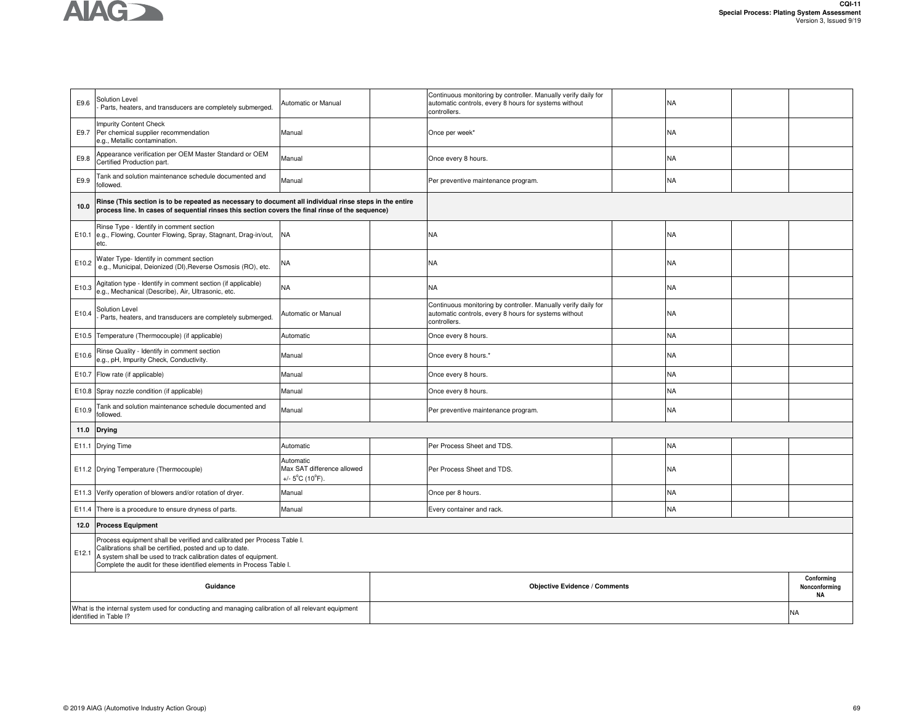

| E9.6                                                                                                                         | Solution Level<br>Parts, heaters, and transducers are completely submerged.                                                                                                                                                                                                   | Automatic or Manual                                                             | Continuous monitoring by controller. Manually verify daily for<br>automatic controls, every 8 hours for systems without<br>controllers. |  | <b>NA</b> |  |                                          |  |
|------------------------------------------------------------------------------------------------------------------------------|-------------------------------------------------------------------------------------------------------------------------------------------------------------------------------------------------------------------------------------------------------------------------------|---------------------------------------------------------------------------------|-----------------------------------------------------------------------------------------------------------------------------------------|--|-----------|--|------------------------------------------|--|
| E9.7                                                                                                                         | <b>Impurity Content Check</b><br>Per chemical supplier recommendation<br>e.g., Metallic contamination.                                                                                                                                                                        | Manual                                                                          | Once per week*                                                                                                                          |  | <b>NA</b> |  |                                          |  |
| E9.8                                                                                                                         | Appearance verification per OEM Master Standard or OEM<br>Certified Production part.                                                                                                                                                                                          | Manual                                                                          | Once every 8 hours.                                                                                                                     |  | <b>NA</b> |  |                                          |  |
| E9.9                                                                                                                         | Tank and solution maintenance schedule documented and<br>followed.                                                                                                                                                                                                            | Manual                                                                          | Per preventive maintenance program.                                                                                                     |  | <b>NA</b> |  |                                          |  |
| 10.0                                                                                                                         | Rinse (This section is to be repeated as necessary to document all individual rinse steps in the entire<br>process line. In cases of sequential rinses this section covers the final rinse of the sequence)                                                                   |                                                                                 |                                                                                                                                         |  |           |  |                                          |  |
|                                                                                                                              | Rinse Type - Identify in comment section<br>E10.1 e.g., Flowing, Counter Flowing, Spray, Stagnant, Drag-in/out,<br>etc.                                                                                                                                                       | <b>NA</b>                                                                       | ΝA                                                                                                                                      |  | <b>NA</b> |  |                                          |  |
| E10.2                                                                                                                        | Water Type- Identify in comment section<br>e.g., Municipal, Deionized (DI), Reverse Osmosis (RO), etc.                                                                                                                                                                        | ΝA                                                                              | <b>NA</b>                                                                                                                               |  | <b>NA</b> |  |                                          |  |
| E10.3                                                                                                                        | Agitation type - Identify in comment section (if applicable)<br>e.g., Mechanical (Describe), Air, Ultrasonic, etc.                                                                                                                                                            | NA                                                                              | NA                                                                                                                                      |  | <b>NA</b> |  |                                          |  |
| E10.4                                                                                                                        | Solution Level<br>Parts, heaters, and transducers are completely submerged.                                                                                                                                                                                                   | Automatic or Manual                                                             | Continuous monitoring by controller. Manually verify daily for<br>automatic controls, every 8 hours for systems without<br>controllers. |  | <b>NA</b> |  |                                          |  |
|                                                                                                                              | E10.5 Temperature (Thermocouple) (if applicable)                                                                                                                                                                                                                              | Automatic                                                                       | Once every 8 hours.                                                                                                                     |  | <b>NA</b> |  |                                          |  |
| E10.6                                                                                                                        | Rinse Quality - Identify in comment section<br>e.g., pH, Impurity Check, Conductivity.                                                                                                                                                                                        | Manual                                                                          | Once every 8 hours.*                                                                                                                    |  | <b>NA</b> |  |                                          |  |
|                                                                                                                              | E10.7 Flow rate (if applicable)                                                                                                                                                                                                                                               | Manual                                                                          | Once every 8 hours.                                                                                                                     |  | <b>NA</b> |  |                                          |  |
|                                                                                                                              | E10.8 Spray nozzle condition (if applicable)                                                                                                                                                                                                                                  | Manual                                                                          | Once every 8 hours.                                                                                                                     |  | <b>NA</b> |  |                                          |  |
| E10.9                                                                                                                        | Tank and solution maintenance schedule documented and<br>followed.                                                                                                                                                                                                            | Manual                                                                          | Per preventive maintenance program.                                                                                                     |  | <b>NA</b> |  |                                          |  |
| 11.0                                                                                                                         | <b>Drying</b>                                                                                                                                                                                                                                                                 |                                                                                 |                                                                                                                                         |  |           |  |                                          |  |
|                                                                                                                              | E11.1 Drying Time                                                                                                                                                                                                                                                             | Automatic                                                                       | Per Process Sheet and TDS.                                                                                                              |  | <b>NA</b> |  |                                          |  |
|                                                                                                                              | E11.2 Drying Temperature (Thermocouple)                                                                                                                                                                                                                                       | Automatic<br>Max SAT difference allowed<br>+/- $5^{\circ}$ C (10 $^{\circ}$ F). | Per Process Sheet and TDS.                                                                                                              |  | <b>NA</b> |  |                                          |  |
|                                                                                                                              | E11.3 Verify operation of blowers and/or rotation of dryer.                                                                                                                                                                                                                   | Manual                                                                          | Once per 8 hours.                                                                                                                       |  | <b>NA</b> |  |                                          |  |
|                                                                                                                              | E11.4 There is a procedure to ensure dryness of parts.                                                                                                                                                                                                                        | Manual                                                                          | Every container and rack.                                                                                                               |  | <b>NA</b> |  |                                          |  |
| 12.0                                                                                                                         | <b>Process Equipment</b>                                                                                                                                                                                                                                                      |                                                                                 |                                                                                                                                         |  |           |  |                                          |  |
| E12.1                                                                                                                        | Process equipment shall be verified and calibrated per Process Table I.<br>Calibrations shall be certified, posted and up to date.<br>A system shall be used to track calibration dates of equipment.<br>Complete the audit for these identified elements in Process Table I. |                                                                                 |                                                                                                                                         |  |           |  |                                          |  |
|                                                                                                                              | Guidance                                                                                                                                                                                                                                                                      |                                                                                 | <b>Objective Evidence / Comments</b>                                                                                                    |  |           |  | Conforming<br>Nonconforming<br><b>NA</b> |  |
| What is the internal system used for conducting and managing calibration of all relevant equipment<br>identified in Table I? |                                                                                                                                                                                                                                                                               |                                                                                 |                                                                                                                                         |  |           |  |                                          |  |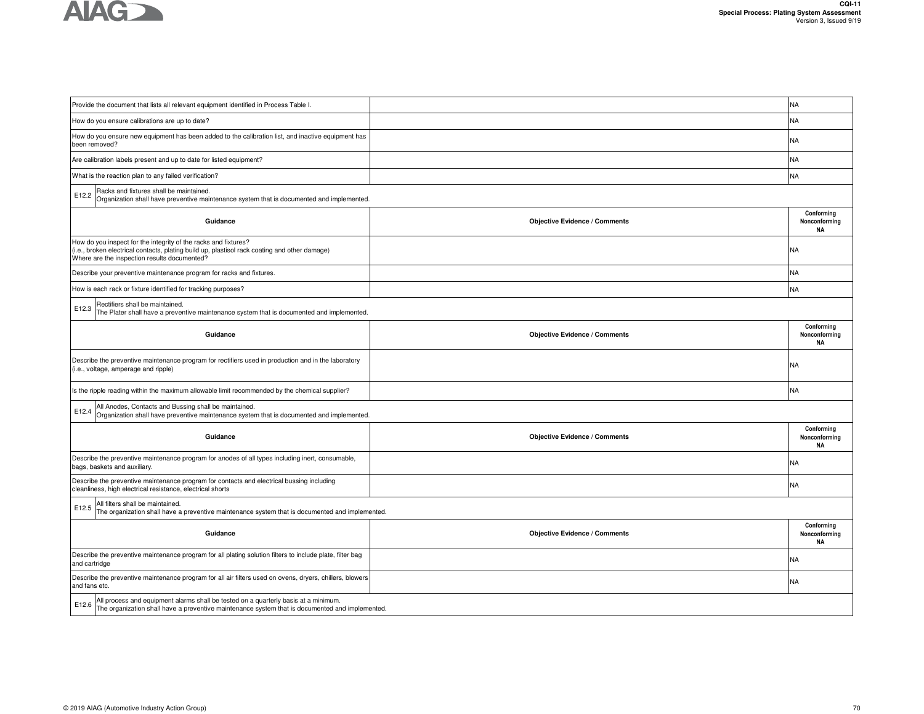

| Provide the document that lists all relevant equipment identified in Process Table I.                                                                                                                            |                                      | <b>NA</b>                                |  |  |  |  |  |  |  |
|------------------------------------------------------------------------------------------------------------------------------------------------------------------------------------------------------------------|--------------------------------------|------------------------------------------|--|--|--|--|--|--|--|
| How do you ensure calibrations are up to date?                                                                                                                                                                   |                                      | NA                                       |  |  |  |  |  |  |  |
| How do you ensure new equipment has been added to the calibration list, and inactive equipment has<br>been removed?                                                                                              |                                      | NA.                                      |  |  |  |  |  |  |  |
| Are calibration labels present and up to date for listed equipment?                                                                                                                                              |                                      | NA.                                      |  |  |  |  |  |  |  |
| What is the reaction plan to any failed verification?                                                                                                                                                            |                                      | <b>NA</b>                                |  |  |  |  |  |  |  |
| Racks and fixtures shall be maintained.<br>E12.2<br>Organization shall have preventive maintenance system that is documented and implemented.                                                                    |                                      |                                          |  |  |  |  |  |  |  |
| Guidance                                                                                                                                                                                                         | <b>Objective Evidence / Comments</b> | Conformina<br>Nonconforming<br><b>NA</b> |  |  |  |  |  |  |  |
| How do you inspect for the integrity of the racks and fixtures?<br>(i.e., broken electrical contacts, plating build up, plastisol rack coating and other damage)<br>Where are the inspection results documented? |                                      | NA                                       |  |  |  |  |  |  |  |
| Describe your preventive maintenance program for racks and fixtures.                                                                                                                                             |                                      | NA                                       |  |  |  |  |  |  |  |
| How is each rack or fixture identified for tracking purposes?                                                                                                                                                    |                                      | NA                                       |  |  |  |  |  |  |  |
| Rectifiers shall be maintained.<br>E12.3<br>The Plater shall have a preventive maintenance system that is documented and implemented.                                                                            |                                      |                                          |  |  |  |  |  |  |  |
| Guidance                                                                                                                                                                                                         | <b>Objective Evidence / Comments</b> | Conforming<br>Nonconforming<br><b>NA</b> |  |  |  |  |  |  |  |
| Describe the preventive maintenance program for rectifiers used in production and in the laboratory<br>(i.e., voltage, amperage and ripple)                                                                      |                                      | NA                                       |  |  |  |  |  |  |  |
| Is the ripple reading within the maximum allowable limit recommended by the chemical supplier?                                                                                                                   |                                      | NA                                       |  |  |  |  |  |  |  |
| All Anodes, Contacts and Bussing shall be maintained.<br>E12.4<br>Organization shall have preventive maintenance system that is documented and implemented.                                                      |                                      |                                          |  |  |  |  |  |  |  |
| Guidance                                                                                                                                                                                                         | <b>Objective Evidence / Comments</b> | Conforming<br>Nonconforming<br>NA        |  |  |  |  |  |  |  |
| Describe the preventive maintenance program for anodes of all types including inert, consumable,<br>bags, baskets and auxiliary.                                                                                 |                                      | NA.                                      |  |  |  |  |  |  |  |
| Describe the preventive maintenance program for contacts and electrical bussing including<br>cleanliness, high electrical resistance, electrical shorts                                                          |                                      | NA                                       |  |  |  |  |  |  |  |
| All filters shall be maintained.<br>E12.5<br>The organization shall have a preventive maintenance system that is documented and implemented.                                                                     |                                      |                                          |  |  |  |  |  |  |  |
| Guidance                                                                                                                                                                                                         | <b>Objective Evidence / Comments</b> | Conforming<br>Nonconforming<br><b>NA</b> |  |  |  |  |  |  |  |
| Describe the preventive maintenance program for all plating solution filters to include plate, filter bag<br>and cartridge                                                                                       |                                      | NA                                       |  |  |  |  |  |  |  |
| Describe the preventive maintenance program for all air filters used on ovens, dryers, chillers, blowers<br>and fans etc.                                                                                        |                                      | NA.                                      |  |  |  |  |  |  |  |
| All process and equipment alarms shall be tested on a quarterly basis at a minimum.<br>E12.6<br>The organization shall have a preventive maintenance system that is documented and implemented.                  |                                      |                                          |  |  |  |  |  |  |  |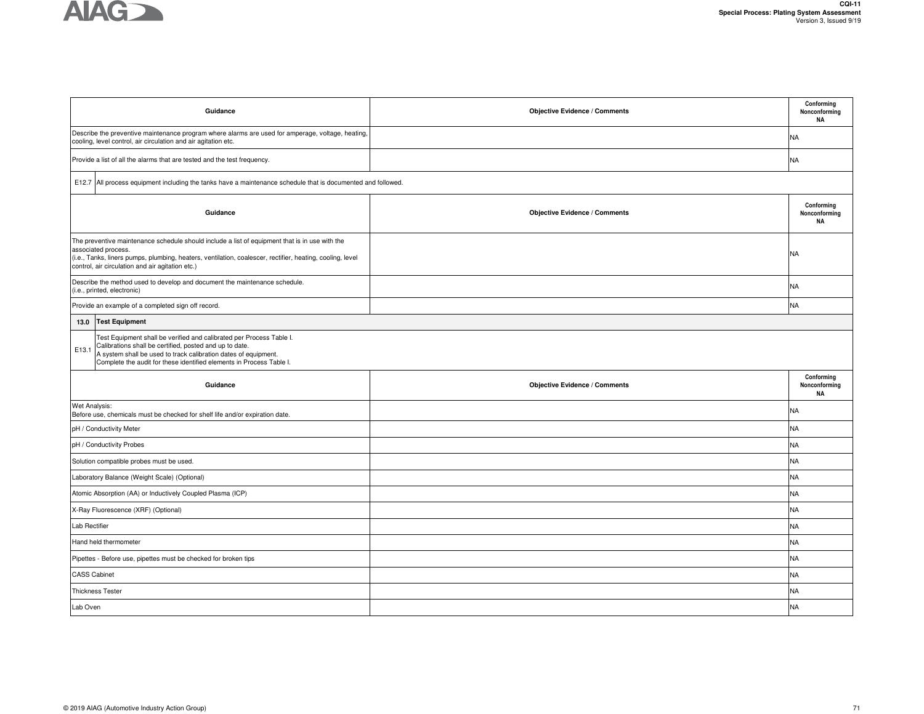

|                     | Guidance                                                                                                                                                                                                                                                                               | <b>Objective Evidence / Comments</b> | Conforming<br>Nonconforming<br><b>NA</b> |
|---------------------|----------------------------------------------------------------------------------------------------------------------------------------------------------------------------------------------------------------------------------------------------------------------------------------|--------------------------------------|------------------------------------------|
|                     | Describe the preventive maintenance program where alarms are used for amperage, voltage, heating,<br>cooling, level control, air circulation and air agitation etc.                                                                                                                    |                                      | <b>NA</b>                                |
|                     | Provide a list of all the alarms that are tested and the test frequency.                                                                                                                                                                                                               |                                      | NA                                       |
|                     | E12.7 All process equipment including the tanks have a maintenance schedule that is documented and followed.                                                                                                                                                                           |                                      |                                          |
|                     | Guidance                                                                                                                                                                                                                                                                               | <b>Objective Evidence / Comments</b> | Conforming<br>Nonconforming<br><b>NA</b> |
|                     | The preventive maintenance schedule should include a list of equipment that is in use with the<br>associated process.<br>(i.e., Tanks, liners pumps, plumbing, heaters, ventilation, coalescer, rectifier, heating, cooling, level<br>control, air circulation and air agitation etc.) |                                      | NA                                       |
|                     | Describe the method used to develop and document the maintenance schedule.<br>(i.e., printed, electronic)                                                                                                                                                                              |                                      | NA.                                      |
|                     | Provide an example of a completed sign off record.                                                                                                                                                                                                                                     |                                      | <b>NA</b>                                |
| 13.0                | <b>Test Equipment</b>                                                                                                                                                                                                                                                                  |                                      |                                          |
| E13.1               | Test Equipment shall be verified and calibrated per Process Table I.<br>Calibrations shall be certified, posted and up to date.<br>A system shall be used to track calibration dates of equipment.<br>Complete the audit for these identified elements in Process Table I.             |                                      |                                          |
|                     | Guidance                                                                                                                                                                                                                                                                               | <b>Objective Evidence / Comments</b> | Conforming<br>Nonconforming<br><b>NA</b> |
| Wet Analysis:       | Before use, chemicals must be checked for shelf life and/or expiration date.                                                                                                                                                                                                           |                                      | NA                                       |
|                     | pH / Conductivity Meter                                                                                                                                                                                                                                                                |                                      | <b>NA</b>                                |
|                     | pH / Conductivity Probes                                                                                                                                                                                                                                                               |                                      | <b>NA</b>                                |
|                     | Solution compatible probes must be used.                                                                                                                                                                                                                                               |                                      | <b>NA</b>                                |
|                     | Laboratory Balance (Weight Scale) (Optional)                                                                                                                                                                                                                                           |                                      | <b>NA</b>                                |
|                     | Atomic Absorption (AA) or Inductively Coupled Plasma (ICP)                                                                                                                                                                                                                             |                                      | <b>NA</b>                                |
|                     | X-Ray Fluorescence (XRF) (Optional)                                                                                                                                                                                                                                                    |                                      | <b>NA</b>                                |
| Lab Rectifier       |                                                                                                                                                                                                                                                                                        |                                      | <b>NA</b>                                |
|                     | Hand held thermometer                                                                                                                                                                                                                                                                  |                                      | NA                                       |
|                     | Pipettes - Before use, pipettes must be checked for broken tips                                                                                                                                                                                                                        |                                      | <b>NA</b>                                |
| <b>CASS Cabinet</b> |                                                                                                                                                                                                                                                                                        |                                      | <b>NA</b>                                |
|                     | <b>Thickness Tester</b>                                                                                                                                                                                                                                                                |                                      | NA                                       |
| Lab Oven            |                                                                                                                                                                                                                                                                                        |                                      | <b>NA</b>                                |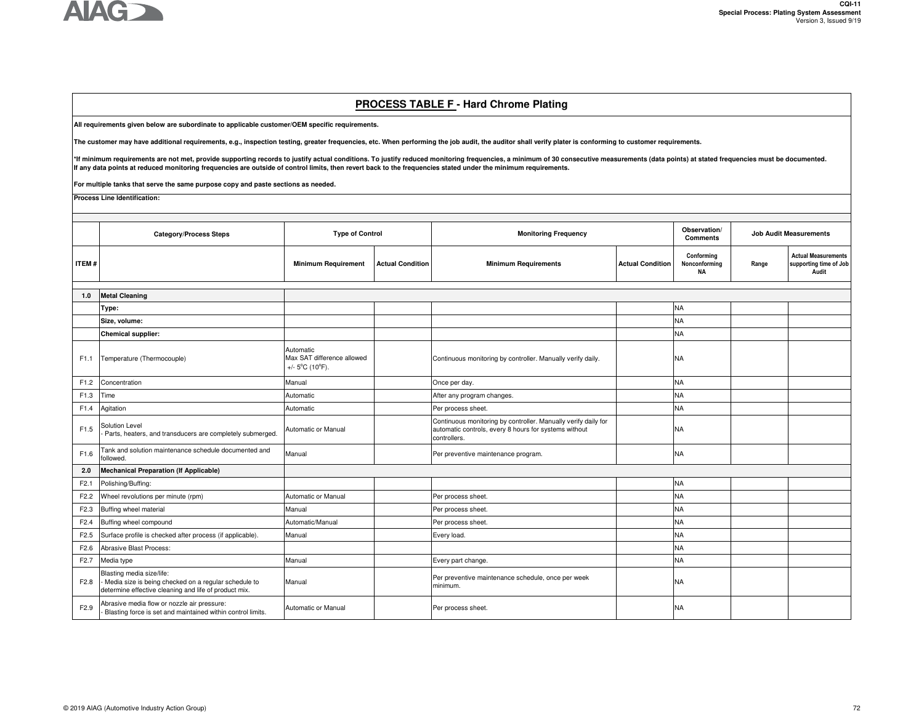

### **PROCESS TABLE F - Hard Chrome Plating**

**All requirements given below are subordinate to applicable customer/OEM specific requirements.** 

**The customer may have additional requirements, e.g., inspection testing, greater frequencies, etc. When performing the job audit, the auditor shall verify plater is conforming to customer requirements.**

\*If minimum requirements are not met, provide supporting records to justify actual conditions. To justify reduced monitoring frequencies, a minimum of 30 consecutive measurements (data points) at stated frequencies must be

**For multiple tanks that serve the same purpose copy and paste sections as needed.**

**Process Line Identification:**

|                  | <b>Category/Process Steps</b>                                                                                                              | <b>Type of Control</b>                                                          |                         | <b>Monitoring Frequency</b>                                                                                                             |                         | Observation/<br><b>Comments</b>          | <b>Job Audit Measurements</b> |                                                               |
|------------------|--------------------------------------------------------------------------------------------------------------------------------------------|---------------------------------------------------------------------------------|-------------------------|-----------------------------------------------------------------------------------------------------------------------------------------|-------------------------|------------------------------------------|-------------------------------|---------------------------------------------------------------|
| <b>ITEM#</b>     |                                                                                                                                            | <b>Minimum Requirement</b>                                                      | <b>Actual Condition</b> | <b>Minimum Requirements</b>                                                                                                             | <b>Actual Condition</b> | Conforming<br>Nonconforming<br><b>NA</b> | Range                         | <b>Actual Measurements</b><br>supporting time of Job<br>Audit |
|                  |                                                                                                                                            |                                                                                 |                         |                                                                                                                                         |                         |                                          |                               |                                                               |
| 1.0              | <b>Metal Cleaning</b>                                                                                                                      |                                                                                 |                         |                                                                                                                                         |                         |                                          |                               |                                                               |
|                  | Type:                                                                                                                                      |                                                                                 |                         |                                                                                                                                         |                         | <b>NA</b>                                |                               |                                                               |
|                  | Size, volume:                                                                                                                              |                                                                                 |                         |                                                                                                                                         |                         | <b>NA</b>                                |                               |                                                               |
|                  | Chemical supplier:                                                                                                                         |                                                                                 |                         |                                                                                                                                         |                         | <b>NA</b>                                |                               |                                                               |
| F1.1             | Temperature (Thermocouple)                                                                                                                 | Automatic<br>Max SAT difference allowed<br>+/- $5^{\circ}$ C (10 $^{\circ}$ F). |                         | Continuous monitoring by controller. Manually verify daily.                                                                             |                         | <b>NA</b>                                |                               |                                                               |
| F1.2             | Concentration                                                                                                                              | Manual                                                                          |                         | Once per day.                                                                                                                           |                         | <b>NA</b>                                |                               |                                                               |
| F1.3             | Time                                                                                                                                       | Automatic                                                                       |                         | After any program changes.                                                                                                              |                         | <b>NA</b>                                |                               |                                                               |
| F1.4             | Agitation                                                                                                                                  | Automatic                                                                       |                         | Per process sheet.                                                                                                                      |                         | <b>NA</b>                                |                               |                                                               |
| F1.5             | Solution Level<br>Parts, heaters, and transducers are completely submerged.                                                                | Automatic or Manual                                                             |                         | Continuous monitoring by controller. Manually verify daily for<br>automatic controls, every 8 hours for systems without<br>controllers. |                         | <b>NA</b>                                |                               |                                                               |
| F1.6             | Tank and solution maintenance schedule documented and<br>followed.                                                                         | Manual                                                                          |                         | Per preventive maintenance program.                                                                                                     |                         | <b>NA</b>                                |                               |                                                               |
| 2.0              | <b>Mechanical Preparation (If Applicable)</b>                                                                                              |                                                                                 |                         |                                                                                                                                         |                         |                                          |                               |                                                               |
| F2.1             | Polishing/Buffing:                                                                                                                         |                                                                                 |                         |                                                                                                                                         |                         | <b>NA</b>                                |                               |                                                               |
| F <sub>2.2</sub> | Wheel revolutions per minute (rpm)                                                                                                         | Automatic or Manual                                                             |                         | Per process sheet.                                                                                                                      |                         | <b>NA</b>                                |                               |                                                               |
| F <sub>2.3</sub> | Buffing wheel material                                                                                                                     | Manual                                                                          |                         | Per process sheet.                                                                                                                      |                         | <b>NA</b>                                |                               |                                                               |
| F <sub>2.4</sub> | Buffing wheel compound                                                                                                                     | Automatic/Manual                                                                |                         | Per process sheet.                                                                                                                      |                         | <b>NA</b>                                |                               |                                                               |
| F <sub>2.5</sub> | Surface profile is checked after process (if applicable).                                                                                  | Manual                                                                          |                         | Every load.                                                                                                                             |                         | <b>NA</b>                                |                               |                                                               |
| F2.6             | <b>Abrasive Blast Process:</b>                                                                                                             |                                                                                 |                         |                                                                                                                                         |                         | <b>NA</b>                                |                               |                                                               |
| F <sub>2.7</sub> | Media type                                                                                                                                 | Manual                                                                          |                         | Every part change.                                                                                                                      |                         | <b>NA</b>                                |                               |                                                               |
| F2.8             | Blasting media size/life:<br>Media size is being checked on a regular schedule to<br>determine effective cleaning and life of product mix. | Manual                                                                          |                         | Per preventive maintenance schedule, once per week<br>minimum.                                                                          |                         | NA                                       |                               |                                                               |
| F <sub>2.9</sub> | Abrasive media flow or nozzle air pressure:<br>Blasting force is set and maintained within control limits.                                 | Automatic or Manual                                                             |                         | Per process sheet.                                                                                                                      |                         | <b>NA</b>                                |                               |                                                               |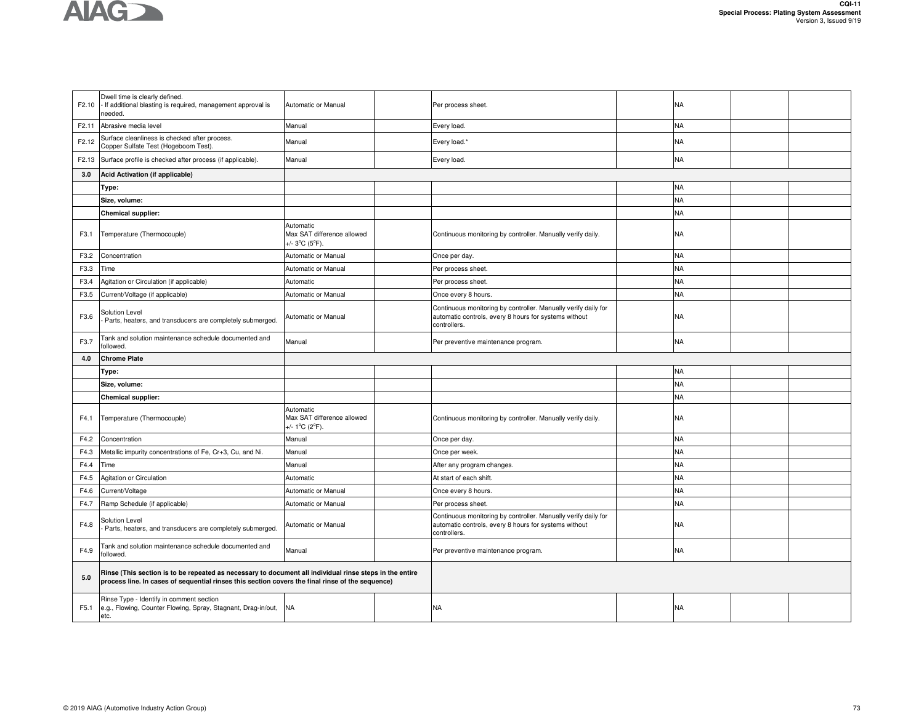

| F2.10 | Dwell time is clearly defined.<br>If additional blasting is required, management approval is<br>needed.                                                                                                     | Automatic or Manual                                       | Per process sheet.                                                                                                                      | NA        |  |
|-------|-------------------------------------------------------------------------------------------------------------------------------------------------------------------------------------------------------------|-----------------------------------------------------------|-----------------------------------------------------------------------------------------------------------------------------------------|-----------|--|
| F2.11 | Abrasive media level                                                                                                                                                                                        | Manual                                                    | Every load.                                                                                                                             | <b>NA</b> |  |
| F2.12 | Surface cleanliness is checked after process.<br>Copper Sulfate Test (Hogeboom Test).                                                                                                                       | Manual                                                    | Every load.*                                                                                                                            | <b>NA</b> |  |
| F2.13 | Surface profile is checked after process (if applicable).                                                                                                                                                   | Manual                                                    | Every load.                                                                                                                             | <b>NA</b> |  |
| 3.0   | Acid Activation (if applicable)                                                                                                                                                                             |                                                           |                                                                                                                                         |           |  |
|       | Type:                                                                                                                                                                                                       |                                                           |                                                                                                                                         | <b>NA</b> |  |
|       | Size, volume:                                                                                                                                                                                               |                                                           |                                                                                                                                         | <b>NA</b> |  |
|       | <b>Chemical supplier:</b>                                                                                                                                                                                   |                                                           |                                                                                                                                         | <b>NA</b> |  |
| F3.1  | Temperature (Thermocouple)                                                                                                                                                                                  | Automatic<br>Max SAT difference allowed<br>+/- 3°C (5°F). | Continuous monitoring by controller. Manually verify daily.                                                                             | <b>NA</b> |  |
| F3.2  | Concentration                                                                                                                                                                                               | <b>Automatic or Manual</b>                                | Once per day.                                                                                                                           | <b>NA</b> |  |
| F3.3  | Time                                                                                                                                                                                                        | Automatic or Manual                                       | Per process sheet.                                                                                                                      | <b>NA</b> |  |
| F3.4  | Agitation or Circulation (if applicable)                                                                                                                                                                    | Automatic                                                 | Per process sheet.                                                                                                                      | <b>NA</b> |  |
| F3.5  | Current/Voltage (if applicable)                                                                                                                                                                             | Automatic or Manual                                       | Once every 8 hours.                                                                                                                     | <b>NA</b> |  |
| F3.6  | Solution Level<br>Parts, heaters, and transducers are completely submerged.                                                                                                                                 | Automatic or Manual                                       | Continuous monitoring by controller. Manually verify daily for<br>automatic controls, every 8 hours for systems without<br>controllers. | <b>NA</b> |  |
| F3.7  | Tank and solution maintenance schedule documented and<br>followed.                                                                                                                                          | Manual                                                    | Per preventive maintenance program.                                                                                                     | <b>NA</b> |  |
| 4.0   | <b>Chrome Plate</b>                                                                                                                                                                                         |                                                           |                                                                                                                                         |           |  |
|       |                                                                                                                                                                                                             |                                                           |                                                                                                                                         |           |  |
|       | Type:                                                                                                                                                                                                       |                                                           |                                                                                                                                         | <b>NA</b> |  |
|       | Size, volume:                                                                                                                                                                                               |                                                           |                                                                                                                                         | <b>NA</b> |  |
|       | <b>Chemical supplier:</b>                                                                                                                                                                                   |                                                           |                                                                                                                                         | <b>NA</b> |  |
| F4.1  | Temperature (Thermocouple)                                                                                                                                                                                  | Automatic<br>Max SAT difference allowed<br>+/- 1°C (2°F). | Continuous monitoring by controller. Manually verify daily.                                                                             | <b>NA</b> |  |
| F4.2  | Concentration                                                                                                                                                                                               | Manual                                                    | Once per day.                                                                                                                           | <b>NA</b> |  |
| F4.3  | Metallic impurity concentrations of Fe, Cr+3, Cu, and Ni.                                                                                                                                                   | Manual                                                    | Once per week.                                                                                                                          | <b>NA</b> |  |
| F4.4  | Time                                                                                                                                                                                                        | Manual                                                    | After any program changes.                                                                                                              | <b>NA</b> |  |
| F4.5  | <b>Agitation or Circulation</b>                                                                                                                                                                             | Automatic                                                 | At start of each shift.                                                                                                                 | <b>NA</b> |  |
| F4.6  | Current/Voltage                                                                                                                                                                                             | Automatic or Manual                                       | Once every 8 hours.                                                                                                                     | <b>NA</b> |  |
| F4.7  | Ramp Schedule (if applicable)                                                                                                                                                                               | Automatic or Manual                                       | Per process sheet.                                                                                                                      | <b>NA</b> |  |
| F4.8  | Solution Level<br>Parts, heaters, and transducers are completely submerged.                                                                                                                                 | Automatic or Manual                                       | Continuous monitoring by controller. Manually verify daily for<br>automatic controls, every 8 hours for systems without<br>controllers. | <b>NA</b> |  |
| F4.9  | Tank and solution maintenance schedule documented and<br>followed.                                                                                                                                          | Manual                                                    | Per preventive maintenance program.                                                                                                     | <b>NA</b> |  |
| 5.0   | Rinse (This section is to be repeated as necessary to document all individual rinse steps in the entire<br>process line. In cases of sequential rinses this section covers the final rinse of the sequence) |                                                           |                                                                                                                                         |           |  |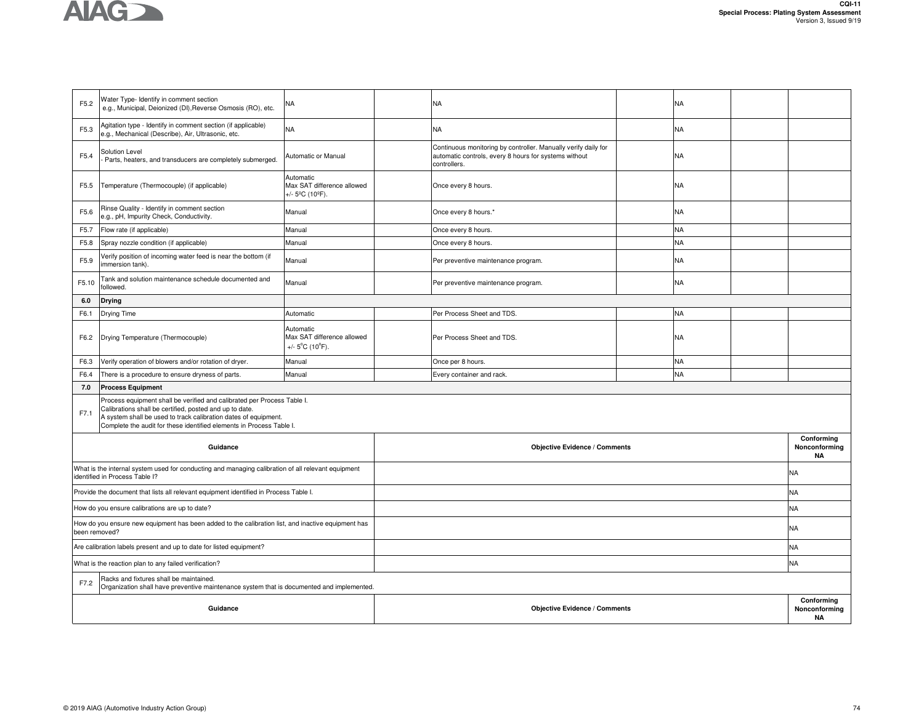

| F5.2          | Water Type- Identify in comment section<br>e.g., Municipal, Deionized (DI), Reverse Osmosis (RO), etc.                                                                                                                                                                        | NA                                                         |                                      | NA                                                                                                                                      |  | NA        |  |                                          |
|---------------|-------------------------------------------------------------------------------------------------------------------------------------------------------------------------------------------------------------------------------------------------------------------------------|------------------------------------------------------------|--------------------------------------|-----------------------------------------------------------------------------------------------------------------------------------------|--|-----------|--|------------------------------------------|
| F5.3          | Agitation type - Identify in comment section (if applicable)<br>e.g., Mechanical (Describe), Air, Ultrasonic, etc.                                                                                                                                                            | <b>NA</b>                                                  |                                      | NA                                                                                                                                      |  | NA        |  |                                          |
| F5.4          | Solution Level<br>Parts, heaters, and transducers are completely submerged.                                                                                                                                                                                                   | Automatic or Manual                                        |                                      | Continuous monitoring by controller. Manually verify daily for<br>automatic controls, every 8 hours for systems without<br>controllers. |  | NA        |  |                                          |
| F5.5          | Temperature (Thermocouple) (if applicable)                                                                                                                                                                                                                                    | Automatic<br>Max SAT difference allowed<br>/- 5ºC (10ºF).  |                                      | Once every 8 hours.                                                                                                                     |  | NA        |  |                                          |
| F5.6          | Rinse Quality - Identify in comment section<br>e.g., pH, Impurity Check, Conductivity.                                                                                                                                                                                        | Manual                                                     |                                      | Once every 8 hours.*                                                                                                                    |  | NA        |  |                                          |
| F5.7          | Flow rate (if applicable)                                                                                                                                                                                                                                                     | Manual                                                     |                                      | Once every 8 hours.                                                                                                                     |  | <b>NA</b> |  |                                          |
| F5.8          | Spray nozzle condition (if applicable)                                                                                                                                                                                                                                        | Manual                                                     |                                      | Once every 8 hours.                                                                                                                     |  | <b>NA</b> |  |                                          |
| F5.9          | Verify position of incoming water feed is near the bottom (if<br>immersion tank).                                                                                                                                                                                             | Manual                                                     |                                      | Per preventive maintenance program.                                                                                                     |  | NA        |  |                                          |
| F5.10         | Tank and solution maintenance schedule documented and<br>followed.                                                                                                                                                                                                            | Manual                                                     |                                      | Per preventive maintenance program.                                                                                                     |  | NA        |  |                                          |
| 6.0           | <b>Drying</b>                                                                                                                                                                                                                                                                 |                                                            |                                      |                                                                                                                                         |  |           |  |                                          |
| F6.1          | Drying Time                                                                                                                                                                                                                                                                   | Automatic                                                  |                                      | Per Process Sheet and TDS.                                                                                                              |  | NA        |  |                                          |
| F6.2          | Drying Temperature (Thermocouple)                                                                                                                                                                                                                                             | Automatic<br>Max SAT difference allowed<br>+/- 5°C (10°F). |                                      | Per Process Sheet and TDS.                                                                                                              |  | <b>NA</b> |  |                                          |
| F6.3          | Verify operation of blowers and/or rotation of dryer.                                                                                                                                                                                                                         | Manual                                                     |                                      | Once per 8 hours.                                                                                                                       |  | NA        |  |                                          |
| F6.4          | There is a procedure to ensure dryness of parts.                                                                                                                                                                                                                              | Manual                                                     |                                      | Every container and rack.                                                                                                               |  | NA        |  |                                          |
| 7.0           | <b>Process Equipment</b>                                                                                                                                                                                                                                                      |                                                            |                                      |                                                                                                                                         |  |           |  |                                          |
| F7.1          | Process equipment shall be verified and calibrated per Process Table I.<br>Calibrations shall be certified, posted and up to date.<br>A system shall be used to track calibration dates of equipment.<br>Complete the audit for these identified elements in Process Table I. |                                                            |                                      |                                                                                                                                         |  |           |  |                                          |
|               | Guidance                                                                                                                                                                                                                                                                      |                                                            |                                      | <b>Objective Evidence / Comments</b>                                                                                                    |  |           |  | Conforming<br>Nonconforming<br><b>NA</b> |
|               | What is the internal system used for conducting and managing calibration of all relevant equipment<br>identified in Process Table I?                                                                                                                                          |                                                            |                                      |                                                                                                                                         |  |           |  | <b>NA</b>                                |
|               | Provide the document that lists all relevant equipment identified in Process Table I.                                                                                                                                                                                         |                                                            |                                      |                                                                                                                                         |  |           |  | NA.                                      |
|               | How do you ensure calibrations are up to date?                                                                                                                                                                                                                                |                                                            |                                      |                                                                                                                                         |  |           |  | <b>NA</b>                                |
| been removed? | How do you ensure new equipment has been added to the calibration list, and inactive equipment has                                                                                                                                                                            |                                                            |                                      |                                                                                                                                         |  |           |  | <b>NA</b>                                |
|               | Are calibration labels present and up to date for listed equipment?                                                                                                                                                                                                           |                                                            |                                      |                                                                                                                                         |  |           |  | <b>NA</b>                                |
|               | What is the reaction plan to any failed verification?                                                                                                                                                                                                                         |                                                            |                                      |                                                                                                                                         |  |           |  | <b>NA</b>                                |
| F7.2          | Racks and fixtures shall be maintained.<br>Organization shall have preventive maintenance system that is documented and implemented.                                                                                                                                          |                                                            |                                      |                                                                                                                                         |  |           |  |                                          |
|               | Guidance                                                                                                                                                                                                                                                                      |                                                            | <b>Objective Evidence / Comments</b> |                                                                                                                                         |  |           |  | Conforming<br>Nonconforming<br><b>NA</b> |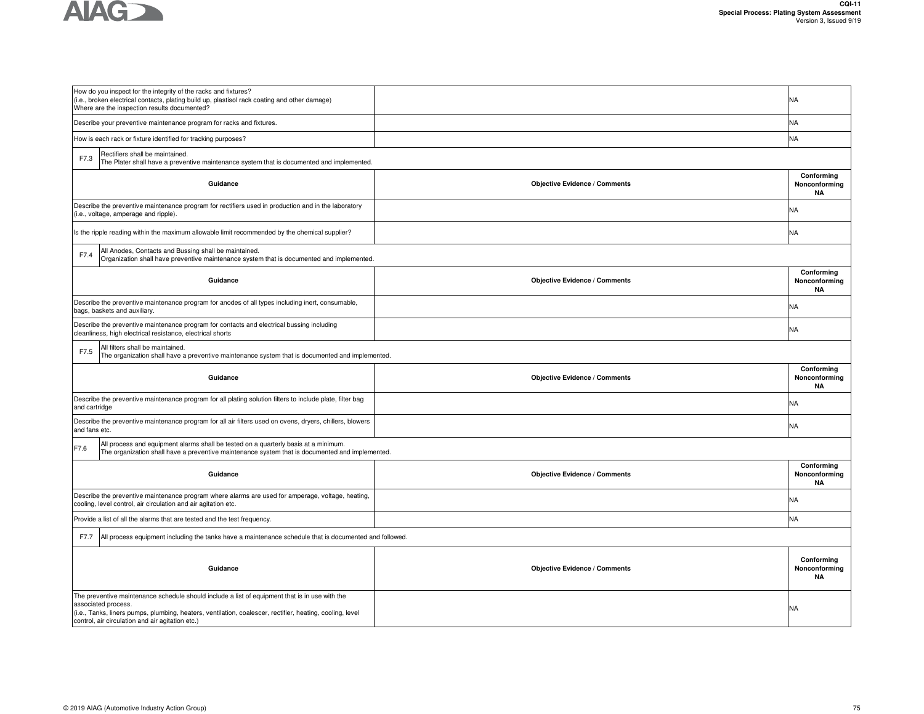

| How do you inspect for the integrity of the racks and fixtures?<br>(i.e., broken electrical contacts, plating build up, plastisol rack coating and other damage)<br>Where are the inspection results documented? |                                      | <b>NA</b>                                |
|------------------------------------------------------------------------------------------------------------------------------------------------------------------------------------------------------------------|--------------------------------------|------------------------------------------|
| Describe your preventive maintenance program for racks and fixtures.                                                                                                                                             |                                      | NA                                       |
| How is each rack or fixture identified for tracking purposes?                                                                                                                                                    |                                      | <b>NA</b>                                |
| Rectifiers shall be maintained.<br>F7.3<br>The Plater shall have a preventive maintenance system that is documented and implemented.                                                                             |                                      |                                          |
| Guidance                                                                                                                                                                                                         | <b>Objective Evidence / Comments</b> | Conforming<br>Nonconforming<br><b>NA</b> |
| Describe the preventive maintenance program for rectifiers used in production and in the laboratory<br>(i.e., voltage, amperage and ripple).                                                                     |                                      | NA                                       |
| Is the ripple reading within the maximum allowable limit recommended by the chemical supplier?                                                                                                                   |                                      | NA                                       |
| All Anodes, Contacts and Bussing shall be maintained.<br>F7.4<br>Organization shall have preventive maintenance system that is documented and implemented.                                                       |                                      |                                          |
| Guidance                                                                                                                                                                                                         | <b>Objective Evidence / Comments</b> | Conforming<br>Nonconforming<br><b>NA</b> |
| Describe the preventive maintenance program for anodes of all types including inert, consumable,<br>bags, baskets and auxiliary.                                                                                 |                                      | <b>NA</b>                                |
| Describe the preventive maintenance program for contacts and electrical bussing including<br>cleanliness, high electrical resistance, electrical shorts                                                          |                                      | <b>NA</b>                                |
| All filters shall be maintained.<br>F7.5<br>The organization shall have a preventive maintenance system that is documented and implemented.                                                                      |                                      |                                          |
| Guidance                                                                                                                                                                                                         | <b>Objective Evidence / Comments</b> | Conforming<br>Nonconforming<br><b>NA</b> |
| Describe the preventive maintenance program for all plating solution filters to include plate, filter bag<br>and cartridge                                                                                       |                                      | <b>NA</b>                                |
| Describe the preventive maintenance program for all air filters used on ovens, dryers, chillers, blowers<br>and fans etc.                                                                                        |                                      | <b>NA</b>                                |
| All process and equipment alarms shall be tested on a quarterly basis at a minimum.<br>F7.6<br>The organization shall have a preventive maintenance system that is documented and implemented.                   |                                      |                                          |
| Guidance                                                                                                                                                                                                         | <b>Objective Evidence / Comments</b> | Conforming<br>Nonconforming<br><b>NA</b> |
| Describe the preventive maintenance program where alarms are used for amperage, voltage, heating,<br>cooling, level control, air circulation and air agitation etc.                                              |                                      | NA                                       |
| Provide a list of all the alarms that are tested and the test frequency.                                                                                                                                         |                                      | <b>NA</b>                                |
| All process equipment including the tanks have a maintenance schedule that is documented and followed.<br>F7.7                                                                                                   |                                      |                                          |
| Guidance                                                                                                                                                                                                         | <b>Objective Evidence / Comments</b> | Conforming<br>Nonconforming<br><b>NA</b> |
| The preventive maintenance schedule should include a list of equipment that is in use with the<br>associated process.                                                                                            |                                      |                                          |
| (i.e., Tanks, liners pumps, plumbing, heaters, ventilation, coalescer, rectifier, heating, cooling, level<br>control, air circulation and air agitation etc.)                                                    |                                      | NA                                       |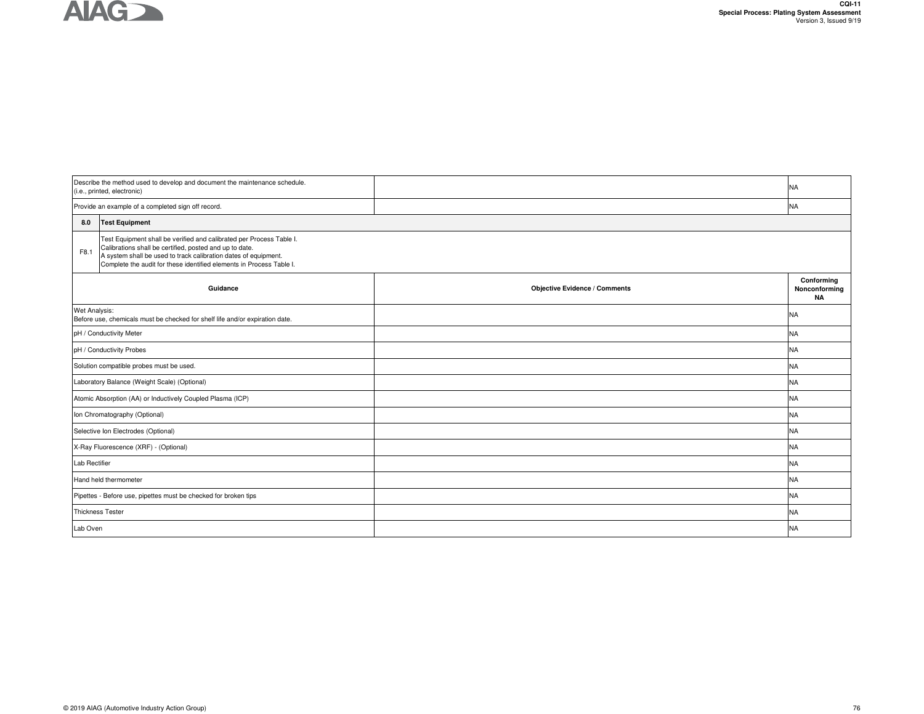## **AIAG**

|               | Describe the method used to develop and document the maintenance schedule.<br>(i.e., printed, electronic)                                                                                                                                                                  |                                      | <b>NA</b>                                |
|---------------|----------------------------------------------------------------------------------------------------------------------------------------------------------------------------------------------------------------------------------------------------------------------------|--------------------------------------|------------------------------------------|
|               | Provide an example of a completed sign off record.                                                                                                                                                                                                                         |                                      | <b>NA</b>                                |
| 8.0           | <b>Test Equipment</b>                                                                                                                                                                                                                                                      |                                      |                                          |
| F8.1          | Test Equipment shall be verified and calibrated per Process Table I.<br>Calibrations shall be certified, posted and up to date.<br>A system shall be used to track calibration dates of equipment.<br>Complete the audit for these identified elements in Process Table I. |                                      |                                          |
|               | Guidance                                                                                                                                                                                                                                                                   | <b>Objective Evidence / Comments</b> | Conforming<br>Nonconforming<br><b>NA</b> |
| Wet Analysis: | Before use, chemicals must be checked for shelf life and/or expiration date.                                                                                                                                                                                               |                                      | <b>NA</b>                                |
|               | pH / Conductivity Meter                                                                                                                                                                                                                                                    |                                      | <b>NA</b>                                |
|               | pH / Conductivity Probes                                                                                                                                                                                                                                                   |                                      | <b>NA</b>                                |
|               | Solution compatible probes must be used.                                                                                                                                                                                                                                   |                                      | <b>NA</b>                                |
|               | Laboratory Balance (Weight Scale) (Optional)                                                                                                                                                                                                                               |                                      | <b>NA</b>                                |
|               | Atomic Absorption (AA) or Inductively Coupled Plasma (ICP)                                                                                                                                                                                                                 |                                      | <b>NA</b>                                |
|               | Ion Chromatography (Optional)                                                                                                                                                                                                                                              |                                      | <b>NA</b>                                |
|               | Selective Ion Electrodes (Optional)                                                                                                                                                                                                                                        |                                      | <b>NA</b>                                |
|               | X-Ray Fluorescence (XRF) - (Optional)                                                                                                                                                                                                                                      |                                      | <b>NA</b>                                |
| Lab Rectifier |                                                                                                                                                                                                                                                                            |                                      | <b>NA</b>                                |
|               | Hand held thermometer                                                                                                                                                                                                                                                      |                                      | <b>NA</b>                                |
|               | Pipettes - Before use, pipettes must be checked for broken tips                                                                                                                                                                                                            |                                      | <b>NA</b>                                |
|               | <b>Thickness Tester</b>                                                                                                                                                                                                                                                    |                                      | <b>NA</b>                                |
| Lab Oven      |                                                                                                                                                                                                                                                                            |                                      | <b>NA</b>                                |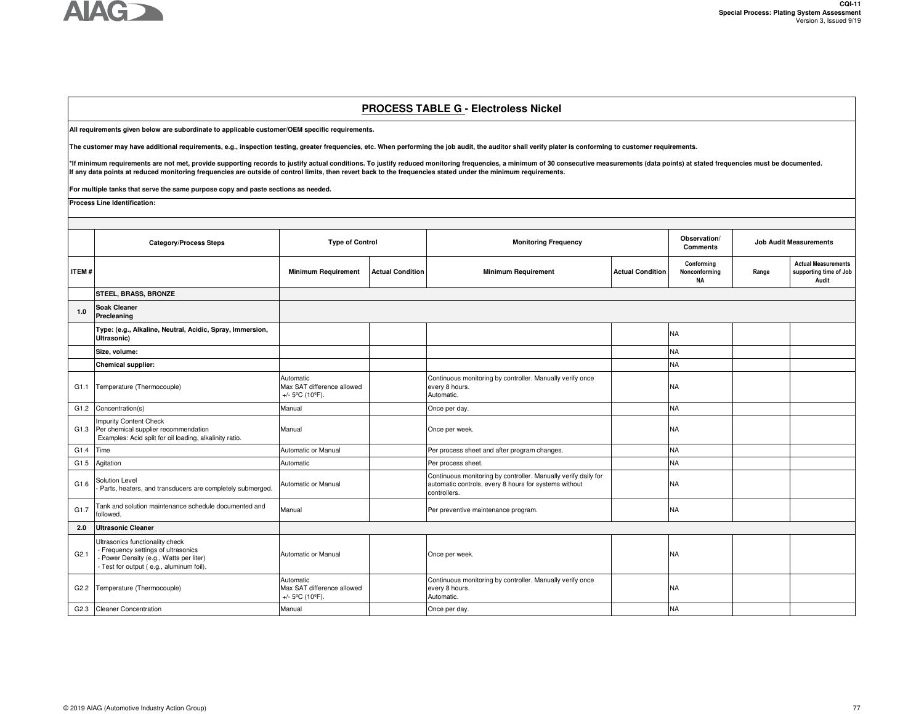

## **PROCESS TABLE G - Electroless Nickel**

**All requirements given below are subordinate to applicable customer/OEM specific requirements.** 

**The customer may have additional requirements, e.g., inspection testing, greater frequencies, etc. When performing the job audit, the auditor shall verify plater is conforming to customer requirements.**

\*If minimum requirements are not met, provide supporting records to justify actual conditions. To justify reduced monitoring frequencies, a minimum of 30 consecutive measurements (data points) at stated frequencies must be **If any data points at reduced monitoring frequencies are outside of control limits, then revert back to the frequencies stated under the minimum requirements.** 

**For multiple tanks that serve the same purpose copy and paste sections as needed.**

**Process Line Identification:** 

|       | <b>Category/Process Steps</b>                                                                                                                                 |                                                                                 | <b>Type of Control</b><br><b>Monitoring Frequency</b> |                                                                                                                                         | Observation/<br><b>Comments</b> | <b>Job Audit Measurements</b>            |       |                                                               |
|-------|---------------------------------------------------------------------------------------------------------------------------------------------------------------|---------------------------------------------------------------------------------|-------------------------------------------------------|-----------------------------------------------------------------------------------------------------------------------------------------|---------------------------------|------------------------------------------|-------|---------------------------------------------------------------|
| ITEM# |                                                                                                                                                               | <b>Minimum Requirement</b>                                                      | <b>Actual Condition</b>                               | <b>Minimum Requirement</b>                                                                                                              | <b>Actual Condition</b>         | Conforming<br>Nonconforming<br><b>NA</b> | Range | <b>Actual Measurements</b><br>supporting time of Job<br>Audit |
|       | <b>STEEL, BRASS, BRONZE</b>                                                                                                                                   |                                                                                 |                                                       |                                                                                                                                         |                                 |                                          |       |                                                               |
| 1.0   | <b>Soak Cleaner</b><br>Precleaning                                                                                                                            |                                                                                 |                                                       |                                                                                                                                         |                                 |                                          |       |                                                               |
|       | Type: (e.g., Alkaline, Neutral, Acidic, Spray, Immersion,<br>Ultrasonic)                                                                                      |                                                                                 |                                                       |                                                                                                                                         |                                 | <b>NA</b>                                |       |                                                               |
|       | Size, volume:                                                                                                                                                 |                                                                                 |                                                       |                                                                                                                                         |                                 | <b>NA</b>                                |       |                                                               |
|       | <b>Chemical supplier:</b>                                                                                                                                     |                                                                                 |                                                       |                                                                                                                                         |                                 | <b>NA</b>                                |       |                                                               |
| G1.1  | Temperature (Thermocouple)                                                                                                                                    | Automatic<br>Max SAT difference allowed<br>+/- $5^{\circ}$ C (10 $^{\circ}$ F). |                                                       | Continuous monitoring by controller. Manually verify once<br>every 8 hours.<br>Automatic.                                               |                                 | <b>NA</b>                                |       |                                                               |
| G1.2  | Concentration(s)                                                                                                                                              | Manual                                                                          |                                                       | Once per day.                                                                                                                           |                                 | <b>NA</b>                                |       |                                                               |
| G1.3  | <b>Impurity Content Check</b><br>Per chemical supplier recommendation<br>Examples: Acid split for oil loading, alkalinity ratio.                              | Manual                                                                          |                                                       | Once per week.                                                                                                                          |                                 | <b>NA</b>                                |       |                                                               |
| G1.4  | Time                                                                                                                                                          | Automatic or Manual                                                             |                                                       | Per process sheet and after program changes.                                                                                            |                                 | <b>NA</b>                                |       |                                                               |
| G1.5  | Agitation                                                                                                                                                     | Automatic                                                                       |                                                       | Per process sheet.                                                                                                                      |                                 | <b>NA</b>                                |       |                                                               |
| G1.6  | Solution Level<br>Parts, heaters, and transducers are completely submerged.                                                                                   | Automatic or Manual                                                             |                                                       | Continuous monitoring by controller. Manually verify daily for<br>automatic controls, every 8 hours for systems without<br>controllers. |                                 | <b>NA</b>                                |       |                                                               |
| G1.7  | Tank and solution maintenance schedule documented and<br>followed.                                                                                            | Manual                                                                          |                                                       | Per preventive maintenance program.                                                                                                     |                                 | <b>NA</b>                                |       |                                                               |
| 2.0   | <b>Ultrasonic Cleaner</b>                                                                                                                                     |                                                                                 |                                                       |                                                                                                                                         |                                 |                                          |       |                                                               |
| G2.1  | Ultrasonics functionality check<br>- Frequency settings of ultrasonics<br>- Power Density (e.g., Watts per liter)<br>- Test for output (e.g., aluminum foil). | Automatic or Manual                                                             |                                                       | Once per week.                                                                                                                          |                                 | <b>NA</b>                                |       |                                                               |
| G2.2  | Temperature (Thermocouple)                                                                                                                                    | Automatic<br>Max SAT difference allowed<br>+/- $5^{\circ}$ C (10 $^{\circ}$ F). |                                                       | Continuous monitoring by controller. Manually verify once<br>every 8 hours.<br>Automatic.                                               |                                 | <b>NA</b>                                |       |                                                               |
| G2.3  | <b>Cleaner Concentration</b>                                                                                                                                  | Manual                                                                          |                                                       | Once per day.                                                                                                                           |                                 | <b>NA</b>                                |       |                                                               |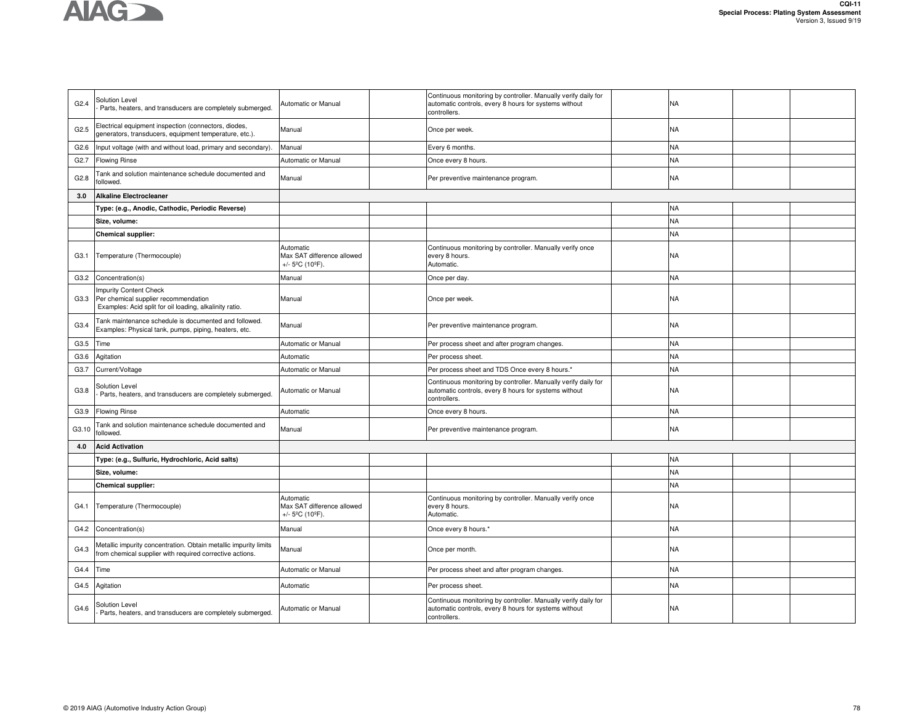

| G2.4             | <b>Solution Level</b><br>Parts, heaters, and transducers are completely submerged.                                               | Automatic or Manual                                                             | Continuous monitoring by controller. Manually verify daily for<br>automatic controls, every 8 hours for systems without<br>controllers. | <b>NA</b> |  |
|------------------|----------------------------------------------------------------------------------------------------------------------------------|---------------------------------------------------------------------------------|-----------------------------------------------------------------------------------------------------------------------------------------|-----------|--|
| G2.5             | Electrical equipment inspection (connectors, diodes,<br>generators, transducers, equipment temperature, etc.).                   | Manual                                                                          | Once per week.                                                                                                                          | <b>NA</b> |  |
| G2.6             | Input voltage (with and without load, primary and secondary).                                                                    | Manual                                                                          | Every 6 months                                                                                                                          | <b>NA</b> |  |
| G <sub>2.7</sub> | <b>Flowing Rinse</b>                                                                                                             | Automatic or Manual                                                             | Once every 8 hours.                                                                                                                     | <b>NA</b> |  |
| G2.8             | Tank and solution maintenance schedule documented and<br>followed.                                                               | Manual                                                                          | Per preventive maintenance program.                                                                                                     | NA        |  |
| 3.0              | <b>Alkaline Electrocleaner</b>                                                                                                   |                                                                                 |                                                                                                                                         |           |  |
|                  | Type: (e.g., Anodic, Cathodic, Periodic Reverse)                                                                                 |                                                                                 |                                                                                                                                         | <b>NA</b> |  |
|                  | Size, volume:                                                                                                                    |                                                                                 |                                                                                                                                         | <b>NA</b> |  |
|                  | Chemical supplier:                                                                                                               |                                                                                 |                                                                                                                                         | NA        |  |
| G3.1             | Temperature (Thermocouple)                                                                                                       | Automatic<br>Max SAT difference allowed<br>+/- $5^{\circ}$ C (10 $^{\circ}$ F). | Continuous monitoring by controller. Manually verify once<br>every 8 hours.<br>Automatic.                                               | <b>NA</b> |  |
| G3.2             | Concentration(s)                                                                                                                 | Manual                                                                          | Once per day.                                                                                                                           | NA        |  |
| G3.3             | <b>Impurity Content Check</b><br>Per chemical supplier recommendation<br>Examples: Acid split for oil loading, alkalinity ratio. | Manual                                                                          | Once per week.                                                                                                                          | NA        |  |
| G3.4             | Tank maintenance schedule is documented and followed.<br>Examples: Physical tank, pumps, piping, heaters, etc.                   | Manual                                                                          | Per preventive maintenance program.                                                                                                     | NA        |  |
| G3.5             | Time                                                                                                                             | Automatic or Manual                                                             | Per process sheet and after program changes.                                                                                            | <b>NA</b> |  |
| G3.6             | Agitation                                                                                                                        | Automatic                                                                       | Per process sheet.                                                                                                                      | <b>NA</b> |  |
| G3.7             | Current/Voltage                                                                                                                  | Automatic or Manual                                                             | Per process sheet and TDS Once every 8 hours.*                                                                                          | NA        |  |
| G3.8             | Solution Level<br>Parts, heaters, and transducers are completely submerged.                                                      | Automatic or Manual                                                             | Continuous monitoring by controller. Manually verify daily for<br>automatic controls, every 8 hours for systems without<br>controllers. | NA        |  |
| G3.9             | <b>Flowing Rinse</b>                                                                                                             | Automatic                                                                       | Once every 8 hours.                                                                                                                     | <b>NA</b> |  |
| G3.10            | Tank and solution maintenance schedule documented and<br>followed.                                                               | Manual                                                                          | Per preventive maintenance program.                                                                                                     | NA        |  |
| 4.0              | <b>Acid Activation</b>                                                                                                           |                                                                                 |                                                                                                                                         |           |  |
|                  | Type: (e.g., Sulfuric, Hydrochloric, Acid salts)                                                                                 |                                                                                 |                                                                                                                                         | <b>NA</b> |  |
|                  | Size, volume:                                                                                                                    |                                                                                 |                                                                                                                                         | <b>NA</b> |  |
|                  | <b>Chemical supplier:</b>                                                                                                        |                                                                                 |                                                                                                                                         | <b>NA</b> |  |
| G4.1             | Temperature (Thermocouple)                                                                                                       | Automatic<br>Max SAT difference allowed<br>+/- $5^{\circ}$ C (10 $^{\circ}$ F). | Continuous monitoring by controller. Manually verify once<br>every 8 hours.<br>Automatic.                                               | <b>NA</b> |  |
| G4.2             | Concentration(s)                                                                                                                 | Manual                                                                          | Once every 8 hours.*                                                                                                                    | NA        |  |
| G4.3             | Metallic impurity concentration. Obtain metallic impurity limits<br>from chemical supplier with required corrective actions.     | Manual                                                                          | Once per month.                                                                                                                         | NA        |  |
| G4.4             | Time                                                                                                                             | Automatic or Manual                                                             | Per process sheet and after program changes.                                                                                            | <b>NA</b> |  |
| G4.5             | Agitation                                                                                                                        | Automatic                                                                       | Per process sheet.                                                                                                                      | NA        |  |
| G4.6             | Solution Level<br>Parts, heaters, and transducers are completely submerged.                                                      | Automatic or Manual                                                             | Continuous monitoring by controller. Manually verify daily for<br>automatic controls, every 8 hours for systems without<br>controllers. | NA        |  |
|                  |                                                                                                                                  |                                                                                 |                                                                                                                                         |           |  |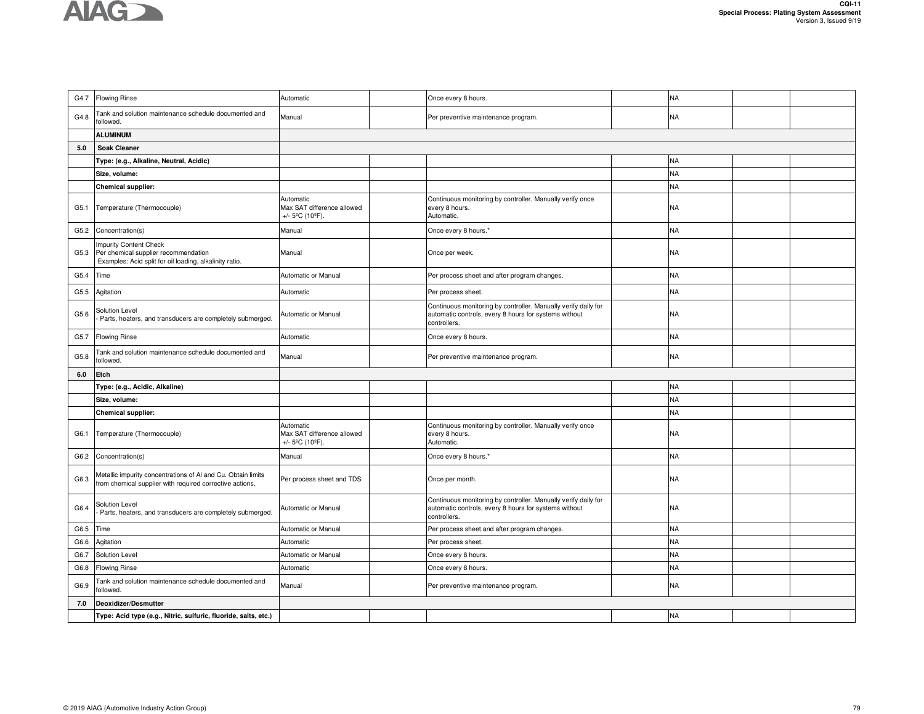

| G4.7 | <b>Flowing Rinse</b>                                                                                                      | Automatic                                                  | Once every 8 hours.                                                                                                                     | NA        |  |
|------|---------------------------------------------------------------------------------------------------------------------------|------------------------------------------------------------|-----------------------------------------------------------------------------------------------------------------------------------------|-----------|--|
| G4.8 | Tank and solution maintenance schedule documented and<br>followed.                                                        | Manual                                                     | Per preventive maintenance program.                                                                                                     | NA        |  |
|      | <b>ALUMINUM</b>                                                                                                           |                                                            |                                                                                                                                         |           |  |
| 5.0  | <b>Soak Cleaner</b>                                                                                                       |                                                            |                                                                                                                                         |           |  |
|      | Type: (e.g., Alkaline, Neutral, Acidic)                                                                                   |                                                            |                                                                                                                                         | <b>NA</b> |  |
|      | Size, volume:                                                                                                             |                                                            |                                                                                                                                         | NA        |  |
|      | <b>Chemical supplier:</b>                                                                                                 |                                                            |                                                                                                                                         | NA        |  |
| G5.1 | Temperature (Thermocouple)                                                                                                | Automatic<br>Max SAT difference allowed<br>+/- 5°C (10°F). | Continuous monitoring by controller. Manually verify once<br>every 8 hours.<br>Automatic.                                               | NA        |  |
| G5.2 | Concentration(s)                                                                                                          | Manual                                                     | Once every 8 hours.*                                                                                                                    | NA        |  |
| G5.3 | Impurity Content Check<br>Per chemical supplier recommendation<br>Examples: Acid split for oil loading, alkalinity ratio. | Manual                                                     | Once per week.                                                                                                                          | NA        |  |
| G5.4 | Time                                                                                                                      | Automatic or Manual                                        | Per process sheet and after program changes.                                                                                            | <b>NA</b> |  |
| G5.5 | Agitation                                                                                                                 | Automatic                                                  | Per process sheet.                                                                                                                      | NA        |  |
| G5.6 | Solution Level<br>Parts, heaters, and transducers are completely submerged.                                               | Automatic or Manual                                        | Continuous monitoring by controller. Manually verify daily for<br>automatic controls, every 8 hours for systems without<br>controllers. | NA        |  |
| G5.7 | <b>Flowing Rinse</b>                                                                                                      | Automatic                                                  | Once every 8 hours.                                                                                                                     | NA        |  |
| G5.8 | Tank and solution maintenance schedule documented and<br>followed.                                                        | Manual                                                     | Per preventive maintenance program.                                                                                                     | <b>NA</b> |  |
|      |                                                                                                                           |                                                            |                                                                                                                                         |           |  |
| 6.0  | Etch                                                                                                                      |                                                            |                                                                                                                                         |           |  |
|      | Type: (e.g., Acidic, Alkaline)                                                                                            |                                                            |                                                                                                                                         | <b>NA</b> |  |
|      | Size, volume:                                                                                                             |                                                            |                                                                                                                                         | <b>NA</b> |  |
|      | <b>Chemical supplier:</b>                                                                                                 |                                                            |                                                                                                                                         | NA        |  |
| G6.1 | Temperature (Thermocouple)                                                                                                | Automatic<br>Max SAT difference allowed<br>+/- 5°C (10°F). | Continuous monitoring by controller. Manually verify once<br>every 8 hours.<br>Automatic.                                               | NA        |  |
| G6.2 | Concentration(s)                                                                                                          | Manual                                                     | Once every 8 hours.*                                                                                                                    | NA        |  |
| G6.3 | Metallic impurity concentrations of Al and Cu. Obtain limits<br>from chemical supplier with required corrective actions.  | Per process sheet and TDS                                  | Once per month.                                                                                                                         | NA        |  |
| G6.4 | Solution Level<br>Parts, heaters, and transducers are completely submerged.                                               | Automatic or Manual                                        | Continuous monitoring by controller. Manually verify daily for<br>automatic controls, every 8 hours for systems without<br>controllers. | NA        |  |
| G6.5 | Time                                                                                                                      | Automatic or Manual                                        | Per process sheet and after program changes.                                                                                            | <b>NA</b> |  |
| G6.6 | Agitation                                                                                                                 | Automatic                                                  | Per process sheet.                                                                                                                      | NA        |  |
| G6.7 | Solution Level                                                                                                            | Automatic or Manual                                        | Once every 8 hours.                                                                                                                     | NA        |  |
| G6.8 | Iowing Rinse                                                                                                              | Automatic                                                  | Once every 8 hours.                                                                                                                     | <b>NA</b> |  |
| G6.9 | Tank and solution maintenance schedule documented and<br>followed.                                                        | Manual                                                     | Per preventive maintenance program.                                                                                                     | NA        |  |
| 7.0  | Deoxidizer/Desmutter                                                                                                      |                                                            |                                                                                                                                         |           |  |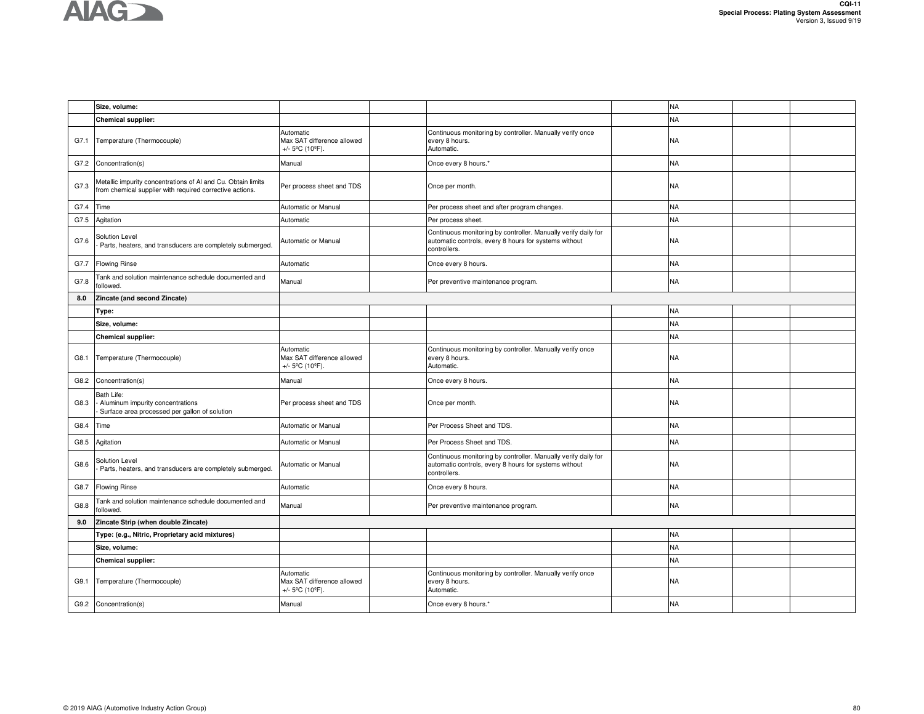

|      | Size, volume:                                                                                                            |                                                                                 |                                                                                                                                         | <b>NA</b> |  |
|------|--------------------------------------------------------------------------------------------------------------------------|---------------------------------------------------------------------------------|-----------------------------------------------------------------------------------------------------------------------------------------|-----------|--|
|      | <b>Chemical supplier:</b>                                                                                                |                                                                                 |                                                                                                                                         | NA        |  |
| G7.1 | Temperature (Thermocouple)                                                                                               | Automatic<br>Max SAT difference allowed<br>+/- $5^{\circ}$ C (10 $^{\circ}$ F). | Continuous monitoring by controller. Manually verify once<br>every 8 hours.<br>Automatic.                                               | NA        |  |
| G7.2 | Concentration(s)                                                                                                         | Manual                                                                          | Once every 8 hours.*                                                                                                                    | NΑ        |  |
| G7.3 | Metallic impurity concentrations of Al and Cu. Obtain limits<br>from chemical supplier with required corrective actions. | Per process sheet and TDS                                                       | Once per month.                                                                                                                         | NA        |  |
| G7.4 | Time                                                                                                                     | Automatic or Manual                                                             | Per process sheet and after program changes.                                                                                            | NΑ        |  |
| G7.5 | Agitation                                                                                                                | Automatic                                                                       | Per process sheet.                                                                                                                      | <b>NA</b> |  |
| G7.6 | Solution Level<br>Parts, heaters, and transducers are completely submerged.                                              | Automatic or Manual                                                             | Continuous monitoring by controller. Manually verify daily for<br>automatic controls, every 8 hours for systems without<br>controllers. | NA        |  |
| G7.7 | <b>Flowing Rinse</b>                                                                                                     | Automatic                                                                       | Once every 8 hours.                                                                                                                     | NA        |  |
| G7.8 | Tank and solution maintenance schedule documented and<br>followed.                                                       | Manual                                                                          | Per preventive maintenance program.                                                                                                     | NA        |  |
| 8.0  | Zincate (and second Zincate)                                                                                             |                                                                                 |                                                                                                                                         |           |  |
|      | Type:                                                                                                                    |                                                                                 |                                                                                                                                         | <b>NA</b> |  |
|      | Size, volume:                                                                                                            |                                                                                 |                                                                                                                                         | NA        |  |
|      | <b>Chemical supplier:</b>                                                                                                |                                                                                 |                                                                                                                                         | <b>NA</b> |  |
| G8.1 | Temperature (Thermocouple)                                                                                               | Automatic<br>Max SAT difference allowed<br>+/- $5^{\circ}$ C (10 $^{\circ}$ F). | Continuous monitoring by controller. Manually verify once<br>every 8 hours.<br>Automatic.                                               | NA        |  |
| G8.2 | Concentration(s)                                                                                                         | Manual                                                                          | Once every 8 hours.                                                                                                                     | NA        |  |
| G8.3 | Bath Life:<br>Aluminum impurity concentrations<br>Surface area processed per gallon of solution                          | Per process sheet and TDS                                                       | Once per month.                                                                                                                         | NA        |  |
| G8.4 | Time                                                                                                                     | Automatic or Manual                                                             | Per Process Sheet and TDS.                                                                                                              | NA        |  |
| G8.5 | Agitation                                                                                                                | Automatic or Manual                                                             | Per Process Sheet and TDS.                                                                                                              | NA        |  |
| G8.6 | Solution Level<br>Parts, heaters, and transducers are completely submerged.                                              | Automatic or Manual                                                             | Continuous monitoring by controller. Manually verify daily for<br>automatic controls, every 8 hours for systems without<br>controllers. | NA        |  |
| G8.7 | <b>Flowing Rinse</b>                                                                                                     | Automatic                                                                       | Once every 8 hours.                                                                                                                     | ΝA        |  |
| G8.8 | Tank and solution maintenance schedule documented and<br>followed.                                                       | Manual                                                                          | Per preventive maintenance program.                                                                                                     | NA        |  |
| 9.0  | Zincate Strip (when double Zincate)                                                                                      |                                                                                 |                                                                                                                                         |           |  |
|      | Type: (e.g., Nitric, Proprietary acid mixtures)                                                                          |                                                                                 |                                                                                                                                         | NΑ        |  |
|      | Size, volume:                                                                                                            |                                                                                 |                                                                                                                                         | <b>NA</b> |  |
|      | <b>Chemical supplier:</b>                                                                                                |                                                                                 |                                                                                                                                         | NA        |  |
| G9.1 | Temperature (Thermocouple)                                                                                               | Automatic<br>Max SAT difference allowed<br>+/- $5^{\circ}$ C (10 $^{\circ}$ F). | Continuous monitoring by controller. Manually verify once<br>every 8 hours.<br>Automatic.                                               | NA        |  |
| G9.2 | Concentration(s)                                                                                                         | Manual                                                                          | Once every 8 hours.*                                                                                                                    | NA        |  |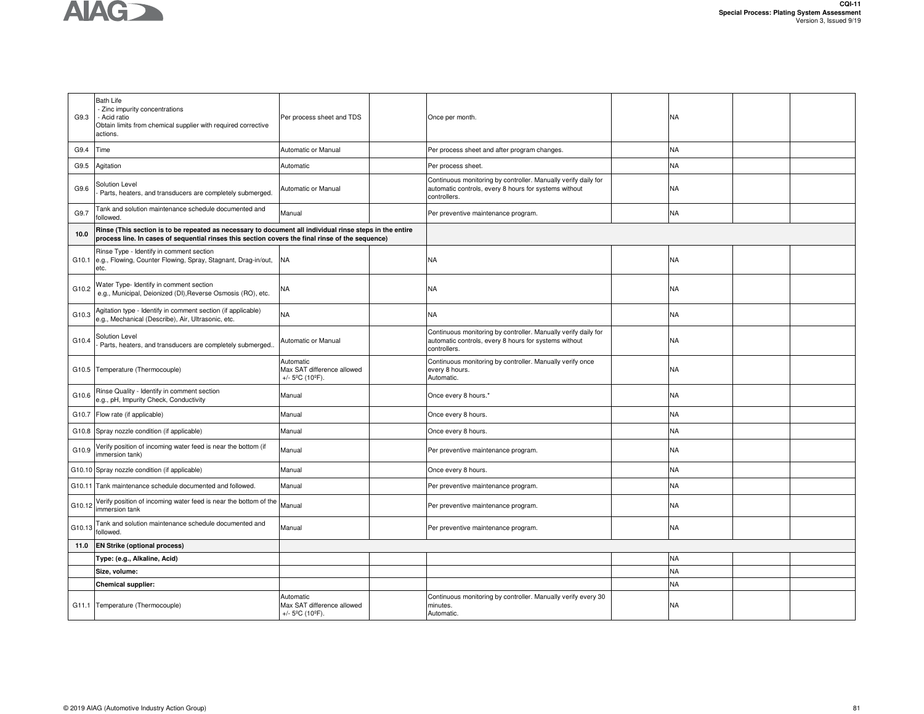

| G9.3   | <b>Bath Life</b><br>- Zinc impurity concentrations<br>- Acid ratio<br>Obtain limits from chemical supplier with required corrective<br>actions.                                                             | Per process sheet and TDS                                                       | Once per month.                                                                                                                         | NA        |  |
|--------|-------------------------------------------------------------------------------------------------------------------------------------------------------------------------------------------------------------|---------------------------------------------------------------------------------|-----------------------------------------------------------------------------------------------------------------------------------------|-----------|--|
| G9.4   | Time                                                                                                                                                                                                        | Automatic or Manual                                                             | Per process sheet and after program changes.                                                                                            | NA        |  |
| G9.5   | Agitation                                                                                                                                                                                                   | Automatic                                                                       | Per process sheet.                                                                                                                      | NA        |  |
| G9.6   | Solution Level<br>Parts, heaters, and transducers are completely submerged.                                                                                                                                 | Automatic or Manual                                                             | Continuous monitoring by controller. Manually verify daily for<br>automatic controls, every 8 hours for systems without<br>controllers. | NA        |  |
| G9.7   | Tank and solution maintenance schedule documented and<br>followed.                                                                                                                                          | Manual                                                                          | Per preventive maintenance program.                                                                                                     | NA.       |  |
| 10.0   | Rinse (This section is to be repeated as necessary to document all individual rinse steps in the entire<br>process line. In cases of sequential rinses this section covers the final rinse of the sequence) |                                                                                 |                                                                                                                                         |           |  |
| G10.1  | Rinse Type - Identify in comment section<br>e.g., Flowing, Counter Flowing, Spray, Stagnant, Drag-in/out,<br>etc.                                                                                           | <b>NA</b>                                                                       | NA                                                                                                                                      | NA        |  |
| G10.2  | Water Type- Identify in comment section<br>e.g., Municipal, Deionized (DI), Reverse Osmosis (RO), etc.                                                                                                      | NA                                                                              | NA                                                                                                                                      | NA        |  |
| G10.3  | Agitation type - Identify in comment section (if applicable)<br>e.g., Mechanical (Describe), Air, Ultrasonic, etc.                                                                                          | NA                                                                              | NA                                                                                                                                      | NA.       |  |
| G10.4  | Solution Level<br>Parts, heaters, and transducers are completely submerged.                                                                                                                                 | Automatic or Manual                                                             | Continuous monitoring by controller. Manually verify daily for<br>automatic controls, every 8 hours for systems without<br>controllers. | NA        |  |
|        | G10.5 Temperature (Thermocouple)                                                                                                                                                                            | Automatic<br>Max SAT difference allowed<br>+/- $5^{\circ}$ C (10 $^{\circ}$ F). | Continuous monitoring by controller. Manually verify once<br>every 8 hours.<br>Automatic.                                               | NA.       |  |
| G10.6  | Rinse Quality - Identify in comment section<br>e.g., pH, Impurity Check, Conductivity                                                                                                                       | Manual                                                                          | Once every 8 hours."                                                                                                                    | NA        |  |
|        | G10.7 Flow rate (if applicable)                                                                                                                                                                             | Manual                                                                          | Once every 8 hours.                                                                                                                     | NA        |  |
|        | G10.8 Spray nozzle condition (if applicable)                                                                                                                                                                | Manual                                                                          | Once every 8 hours.                                                                                                                     | <b>NA</b> |  |
| G10.9  | Verify position of incoming water feed is near the bottom (if<br>immersion tank)                                                                                                                            | Manual                                                                          | Per preventive maintenance program.                                                                                                     | NA        |  |
|        | G10.10 Spray nozzle condition (if applicable)                                                                                                                                                               | Manual                                                                          | Once every 8 hours.                                                                                                                     | NA.       |  |
| G10.11 | Tank maintenance schedule documented and followed.                                                                                                                                                          | Manual                                                                          | Per preventive maintenance program.                                                                                                     | NA        |  |
| G10.12 | Verify position of incoming water feed is near the bottom of the<br>immersion tank                                                                                                                          | Manual                                                                          | Per preventive maintenance program.                                                                                                     | NA        |  |
| G10.13 | Tank and solution maintenance schedule documented and<br>followed.                                                                                                                                          | Manual                                                                          | Per preventive maintenance program.                                                                                                     | NA.       |  |
| 11.0   | <b>EN Strike (optional process)</b>                                                                                                                                                                         |                                                                                 |                                                                                                                                         |           |  |
|        | Type: (e.g., Alkaline, Acid)                                                                                                                                                                                |                                                                                 |                                                                                                                                         | NA        |  |
|        | Size, volume:                                                                                                                                                                                               |                                                                                 |                                                                                                                                         | NA.       |  |
|        | Chemical supplier:                                                                                                                                                                                          |                                                                                 |                                                                                                                                         | NA        |  |
|        | G11.1 Temperature (Thermocouple)                                                                                                                                                                            | Automatic<br>Max SAT difference allowed<br>+/- $5^{\circ}$ C (10 $^{\circ}$ F). | Continuous monitoring by controller. Manually verify every 30<br>minutes.<br>Automatic.                                                 | NA        |  |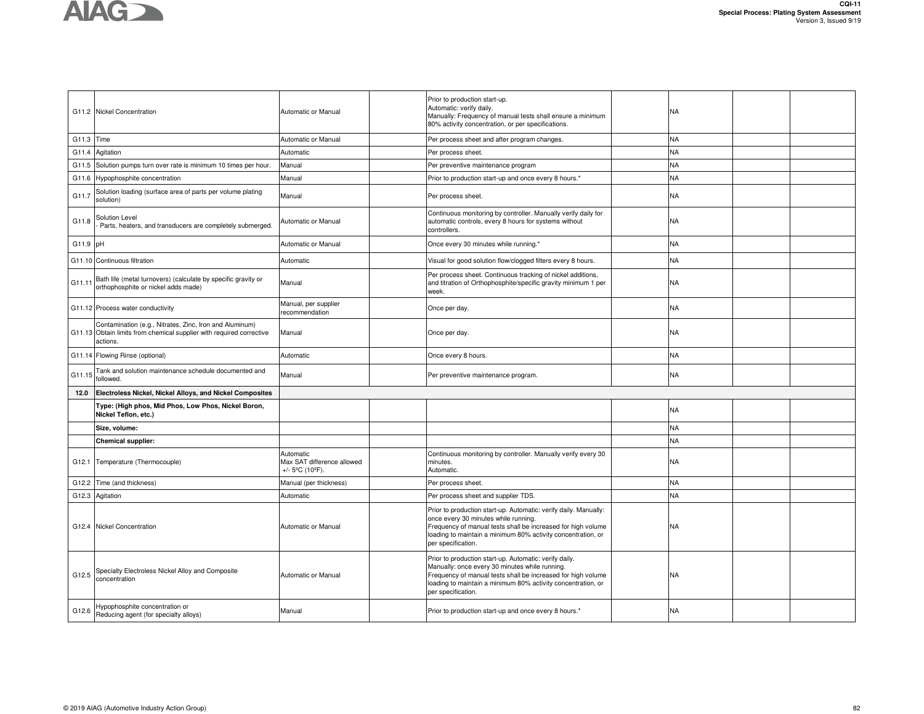

|            | G11.2 Nickel Concentration                                                                                                                  | Automatic or Manual                                                             | Prior to production start-up.<br>Automatic: verify daily.<br>Manually: Frequency of manual tests shall ensure a minimum<br>80% activity concentration, or per specifications.                                                                                  | NA        |  |
|------------|---------------------------------------------------------------------------------------------------------------------------------------------|---------------------------------------------------------------------------------|----------------------------------------------------------------------------------------------------------------------------------------------------------------------------------------------------------------------------------------------------------------|-----------|--|
| G11.3 Time |                                                                                                                                             | Automatic or Manual                                                             | Per process sheet and after program changes.                                                                                                                                                                                                                   | NA        |  |
| G11.4      | Agitation                                                                                                                                   | Automatic                                                                       | Per process sheet.                                                                                                                                                                                                                                             | NA        |  |
|            | G11.5 Solution pumps turn over rate is minimum 10 times per hour.                                                                           | Manual                                                                          | Per preventive maintenance program                                                                                                                                                                                                                             | <b>NA</b> |  |
| G11.6      | Hypophosphite concentration                                                                                                                 | Manual                                                                          | Prior to production start-up and once every 8 hours.*                                                                                                                                                                                                          | NA        |  |
| G11.7      | Solution loading (surface area of parts per volume plating<br>solution)                                                                     | Manual                                                                          | Per process sheet.                                                                                                                                                                                                                                             | NΑ        |  |
| G11.8      | Solution Level<br>Parts, heaters, and transducers are completely submerged.                                                                 | Automatic or Manual                                                             | Continuous monitoring by controller. Manually verify daily for<br>automatic controls, every 8 hours for systems without<br>controllers.                                                                                                                        | NA        |  |
| G11.9 pH   |                                                                                                                                             | Automatic or Manual                                                             | Once every 30 minutes while running.*                                                                                                                                                                                                                          | NA        |  |
|            | G11.10 Continuous filtration                                                                                                                | Automatic                                                                       | Visual for good solution flow/clogged filters every 8 hours.                                                                                                                                                                                                   | NΑ        |  |
| G11.11     | Bath life (metal turnovers) (calculate by specific gravity or<br>orthophosphite or nickel adds made)                                        | Manual                                                                          | Per process sheet. Continuous tracking of nickel additions,<br>and titration of Orthophosphite/specific gravity minimum 1 per<br>week.                                                                                                                         | NA        |  |
|            | G11.12 Process water conductivity                                                                                                           | Manual, per supplier<br>recommendation                                          | Once per day.                                                                                                                                                                                                                                                  | NA        |  |
|            | Contamination (e.g., Nitrates, Zinc, Iron and Aluminum)<br>G11.13 Obtain limits from chemical supplier with required corrective<br>actions. | Manual                                                                          | Once per day.                                                                                                                                                                                                                                                  | NA        |  |
|            | G11.14 Flowing Rinse (optional)                                                                                                             | Automatic                                                                       | Once every 8 hours.                                                                                                                                                                                                                                            | NΑ        |  |
| G11.15     | Tank and solution maintenance schedule documented and<br>followed.                                                                          | Manual                                                                          | Per preventive maintenance program.                                                                                                                                                                                                                            | NA.       |  |
| 12.0       | Electroless Nickel, Nickel Alloys, and Nickel Composites                                                                                    |                                                                                 |                                                                                                                                                                                                                                                                |           |  |
|            | Type: (High phos, Mid Phos, Low Phos, Nickel Boron,<br>Nickel Teflon, etc.)                                                                 |                                                                                 |                                                                                                                                                                                                                                                                | NA        |  |
|            | Size, volume:                                                                                                                               |                                                                                 |                                                                                                                                                                                                                                                                | NA        |  |
|            | Chemical supplier:                                                                                                                          |                                                                                 |                                                                                                                                                                                                                                                                | <b>NA</b> |  |
|            | G12.1 Temperature (Thermocouple)                                                                                                            | Automatic<br>Max SAT difference allowed<br>+/- $5^{\circ}$ C (10 $^{\circ}$ F). | Continuous monitoring by controller. Manually verify every 30<br>minutes.<br>Automatic.                                                                                                                                                                        | NA        |  |
| G12.2      | Time (and thickness)                                                                                                                        | Manual (per thickness)                                                          | Per process sheet.                                                                                                                                                                                                                                             | <b>NA</b> |  |
|            | G12.3 Agitation                                                                                                                             | Automatic                                                                       | Per process sheet and supplier TDS.                                                                                                                                                                                                                            | <b>NA</b> |  |
|            | G12.4 Nickel Concentration                                                                                                                  | Automatic or Manual                                                             | Prior to production start-up. Automatic: verify daily. Manually:<br>once every 30 minutes while running.<br>Frequency of manual tests shall be increased for high volume<br>loading to maintain a minimum 80% activity concentration, or<br>per specification. | NA        |  |
| G12.5      | Specialty Electroless Nickel Alloy and Composite<br>concentration                                                                           | Automatic or Manual                                                             | Prior to production start-up. Automatic: verify daily.<br>Manually: once every 30 minutes while running.<br>Frequency of manual tests shall be increased for high volume<br>loading to maintain a minimum 80% activity concentration, or<br>per specification. | NA        |  |
| G12.6      | Hypophosphite concentration or<br>Reducing agent (for specialty alloys)                                                                     | Manual                                                                          | Prior to production start-up and once every 8 hours.*                                                                                                                                                                                                          | NA        |  |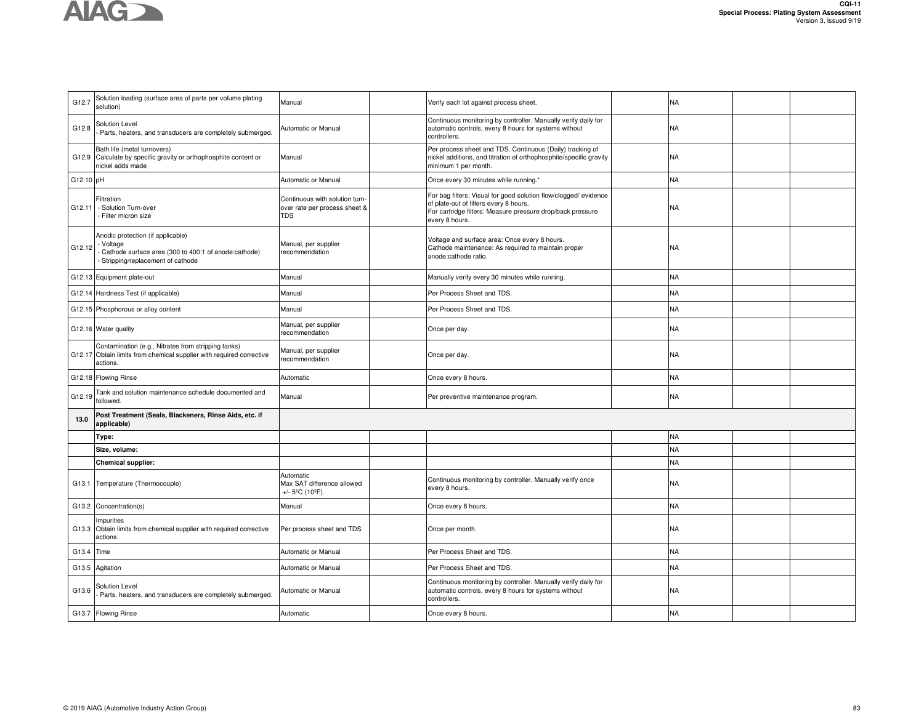

| G12.7     | Solution loading (surface area of parts per volume plating<br>solution)                                                                      | Manual                                                                          | Verify each lot against process sheet.                                                                                                                                                     | <b>NA</b> |  |
|-----------|----------------------------------------------------------------------------------------------------------------------------------------------|---------------------------------------------------------------------------------|--------------------------------------------------------------------------------------------------------------------------------------------------------------------------------------------|-----------|--|
| G12.8     | Solution Level<br>Parts, heaters, and transducers are completely submerged.                                                                  | Automatic or Manual                                                             | Continuous monitoring by controller. Manually verify daily for<br>automatic controls, every 8 hours for systems without<br>controllers.                                                    | <b>NA</b> |  |
| G12.9     | Bath life (metal turnovers)<br>Calculate by specific gravity or orthophosphite content or<br>nickel adds made                                | Manual                                                                          | Per process sheet and TDS. Continuous (Daily) tracking of<br>nickel additions, and titration of orthophosphite/specific gravity<br>minimum 1 per month.                                    | <b>NA</b> |  |
| G12.10 pH |                                                                                                                                              | Automatic or Manual                                                             | Once every 30 minutes while running.*                                                                                                                                                      | <b>NA</b> |  |
| G12.11    | Filtration<br>- Solution Turn-over<br>- Filter micron size                                                                                   | Continuous with solution turn-<br>over rate per process sheet &<br><b>TDS</b>   | For bag filters: Visual for good solution flow/clogged/ evidence<br>of plate-out of filters every 8 hours.<br>For cartridge filters: Measure pressure drop/back pressure<br>every 8 hours. | <b>NA</b> |  |
| G12.12    | Anodic protection (if applicable)<br>- Voltage<br>- Cathode surface area (300 to 400:1 of anode:cathode)<br>Stripping/replacement of cathode | Manual, per supplier<br>recommendation                                          | Voltage and surface area: Once every 8 hours.<br>Cathode maintenance: As required to maintain proper<br>anode:cathode ratio.                                                               | <b>NA</b> |  |
| G12.13    | Equipment plate-out                                                                                                                          | Manual                                                                          | Manually verify every 30 minutes while running.                                                                                                                                            | <b>NA</b> |  |
| G12.14    | Hardness Test (if applicable)                                                                                                                | Manual                                                                          | Per Process Sheet and TDS.                                                                                                                                                                 | <b>NA</b> |  |
| G12.15    | Phosphorous or alloy content                                                                                                                 | Manual                                                                          | Per Process Sheet and TDS.                                                                                                                                                                 | <b>NA</b> |  |
|           | G12.16 Water quality                                                                                                                         | Manual, per supplier<br>ecommendation                                           | Once per day.                                                                                                                                                                              | <b>NA</b> |  |
|           | Contamination (e.g., Nitrates from stripping tanks)<br>G12.17 Obtain limits from chemical supplier with required corrective<br>actions.      | Manual, per supplier<br>ecommendation                                           | Once per day.                                                                                                                                                                              | NA        |  |
| G12.18    | <b>Flowing Rinse</b>                                                                                                                         | Automatic                                                                       | Once every 8 hours.                                                                                                                                                                        | <b>NA</b> |  |
| G12.19    | Tank and solution maintenance schedule documented and<br>followed.                                                                           | Manual                                                                          | Per preventive maintenance program.                                                                                                                                                        | <b>NA</b> |  |
| 13.0      | Post Treatment (Seals, Blackeners, Rinse Aids, etc. if<br>applicable)                                                                        |                                                                                 |                                                                                                                                                                                            |           |  |
|           | Type:                                                                                                                                        |                                                                                 |                                                                                                                                                                                            | <b>NA</b> |  |
|           | Size, volume:                                                                                                                                |                                                                                 |                                                                                                                                                                                            | <b>NA</b> |  |
|           | <b>Chemical supplier:</b>                                                                                                                    |                                                                                 |                                                                                                                                                                                            | <b>NA</b> |  |
| G13.1     | Temperature (Thermocouple)                                                                                                                   | Automatic<br>Max SAT difference allowed<br>+/- $5^{\circ}$ C (10 $^{\circ}$ F). | Continuous monitoring by controller. Manually verify once<br>every 8 hours.                                                                                                                | <b>NA</b> |  |
| G13.2     | Concentration(s)                                                                                                                             | Manual                                                                          | Once every 8 hours.                                                                                                                                                                        | <b>NA</b> |  |
| G13.3     | Impurities<br>Obtain limits from chemical supplier with required corrective<br>actions.                                                      | Per process sheet and TDS                                                       | Once per month.                                                                                                                                                                            | <b>NA</b> |  |
| G13.4     | Time                                                                                                                                         | Automatic or Manual                                                             | Per Process Sheet and TDS.                                                                                                                                                                 | <b>NA</b> |  |
| G13.5     | Agitation                                                                                                                                    | Automatic or Manual                                                             | Per Process Sheet and TDS.                                                                                                                                                                 | <b>NA</b> |  |
| G13.6     | Solution Level<br>Parts, heaters, and transducers are completely submerged.                                                                  | Automatic or Manual                                                             | Continuous monitoring by controller. Manually verify daily for<br>automatic controls, every 8 hours for systems without<br>controllers.                                                    | <b>NA</b> |  |
|           | G13.7 Flowing Rinse                                                                                                                          | Automatic                                                                       | Once every 8 hours.                                                                                                                                                                        | <b>NA</b> |  |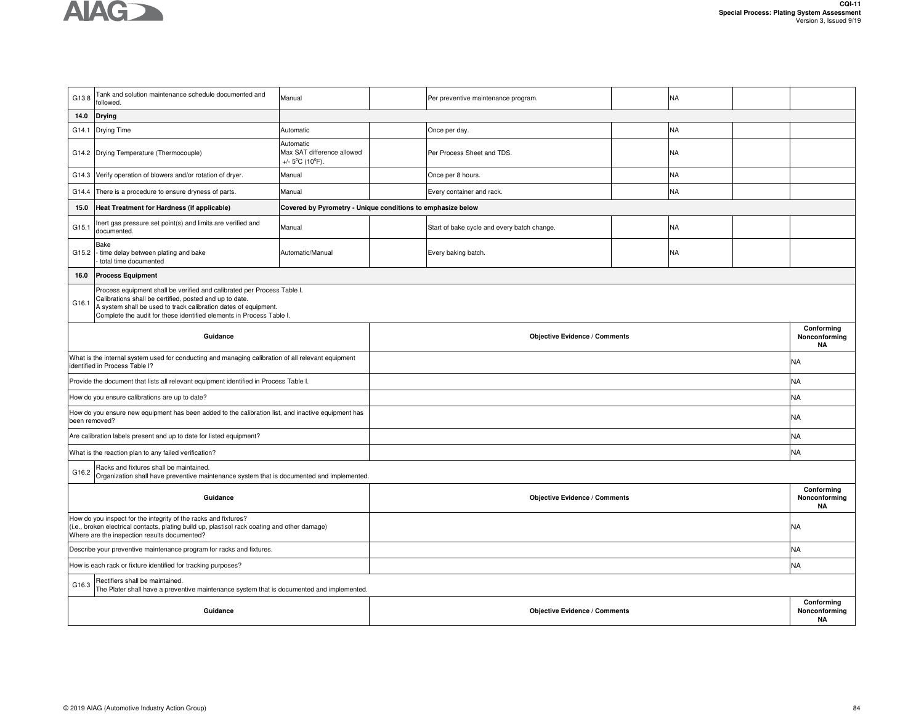

| G13.8                                                                                                                                                                                                                                                                                  | Tank and solution maintenance schedule documented and<br>followed.                                                                                                                                               | Manual                                                                          |  | Per preventive maintenance program.         |  | <b>NA</b> |  |                                          |
|----------------------------------------------------------------------------------------------------------------------------------------------------------------------------------------------------------------------------------------------------------------------------------------|------------------------------------------------------------------------------------------------------------------------------------------------------------------------------------------------------------------|---------------------------------------------------------------------------------|--|---------------------------------------------|--|-----------|--|------------------------------------------|
| 14.0                                                                                                                                                                                                                                                                                   | <b>Drying</b>                                                                                                                                                                                                    |                                                                                 |  |                                             |  |           |  |                                          |
| G14.1                                                                                                                                                                                                                                                                                  | Drying Time                                                                                                                                                                                                      | Automatic                                                                       |  | Once per day.                               |  | <b>NA</b> |  |                                          |
|                                                                                                                                                                                                                                                                                        | G14.2 Drying Temperature (Thermocouple)                                                                                                                                                                          | Automatic<br>Max SAT difference allowed<br>+/- $5^{\circ}$ C (10 $^{\circ}$ F). |  | Per Process Sheet and TDS.                  |  | <b>NA</b> |  |                                          |
| G14.3                                                                                                                                                                                                                                                                                  | Verify operation of blowers and/or rotation of dryer.                                                                                                                                                            | Manual                                                                          |  | Once per 8 hours.                           |  | <b>NA</b> |  |                                          |
| G14.4                                                                                                                                                                                                                                                                                  | There is a procedure to ensure dryness of parts.                                                                                                                                                                 | Manual                                                                          |  | Every container and rack.                   |  | <b>NA</b> |  |                                          |
| 15.0                                                                                                                                                                                                                                                                                   | Heat Treatment for Hardness (if applicable)                                                                                                                                                                      | Covered by Pyrometry - Unique conditions to emphasize below                     |  |                                             |  |           |  |                                          |
| G15.1                                                                                                                                                                                                                                                                                  | Inert gas pressure set point(s) and limits are verified and<br>documented.                                                                                                                                       | Manual                                                                          |  | Start of bake cycle and every batch change. |  | <b>NA</b> |  |                                          |
| G15.2                                                                                                                                                                                                                                                                                  | Bake<br>- time delay between plating and bake<br>total time documented                                                                                                                                           | Automatic/Manual                                                                |  | Every baking batch.                         |  | <b>NA</b> |  |                                          |
| 16.0                                                                                                                                                                                                                                                                                   | <b>Process Equipment</b>                                                                                                                                                                                         |                                                                                 |  |                                             |  |           |  |                                          |
| Process equipment shall be verified and calibrated per Process Table I.<br>Calibrations shall be certified, posted and up to date.<br>G16.1<br>A system shall be used to track calibration dates of equipment.<br>Complete the audit for these identified elements in Process Table I. |                                                                                                                                                                                                                  |                                                                                 |  |                                             |  |           |  |                                          |
|                                                                                                                                                                                                                                                                                        | Guidance                                                                                                                                                                                                         |                                                                                 |  | <b>Objective Evidence / Comments</b>        |  |           |  |                                          |
|                                                                                                                                                                                                                                                                                        | What is the internal system used for conducting and managing calibration of all relevant equipment<br>identified in Process Table I?                                                                             |                                                                                 |  |                                             |  |           |  | NA                                       |
|                                                                                                                                                                                                                                                                                        | Provide the document that lists all relevant equipment identified in Process Table I.                                                                                                                            |                                                                                 |  |                                             |  |           |  | <b>NA</b>                                |
|                                                                                                                                                                                                                                                                                        | How do you ensure calibrations are up to date?                                                                                                                                                                   |                                                                                 |  |                                             |  |           |  | <b>NA</b>                                |
| been removed?                                                                                                                                                                                                                                                                          | How do you ensure new equipment has been added to the calibration list, and inactive equipment has                                                                                                               |                                                                                 |  |                                             |  |           |  | <b>NA</b>                                |
|                                                                                                                                                                                                                                                                                        | Are calibration labels present and up to date for listed equipment?                                                                                                                                              |                                                                                 |  |                                             |  |           |  | <b>NA</b>                                |
|                                                                                                                                                                                                                                                                                        | What is the reaction plan to any failed verification?                                                                                                                                                            |                                                                                 |  |                                             |  |           |  | <b>NA</b>                                |
| G16.2                                                                                                                                                                                                                                                                                  | Racks and fixtures shall be maintained.<br>Organization shall have preventive maintenance system that is documented and implemented.                                                                             |                                                                                 |  |                                             |  |           |  |                                          |
|                                                                                                                                                                                                                                                                                        | Guidance                                                                                                                                                                                                         |                                                                                 |  | <b>Objective Evidence / Comments</b>        |  |           |  | Conforming<br>Nonconforming<br><b>NA</b> |
|                                                                                                                                                                                                                                                                                        | How do you inspect for the integrity of the racks and fixtures?<br>(i.e., broken electrical contacts, plating build up, plastisol rack coating and other damage)<br>Where are the inspection results documented? |                                                                                 |  |                                             |  |           |  | <b>NA</b>                                |
|                                                                                                                                                                                                                                                                                        | Describe your preventive maintenance program for racks and fixtures.                                                                                                                                             |                                                                                 |  |                                             |  |           |  | <b>NA</b>                                |
|                                                                                                                                                                                                                                                                                        | How is each rack or fixture identified for tracking purposes?                                                                                                                                                    |                                                                                 |  |                                             |  |           |  | <b>NA</b>                                |
| G16.3                                                                                                                                                                                                                                                                                  | Rectifiers shall be maintained.<br>The Plater shall have a preventive maintenance system that is documented and implemented.                                                                                     |                                                                                 |  |                                             |  |           |  |                                          |
|                                                                                                                                                                                                                                                                                        | Guidance                                                                                                                                                                                                         |                                                                                 |  | <b>Objective Evidence / Comments</b>        |  |           |  | Conforming<br>Nonconforming<br><b>NA</b> |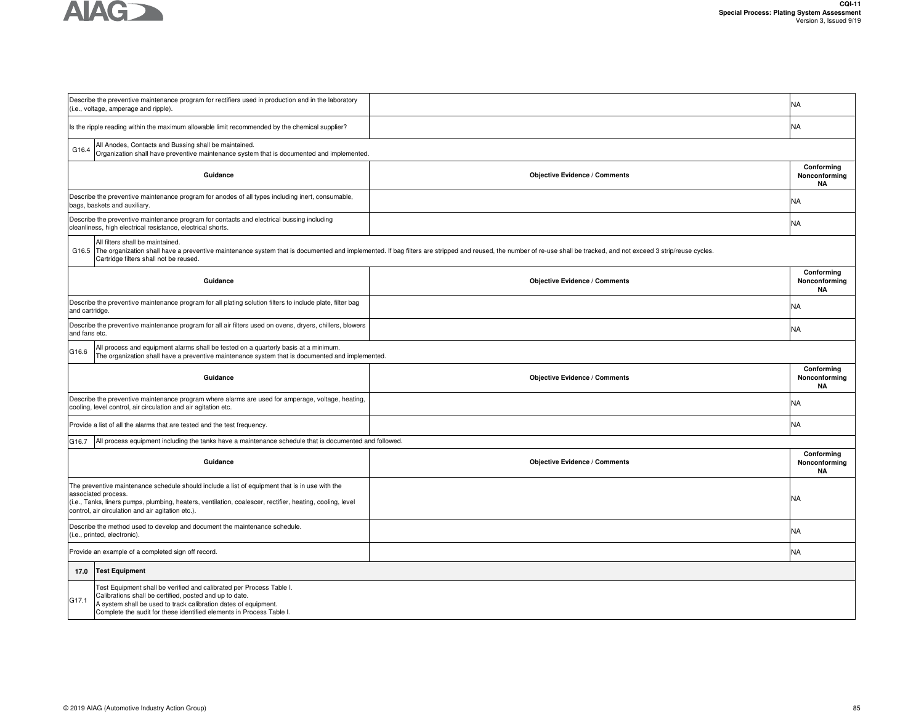

|                               | Describe the preventive maintenance program for rectifiers used in production and in the laboratory<br>(i.e., voltage, amperage and ripple).                                                                                                                                            |                                                                                                                                                                                                                           | NA                                       |  |  |  |  |
|-------------------------------|-----------------------------------------------------------------------------------------------------------------------------------------------------------------------------------------------------------------------------------------------------------------------------------------|---------------------------------------------------------------------------------------------------------------------------------------------------------------------------------------------------------------------------|------------------------------------------|--|--|--|--|
|                               | Is the ripple reading within the maximum allowable limit recommended by the chemical supplier?                                                                                                                                                                                          |                                                                                                                                                                                                                           | NA                                       |  |  |  |  |
| G16.4                         | All Anodes, Contacts and Bussing shall be maintained.<br>Organization shall have preventive maintenance system that is documented and implemented.                                                                                                                                      |                                                                                                                                                                                                                           |                                          |  |  |  |  |
|                               | Guidance                                                                                                                                                                                                                                                                                | <b>Objective Evidence / Comments</b>                                                                                                                                                                                      | Conforming<br>Nonconforming<br><b>NA</b> |  |  |  |  |
|                               | Describe the preventive maintenance program for anodes of all types including inert, consumable,<br>bags, baskets and auxiliary.                                                                                                                                                        |                                                                                                                                                                                                                           | NA                                       |  |  |  |  |
|                               | Describe the preventive maintenance program for contacts and electrical bussing including<br>cleanliness, high electrical resistance, electrical shorts.                                                                                                                                |                                                                                                                                                                                                                           | NA                                       |  |  |  |  |
|                               | All filters shall be maintained.<br>Cartridge filters shall not be reused.                                                                                                                                                                                                              | G16.5 The organization shall have a preventive maintenance system that is documented and implemented. If bag filters are stripped and reused, the number of re-use shall be tracked, and not exceed 3 strip/reuse cycles. |                                          |  |  |  |  |
|                               | Guidance                                                                                                                                                                                                                                                                                | <b>Objective Evidence / Comments</b>                                                                                                                                                                                      | Conforming<br>Nonconforming<br><b>NA</b> |  |  |  |  |
| and cartridge.                | Describe the preventive maintenance program for all plating solution filters to include plate, filter bag                                                                                                                                                                               |                                                                                                                                                                                                                           | NA                                       |  |  |  |  |
| and fans etc.                 | Describe the preventive maintenance program for all air filters used on ovens, dryers, chillers, blowers                                                                                                                                                                                |                                                                                                                                                                                                                           | NA                                       |  |  |  |  |
| G16.6                         | All process and equipment alarms shall be tested on a quarterly basis at a minimum.<br>The organization shall have a preventive maintenance system that is documented and implemented.                                                                                                  |                                                                                                                                                                                                                           |                                          |  |  |  |  |
|                               | Guidance                                                                                                                                                                                                                                                                                | <b>Objective Evidence / Comments</b>                                                                                                                                                                                      | Conforming<br>Nonconforming<br><b>NA</b> |  |  |  |  |
|                               | Describe the preventive maintenance program where alarms are used for amperage, voltage, heating,<br>cooling, level control, air circulation and air agitation etc.                                                                                                                     |                                                                                                                                                                                                                           | NA                                       |  |  |  |  |
|                               | Provide a list of all the alarms that are tested and the test frequency.                                                                                                                                                                                                                |                                                                                                                                                                                                                           | NA                                       |  |  |  |  |
| G16.7                         | All process equipment including the tanks have a maintenance schedule that is documented and followed.                                                                                                                                                                                  |                                                                                                                                                                                                                           |                                          |  |  |  |  |
|                               | Guidance                                                                                                                                                                                                                                                                                | <b>Objective Evidence / Comments</b>                                                                                                                                                                                      | Conforming<br>Nonconforming<br><b>NA</b> |  |  |  |  |
|                               | The preventive maintenance schedule should include a list of equipment that is in use with the<br>associated process.<br>(i.e., Tanks, liners pumps, plumbing, heaters, ventilation, coalescer, rectifier, heating, cooling, level<br>control, air circulation and air agitation etc.). |                                                                                                                                                                                                                           | NA.                                      |  |  |  |  |
|                               | Describe the method used to develop and document the maintenance schedule.<br>(i.e., printed, electronic).                                                                                                                                                                              |                                                                                                                                                                                                                           | NA                                       |  |  |  |  |
|                               | Provide an example of a completed sign off record.                                                                                                                                                                                                                                      |                                                                                                                                                                                                                           | NA                                       |  |  |  |  |
| 17.0<br><b>Test Equipment</b> |                                                                                                                                                                                                                                                                                         |                                                                                                                                                                                                                           |                                          |  |  |  |  |
| G17.1                         | Test Equipment shall be verified and calibrated per Process Table I.<br>Calibrations shall be certified, posted and up to date.<br>A system shall be used to track calibration dates of equipment.<br>Complete the audit for these identified elements in Process Table I.              |                                                                                                                                                                                                                           |                                          |  |  |  |  |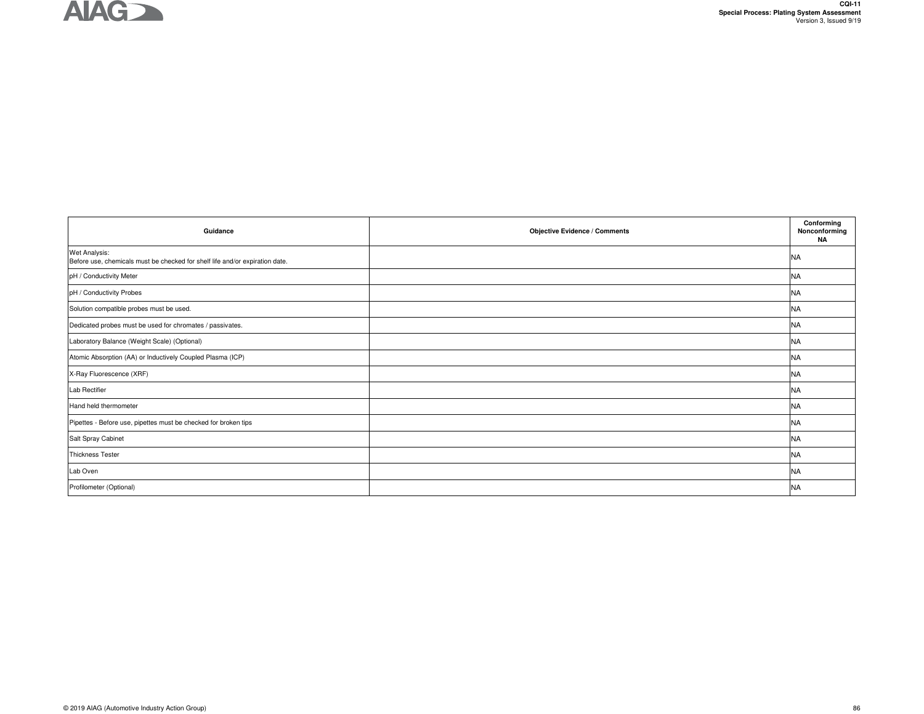

| Guidance                                                                                      | <b>Objective Evidence / Comments</b> | Conforming<br>Nonconforming<br><b>NA</b> |
|-----------------------------------------------------------------------------------------------|--------------------------------------|------------------------------------------|
| Wet Analysis:<br>Before use, chemicals must be checked for shelf life and/or expiration date. |                                      | <b>NA</b>                                |
| pH / Conductivity Meter                                                                       |                                      | <b>NA</b>                                |
| pH / Conductivity Probes                                                                      |                                      | <b>NA</b>                                |
| Solution compatible probes must be used.                                                      |                                      | <b>NA</b>                                |
| Dedicated probes must be used for chromates / passivates.                                     |                                      | <b>NA</b>                                |
| Laboratory Balance (Weight Scale) (Optional)                                                  |                                      | <b>NA</b>                                |
| Atomic Absorption (AA) or Inductively Coupled Plasma (ICP)                                    |                                      | <b>NA</b>                                |
| X-Ray Fluorescence (XRF)                                                                      |                                      | <b>NA</b>                                |
| Lab Rectifier                                                                                 |                                      | <b>NA</b>                                |
| Hand held thermometer                                                                         |                                      | <b>NA</b>                                |
| Pipettes - Before use, pipettes must be checked for broken tips                               |                                      | <b>NA</b>                                |
| Salt Spray Cabinet                                                                            |                                      | <b>NA</b>                                |
| <b>Thickness Tester</b>                                                                       |                                      | <b>NA</b>                                |
| Lab Oven                                                                                      |                                      | <b>NA</b>                                |
| Profilometer (Optional)                                                                       |                                      | <b>NA</b>                                |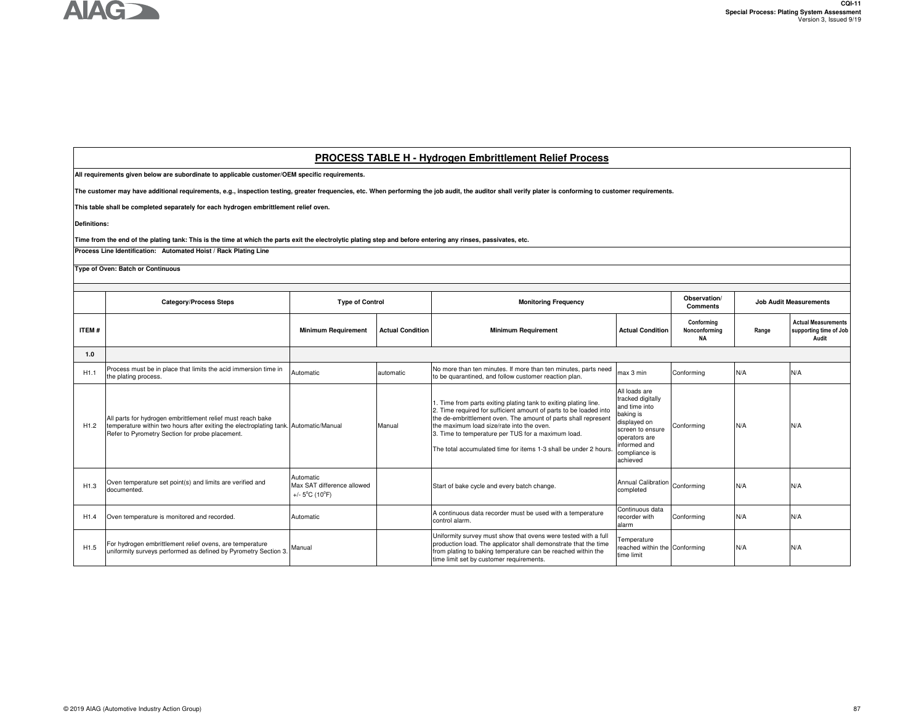## **PROCESS TABLE H - Hydrogen Embrittlement Relief Process**

**All requirements given below are subordinate to applicable customer/OEM specific requirements.** 

**The customer may have additional requirements, e.g., inspection testing, greater frequencies, etc. When performing the job audit, the auditor shall verify plater is conforming to customer requirements.**

**This table shall be completed separately for each hydrogen embrittlement relief oven.**

**Definitions:**

**Time from the end of the plating tank: This is the time at which the parts exit the electrolytic plating step and before entering any rinses, passivates, etc.**

**Process Line Identification: Automated Hoist / Rack Plating Line**

**Type of Oven: Batch or Continuous**

|                  | <b>Category/Process Steps</b>                                                                                                                                                                          | <b>Type of Control</b>                                                         |                         | <b>Monitoring Frequency</b>                                                                                                                                                                                                                                                                                                                                                   |                                                                                                                                                                    | Observation/<br><b>Comments</b>   |       | <b>Job Audit Measurements</b>                                 |  |
|------------------|--------------------------------------------------------------------------------------------------------------------------------------------------------------------------------------------------------|--------------------------------------------------------------------------------|-------------------------|-------------------------------------------------------------------------------------------------------------------------------------------------------------------------------------------------------------------------------------------------------------------------------------------------------------------------------------------------------------------------------|--------------------------------------------------------------------------------------------------------------------------------------------------------------------|-----------------------------------|-------|---------------------------------------------------------------|--|
| ITEM#            |                                                                                                                                                                                                        | <b>Minimum Requirement</b>                                                     | <b>Actual Condition</b> | <b>Minimum Requirement</b>                                                                                                                                                                                                                                                                                                                                                    | <b>Actual Condition</b>                                                                                                                                            | Conformina<br>Nonconforming<br>NA | Range | <b>Actual Measurements</b><br>supporting time of Job<br>Audit |  |
| 1.0              |                                                                                                                                                                                                        |                                                                                |                         |                                                                                                                                                                                                                                                                                                                                                                               |                                                                                                                                                                    |                                   |       |                                                               |  |
| H1.1             | Process must be in place that limits the acid immersion time in<br>the plating process.                                                                                                                | Automatic                                                                      | automatic               | No more than ten minutes. If more than ten minutes, parts need<br>to be quarantined, and follow customer reaction plan.                                                                                                                                                                                                                                                       | max 3 min<br>Conformina                                                                                                                                            |                                   | N/A   | N/A                                                           |  |
| H1.2             | All parts for hydrogen embrittlement relief must reach bake<br>temperature within two hours after exiting the electroplating tank. Automatic/Manual<br>Refer to Pyrometry Section for probe placement. |                                                                                | Manual                  | . Time from parts exiting plating tank to exiting plating line.<br>2. Time required for sufficient amount of parts to be loaded into<br>the de-embrittlement oven. The amount of parts shall represent<br>the maximum load size/rate into the oven.<br>3. Time to temperature per TUS for a maximum load.<br>The total accumulated time for items 1-3 shall be under 2 hours. | All loads are<br>tracked digitally<br>and time into<br>baking is<br>displayed on<br>screen to ensure<br>operators are<br>informed and<br>compliance is<br>achieved | Conformina                        | N/A   | N/A                                                           |  |
| H1.3             | Oven temperature set point(s) and limits are verified and<br>documented.                                                                                                                               | Automatic<br>Max SAT difference allowed<br>+/- $5^{\circ}$ C (10 $^{\circ}$ F) |                         | Start of bake cycle and every batch change.                                                                                                                                                                                                                                                                                                                                   | <b>Annual Calibration</b><br>completed                                                                                                                             | Conformina                        | N/A   | N/A                                                           |  |
| H1.4             | Oven temperature is monitored and recorded.                                                                                                                                                            | Automatic                                                                      |                         | A continuous data recorder must be used with a temperature<br>control alarm.                                                                                                                                                                                                                                                                                                  | Continuous data<br>recorder with<br>alarm                                                                                                                          | Conforming                        | N/A   | N/A                                                           |  |
| H <sub>1.5</sub> | For hydrogen embrittlement relief ovens, are temperature<br>uniformity surveys performed as defined by Pyrometry Section 3.                                                                            | Manual                                                                         |                         | Uniformity survey must show that ovens were tested with a full<br>production load. The applicator shall demonstrate that the time<br>from plating to baking temperature can be reached within the<br>time limit set by customer requirements.                                                                                                                                 | Temperature<br>reached within the Conforming<br>time limit                                                                                                         |                                   | N/A   | N/A                                                           |  |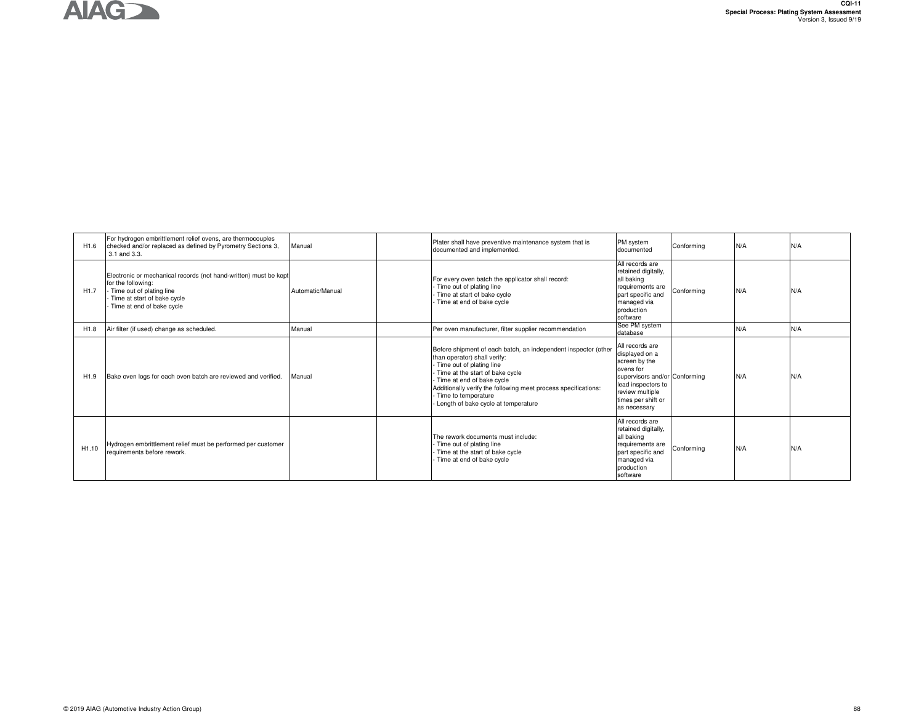

| H <sub>1.6</sub>  | For hydrogen embrittlement relief ovens, are thermocouples<br>checked and/or replaced as defined by Pyrometry Sections 3,<br>3.1 and 3.3.                                      | Manual           | Plater shall have preventive maintenance system that is<br>documented and implemented.                                                                                                                                                                                                                                           | PM system<br>documented                                                                                                                                                         | Conforming | N/A | N/A |
|-------------------|--------------------------------------------------------------------------------------------------------------------------------------------------------------------------------|------------------|----------------------------------------------------------------------------------------------------------------------------------------------------------------------------------------------------------------------------------------------------------------------------------------------------------------------------------|---------------------------------------------------------------------------------------------------------------------------------------------------------------------------------|------------|-----|-----|
| H <sub>1.7</sub>  | Electronic or mechanical records (not hand-written) must be kept<br>for the following:<br>Time out of plating line<br>Time at start of bake cycle<br>Time at end of bake cycle | Automatic/Manual | For every oven batch the applicator shall record:<br>Time out of plating line<br>Time at start of bake cycle<br>Time at end of bake cycle                                                                                                                                                                                        | All records are<br>retained digitally,<br>all baking<br>requirements are<br>part specific and<br>managed via<br>production<br>software                                          | Conformina | N/A | N/A |
| H <sub>1.8</sub>  | Air filter (if used) change as scheduled.                                                                                                                                      | Manual           | Per oven manufacturer, filter supplier recommendation                                                                                                                                                                                                                                                                            | See PM system<br>database                                                                                                                                                       |            | N/A | N/A |
| H <sub>1.9</sub>  | Bake oven logs for each oven batch are reviewed and verified.                                                                                                                  | Manual           | Before shipment of each batch, an independent inspector (other<br>than operator) shall verify:<br>Time out of plating line<br>- Time at the start of bake cycle<br>Time at end of bake cycle<br>Additionally verify the following meet process specifications:<br>- Time to temperature<br>- Length of bake cycle at temperature | All records are<br>displayed on a<br>screen by the<br>ovens for<br>supervisors and/or Conforming<br>lead inspectors to<br>review multiple<br>times per shift or<br>as necessary |            | N/A | N/A |
| H <sub>1.10</sub> | Hydrogen embrittlement relief must be performed per customer<br>requirements before rework.                                                                                    |                  | The rework documents must include:<br>- Time out of plating line<br>Time at the start of bake cycle<br>Time at end of bake cycle                                                                                                                                                                                                 | All records are<br>retained digitally,<br>all baking<br>requirements are<br>part specific and<br>managed via<br>production<br>software                                          | Conforming | N/A | N/A |